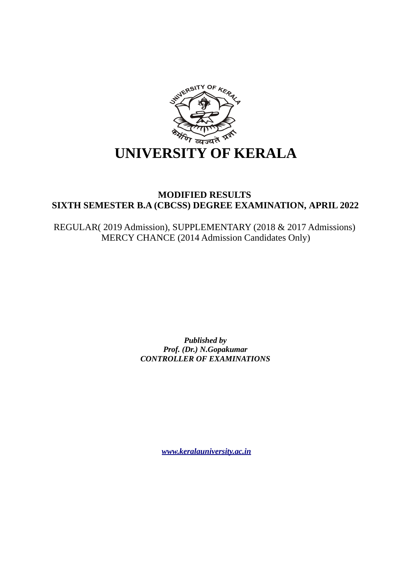

## **MODIFIED RESULTS SIXTH SEMESTER B.A (CBCSS) DEGREE EXAMINATION, APRIL 2022**

REGULAR( 2019 Admission), SUPPLEMENTARY (2018 & 2017 Admissions) MERCY CHANCE (2014 Admission Candidates Only)

> *Published by Prof. (Dr.) N.Gopakumar CONTROLLER OF EXAMINATIONS*

> > *[www.keralauniversity.ac.in](http://www.keralauniversity.ac.in/)*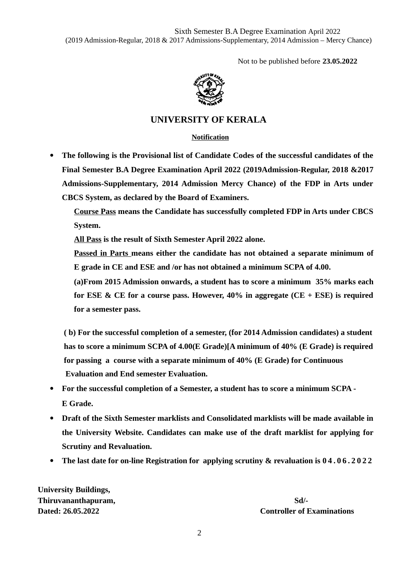Not to be published before **23.05.2022**



## **UNIVERSITY OF KERALA**

#### **Notification**

 **The following is the Provisional list of Candidate Codes of the successful candidates of the Final Semester B.A Degree Examination April 2022 (2019Admission-Regular, 2018 &2017 Admissions-Supplementary, 2014 Admission Mercy Chance) of the FDP in Arts under CBCS System, as declared by the Board of Examiners.**

**Course Pass means the Candidate has successfully completed FDP in Arts under CBCS System.**

**All Pass is the result of Sixth Semester April 2022 alone.**

**Passed in Parts means either the candidate has not obtained a separate minimum of E grade in CE and ESE and /or has not obtained a minimum SCPA of 4.00.**

**(a)From 2015 Admission onwards, a student has to score a minimum 35% marks each for ESE & CE for a course pass. However, 40% in aggregate (CE + ESE) is required for a semester pass.**

 **( b) For the successful completion of a semester, (for 2014 Admission candidates) a student has to score a minimum SCPA of 4.00(E Grade)[A minimum of 40% (E Grade) is required for passing a course with a separate minimum of 40% (E Grade) for Continuous Evaluation and End semester Evaluation.**

- **For the successful completion of a Semester, a student has to score a minimum SCPA - E Grade.**
- **Draft of the Sixth Semester marklists and Consolidated marklists will be made available in the University Website. Candidates can make use of the draft marklist for applying for Scrutiny and Revaluation.**
- **The last date for on-line Registration for applying scrutiny & revaluation is 0 4 . 0 6 . 2 0 2 2**

**University Buildings, Thiruvananthapuram,** Sd/-

**Dated: 26.05.2022 Controller of Examinations**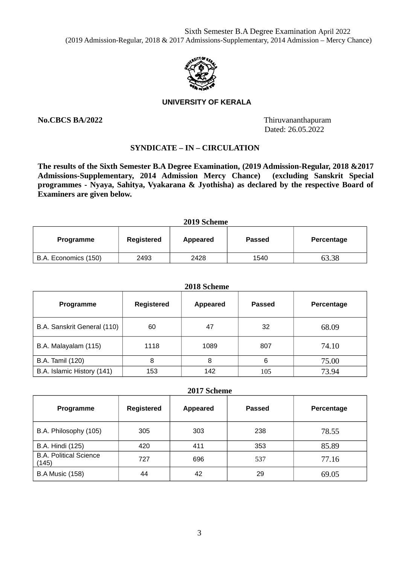

#### **UNIVERSITY OF KERALA**

**No.CBCS BA/2022** Thiruvananthapuram Dated: 26.05.2022

### **SYNDICATE – IN – CIRCULATION**

**The results of the Sixth Semester B.A Degree Examination, (2019 Admission-Regular, 2018 &2017 Admissions-Supplementary, 2014 Admission Mercy Chance) (excluding Sanskrit Special programmes - Nyaya, Sahitya, Vyakarana & Jyothisha) as declared by the respective Board of Examiners are given below.**

| 2019 Scheme          |            |          |               |            |
|----------------------|------------|----------|---------------|------------|
| Programme            | Registered | Appeared | <b>Passed</b> | Percentage |
| B.A. Economics (150) | 2493       | 2428     | 1540          | 63.38      |

**2019 Scheme**

### **2018 Scheme**

| <b>Programme</b>            | Registered | <b>Appeared</b> | <b>Passed</b> | Percentage |
|-----------------------------|------------|-----------------|---------------|------------|
| B.A. Sanskrit General (110) | 60         | 47              | 32            | 68.09      |
| B.A. Malayalam (115)        | 1118       | 1089            | 807           | 74.10      |
| <b>B.A. Tamil (120)</b>     | 8          | 8               | 6             | 75.00      |
| B.A. Islamic History (141)  | 153        | 142             | 105           | 73.94      |

| 2017 Scheme                            |            |                 |               |            |  |
|----------------------------------------|------------|-----------------|---------------|------------|--|
| <b>Programme</b>                       | Registered | <b>Appeared</b> | <b>Passed</b> | Percentage |  |
| B.A. Philosophy (105)                  | 305        | 303             | 238           | 78.55      |  |
| <b>B.A. Hindi (125)</b>                | 420        | 411             | 353           | 85.89      |  |
| <b>B.A. Political Science</b><br>(145) | 727        | 696             | 537           | 77.16      |  |
| <b>B.A Music (158)</b>                 | 44         | 42              | 29            | 69.05      |  |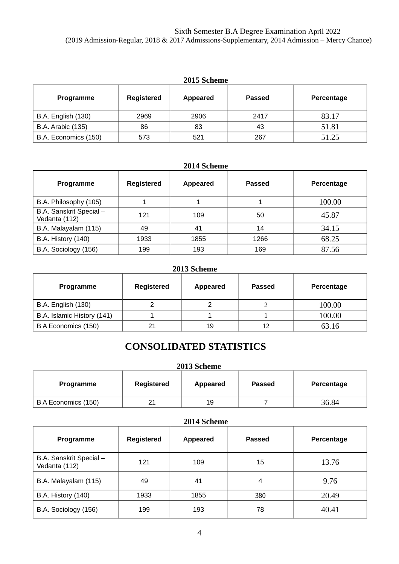| 2015 Scheme               |            |          |               |            |  |
|---------------------------|------------|----------|---------------|------------|--|
| <b>Programme</b>          | Registered | Appeared | <b>Passed</b> | Percentage |  |
| <b>B.A. English (130)</b> | 2969       | 2906     | 2417          | 83.17      |  |
| <b>B.A. Arabic (135)</b>  | 86         | 83       | 43            | 51.81      |  |
| B.A. Economics (150)      | 573        | 521      | 267           | 51.25      |  |

# **2014 Scheme**

| <b>Programme</b>                         | <b>Registered</b> | Appeared | <b>Passed</b> | Percentage |
|------------------------------------------|-------------------|----------|---------------|------------|
| B.A. Philosophy (105)                    |                   |          |               | 100.00     |
| B.A. Sanskrit Special -<br>Vedanta (112) | 121               | 109      | 50            | 45.87      |
| B.A. Malayalam (115)                     | 49                | 41       | 14            | 34.15      |
| <b>B.A. History (140)</b>                | 1933              | 1855     | 1266          | 68.25      |
| B.A. Sociology (156)                     | 199               | 193      | 169           | 87.56      |

### **2013 Scheme**

| Programme                  | Registered | Appeared | <b>Passed</b> | Percentage |
|----------------------------|------------|----------|---------------|------------|
| <b>B.A. English (130)</b>  |            |          |               | 100.00     |
| B.A. Islamic History (141) |            |          |               | 100.00     |
| B A Economics (150)        | 21         | 19       | 12            | 63.16      |

# **CONSOLIDATED STATISTICS**

### **2013 Scheme**

| Programme           | Registered | Appeared | <b>Passed</b> | Percentage |
|---------------------|------------|----------|---------------|------------|
| B A Economics (150) | າາ<br>∠⊥   | 19       |               | 36.84      |

### **2014 Scheme**

| Programme                                | <b>Registered</b> | <b>Appeared</b> | <b>Passed</b> | Percentage |
|------------------------------------------|-------------------|-----------------|---------------|------------|
| B.A. Sanskrit Special -<br>Vedanta (112) | 121               | 109             | 15            | 13.76      |
| B.A. Malayalam (115)                     | 49                | 41              | 4             | 9.76       |
| <b>B.A. History (140)</b>                | 1933              | 1855            | 380           | 20.49      |
| B.A. Sociology (156)                     | 199               | 193             | 78            | 40.41      |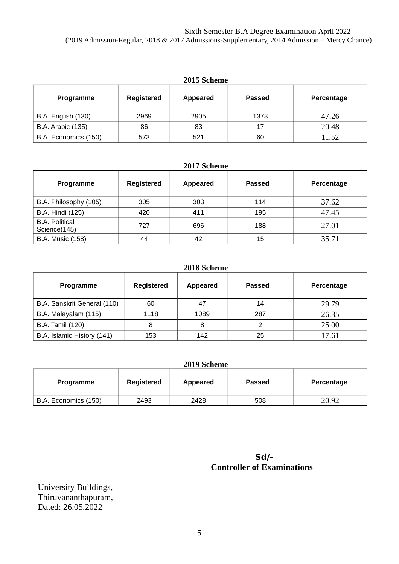| 2015 Scheme               |            |          |               |            |  |
|---------------------------|------------|----------|---------------|------------|--|
| <b>Programme</b>          | Registered | Appeared | <b>Passed</b> | Percentage |  |
| <b>B.A. English (130)</b> | 2969       | 2905     | 1373          | 47.26      |  |
| <b>B.A. Arabic (135)</b>  | 86         | 83       | 17            | 20.48      |  |
| B.A. Economics (150)      | 573        | 521      | 60            | 11.52      |  |

## **2017 Scheme**

| <b>Programme</b>                      | Registered | Appeared | <b>Passed</b> | Percentage |
|---------------------------------------|------------|----------|---------------|------------|
| B.A. Philosophy (105)                 | 305        | 303      | 114           | 37.62      |
| <b>B.A. Hindi (125)</b>               | 420        | 411      | 195           | 47.45      |
| <b>B.A. Political</b><br>Science(145) | 727        | 696      | 188           | 27.01      |
| <b>B.A. Music (158)</b>               | 44         | 42       | 15            | 35.71      |

#### **2018 Scheme**

| <b>Programme</b>            | <b>Registered</b> | <b>Appeared</b> | <b>Passed</b> | Percentage |
|-----------------------------|-------------------|-----------------|---------------|------------|
| B.A. Sanskrit General (110) | 60                | 47              | 14            | 29.79      |
| B.A. Malayalam (115)        | 1118              | 1089            | 287           | 26.35      |
| <b>B.A. Tamil (120)</b>     | 8                 | 8               |               | 25.00      |
| B.A. Islamic History (141)  | 153               | 142             | 25            | 17.61      |

| 2019 Scheme          |            |          |               |            |
|----------------------|------------|----------|---------------|------------|
| Programme            | Registered | Appeared | <b>Passed</b> | Percentage |
| B.A. Economics (150) | 2493       | 2428     | 508           | 20.92      |

| $Sd$ -                            |
|-----------------------------------|
| <b>Controller of Examinations</b> |

University Buildings, Thiruvananthapuram, Dated: 26.05.2022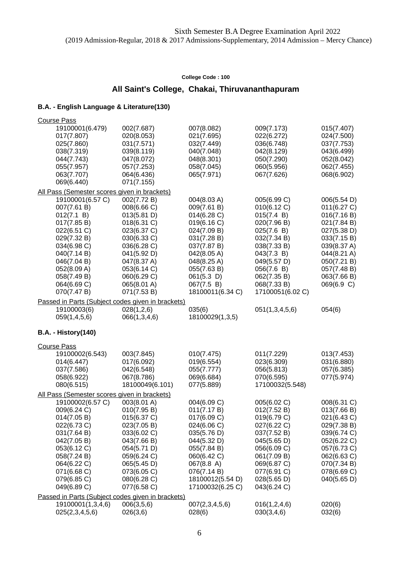## **All Saint's College, Chakai, Thiruvananthapuram**

| <b>Course Pass</b>                           |                                                   |                  |                            |             |
|----------------------------------------------|---------------------------------------------------|------------------|----------------------------|-------------|
| 19100001(6.479)                              | 002(7.687)                                        | 007(8.082)       | 009(7.173)                 | 015(7.407)  |
| 017(7.807)                                   | 020(8.053)                                        | 021(7.695)       | 022(6.272)                 | 024(7.500)  |
| 025(7.860)                                   | 031(7.571)                                        | 032(7.449)       | 036(6.748)                 | 037(7.753)  |
| 038(7.319)                                   | 039(8.119)                                        | 040(7.048)       | 042(8.129)                 | 043(6.499)  |
| 044(7.743)                                   | 047(8.072)                                        | 048(8.301)       | 050(7.290)                 | 052(8.042)  |
| 055(7.957)                                   | 057(7.253)                                        | 058(7.045)       | 060(5.956)                 | 062(7.455)  |
| 063(7.707)                                   | 064(6.436)                                        | 065(7.971)       | 067(7.626)                 | 068(6.902)  |
| 069(6.440)                                   | 071(7.155)                                        |                  |                            |             |
| All Pass (Semester scores given in brackets) |                                                   |                  |                            |             |
| 19100001(6.57 C)                             | 002(7.72 B)                                       | 004(8.03 A)      | 005(6.99 C)                | 006(5.54 D) |
| 007(7.61 B)                                  | 008(6.66 C)                                       | 009(7.61 B)      | 010(6.12 C)                | 011(6.27 C) |
| 012(7.1 B)                                   | 013(5.81 D)                                       | 014(6.28)        | 015(7.4 B)                 | 016(7.16 B) |
| 017(7.85 B)                                  | 018(6.31 C)                                       | 019(6.16 C)      | 020(7.96 B)                | 021(7.84 B) |
| 022(6.51 C)                                  | 023(6.37 C)                                       | 024(7.09 B)      | 025(7.6 B)                 | 027(5.38 D) |
| 029(7.32 B)                                  | 030(6.33 C)                                       | 031(7.28 B)      | 032(7.34 B)                | 033(7.15 B) |
| 034(6.98 C)                                  | 036(6.28 C)                                       | 037(7.87 B)      | 038(7.33 B)                | 039(8.37 A) |
| 040(7.14 B)                                  | 041(5.92 D)                                       | 042(8.05 A)      | 043(7.3 B)                 | 044(8.21 A) |
| 046(7.04 B)                                  | 047(8.37 A)                                       | 048(8.25 A)      | 049(5.57 D)                | 050(7.21 B) |
| 052(8.09 A)                                  | 053(6.14 C)                                       | 055(7.63 B)      | 056(7.6 B)                 | 057(7.48 B) |
| 058(7.49 B)                                  | 060(6.29 C)                                       | 061(5.3 D)       | 062(7.35 B)                | 063(7.66 B) |
| 064(6.69 C)                                  | 065(8.01 A)                                       | 067(7.5 B)       | 068(7.33 B)                | 069(6.9 C)  |
| 070(7.47 B)                                  | 071(7.53 B)                                       | 18100011(6.34 C) | 17100051(6.02 C)           |             |
|                                              | Passed in Parts (Subject codes given in brackets) |                  |                            |             |
| 19100003(6)                                  | 028(1,2,6)                                        | 035(6)           | 051(1,3,4,5,6)             | 054(6)      |
| 059(1,4,5,6)                                 | 066(1,3,4,6)                                      | 18100029(1,3,5)  |                            |             |
|                                              |                                                   |                  |                            |             |
| <b>B.A. - History(140)</b>                   |                                                   |                  |                            |             |
|                                              |                                                   |                  |                            |             |
| <b>Course Pass</b><br>19100002(6.543)        | 003(7.845)                                        | 010(7.475)       | 011(7.229)                 | 013(7.453)  |
| 014(6.447)                                   | 017(6.092)                                        | 019(6.554)       | 023(6.309)                 | 031(6.880)  |
| 037(7.586)                                   | 042(6.548)                                        | 055(7.777)       | 056(5.813)                 | 057(6.385)  |
| 058(6.922)                                   | 067(8.786)                                        | 069(6.684)       | 070(6.595)                 | 077(5.974)  |
| 080(6.515)                                   | 18100049(6.101)                                   | 077(5.889)       | 17100032(5.548)            |             |
| All Pass (Semester scores given in brackets) |                                                   |                  |                            |             |
| 19100002(6.57 C)                             | 003(8.01 A)                                       | 004(6.09 C)      | 005(6.02 C)                | 008(6.31 C) |
| 009(6.24 C)                                  | 010(7.95 B)                                       | 011(7.17 B)      | 012(7.52 B)                | 013(7.66 B) |
|                                              | 015(6.37 C)                                       | 017(6.09 C)      |                            | 021(6.43 C) |
| 014(7.05 B)<br>022(6.73 C)                   | 023(7.05 B)                                       | 024(6.06 C)      | 019(6.79 C)<br>027(6.22 C) | 029(7.38 B) |
| 031(7.64 B)                                  | 033(6.02 C)                                       | 035(5.76 D)      | 037(7.52 B)                | 039(6.74 C) |
| 042(7.05 B)                                  | 043(7.66 B)                                       | 044(5.32 D)      | 045(5.65 D)                | 052(6.22 C) |
| 053(6.12 C)                                  | 054(5.71 D)                                       | 055(7.84 B)      | 056(6.09 C)                | 057(6.73 C) |
| 058(7.24 B)                                  | 059(6.24 C)                                       | 060(6.42 C)      | 061(7.09 B)                | 062(6.63 C) |
| 064(6.22 C)                                  | 065(5.45 D)                                       | 067(8.8 A)       | 069(6.87 C)                | 070(7.34 B) |
| 071(6.68 C)                                  | 073(6.05 C)                                       | 076(7.14 B)      | 077(6.91 C)                | 078(6.69 C) |
| 079(6.85 C)                                  | 080(6.28 C)                                       | 18100012(5.54 D) | 028(5.65 D)                | 040(5.65 D) |
| 049(6.89 C)                                  | 077(6.58 C)                                       | 17100032(6.25 C) | 043(6.24 C)                |             |
|                                              |                                                   |                  |                            |             |
|                                              | Passed in Parts (Subject codes given in brackets) |                  |                            |             |
| 19100001(1,3,4,6)                            | 006(3,5,6)                                        | 007(2,3,4,5,6)   | 016(1,2,4,6)               | 020(6)      |
| 025(2,3,4,5,6)                               | 026(3,6)                                          | 028(6)           | 030(3,4,6)                 | 032(6)      |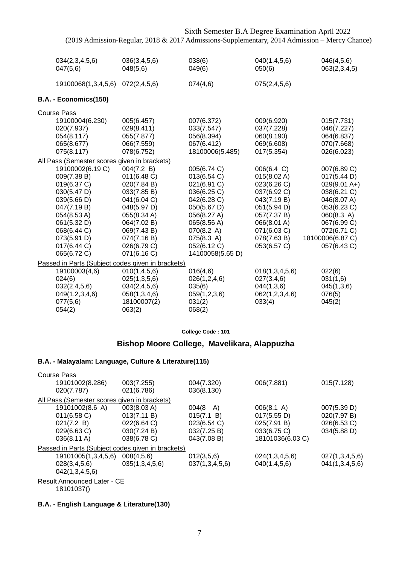| 034(2,3,4,5,6)<br>047(5,6)                                                                                                                                                                                                            | 036(3,4,5,6)<br>048(5,6)                                                                                                                                                      | 038(6)<br>049(6)                                                                                                                                                                    | 040(1,4,5,6)<br>050(6)                                                                                                                                           | 046(4,5,6)<br>063(2,3,4,5)                                                                                                                                               |
|---------------------------------------------------------------------------------------------------------------------------------------------------------------------------------------------------------------------------------------|-------------------------------------------------------------------------------------------------------------------------------------------------------------------------------|-------------------------------------------------------------------------------------------------------------------------------------------------------------------------------------|------------------------------------------------------------------------------------------------------------------------------------------------------------------|--------------------------------------------------------------------------------------------------------------------------------------------------------------------------|
|                                                                                                                                                                                                                                       |                                                                                                                                                                               |                                                                                                                                                                                     |                                                                                                                                                                  |                                                                                                                                                                          |
| 19100068(1,3,4,5,6)                                                                                                                                                                                                                   | 072(2,4,5,6)                                                                                                                                                                  | 074(4,6)                                                                                                                                                                            | 075(2,4,5,6)                                                                                                                                                     |                                                                                                                                                                          |
| B.A. - Economics(150)                                                                                                                                                                                                                 |                                                                                                                                                                               |                                                                                                                                                                                     |                                                                                                                                                                  |                                                                                                                                                                          |
| <b>Course Pass</b>                                                                                                                                                                                                                    |                                                                                                                                                                               |                                                                                                                                                                                     |                                                                                                                                                                  |                                                                                                                                                                          |
| 19100004(6.230)<br>020(7.937)<br>054(8.117)<br>065(8.677)<br>075(8.117)                                                                                                                                                               | 005(6.457)<br>029(8.411)<br>055(7.877)<br>066(7.559)<br>078(6.752)                                                                                                            | 007(6.372)<br>033(7.547)<br>056(8.394)<br>067(6.412)<br>18100006(5.485)                                                                                                             | 009(6.920)<br>037(7.228)<br>060(8.190)<br>069(6.608)<br>017(5.354)                                                                                               | 015(7.731)<br>046(7.227)<br>064(6.837)<br>070(7.668)<br>026(6.023)                                                                                                       |
|                                                                                                                                                                                                                                       |                                                                                                                                                                               |                                                                                                                                                                                     |                                                                                                                                                                  |                                                                                                                                                                          |
| All Pass (Semester scores given in brackets)<br>19100002(6.19 C)<br>009(7.38 B)<br>019(6.37 C)<br>030(5.47 D)<br>039(5.66 D)<br>047(7.19 B)<br>054(8.53 A)<br>061(5.32 D)<br>068(6.44 C)<br>073(5.91 D)<br>017(6.44 C)<br>065(6.72 C) | 004(7.2 B)<br>011(6.48)<br>020(7.84 B)<br>033(7.85 B)<br>041(6.04 C)<br>048(5.97 D)<br>055(8.34 A)<br>064(7.02 B)<br>069(7.43 B)<br>074(7.16 B)<br>026(6.79 C)<br>071(6.16 C) | 005(6.74 C)<br>013(6.54 C)<br>021(6.91 C)<br>036(6.25 C)<br>042(6.28 C)<br>050(5.67 D)<br>056(8.27 A)<br>065(8.56 A)<br>070(8.2 A)<br>075(8.3 A)<br>052(6.12 C)<br>14100058(5.65 D) | 006(6.4 C)<br>015(8.02 A)<br>023(6.26 C)<br>037(6.92 C)<br>043(7.19 B)<br>051(5.94 D)<br>057(7.37 B)<br>066(8.01 A)<br>071(6.03 C)<br>078(7.63 B)<br>053(6.57 C) | 007(6.89 C)<br>017(5.44 D)<br>$029(9.01 A+)$<br>038(6.21 C)<br>046(8.07 A)<br>053(6.23 C)<br>060(8.3 A)<br>067(6.99 C)<br>072(6.71 C)<br>18100006(6.87 C)<br>057(6.43 C) |
| Passed in Parts (Subject codes given in brackets)                                                                                                                                                                                     |                                                                                                                                                                               |                                                                                                                                                                                     |                                                                                                                                                                  |                                                                                                                                                                          |
| 19100003(4,6)<br>024(6)<br>032(2,4,5,6)<br>049(1,2,3,4,6)<br>077(5,6)<br>054(2)                                                                                                                                                       | 010(1, 4, 5, 6)<br>025(1,3,5,6)<br>034(2,4,5,6)<br>058(1,3,4,6)<br>18100007(2)<br>063(2)                                                                                      | 016(4,6)<br>026(1, 2, 4, 6)<br>035(6)<br>059(1,2,3,6)<br>031(2)<br>068(2)                                                                                                           | 018(1,3,4,5,6)<br>027(3,4,6)<br>044(1,3,6)<br>062(1,2,3,4,6)<br>033(4)                                                                                           | 022(6)<br>031(1,6)<br>045(1,3,6)<br>076(5)<br>045(2)                                                                                                                     |

**College Code : 101**

## **Bishop Moore College, Mavelikara, Alappuzha**

## **B.A. - Malayalam: Language, Culture & Literature(115)**

| <b>Course Pass</b> |                             |                                                   |                |                  |                |  |  |
|--------------------|-----------------------------|---------------------------------------------------|----------------|------------------|----------------|--|--|
|                    | 19101002(8.286)             | 003(7.255)                                        | 004(7.320)     | 006(7.881)       | 015(7.128)     |  |  |
|                    | 020(7.787)                  | 021(6.786)                                        | 036(8.130)     |                  |                |  |  |
|                    |                             | All Pass (Semester scores given in brackets)      |                |                  |                |  |  |
|                    | 19101002(8.6 A)             | 003(8.03 A)                                       | 004(8<br>A)    | 006(8.1 A)       | 007(5.39 D)    |  |  |
|                    | $011(6.58)$ C)              | 013(7.11 B)                                       | 015(7.1 B)     | 017(5.55 D)      | 020(7.97 B)    |  |  |
|                    | 021(7.2 B)                  | 022(6.64 C)                                       | 023(6.54 C)    | 025(7.91 B)      | 026(6.53 C)    |  |  |
|                    | 029(6.63 C)                 | 030(7.24 B)                                       | 032(7.25 B)    | 033(6.75 C)      | 034(5.88 D)    |  |  |
|                    | 036(8.11 A)                 | 038(6.78 C)                                       | 043(7.08 B)    | 18101036(6.03 C) |                |  |  |
|                    |                             | Passed in Parts (Subject codes given in brackets) |                |                  |                |  |  |
|                    | 19101005(1,3,4,5,6)         | 008(4,5,6)                                        | 012(3,5,6)     | 024(1,3,4,5,6)   | 027(1,3,4,5,6) |  |  |
|                    | 028(3,4,5,6)                | 035(1,3,4,5,6)                                    | 037(1,3,4,5,6) | 040(1,4,5,6)     | 041(1,3,4,5,6) |  |  |
|                    | 042(1,3,4,5,6)              |                                                   |                |                  |                |  |  |
|                    | Result Announced Later - CE |                                                   |                |                  |                |  |  |

18101037()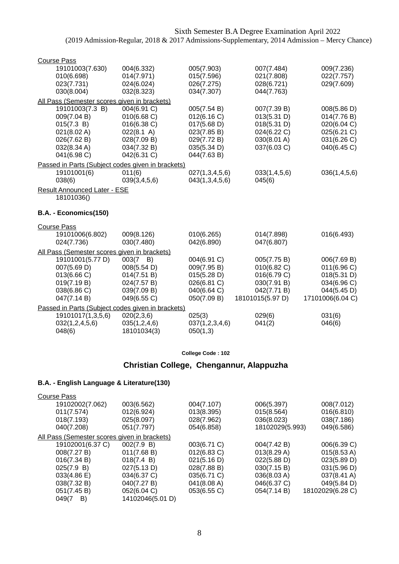| <b>Course Pass</b>                           |                                                   |                            |                          |                                 |
|----------------------------------------------|---------------------------------------------------|----------------------------|--------------------------|---------------------------------|
| 19101003(7.630)                              | 004(6.332)                                        | 005(7.903)                 | 007(7.484)               | 009(7.236)                      |
| 010(6.698)                                   | 014(7.971)                                        | 015(7.596)                 | 021(7.808)               | 022(7.757)                      |
| 023(7.731)                                   | 024(6.024)                                        | 026(7.275)                 | 028(6.721)               | 029(7.609)                      |
| 030(8.004)                                   | 032(8.323)                                        | 034(7.307)                 | 044(7.763)               |                                 |
| All Pass (Semester scores given in brackets) |                                                   |                            |                          |                                 |
| 19101003(7.3 B)                              | 004(6.91 C)                                       | 005(7.54 B)                | 007(7.39 B)              | 008(5.86 D)                     |
| 009(7.04 B)                                  | 010(6.68 C)                                       | 012(6.16 C)                | 013(5.31 D)              | 014(7.76 B)                     |
| 015(7.3 B)                                   | 016(6.38 C)                                       | 017(5.68 D)                | 018(5.31 D)              | 020(6.04 C)                     |
| 021(8.02 A)                                  | 022(8.1 A)                                        | 023(7.85 B)                | 024(6.22 C)              | 025(6.21 C)                     |
| 026(7.62 B)                                  | 028(7.09 B)                                       | 029(7.72 B)                | 030(8.01 A)              | 031(6.26 C)                     |
| 032(8.34 A)                                  | 034(7.32 B)                                       | 035(5.34 D)                | 037(6.03 C)              | 040(6.45 C)                     |
| 041(6.98 C)                                  | 042(6.31 C)                                       | 044(7.63 B)                |                          |                                 |
|                                              | Passed in Parts (Subject codes given in brackets) |                            |                          |                                 |
| 19101001(6)                                  | 011(6)                                            | 027(1,3,4,5,6)             | 033(1,4,5,6)             | 036(1,4,5,6)                    |
| 038(6)                                       | 039(3,4,5,6)                                      | 043(1,3,4,5,6)             | 045(6)                   |                                 |
| Result Announced Later - ESE                 |                                                   |                            |                          |                                 |
| 18101036()                                   |                                                   |                            |                          |                                 |
|                                              |                                                   |                            |                          |                                 |
| B.A. - Economics(150)                        |                                                   |                            |                          |                                 |
|                                              |                                                   |                            |                          |                                 |
| <b>Course Pass</b>                           |                                                   |                            |                          |                                 |
| 19101006(6.802)                              | 009(8.126)<br>030(7.480)                          | 010(6.265)<br>042(6.890)   | 014(7.898)<br>047(6.807) | 016(6.493)                      |
| 024(7.736)                                   |                                                   |                            |                          |                                 |
| All Pass (Semester scores given in brackets) |                                                   |                            |                          |                                 |
| 19101001(5.77 D)                             | 003(7<br>B)                                       | 004(6.91 C)                | 005(7.75 B)              | 006(7.69 B)                     |
| 007(5.69 D)                                  | 008(5.54 D)                                       | 009(7.95 B)                | 010(6.82 C)              | 011(6.96 C)                     |
| 013(6.66 C)                                  | 014(7.51 B)                                       | 015(5.28 D)                | 016(6.79 C)              | 018(5.31 D)                     |
| 019(7.19 B)                                  | 024(7.57 B)                                       | 026(6.81 C)                | 030(7.91 B)              | 034(6.96 C)                     |
| 038(6.86 C)<br>047(7.14 B)                   | 039(7.09 B)<br>049(6.55 C)                        | 040(6.64 C)<br>050(7.09 B) | 042(7.71 B)              | 044(5.45 D)<br>17101006(6.04 C) |
|                                              |                                                   |                            | 18101015(5.97 D)         |                                 |
|                                              | Passed in Parts (Subject codes given in brackets) |                            |                          |                                 |
| 19101017(1,3,5,6)                            | 020(2,3,6)                                        | 025(3)                     | 029(6)                   | 031(6)                          |
| 032(1, 2, 4, 5, 6)                           | 035(1,2,4,6)                                      | 037(1,2,3,4,6)             | 041(2)                   | 046(6)                          |
| 048(6)                                       | 18101034(3)                                       | 050(1,3)                   |                          |                                 |

## **Christian College, Chengannur, Alappuzha**

| <b>Course Pass</b>                           |                  |                |                 |                  |
|----------------------------------------------|------------------|----------------|-----------------|------------------|
| 19102002(7.062)                              | 003(6.562)       | 004(7.107)     | 006(5.397)      | 008(7.012)       |
| 011(7.574)                                   | 012(6.924)       | 013(8.395)     | 015(8.564)      | 016(6.810)       |
| 018(7.193)                                   | 025(8.097)       | 028(7.962)     | 036(8.023)      | 038(7.186)       |
| 040(7.208)                                   | 051(7.797)       | 054(6.858)     | 18102029(5.993) | 049(6.586)       |
| All Pass (Semester scores given in brackets) |                  |                |                 |                  |
| 19102001(6.37 C)                             | 002(7.9 B)       | 003(6.71 C)    | 004(7.42 B)     | 006(6.39 C)      |
| 008(7.27 B)                                  | 011(7.68 B)      | $012(6.83)$ C) | 013(8.29 A)     | 015(8.53 A)      |
| 016(7.34 B)                                  | 018(7.4 B)       | 021(5.16 D)    | 022(5.88 D)     | 023(5.89 D)      |
| 025(7.9 B)                                   | 027(5.13 D)      | 028(7.88 B)    | 030(7.15 B)     | 031(5.96 D)      |
| 033(4.86 E)                                  | 034(6.37 C)      | 035(6.71 C)    | 036(8.03 A)     | 037(8.41 A)      |
| 038(7.32 B)                                  | 040(7.27 B)      | 041(8.08 A)    | 046(6.37 C)     | 049(5.84 D)      |
| 051(7.45 B)                                  | 052(6.04 C)      | 053(6.55 C)    | 054(7.14 B)     | 18102029(6.28 C) |
| 049(7<br>B)                                  | 14102046(5.01 D) |                |                 |                  |
|                                              |                  |                |                 |                  |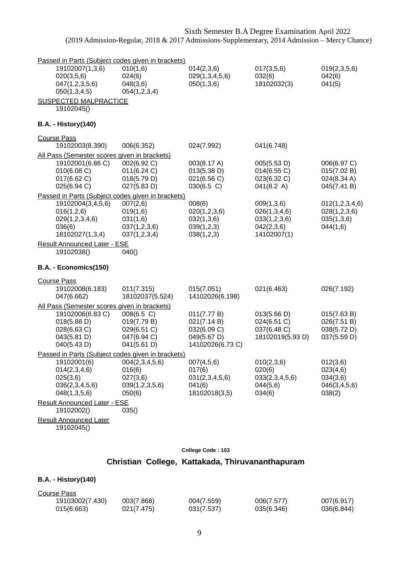| Passed in Parts (Subject codes given in brackets)                                                                              |                                                                        |                                                                              |                                                                         |                                                            |
|--------------------------------------------------------------------------------------------------------------------------------|------------------------------------------------------------------------|------------------------------------------------------------------------------|-------------------------------------------------------------------------|------------------------------------------------------------|
| 19102007(1,3,6)<br>020(3,5,6)<br>047(1,2,3,5,6)<br>050(1,3,4,5)                                                                | 010(1,6)<br>024(6)<br>048(3,6)<br>054(1,2,3,4)                         | 014(2,3,6)<br>029(1,3,4,5,6)<br>050(1,3,6)                                   | 017(3,5,6)<br>032(6)<br>18102032(3)                                     | 019(2,3,5,6)<br>042(6)<br>041(5)                           |
| <b>SUSPECTED MALPRACTICE</b><br>19102045()                                                                                     |                                                                        |                                                                              |                                                                         |                                                            |
| <b>B.A. - History(140)</b>                                                                                                     |                                                                        |                                                                              |                                                                         |                                                            |
| <b>Course Pass</b>                                                                                                             |                                                                        |                                                                              |                                                                         |                                                            |
| 19102003(8.390)                                                                                                                | 006(6.352)                                                             | 024(7.992)                                                                   | 041(6.748)                                                              |                                                            |
| All Pass (Semester scores given in brackets)<br>19102001(6.86 C)<br>010(6.08 C)<br>017(6.62 C)<br>025(6.94 C)                  | 002(6.92 C)<br>011(6.24 C)<br>018(5.79 D)<br>027(5.83 D)               | 003(8.17 A)<br>013(5.38 D)<br>021(6.56 C)<br>$030(6.5)$ C)                   | 005(5.53 D)<br>014(6.55 C)<br>023(6.32 C)<br>041(8.2 A)                 | 006(6.97 C)<br>015(7.02 B)<br>024(8.34 A)<br>045(7.41 B)   |
| Passed in Parts (Subject codes given in brackets)                                                                              |                                                                        |                                                                              |                                                                         |                                                            |
| 19102004(3,4,5,6)<br>016(1,2,6)<br>029(1,2,3,4,6)<br>036(6)<br>18102027(1,3,4)                                                 | 007(2,6)<br>019(1,6)<br>031(1,6)<br>037(1,2,3,6)<br>037(1,2,3,4)       | 008(6)<br>020(1,2,3,6)<br>032(1,3,6)<br>039(1,2,3)<br>038(1,2,3)             | 009(1,3,6)<br>026(1,3,4,6)<br>033(1,2,3,6)<br>042(2,3,6)<br>14102007(1) | 012(1,2,3,4,6)<br>028(1,2,3,6)<br>035(1,3,6)<br>044(1,6)   |
| <b>Result Announced Later - ESE</b><br>19102038()                                                                              | 040()                                                                  |                                                                              |                                                                         |                                                            |
| B.A. - Economics(150)                                                                                                          |                                                                        |                                                                              |                                                                         |                                                            |
| <b>Course Pass</b><br>19102008(6.183)<br>047(6.662)                                                                            | 011(7.315)<br>18102037(5.524)                                          | 015(7.051)<br>14102026(6.198)                                                | 021(6.463)                                                              | 026(7.192)                                                 |
| All Pass (Semester scores given in brackets)<br>19102006(6.83 C)<br>018(5.88 D)<br>028(6.63 C)<br>043(5.81 D)<br>040(5.43 D)   | 008(6.5 C)<br>019(7.79 B)<br>029(6.51 C)<br>047(6.94 C)<br>041(5.61 D) | 011(7.77 B)<br>021(7.14 B)<br>032(6.09 C)<br>049(5.67 D)<br>14102026(6.73 C) | 013(5.66 D)<br>024(6.51 C)<br>037(6.48 C)<br>18102019(5.93 D)           | 015(7.63 B)<br>026(7.51 B)<br>038(5.72 D)<br>037(5.59 D)   |
| Passed in Parts (Subject codes given in brackets)<br>19102001(6)<br>014(2,3,4,6)<br>025(3,6)<br>036(2,3,4,5,6)<br>048(1,3,5,6) | 004(2,3,4,5,6)<br>016(6)<br>027(3,6)<br>039(1,2,3,5,6)<br>050(6)       | 007(4,5,6)<br>017(6)<br>031(2,3,4,5,6)<br>041(6)<br>18102018(3,5)            | 010(2,3,6)<br>020(6)<br>033(2,3,4,5,6)<br>044(5,6)<br>034(6)            | 012(3,6)<br>023(4,6)<br>034(3,6)<br>046(3,4,5,6)<br>038(2) |
| <b>Result Announced Later - ESE</b><br>19102002()                                                                              | 035()                                                                  |                                                                              |                                                                         |                                                            |
| <b>Result Announced Later</b><br>19102045()                                                                                    |                                                                        |                                                                              |                                                                         |                                                            |

# **Christian College, Kattakada, Thiruvananthapuram**

#### **B.A. - History(140)**

| Course Pass     |            |            |            |            |
|-----------------|------------|------------|------------|------------|
| 19103002(7.430) | 003(7.868) | 004(7.559) | 006(7.577) | 007(6.917) |
| 015(6.663)      | 021(7.475) | 031(7.537) | 035(6.346) | 036(6.844) |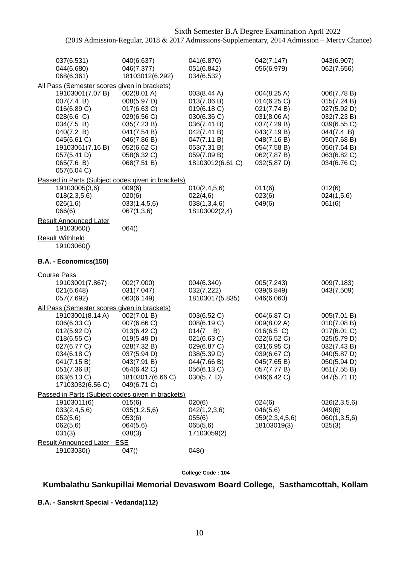| 037(6.531)<br>044(6.680)<br>068(6.361)                                                                                                                                                                       | 040(6.637)<br>046(7.377)<br>18103012(6.292)                                                                                                             | 041(6.870)<br>051(6.842)<br>034(6.532)                                                                                                                  | 042(7.147)<br>056(6.979)                                                                                                                           | 043(6.907)<br>062(7.656)                                                                                                                          |
|--------------------------------------------------------------------------------------------------------------------------------------------------------------------------------------------------------------|---------------------------------------------------------------------------------------------------------------------------------------------------------|---------------------------------------------------------------------------------------------------------------------------------------------------------|----------------------------------------------------------------------------------------------------------------------------------------------------|---------------------------------------------------------------------------------------------------------------------------------------------------|
| All Pass (Semester scores given in brackets)                                                                                                                                                                 |                                                                                                                                                         |                                                                                                                                                         |                                                                                                                                                    |                                                                                                                                                   |
| 19103001(7.07 B)<br>007(7.4 B)<br>016(6.89 C)<br>028(6.6 C)<br>034(7.5 B)<br>040(7.2 B)<br>045(6.61 C)<br>19103051(7.16 B)<br>057(5.41 D)<br>065(7.6 B)<br>057(6.04 C)                                       | 002(8.01 A)<br>008(5.97 D)<br>017(6.63 C)<br>029(6.56 C)<br>035(7.23 B)<br>041(7.54 B)<br>046(7.86 B)<br>052(6.62 C)<br>058(6.32 C)<br>068(7.51 B)      | 003(8.44 A)<br>013(7.06 B)<br>019(6.18 C)<br>030(6.36 C)<br>036(7.41 B)<br>042(7.41 B)<br>047(7.11 B)<br>053(7.31 B)<br>059(7.09 B)<br>18103012(6.61 C) | 004(8.25 A)<br>014(6.25 C)<br>021(7.74 B)<br>031(8.06 A)<br>037(7.29 B)<br>043(7.19 B)<br>048(7.16 B)<br>054(7.58 B)<br>062(7.87 B)<br>032(5.87 D) | 006(7.78 B)<br>015(7.24 B)<br>027(5.92 D)<br>032(7.23 B)<br>039(6.55 C)<br>044(7.4 B)<br>050(7.68 B)<br>056(7.64 B)<br>063(6.82 C)<br>034(6.76 C) |
| Passed in Parts (Subject codes given in brackets)<br>19103005(3,6)<br>018(2,3,5,6)<br>026(1,6)<br>066(6)                                                                                                     | 009(6)<br>020(6)<br>033(1,4,5,6)<br>067(1,3,6)                                                                                                          | 010(2,4,5,6)<br>022(4,6)<br>038(1,3,4,6)<br>18103002(2,4)                                                                                               | 011(6)<br>023(6)<br>049(6)                                                                                                                         | 012(6)<br>024(1,5,6)<br>061(6)                                                                                                                    |
| <b>Result Announced Later</b><br>19103060()                                                                                                                                                                  | 064()                                                                                                                                                   |                                                                                                                                                         |                                                                                                                                                    |                                                                                                                                                   |
| <b>Result Withheld</b><br>19103060()                                                                                                                                                                         |                                                                                                                                                         |                                                                                                                                                         |                                                                                                                                                    |                                                                                                                                                   |
| B.A. - Economics(150)                                                                                                                                                                                        |                                                                                                                                                         |                                                                                                                                                         |                                                                                                                                                    |                                                                                                                                                   |
| <b>Course Pass</b><br>19103001(7.867)<br>021(6.648)<br>057(7.692)                                                                                                                                            | 002(7.000)<br>031(7.047)<br>063(6.149)                                                                                                                  | 004(6.340)<br>032(7.222)<br>18103017(5.835)                                                                                                             | 005(7.243)<br>039(6.849)<br>046(6.060)                                                                                                             | 009(7.183)<br>043(7.509)                                                                                                                          |
| All Pass (Semester scores given in brackets)<br>19103001(8.14 A)<br>006(6.33 C)<br>012(5.92 D)<br>018(6.55 C)<br>027(6.77 C)<br>034(6.18 C)<br>041(7.15 B)<br>051(7.36 B)<br>063(6.13 C)<br>17103032(6.56 C) | 002(7.01 B)<br>007(6.66 C)<br>013(6.42 C)<br>019(5.49 D)<br>028(7.32 B)<br>037(5.94 D)<br>043(7.91 B)<br>054(6.42 C)<br>18103017(6.66 C)<br>049(6.71 C) | 003(6.52 C)<br>008(6.19 C)<br>$014(7 \quad B)$<br>021(6.63 C)<br>029(6.87 C)<br>038(5.39 D)<br>044(7.66 B)<br>056(6.13 C)<br>$030(5.7)$ D)              | 004(6.87 C)<br>009(8.02 A)<br>016(6.5 C)<br>022(6.52 C)<br>031(6.95 C)<br>039(6.67 C)<br>045(7.65 B)<br>057(7.77 B)<br>046(6.42 C)                 | 005(7.01 B)<br>010(7.08 B)<br>017(6.01 C)<br>025(5.79 D)<br>032(7.43 B)<br>040(5.87 D)<br>050(5.94 D)<br>061(7.55 B)<br>047(5.71 D)               |
| Passed in Parts (Subject codes given in brackets)<br>19103011(6)<br>033(2,4,5,6)<br>052(5,6)<br>062(5,6)<br>031(3)<br><b>Result Announced Later - ESE</b>                                                    | 015(6)<br>035(1,2,5,6)<br>053(6)<br>064(5,6)<br>038(3)                                                                                                  | 020(6)<br>042(1,2,3,6)<br>055(6)<br>065(5,6)<br>17103059(2)                                                                                             | 024(6)<br>046(5,6)<br>059(2,3,4,5,6)<br>18103019(3)                                                                                                | 026(2,3,5,6)<br>049(6)<br>060(1,3,5,6)<br>025(3)                                                                                                  |
| 19103030()                                                                                                                                                                                                   | 047()                                                                                                                                                   | 048()                                                                                                                                                   |                                                                                                                                                    |                                                                                                                                                   |

**College Code : 104**

## **Kumbalathu Sankupillai Memorial Devaswom Board College, Sasthamcottah, Kollam**

**B.A. - Sanskrit Special - Vedanda(112)**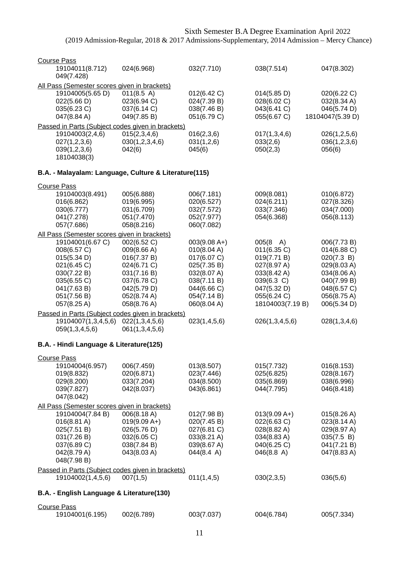| <b>Course Pass</b>                                    |                |                |                    |                  |
|-------------------------------------------------------|----------------|----------------|--------------------|------------------|
| 19104011(8.712)<br>049(7.428)                         | 024(6.968)     | 032(7.710)     | 038(7.514)         | 047(8.302)       |
| All Pass (Semester scores given in brackets)          |                |                |                    |                  |
| 19104005(5.65 D)                                      | 011(8.5 A)     | 012(6.42 C)    | 014(5.85 D)        | 020(6.22 C)      |
| 022(5.66 D)                                           | 023(6.94 C)    | 024(7.39 B)    | 028(6.02 C)        | 032(8.34 A)      |
| 035(6.23 C)                                           | 037(6.14 C)    | 038(7.46 B)    | 043(6.41 C)        | 046(5.74 D)      |
| 047(8.84 A)                                           | 049(7.85 B)    | 051(6.79 C)    | 055(6.67 C)        | 18104047(5.39 D) |
| Passed in Parts (Subject codes given in brackets)     |                |                |                    |                  |
| 19104003(2,4,6)                                       | 015(2,3,4,6)   | 016(2,3,6)     | 017(1,3,4,6)       | 026(1,2,5,6)     |
| 027(1,2,3,6)                                          | 030(1,2,3,4,6) | 031(1,2,6)     | 033(2,6)           | 036(1,2,3,6)     |
| 039(1,2,3,6)                                          | 042(6)         | 045(6)         | 050(2,3)           | 056(6)           |
| 18104038(3)                                           |                |                |                    |                  |
| B.A. - Malayalam: Language, Culture & Literature(115) |                |                |                    |                  |
|                                                       |                |                |                    |                  |
| <b>Course Pass</b>                                    |                |                |                    |                  |
| 19104003(8.491)                                       | 005(6.888)     | 006(7.181)     | 009(8.081)         | 010(6.872)       |
| 016(6.862)                                            | 019(6.995)     | 020(6.527)     | 024(6.211)         | 027(8.326)       |
| 030(6.777)                                            | 031(6.709)     | 032(7.572)     | 033(7.346)         | 034(7.000)       |
| 041(7.278)                                            | 051(7.470)     | 052(7.977)     | 054(6.368)         | 056(8.113)       |
| 057(7.686)                                            | 058(8.216)     | 060(7.082)     |                    |                  |
| All Pass (Semester scores given in brackets)          |                |                |                    |                  |
| 19104001(6.67 C)                                      | 002(6.52 C)    | $003(9.08 A+)$ | $005(8 \text{ A})$ | 006(7.73 B)      |
| 008(6.57 C)                                           | 009(8.66 A)    | 010(8.04 A)    | 011(6.35 C)        | 014(6.88 C)      |
| 015(5.34 D)                                           | 016(7.37 B)    | 017(6.07 C)    | 019(7.71 B)        | 020(7.3 B)       |
| 021(6.45 C)                                           | 024(6.71 C)    | 025(7.35 B)    | 027(8.97 A)        | 029(8.03 A)      |
| 030(7.22 B)                                           | 031(7.16 B)    | 032(8.07 A)    | 033(8.42 A)        | 034(8.06 A)      |
| 035(6.55 C)                                           | 037(6.78 C)    | 038(7.11 B)    | 039(6.3 C)         | 040(7.99 B)      |
| 041(7.63 B)                                           | 042(5.79 D)    | 044(6.66 C)    | 047(5.32 D)        | 048(6.57 C)      |
| 051(7.56 B)                                           | 052(8.74 A)    | 054(7.14 B)    | 055(6.24 C)        | 056(8.75 A)      |
| 057(8.25 A)                                           | 058(8.76 A)    | 060(8.04 A)    | 18104003(7.19 B)   | 006(5.34 D)      |
| Passed in Parts (Subject codes given in brackets)     |                |                |                    |                  |
| 19104007(1,3,4,5,6)                                   | 022(1,3,4,5,6) | 023(1,4,5,6)   | 026(1,3,4,5,6)     | 028(1,3,4,6)     |
| 059(1,3,4,5,6)                                        | 061(1,3,4,5,6) |                |                    |                  |
| B.A. - Hindi Language & Literature(125)               |                |                |                    |                  |
|                                                       |                |                |                    |                  |
| <b>Course Pass</b>                                    |                |                |                    |                  |
| 19104004(6.957)                                       | 006(7.459)     | 013(8.507)     | 015(7.732)         | 016(8.153)       |
| 019(8.832)                                            | 020(6.871)     | 023(7.446)     | 025(6.825)         | 028(8.167)       |
| 029(8.200)                                            | 033(7.204)     | 034(8.500)     | 035(6.869)         | 038(6.996)       |
| 039(7.827)                                            | 042(8.037)     | 043(6.861)     | 044(7.795)         | 046(8.418)       |
| 047(8.042)                                            |                |                |                    |                  |
| All Pass (Semester scores given in brackets)          |                |                |                    |                  |
| 19104004(7.84 B)                                      | 006(8.18 A)    | 012(7.98 B)    | $013(9.09 A+)$     | 015(8.26 A)      |
| $016(8.81 \text{ A})$                                 | $019(9.09 A+)$ | 020(7.45 B)    | 022(6.63 C)        | 023(8.14 A)      |
| 025(7.51 B)                                           | 026(5.76 D)    | 027(6.81 C)    | 028(8.82 A)        | 029(8.97 A)      |
| 031(7.26 B)                                           | 032(6.05 C)    | 033(8.21 A)    | 034(8.83 A)        | 035(7.5 B)       |
| 037(6.89 C)                                           | 038(7.84 B)    | 039(8.67 A)    | 040(6.25 C)        | 041(7.21 B)      |
| 042(8.79 A)                                           | 043(8.03 A)    | 044(8.4 A)     | 046(8.8 A)         | 047(8.83 A)      |
| 048(7.98 B)                                           |                |                |                    |                  |
| Passed in Parts (Subject codes given in brackets)     |                |                |                    |                  |
| 19104002(1,4,5,6)                                     | 007(1,5)       | 011(1,4,5)     | 030(2,3,5)         | 036(5,6)         |
| B.A. - English Language & Literature(130)             |                |                |                    |                  |
| <b>Course Pass</b>                                    |                |                |                    |                  |
| 19104001(6.195)                                       | 002(6.789)     | 003(7.037)     | 004(6.784)         | 005(7.334)       |
|                                                       |                |                |                    |                  |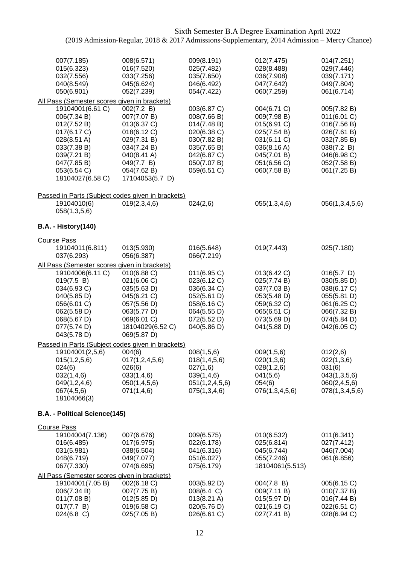| 007(7.185)<br>015(6.323)<br>032(7.556)<br>040(8.549)<br>050(6.901)                                                                                                                                           | 008(6.571)<br>016(7.520)<br>033(7.256)<br>045(6.624)<br>052(7.239)                                                                                   | 009(8.191)<br>025(7.482)<br>035(7.650)<br>046(6.492)<br>054(7.422)                                                                  | 012(7.475)<br>028(8.488)<br>036(7.908)<br>047(7.642)<br>060(7.259)                                                                  | 014(7.251)<br>029(7.446)<br>039(7.171)<br>049(7.804)<br>061(6.714)                                                                 |
|--------------------------------------------------------------------------------------------------------------------------------------------------------------------------------------------------------------|------------------------------------------------------------------------------------------------------------------------------------------------------|-------------------------------------------------------------------------------------------------------------------------------------|-------------------------------------------------------------------------------------------------------------------------------------|------------------------------------------------------------------------------------------------------------------------------------|
| All Pass (Semester scores given in brackets)<br>19104001(6.61 C)<br>006(7.34 B)<br>012(7.52 B)<br>017(6.17 C)<br>028(8.51 A)<br>033(7.38 B)<br>039(7.21 B)<br>047(7.85 B)<br>053(6.54 C)<br>18104027(6.58 C) | 002(7.2 B)<br>007(7.07 B)<br>013(6.37 C)<br>018(6.12 C)<br>029(7.31 B)<br>034(7.24 B)<br>040(8.41 A)<br>049(7.7 B)<br>054(7.62 B)<br>17104053(5.7 D) | 003(6.87 C)<br>008(7.66 B)<br>014(7.48 B)<br>020(6.38 C)<br>030(7.82 B)<br>035(7.65 B)<br>042(6.87 C)<br>050(7.07 B)<br>059(6.51 C) | 004(6.71 C)<br>009(7.98 B)<br>015(6.91 C)<br>025(7.54 B)<br>031(6.11 C)<br>036(8.16 A)<br>045(7.01 B)<br>051(6.56 C)<br>060(7.58 B) | 005(7.82 B)<br>011(6.01 C)<br>016(7.56 B)<br>026(7.61 B)<br>032(7.85 B)<br>038(7.2 B)<br>046(6.98 C)<br>052(7.58 B)<br>061(7.25 B) |
| Passed in Parts (Subject codes given in brackets)<br>19104010(6)<br>058(1,3,5,6)                                                                                                                             | 019(2,3,4,6)                                                                                                                                         | 024(2,6)                                                                                                                            | 055(1,3,4,6)                                                                                                                        | 056(1,3,4,5,6)                                                                                                                     |
| <b>B.A. - History(140)</b>                                                                                                                                                                                   |                                                                                                                                                      |                                                                                                                                     |                                                                                                                                     |                                                                                                                                    |
| <b>Course Pass</b><br>19104011(6.811)<br>037(6.293)                                                                                                                                                          | 013(5.930)<br>056(6.387)                                                                                                                             | 016(5.648)<br>066(7.219)                                                                                                            | 019(7.443)                                                                                                                          | 025(7.180)                                                                                                                         |
| All Pass (Semester scores given in brackets)<br>19104006(6.11 C)<br>019(7.5 B)<br>034(6.93 C)<br>040(5.85 D)<br>056(6.01 C)<br>062(5.58 D)<br>068(5.67 D)<br>077(5.74 D)<br>043(5.78 D)                      | 010(6.88 C)<br>021(6.06 C)<br>035(5.63 D)<br>045(6.21 C)<br>057(5.56 D)<br>063(5.77 D)<br>069(6.01 C)<br>18104029(6.52 C)<br>069(5.87 D)             | 011(6.95 C)<br>023(6.12 C)<br>036(6.34 C)<br>052(5.61 D)<br>058(6.16 C)<br>064(5.55 D)<br>072(5.52 D)<br>040(5.86 D)                | 013(6.42 C)<br>025(7.74 B)<br>037(7.03 B)<br>053(5.48 D)<br>059(6.32 C)<br>065(6.51 C)<br>073(5.69 D)<br>041(5.88 D)                | $016(5.7)$ D)<br>030(5.85 D)<br>038(6.17 C)<br>055(5.81 D)<br>061(6.25 C)<br>066(7.32 B)<br>074(5.84 D)<br>042(6.05 C)             |
| Passed in Parts (Subject codes given in brackets)<br>19104001(2,5,6)<br>015(1,2,5,6)<br>024(6)<br>032(1,4,6)<br>049(1,2,4,6)<br>067(4,5,6)<br>18104066(3)                                                    | 004(6)<br>017(1, 2, 4, 5, 6)<br>026(6)<br>033(1,4,6)<br>050(1,4,5,6)<br>071(1,4,6)                                                                   | 008(1,5,6)<br>018(1,4,5,6)<br>027(1,6)<br>039(1,4,6)<br>051(1,2,4,5,6)<br>075(1,3,4,6)                                              | 009(1,5,6)<br>020(1,3,6)<br>028(1,2,6)<br>041(5,6)<br>054(6)<br>076(1,3,4,5,6)                                                      | 012(2,6)<br>022(1,3,6)<br>031(6)<br>043(1,3,5,6)<br>060(2,4,5,6)<br>078(1,3,4,5,6)                                                 |
| B.A. - Political Science(145)                                                                                                                                                                                |                                                                                                                                                      |                                                                                                                                     |                                                                                                                                     |                                                                                                                                    |
| <b>Course Pass</b><br>19104004(7.136)<br>016(6.485)<br>031(5.981)<br>048(6.719)<br>067(7.330)                                                                                                                | 007(6.676)<br>017(6.975)<br>038(6.504)<br>049(7.077)<br>074(6.695)                                                                                   | 009(6.575)<br>022(6.178)<br>041(6.316)<br>051(6.027)<br>075(6.179)                                                                  | 010(6.532)<br>025(6.814)<br>045(6.744)<br>055(7.246)<br>18104061(5.513)                                                             | 011(6.341)<br>027(7.412)<br>046(7.004)<br>061(6.856)                                                                               |
| All Pass (Semester scores given in brackets)<br>19104001(7.05 B)<br>006(7.34 B)<br>011(7.08 B)<br>017(7.7 B)<br>$024(6.8)$ C)                                                                                | 002(6.18 C)<br>007(7.75 B)<br>012(5.85 D)<br>019(6.58 C)<br>025(7.05 B)                                                                              | 003(5.92 D)<br>008(6.4 C)<br>013(8.21 A)<br>020(5.76 D)<br>026(6.61 C)                                                              | 004(7.8 B)<br>009(7.11 B)<br>015(5.97 D)<br>021(6.19 C)<br>027(7.41 B)                                                              | 005(6.15 C)<br>010(7.37 B)<br>016(7.44 B)<br>022(6.51 C)<br>028(6.94 C)                                                            |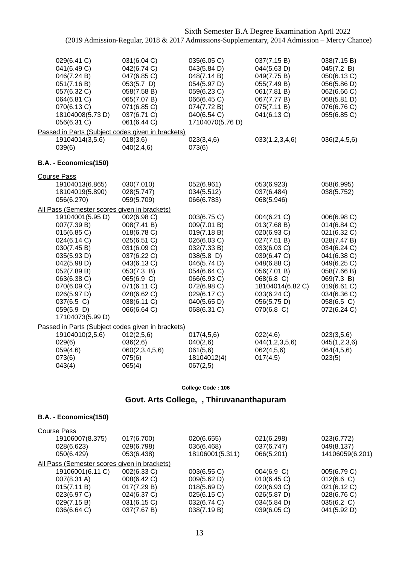| 029(6.41 C)<br>041(6.49 C)<br>046(7.24 B)<br>051(7.16 B)<br>057(6.32 C)<br>064(6.81 C)<br>070(6.13 C)<br>18104008(5.73 D)<br>056(6.31 C)                                                                               | 031(6.04 C)<br>042(6.74 C)<br>047(6.85 C)<br>053(5.7)<br>058(7.58 B)<br>065(7.07 B)<br>071(6.85 C)<br>037(6.71 C)<br>061(6.44 C)                                                              | 035(6.05 C)<br>043(5.84 D)<br>048(7.14 B)<br>054(5.97 D)<br>059(6.23 C)<br>066(6.45 C)<br>074(7.72 B)<br>040(6.54 C)<br>17104070(5.76 D)                                                          | 037(7.15 B)<br>044(5.63 D)<br>049(7.75 B)<br>055(7.49 B)<br>061(7.81 B)<br>067(7.77 B)<br>075(7.11 B)<br>041(6.13 C)                                                                               | 038(7.15 B)<br>045(7.2 B)<br>050(6.13 C)<br>056(5.86 D)<br>062(6.66 C)<br>068(5.81 D)<br>076(6.76 C)<br>055(6.85 C)                                                                           |
|------------------------------------------------------------------------------------------------------------------------------------------------------------------------------------------------------------------------|-----------------------------------------------------------------------------------------------------------------------------------------------------------------------------------------------|---------------------------------------------------------------------------------------------------------------------------------------------------------------------------------------------------|----------------------------------------------------------------------------------------------------------------------------------------------------------------------------------------------------|-----------------------------------------------------------------------------------------------------------------------------------------------------------------------------------------------|
|                                                                                                                                                                                                                        | Passed in Parts (Subject codes given in brackets)                                                                                                                                             |                                                                                                                                                                                                   |                                                                                                                                                                                                    |                                                                                                                                                                                               |
| 19104014(3,5,6)<br>039(6)                                                                                                                                                                                              | 018(3,6)<br>040(2,4,6)                                                                                                                                                                        | 023(3,4,6)<br>073(6)                                                                                                                                                                              | 033(1,2,3,4,6)                                                                                                                                                                                     | 036(2,4,5,6)                                                                                                                                                                                  |
| B.A. - Economics(150)                                                                                                                                                                                                  |                                                                                                                                                                                               |                                                                                                                                                                                                   |                                                                                                                                                                                                    |                                                                                                                                                                                               |
| <b>Course Pass</b>                                                                                                                                                                                                     |                                                                                                                                                                                               |                                                                                                                                                                                                   |                                                                                                                                                                                                    |                                                                                                                                                                                               |
| 19104013(6.865)<br>18104019(5.890)<br>056(6.270)                                                                                                                                                                       | 030(7.010)<br>028(5.747)<br>059(5.709)                                                                                                                                                        | 052(6.961)<br>034(5.512)<br>066(6.783)                                                                                                                                                            | 053(6.923)<br>037(6.484)<br>068(5.946)                                                                                                                                                             | 058(6.995)<br>038(5.752)                                                                                                                                                                      |
|                                                                                                                                                                                                                        | All Pass (Semester scores given in brackets)                                                                                                                                                  |                                                                                                                                                                                                   |                                                                                                                                                                                                    |                                                                                                                                                                                               |
| 19104001(5.95 D)<br>007(7.39 B)<br>015(6.85 C)<br>024(6.14 C)<br>030(7.45 B)<br>035(5.93 D)<br>042(5.98 D)<br>052(7.89 B)<br>063(6.38 C)<br>070(6.09 C)<br>026(5.97 D)<br>037(6.5 C)<br>059(5.9 D)<br>17104073(5.99 D) | 002(6.98 C)<br>008(7.41 B)<br>018(6.78 C)<br>025(6.51 C)<br>031(6.09 C)<br>037(6.22 C)<br>043(6.13 C)<br>053(7.3 B)<br>065(6.9 C)<br>071(6.11 C)<br>028(6.62 C)<br>038(6.11 C)<br>066(6.64 C) | 003(6.75 C)<br>009(7.01 B)<br>019(7.18 B)<br>026(6.03 C)<br>032(7.33 B)<br>$038(5.8)$ D)<br>046(5.74 D)<br>054(6.64 C)<br>066(6.93 C)<br>072(6.98 C)<br>029(6.17 C)<br>040(5.65 D)<br>068(6.31 C) | 004(6.21 C)<br>013(7.68 B)<br>020(6.93 C)<br>027(7.51 B)<br>033(6.03 C)<br>039(6.47 C)<br>048(6.88 C)<br>056(7.01 B)<br>068(6.8 C)<br>18104014(6.82 C)<br>033(6.24 C)<br>056(5.75 D)<br>070(6.8 C) | 006(6.98 C)<br>014(6.84 C)<br>021(6.32 C)<br>028(7.47 B)<br>034(6.24 C)<br>041(6.38 C)<br>049(6.25 C)<br>058(7.66 B)<br>069(7.3 B)<br>019(6.61 C)<br>034(6.36 C)<br>058(6.5 C)<br>072(6.24 C) |
|                                                                                                                                                                                                                        | Passed in Parts (Subject codes given in brackets)                                                                                                                                             |                                                                                                                                                                                                   |                                                                                                                                                                                                    |                                                                                                                                                                                               |
| 19104010(2,5,6)<br>029(6)<br>059(4,6)<br>073(6)<br>043(4)                                                                                                                                                              | 012(2,5,6)<br>036(2,6)<br>060(2,3,4,5,6)<br>075(6)<br>065(4)                                                                                                                                  | 017(4,5,6)<br>040(2,6)<br>061(5,6)<br>18104012(4)<br>067(2,5)                                                                                                                                     | 022(4,6)<br>044(1,2,3,5,6)<br>062(4,5,6)<br>017(4,5)                                                                                                                                               | 023(3,5,6)<br>045(1,2,3,6)<br>064(4,5,6)<br>023(5)                                                                                                                                            |

#### **College Code : 106**

## **Govt. Arts College, , Thiruvananthapuram**

#### **B.A. - Economics(150)**

| <b>Course Pass</b>                           |             |                 |             |                 |
|----------------------------------------------|-------------|-----------------|-------------|-----------------|
| 19106007(8.375)                              | 017(6.700)  | 020(6.655)      | 021(6.298)  | 023(6.772)      |
| 028(6.623)                                   | 029(6.798)  | 036(6.468)      | 037(6.747)  | 049(8.137)      |
| 050(6.429)                                   | 053(6.438)  | 18106001(5.311) | 066(5.201)  | 14106059(6.201) |
| All Pass (Semester scores given in brackets) |             |                 |             |                 |
| 19106001(6.11 C)                             | 002(6.33 C) | 003(6.55 C)     | 004(6.9 C)  | 005(6.79 C)     |
| 007(8.31 A)                                  | 008(6.42 C) | 009(5.62 D)     | 010(6.45)   | $012(6.6)$ C)   |
| 015(7.11 B)                                  | 017(7.29 B) | 018(5.69 D)     | 020(6.93 C) | 021(6.12 C)     |
| 023(6.97 C)                                  | 024(6.37 C) | 025(6.15 C)     | 026(5.87 D) | 028(6.76 C)     |
| 029(7.15 B)                                  | 031(6.15 C) | 032(6.74 C)     | 034(5.84 D) | 035(6.2 C)      |
| 036(6.64 C)                                  | 037(7.67 B) | 038(7.19 B)     | 039(6.05 C) | 041(5.92 D)     |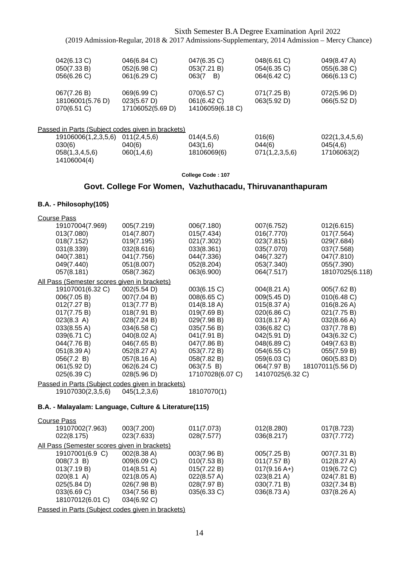| 042(6.13 C)<br>050(7.33 B)<br>056(6.26 C) | 046(6.84 C)<br>052(6.98 C)<br>061(6.29 C)         | 047(6.35 C)<br>053(7.21 B)<br>063(7<br>B) | 048(6.61 C)<br>054(6.35 C)<br>064(6.42 C) | 049(8.47 A)<br>055(6.38 C)<br>066(6.13 C) |
|-------------------------------------------|---------------------------------------------------|-------------------------------------------|-------------------------------------------|-------------------------------------------|
|                                           |                                                   |                                           |                                           |                                           |
| 067(7.26 B)                               | 069(6.99 C)                                       | 070(6.57 C)                               | 071(7.25 B)                               | 072(5.96 D)                               |
| 18106001(5.76 D)                          | 023(5.67 D)                                       | 061(6.42 C)                               | 063(5.92 D)                               | 066(5.52 D)                               |
| 070(6.51 C)                               | 17106052(5.69 D)                                  | 14106059(6.18 C)                          |                                           |                                           |
|                                           | Passed in Parts (Subject codes given in brackets) |                                           |                                           |                                           |
| 19106006(1,2,3,5,6)                       | 011(2,4,5,6)                                      | 014(4,5,6)                                | 016(6)                                    | 022(1,3,4,5,6)                            |
| 030(6)                                    | 040(6)                                            | 043(1,6)                                  | 044(6)                                    | 045(4,6)                                  |
| 058(1,3,4,5,6)                            | 060(1,4,6)                                        | 18106069(6)                               | 071(1,2,3,5,6)                            | 17106063(2)                               |

#### **College Code : 107**

### **Govt. College For Women, Vazhuthacadu, Thiruvananthapuram**

#### **B.A. - Philosophy(105)**

14106004(4)

| <b>Course Pass</b>                                    |                       |                  |                  |                  |
|-------------------------------------------------------|-----------------------|------------------|------------------|------------------|
| 19107004(7.969)                                       | 005(7.219)            | 006(7.180)       | 007(6.752)       | 012(6.615)       |
| 013(7.080)                                            | 014(7.807)            | 015(7.434)       | 016(7.770)       | 017(7.564)       |
| 018(7.152)                                            | 019(7.195)            | 021(7.302)       | 023(7.815)       | 029(7.684)       |
| 031(8.339)                                            | 032(8.616)            | 033(8.361)       | 035(7.070)       | 037(7.568)       |
| 040(7.381)                                            | 041(7.756)            | 044(7.336)       | 046(7.327)       | 047(7.810)       |
| 049(7.440)                                            | 051(8.007)            | 052(8.204)       | 053(7.340)       | 055(7.390)       |
| 057(8.181)                                            | 058(7.362)            | 063(6.900)       | 064(7.517)       | 18107025(6.118)  |
| All Pass (Semester scores given in brackets)          |                       |                  |                  |                  |
| 19107001(6.32 C)                                      | 002(5.54 D)           | 003(6.15 C)      | 004(8.21 A)      | 005(7.62 B)      |
| 006(7.05 B)                                           | 007(7.04 B)           | 008(6.65 C)      | 009(5.45 D)      | 010(6.48 C)      |
| 012(7.27 B)                                           | 013(7.77 B)           | 014(8.18 A)      | 015(8.37 A)      | 016(8.26 A)      |
| 017(7.75 B)                                           | 018(7.91 B)           | 019(7.69 B)      | 020(6.86 C)      | 021(7.75 B)      |
| 023(8.3 A)                                            | 028(7.24 B)           | 029(7.98 B)      | 031(8.17 A)      | 032(8.66 A)      |
| 033(8.55 A)                                           | 034(6.58 C)           | 035(7.56 B)      | 036(6.82 C)      | 037(7.78 B)      |
| 039(6.71 C)                                           | 040(8.02 A)           | 041(7.91 B)      | 042(5.91 D)      | 043(6.32 C)      |
| 044(7.76 B)                                           | 046(7.65 B)           | 047(7.86 B)      | 048(6.89 C)      | 049(7.63 B)      |
| 051(8.39 A)                                           | 052(8.27 A)           | 053(7.72 B)      | 054(6.55 C)      | 055(7.59 B)      |
| 056(7.2 B)                                            | 057(8.16 A)           | 058(7.82 B)      | 059(6.03 C)      | 060(5.83 D)      |
| 061(5.92 D)                                           | 062(6.24 C)           | 063(7.5 B)       | 064(7.97 B)      | 18107011(5.56 D) |
| 025(6.39 C)                                           | 028(5.96 D)           | 17107028(6.07 C) | 14107025(6.32 C) |                  |
| Passed in Parts (Subject codes given in brackets)     |                       |                  |                  |                  |
| 19107030(2,3,5,6)                                     | 045(1,2,3,6)          | 18107070(1)      |                  |                  |
| B.A. - Malayalam: Language, Culture & Literature(115) |                       |                  |                  |                  |
| <b>Course Pass</b>                                    |                       |                  |                  |                  |
| 19107002(7.963)                                       | 003(7.200)            | 011(7.073)       | 012(8.280)       | 017(8.723)       |
| 022(8.175)                                            | 023(7.633)            | 028(7.577)       | 036(8.217)       | 037(7.772)       |
| All Pass (Semester scores given in brackets)          |                       |                  |                  |                  |
| 19107001(6.9 C)                                       | 002(8.38 A)           | 003(7.96 B)      | 005(7.25 B)      | 007(7.31 B)      |
| 008(7.3 B)                                            | 009(6.09 C)           | 010(7.53 B)      | 011(7.57 B)      | 012(8.27 A)      |
| 013(7.19 B)                                           | $014(8.51 \text{ A})$ | 015(7.22 B)      | $017(9.16 A+)$   | 019(6.72 C)      |
| 020(8.1 A)                                            | 021(8.05 A)           | 022(8.57 A)      | 023(8.21 A)      | 024(7.81 B)      |
| 025(5.84 D)                                           | 026(7.98 B)           | 028(7.97 B)      | 030(7.71 B)      | 032(7.34 B)      |
| 033(6.69 C)                                           | 034(7.56 B)           | 035(6.33 C)      | 036(8.73 A)      | 037(8.26 A)      |
| 18107012(6.01 C)                                      | 034(6.92 C)           |                  |                  |                  |
|                                                       |                       |                  |                  |                  |

Passed in Parts (Subject codes given in brackets)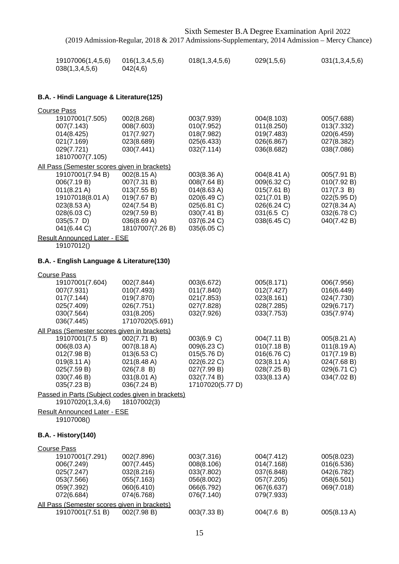| 19107006(1,4,5,6) | 016(1,3,4,5,6) | 018(1,3,4,5,6) | 029(1,5,6) | 031(1,3,4,5,6) |
|-------------------|----------------|----------------|------------|----------------|
| 038(1,3,4,5,6)    | 042(4,6)       |                |            |                |

## **B.A. - Hindi Language & Literature(125)**

| <b>Course Pass</b>                                                                                                                                                                                                                              |                                                                                                                           |                                                                                                                      |                                                                                                      |                                                                                                      |
|-------------------------------------------------------------------------------------------------------------------------------------------------------------------------------------------------------------------------------------------------|---------------------------------------------------------------------------------------------------------------------------|----------------------------------------------------------------------------------------------------------------------|------------------------------------------------------------------------------------------------------|------------------------------------------------------------------------------------------------------|
| 19107001(7.505)<br>007(7.143)<br>014(8.425)<br>021(7.169)<br>029(7.721)<br>18107007(7.105)                                                                                                                                                      | 002(8.268)<br>008(7.603)<br>017(7.927)<br>023(8.689)<br>030(7.441)                                                        | 003(7.939)<br>010(7.952)<br>018(7.982)<br>025(6.433)<br>032(7.114)                                                   | 004(8.103)<br>011(8.250)<br>019(7.483)<br>026(6.867)<br>036(8.682)                                   | 005(7.688)<br>013(7.332)<br>020(6.459)<br>027(8.382)<br>038(7.086)                                   |
| All Pass (Semester scores given in brackets)<br>19107001(7.94 B)<br>006(7.19 B)<br>$011(8.21 \text{ A})$<br>19107018(8.01 A)<br>023(8.53 A)<br>028(6.03 C)<br>$035(5.7)$ D)<br>041(6.44 C)<br><b>Result Announced Later - ESE</b><br>19107012() | 002(8.15 A)<br>007(7.31 B)<br>013(7.55 B)<br>019(7.67 B)<br>024(7.54 B)<br>029(7.59 B)<br>036(8.69 A)<br>18107007(7.26 B) | 003(8.36 A)<br>008(7.64 B)<br>014(8.63 A)<br>020(6.49 C)<br>025(6.81 C)<br>030(7.41 B)<br>037(6.24 C)<br>035(6.05 C) | 004(8.41 A)<br>009(6.32 C)<br>015(7.61 B)<br>021(7.01 B)<br>026(6.24 C)<br>031(6.5 C)<br>038(6.45 C) | 005(7.91 B)<br>010(7.92 B)<br>017(7.3 B)<br>022(5.95 D)<br>027(8.34 A)<br>032(6.78 C)<br>040(7.42 B) |
| B.A. - English Language & Literature(130)                                                                                                                                                                                                       |                                                                                                                           |                                                                                                                      |                                                                                                      |                                                                                                      |
| <b>Course Pass</b><br>19107001(7.604)<br>007(7.931)<br>017(7.144)<br>025(7.409)<br>030(7.564)<br>036(7.445)                                                                                                                                     | 002(7.844)<br>010(7.493)<br>019(7.870)<br>026(7.751)<br>031(8.205)<br>17107020(5.691)                                     | 003(6.672)<br>011(7.840)<br>021(7.853)<br>027(7.828)<br>032(7.926)                                                   | 005(8.171)<br>012(7.427)<br>023(8.161)<br>028(7.285)<br>033(7.753)                                   | 006(7.956)<br>016(6.449)<br>024(7.730)<br>029(6.717)<br>035(7.974)                                   |
| All Pass (Semester scores given in brackets)<br>19107001(7.5 B)<br>006(8.03 A)<br>012(7.98 B)<br>019(8.11 A)<br>025(7.59 B)<br>030(7.46 B)<br>035(7.23 B)                                                                                       | 002(7.71 B)<br>007(8.18 A)<br>013(6.53 C)<br>021(8.48 A)<br>026(7.8 B)<br>031(8.01 A)<br>036(7.24 B)                      | 003(6.9 C)<br>009(6.23 C)<br>015(5.76 D)<br>022(6.22 C)<br>027(7.99 B)<br>032(7.74 B)<br>17107020(5.77 D)            | 004(7.11 B)<br>010(7.18 B)<br>016(6.76 C)<br>023(8.11 A)<br>028(7.25 B)<br>033(8.13 A)               | 005(8.21 A)<br>011(8.19 A)<br>017(7.19 B)<br>024(7.68 B)<br>029(6.71 C)<br>034(7.02 B)               |
| Passed in Parts (Subject codes given in brackets)<br>19107020(1,3,4,6)                                                                                                                                                                          | 18107002(3)                                                                                                               |                                                                                                                      |                                                                                                      |                                                                                                      |
| <b>Result Announced Later - ESE</b><br>19107008()                                                                                                                                                                                               |                                                                                                                           |                                                                                                                      |                                                                                                      |                                                                                                      |
| <b>B.A. - History(140)</b>                                                                                                                                                                                                                      |                                                                                                                           |                                                                                                                      |                                                                                                      |                                                                                                      |
| <b>Course Pass</b><br>19107001(7.291)<br>006(7.249)<br>025(7.247)<br>053(7.566)<br>059(7.392)<br>072(6.684)<br>All Pass (Semester scores given in brackets)                                                                                     | 002(7.896)<br>007(7.445)<br>032(8.216)<br>055(7.163)<br>060(6.410)<br>074(6.768)                                          | 003(7.316)<br>008(8.106)<br>033(7.802)<br>056(8.002)<br>066(6.792)<br>076(7.140)                                     | 004(7.412)<br>014(7.168)<br>037(6.848)<br>057(7.205)<br>067(6.637)<br>079(7.933)                     | 005(8.023)<br>016(6.536)<br>042(6.782)<br>058(6.501)<br>069(7.018)                                   |
| 19107001(7.51 B)                                                                                                                                                                                                                                | 002(7.98 B)                                                                                                               | 003(7.33 B)                                                                                                          | 004(7.6 B)                                                                                           | 005(8.13 A)                                                                                          |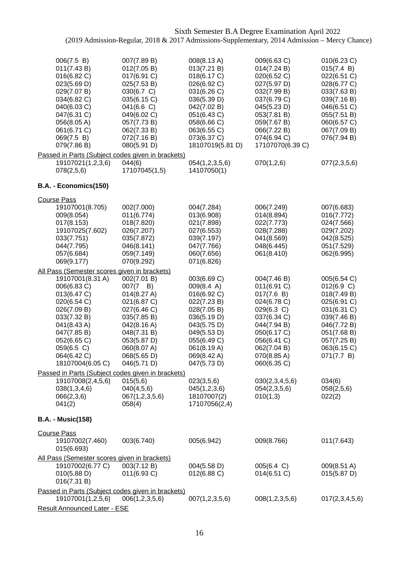| 006(7.5 B)<br>011(7.43 B)<br>016(6.82 C)<br>023(5.69 D)<br>029(7.07 B)<br>034(6.82 C)<br>040(6.03 C)<br>047(6.31 C)<br>056(8.05 A)<br>061(6.71 C)<br>069(7.5 B)<br>079(7.86 B)            | 007(7.89 B)<br>012(7.05 B)<br>017(6.91 C)<br>025(7.53 B)<br>030(6.7 C)<br>035(6.15 C)<br>041(6.6)<br>049(6.02 C)<br>057(7.73 B)<br>062(7.33 B)<br>072(7.16 B)<br>080(5.91 D)          | 008(8.13 A)<br>013(7.21 B)<br>018(6.17 C)<br>026(6.92 C)<br>031(6.26 C)<br>036(5.39 D)<br>042(7.02 B)<br>051(6.43 C)<br>058(6.66 C)<br>063(6.55 C)<br>073(6.37 C)<br>18107019(5.81 D) | 009(6.63 C)<br>014(7.24 B)<br>020(6.52 C)<br>027(5.97 D)<br>032(7.99 B)<br>037(6.79 C)<br>045(5.23 D)<br>053(7.81 B)<br>059(7.67 B)<br>066(7.22 B)<br>074(6.94 C)<br>17107070(6.39 C) | 010(6.23 C)<br>015(7.4 B)<br>022(6.51 C)<br>028(6.77 C)<br>033(7.63 B)<br>039(7.16 B)<br>046(6.51 C)<br>055(7.51 B)<br>060(6.57 C)<br>067(7.09 B)<br>076(7.94 B) |
|-------------------------------------------------------------------------------------------------------------------------------------------------------------------------------------------|---------------------------------------------------------------------------------------------------------------------------------------------------------------------------------------|---------------------------------------------------------------------------------------------------------------------------------------------------------------------------------------|---------------------------------------------------------------------------------------------------------------------------------------------------------------------------------------|------------------------------------------------------------------------------------------------------------------------------------------------------------------|
| Passed in Parts (Subject codes given in brackets)                                                                                                                                         |                                                                                                                                                                                       |                                                                                                                                                                                       |                                                                                                                                                                                       |                                                                                                                                                                  |
| 19107021(1,2,3,6)<br>078(2,5,6)                                                                                                                                                           | 044(6)<br>17107045(1,5)                                                                                                                                                               | 054(1,2,3,5,6)<br>14107050(1)                                                                                                                                                         | 070(1,2,6)                                                                                                                                                                            | 077(2,3,5,6)                                                                                                                                                     |
| B.A. - Economics(150)                                                                                                                                                                     |                                                                                                                                                                                       |                                                                                                                                                                                       |                                                                                                                                                                                       |                                                                                                                                                                  |
| <b>Course Pass</b>                                                                                                                                                                        |                                                                                                                                                                                       |                                                                                                                                                                                       |                                                                                                                                                                                       |                                                                                                                                                                  |
| 19107001(8.705)<br>009(8.054)<br>017(8.153)<br>19107025(7.602)<br>033(7.751)<br>044(7.795)<br>057(6.684)<br>069(9.177)                                                                    | 002(7.000)<br>011(6.774)<br>018(7.820)<br>026(7.207)<br>035(7.872)<br>046(8.141)<br>059(7.149)<br>070(9.292)                                                                          | 004(7.284)<br>013(6.908)<br>021(7.898)<br>027(6.553)<br>039(7.197)<br>047(7.766)<br>060(7.656)<br>071(6.826)                                                                          | 006(7.249)<br>014(8.894)<br>022(7.773)<br>028(7.288)<br>041(8.569)<br>048(6.445)<br>061(8.410)                                                                                        | 007(6.683)<br>016(7.772)<br>024(7.566)<br>029(7.202)<br>042(8.525)<br>051(7.529)<br>062(6.995)                                                                   |
| All Pass (Semester scores given in brackets)                                                                                                                                              |                                                                                                                                                                                       |                                                                                                                                                                                       |                                                                                                                                                                                       |                                                                                                                                                                  |
| 19107001(8.31 A)<br>006(6.83 C)<br>013(6.47 C)<br>020(6.54 C)<br>026(7.09 B)<br>033(7.32 B)<br>041(8.43 A)<br>047(7.85 B)<br>052(6.65 C)<br>059(6.5 C)<br>064(6.42 C)<br>18107004(6.05 C) | 002(7.01 B)<br>$007(7 \quad B)$<br>014(8.27 A)<br>021(6.87 C)<br>027(6.46 C)<br>035(7.85 B)<br>042(8.16 A)<br>048(7.31 B)<br>053(5.87 D)<br>060(8.07 A)<br>068(5.65 D)<br>046(5.71 D) | 003(6.69 C)<br>009(8.4 A)<br>016(6.92 C)<br>022(7.23 B)<br>028(7.05 B)<br>036(5.19 D)<br>043(5.75 D)<br>049(5.53 D)<br>055(6.49 C)<br>061(8.19 A)<br>069(8.42 A)<br>047(5.73 D)       | 004(7.46 B)<br>011(6.91 C)<br>017(7.6 B)<br>024(6.78 C)<br>029(6.3 C)<br>037(6.34 C)<br>044(7.94 B)<br>050(6.17 C)<br>056(6.41 C)<br>062(7.04 B)<br>070(8.85 A)<br>060(6.35 C)        | 005(6.54 C)<br>012(6.9 C)<br>018(7.49 B)<br>025(6.91 C)<br>031(6.31 C)<br>039(7.46 B)<br>046(7.72 B)<br>051(7.68 B)<br>057(7.25 B)<br>063(6.15 C)<br>071(7.7 B)  |
| Passed in Parts (Subject codes given in brackets)                                                                                                                                         |                                                                                                                                                                                       |                                                                                                                                                                                       |                                                                                                                                                                                       |                                                                                                                                                                  |
| 19107008(2,4,5,6)<br>038(1,3,4,6)<br>066(2,3,6)<br>041(2)                                                                                                                                 | 015(5,6)<br>040(4,5,6)<br>067(1,2,3,5,6)<br>058(4)                                                                                                                                    | 023(3,5,6)<br>045(1,2,3,6)<br>18107007(2)<br>17107056(2,4)                                                                                                                            | 030(2,3,4,5,6)<br>054(2,3,5,6)<br>010(1,3)                                                                                                                                            | 034(6)<br>058(2,5,6)<br>022(2)                                                                                                                                   |
| <b>B.A. - Music(158)</b>                                                                                                                                                                  |                                                                                                                                                                                       |                                                                                                                                                                                       |                                                                                                                                                                                       |                                                                                                                                                                  |
| <b>Course Pass</b><br>19107002(7.460)<br>015(6.693)                                                                                                                                       | 003(6.740)                                                                                                                                                                            | 005(6.942)                                                                                                                                                                            | 009(8.766)                                                                                                                                                                            | 011(7.643)                                                                                                                                                       |
| All Pass (Semester scores given in brackets)                                                                                                                                              |                                                                                                                                                                                       |                                                                                                                                                                                       |                                                                                                                                                                                       |                                                                                                                                                                  |
| 19107002(6.77 C)<br>010(5.88 D)<br>016(7.31 B)                                                                                                                                            | 003(7.12 B)<br>011(6.93 C)                                                                                                                                                            | 004(5.58 D)<br>012(6.88 C)                                                                                                                                                            | 005(6.4 C)<br>014(6.51 C)                                                                                                                                                             | 009(8.51 A)<br>015(5.87 D)                                                                                                                                       |
| Passed in Parts (Subject codes given in brackets)                                                                                                                                         |                                                                                                                                                                                       |                                                                                                                                                                                       |                                                                                                                                                                                       |                                                                                                                                                                  |
| 19107001(1,2,5,6)                                                                                                                                                                         | 006(1,2,3,5,6)                                                                                                                                                                        | 007(1,2,3,5,6)                                                                                                                                                                        | 008(1,2,3,5,6)                                                                                                                                                                        | 017(2,3,4,5,6)                                                                                                                                                   |
| Result Announced Later - ESE                                                                                                                                                              |                                                                                                                                                                                       |                                                                                                                                                                                       |                                                                                                                                                                                       |                                                                                                                                                                  |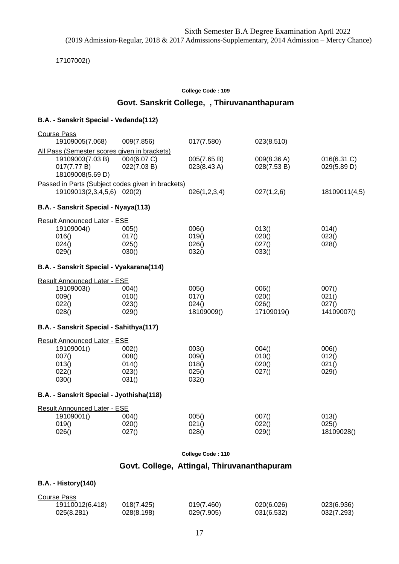17107002()

#### **College Code : 109**

## **Govt. Sanskrit College, , Thiruvananthapuram**

#### **B.A. - Sanskrit Special - Vedanda(112)**

| <b>Course Pass</b>                                |             |              |             |               |
|---------------------------------------------------|-------------|--------------|-------------|---------------|
| 19109005(7.068)                                   | 009(7.856)  | 017(7.580)   | 023(8.510)  |               |
| All Pass (Semester scores given in brackets)      |             |              |             |               |
| 19109003(7.03 B)                                  | 004(6.07 C) | 005(7.65 B)  | 009(8.36 A) | 016(6.31 C)   |
| 017(7.77 B)                                       | 022(7.03 B) | 023(8.43 A)  | 028(7.53 B) | 029(5.89 D)   |
| 18109008(5.69 D)                                  |             |              |             |               |
| Passed in Parts (Subject codes given in brackets) |             |              |             |               |
| 19109013(2,3,4,5,6) 020(2)                        |             | 026(1,2,3,4) | 027(1,2,6)  | 18109011(4,5) |
| B.A. - Sanskrit Special - Nyaya(113)              |             |              |             |               |
| <b>Result Announced Later - ESE</b>               |             |              |             |               |
| 19109004()                                        | 005()       | 006()        | 013()       | 014()         |
| 016()                                             | 017()       | 019()        | 020()       | 023()         |
| 024()                                             | 025()       | 026()        | 027()       | 028()         |
| 029()                                             | 030()       | 032()        | 033()       |               |
| B.A. - Sanskrit Special - Vyakarana(114)          |             |              |             |               |
| <b>Result Announced Later - ESE</b>               |             |              |             |               |
| 19109003()                                        | 004()       | 005()        | 006()       | 007()         |
| 009()                                             | 010()       | 017()        | 020()       | 021()         |
| 022()                                             | 023()       | 024()        | 026()       | 027()         |
| 028()                                             | 029()       | 18109009()   | 17109019()  | 14109007()    |
| B.A. - Sanskrit Special - Sahithya(117)           |             |              |             |               |
| <b>Result Announced Later - ESE</b>               |             |              |             |               |
| 19109001()                                        | 002()       | 003()        | 004()       | 006()         |
| 007()                                             | 008()       | 009()        | 010()       | 012()         |
| 013()                                             | 014()       | 018()        | 020()       | 021()         |
| 022()                                             | 023()       | 025()        | 027()       | 029()         |
| 030()                                             | 031()       | 032()        |             |               |
| B.A. - Sanskrit Special - Jyothisha(118)          |             |              |             |               |
| Result Announced Later - ESE                      |             |              |             |               |
| 19109001()                                        | 004()       | 005()        | 007()       | 013()         |
| 019()                                             | 020()       | 021()        | 022()       | 025()         |
| 026()                                             | 027()       | 028()        | 029()       | 18109028()    |
|                                                   |             |              |             |               |

**College Code : 110**

## **Govt. College, Attingal, Thiruvananthapuram**

#### **B.A. - History(140)**

| Course Pass     |            |            |            |            |
|-----------------|------------|------------|------------|------------|
| 19110012(6.418) | 018(7.425) | 019(7.460) | 020(6.026) | 023(6.936) |
| 025(8.281)      | 028(8.198) | 029(7.905) | 031(6.532) | 032(7.293) |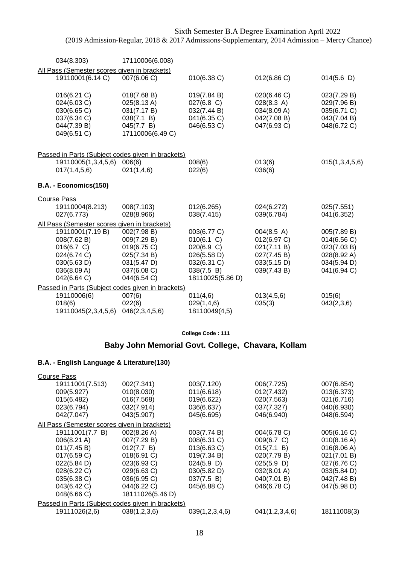| 034(8.303)                                   | 17110006(6.008)                                             |                            |                            |                            |
|----------------------------------------------|-------------------------------------------------------------|----------------------------|----------------------------|----------------------------|
| All Pass (Semester scores given in brackets) |                                                             |                            |                            |                            |
| 19110001(6.14 C)                             | 007(6.06 C)                                                 | $010(6.38)$ C)             | 012(6.86 C)                | 014(5.6)                   |
|                                              |                                                             |                            |                            |                            |
| 016(6.21 C)                                  | 018(7.68 B)                                                 | 019(7.84 B)                | 020(6.46 C)                | 023(7.29 B)                |
| 024(6.03 C)                                  | 025(8.13 A)                                                 | $027(6.8)$ C)              | 028(8.3 A)                 | 029(7.96 B)                |
| 030(6.65 C)<br>037(6.34 C)                   | 031(7.17 B)<br>038(7.1 B)                                   | 032(7.44 B)<br>041(6.35 C) | 034(8.09 A)<br>042(7.08 B) | 035(6.71 C)<br>043(7.04 B) |
| 044(7.39 B)                                  | 045(7.7 B)                                                  | 046(6.53 C)                | 047(6.93 C)                | 048(6.72 C)                |
| 049(6.51 C)                                  | 17110006(6.49 C)                                            |                            |                            |                            |
|                                              |                                                             |                            |                            |                            |
|                                              | Passed in Parts (Subject codes given in brackets)           |                            |                            |                            |
| 19110005(1,3,4,5,6)                          | 006(6)                                                      | 008(6)                     | 013(6)                     | 015(1,3,4,5,6)             |
| 017(1,4,5,6)                                 | 021(1,4,6)                                                  | 022(6)                     | 036(6)                     |                            |
|                                              |                                                             |                            |                            |                            |
| B.A. - Economics(150)                        |                                                             |                            |                            |                            |
| <b>Course Pass</b>                           |                                                             |                            |                            |                            |
| 19110004(8.213)                              | 008(7.103)                                                  | 012(6.265)                 | 024(6.272)                 | 025(7.551)                 |
| 027(6.773)                                   | 028(8.966)                                                  | 038(7.415)                 | 039(6.784)                 | 041(6.352)                 |
| All Pass (Semester scores given in brackets) |                                                             |                            |                            |                            |
| 19110001(7.19 B)                             | 002(7.98 B)                                                 | 003(6.77 C)                | 004(8.5 A)                 | 005(7.89 B)                |
| 008(7.62 B)                                  | 009(7.29 B)                                                 | 010(6.1 C)                 | 012(6.97 C)                | 014(6.56 C)                |
| 016(6.7 C)                                   | 019(6.75 C)                                                 | 020(6.9 C)                 | 021(7.11 B)                | 023(7.03 B)                |
| 024(6.74 C)                                  | 025(7.34 B)                                                 | 026(5.58 D)                | 027(7.45 B)                | 028(8.92 A)                |
| 030(5.63 D)<br>036(8.09 A)                   | 031(5.47 D)<br>037(6.08 C)                                  | 032(6.31 C)<br>038(7.5 B)  | 033(5.15 D)<br>039(7.43 B) | 034(5.94 D)<br>041(6.94 C) |
| 042(6.64 C)                                  | 044(6.54 C)                                                 | 18110025(5.86 D)           |                            |                            |
|                                              |                                                             |                            |                            |                            |
| 19110006(6)                                  | Passed in Parts (Subject codes given in brackets)<br>007(6) | 011(4,6)                   | 013(4,5,6)                 | 015(6)                     |
| 018(6)                                       | 022(6)                                                      | 029(1,4,6)                 | 035(3)                     | 043(2,3,6)                 |
| 19110045(2,3,4,5,6)                          | 046(2,3,4,5,6)                                              | 18110049(4,5)              |                            |                            |

## **Baby John Memorial Govt. College, Chavara, Kollam**

| <b>Course Pass</b>                                |                  |                |                |             |
|---------------------------------------------------|------------------|----------------|----------------|-------------|
| 19111001(7.513)                                   | 002(7.341)       | 003(7.120)     | 006(7.725)     | 007(6.854)  |
| 009(5.927)                                        | 010(8.030)       | 011(6.618)     | 012(7.432)     | 013(6.373)  |
| 015(6.482)                                        | 016(7.568)       | 019(6.622)     | 020(7.563)     | 021(6.716)  |
| 023(6.794)                                        | 032(7.914)       | 036(6.637)     | 037(7.327)     | 040(6.930)  |
| 042(7.047)                                        | 043(5.907)       | 045(6.695)     | 046(6.940)     | 048(6.594)  |
| All Pass (Semester scores given in brackets)      |                  |                |                |             |
| 19111001(7.7 B)                                   | 002(8.26 A)      | 003(7.74 B)    | 004(6.78 C)    | 005(6.16 C) |
| 006(8.21 A)                                       | 007(7.29 B)      | 008(6.31 C)    | 009(6.7 C)     | 010(8.16 A) |
| 011(7.45 B)                                       | 012(7.7 B)       | 013(6.63 C)    | 015(7.1 B)     | 016(8.06 A) |
| 017(6.59 C)                                       | 018(6.91 C)      | 019(7.34 B)    | 020(7.79 B)    | 021(7.01 B) |
| 022(5.84 D)                                       | 023(6.93 C)      | $024(5.9)$ D)  | 025(5.9)       | 027(6.76 C) |
| 028(6.22 C)                                       | 029(6.63 C)      | 030(5.82 D)    | 032(8.01 A)    | 033(5.84 D) |
| 035(6.38 C)                                       | 036(6.95 C)      | 037(7.5 B)     | 040(7.01 B)    | 042(7.48 B) |
| 043(6.42 C)                                       | 044(6.22 C)      | 045(6.88 C)    | 046(6.78 C)    | 047(5.98 D) |
| 048(6.66 C)                                       | 18111026(5.46 D) |                |                |             |
| Passed in Parts (Subject codes given in brackets) |                  |                |                |             |
| 19111026(2,6)                                     | 038(1,2,3,6)     | 039(1,2,3,4,6) | 041(1,2,3,4,6) | 18111008(3) |
|                                                   |                  |                |                |             |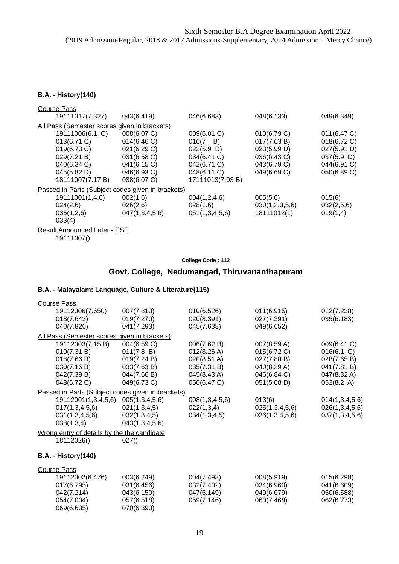#### **B.A. - History(140)**

| <b>Course Pass</b>                                |                |                  |                |               |
|---------------------------------------------------|----------------|------------------|----------------|---------------|
| 19111017(7.327)                                   | 043(6.419)     | 046(6.683)       | 048(6.133)     | 049(6.349)    |
| All Pass (Semester scores given in brackets)      |                |                  |                |               |
| 19111006(6.1 C)                                   | 008(6.07 C)    | 009(6.01 C)      | 010(6.79 C)    | 011(6.47 C)   |
| 013(6.71 C)                                       | 014(6.46 C)    | $016(7 \quad B)$ | 017(7.63 B)    | 018(6.72 C)   |
| 019(6.73 C)                                       | 021(6.29 C)    | 022(5.9)         | 023(5.99 D)    | 027(5.91 D)   |
| 029(7.21 B)                                       | 031(6.58 C)    | 034(6.41 C)      | 036(6.43 C)    | $037(5.9)$ D) |
| 040(6.34 C)                                       | 041(6.15 C)    | 042(6.71 C)      | 043(6.79 C)    | 044(6.91 C)   |
| 045(5.82 D)                                       | 046(6.93 C)    | 048(6.11 C)      | 049(6.69 C)    | 050(6.89 C)   |
| 18111007(7.17 B)                                  | 038(6.07 C)    | 17111013(7.03 B) |                |               |
| Passed in Parts (Subject codes given in brackets) |                |                  |                |               |
| 19111001(1,4,6)                                   | 002(1,6)       | 004(1,2,4,6)     | 005(5,6)       | 015(6)        |
| 024(2,6)                                          | 026(2,6)       | 028(1,6)         | 030(1,2,3,5,6) | 032(2,5,6)    |
| 035(1,2,6)                                        | 047(1,3,4,5,6) | 051(1,3,4,5,6)   | 18111012(1)    | 019(1,4)      |
| 033(4)                                            |                |                  |                |               |
| Result Announced Later - ESE                      |                |                  |                |               |
| 19111007()                                        |                |                  |                |               |

#### **College Code : 112**

## **Govt. College, Nedumangad, Thiruvananthapuram**

| <b>Course Pass</b>                           |                                                   |                |                |                |
|----------------------------------------------|---------------------------------------------------|----------------|----------------|----------------|
| 19112006(7.650)                              | 007(7.813)                                        | 010(6.526)     | 011(6.915)     | 012(7.238)     |
| 018(7.643)                                   | 019(7.270)                                        | 020(8.391)     | 027(7.391)     | 035(6.183)     |
| 040(7.826)                                   | 041(7.293)                                        | 045(7.638)     | 049(6.652)     |                |
| All Pass (Semester scores given in brackets) |                                                   |                |                |                |
| 19112003(7.15 B)                             | 004(6.59 C)                                       | 006(7.62 B)    | 007(8.59 A)    | 009(6.41 C)    |
| 010(7.31 B)                                  | 011(7.8 B)                                        | 012(8.26 A)    | 015(6.72 C)    | 016(6.1 C)     |
| 018(7.66 B)                                  | 019(7.24 B)                                       | 020(8.51 A)    | 027(7.88 B)    | 028(7.65 B)    |
| 030(7.16 B)                                  | 033(7.63 B)                                       | 035(7.31 B)    | 040(8.29 A)    | 041(7.81 B)    |
| 042(7.39 B)                                  | 044(7.66 B)                                       | 045(8.43 A)    | 046(6.84 C)    | 047(8.32 A)    |
| 048(6.72 C)                                  | 049(6.73 C)                                       | 050(6.47 C)    | 051(5.68 D)    | 052(8.2 A)     |
|                                              | Passed in Parts (Subject codes given in brackets) |                |                |                |
| 19112001(1,3,4,5,6)                          | 005(1,3,4,5,6)                                    | 008(1,3,4,5,6) | 013(6)         | 014(1,3,4,5,6) |
| 017(1,3,4,5,6)                               | 021(1,3,4,5)                                      | 022(1,3,4)     | 025(1,3,4,5,6) | 026(1,3,4,5,6) |
| 031(1,3,4,5,6)                               | 032(1,3,4,5)                                      | 034(1,3,4,5)   | 036(1,3,4,5,6) | 037(1,3,4,5,6) |
| 038(1,3,4)                                   | 043(1,3,4,5,6)                                    |                |                |                |
| Wrong entry of details by the the candidate  |                                                   |                |                |                |
| 18112026()                                   | 027()                                             |                |                |                |
| <b>B.A. - History(140)</b>                   |                                                   |                |                |                |
|                                              |                                                   |                |                |                |
| <b>Course Pass</b>                           |                                                   |                |                |                |
| 19112002(6.476)                              | 003(6.249)                                        | 004(7.498)     | 008(5.919)     | 015(6.298)     |
| 017(6.795)                                   | 031(6.456)                                        | 032(7.402)     | 034(6.960)     | 041(6.609)     |
| 042(7.214)                                   | 043(6.150)                                        | 047(6.149)     | 049(6.079)     | 050(6.588)     |
| 054(7.004)                                   | 057(6.518)                                        | 059(7.146)     | 060(7.468)     | 062(6.773)     |
| 069(6.635)                                   | 070(6.393)                                        |                |                |                |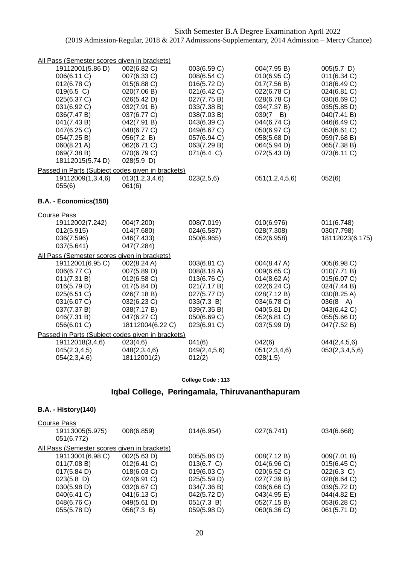| All Pass (Semester scores given in brackets)      |                  |                 |                  |                    |
|---------------------------------------------------|------------------|-----------------|------------------|--------------------|
| 19112001(5.86 D)                                  | 002(6.82 C)      | 003(6.59 C)     | 004(7.95 B)      | $005(5.7)$ D)      |
| 006(6.11 C)                                       | 007(6.33 C)      | 008(6.54 C)     | 010(6.95 C)      | 011(6.34 C)        |
| 012(6.78 C)                                       | 015(6.88 C)      | 016(5.72 D)     | 017(7.56 B)      | 018(6.49 C)        |
| 019(6.5 C)                                        | 020(7.06 B)      | 021(6.42 C)     | 022(6.78 C)      | 024(6.81 C)        |
| 025(6.37 C)                                       | 026(5.42 D)      | 027(7.75 B)     | 028(6.78 C)      | 030(6.69 C)        |
| 031(6.92 C)                                       | 032(7.91 B)      | 033(7.38 B)     | 034(7.37 B)      | 035(5.85 D)        |
| 036(7.47 B)                                       | 037(6.77 C)      | 038(7.03 B)     | $039(7 \quad B)$ | 040(7.41 B)        |
| 041(7.43 B)                                       | 042(7.91 B)      | 043(6.39 C)     | 044(6.74 C)      | 046(6.49 C)        |
| 047(6.25 C)                                       | 048(6.77 C)      | 049(6.67 C)     | 050(6.97 C)      | 053(6.61 C)        |
| 054(7.25 B)                                       | 056(7.2 B)       | 057(6.94 C)     | 058(5.68 D)      | 059(7.68 B)        |
| 060(8.21 A)                                       | 062(6.71 C)      | 063(7.29 B)     | 064(5.94 D)      | 065(7.38 B)        |
| 069(7.38 B)                                       | 070(6.79 C)      | 071(6.4 C)      | 072(5.43 D)      | 073(6.11 C)        |
| 18112015(5.74 D)                                  | 028(5.9)         |                 |                  |                    |
| Passed in Parts (Subject codes given in brackets) |                  |                 |                  |                    |
| 19112009(1,3,4,6)                                 | 013(1,2,3,4,6)   | 023(2,5,6)      | 051(1,2,4,5,6)   | 052(6)             |
| 055(6)                                            | 061(6)           |                 |                  |                    |
| B.A. - Economics(150)                             |                  |                 |                  |                    |
| <b>Course Pass</b>                                |                  |                 |                  |                    |
| 19112002(7.242)                                   | 004(7.200)       | 008(7.019)      | 010(6.976)       | 011(6.748)         |
| 012(5.915)                                        | 014(7.680)       | 024(6.587)      | 028(7.308)       | 030(7.798)         |
| 036(7.596)                                        | 046(7.433)       | 050(6.965)      | 052(6.958)       | 18112023(6.175)    |
| 037(5.641)                                        | 047(7.284)       |                 |                  |                    |
| All Pass (Semester scores given in brackets)      |                  |                 |                  |                    |
| 19112001(6.95 C)                                  | 002(8.24 A)      | 003(6.81 C)     | 004(8.47 A)      | 005(6.98 C)        |
| 006(6.77 C)                                       | 007(5.89 D)      | 008(8.18 A)     | 009(6.65 C)      | 010(7.71 B)        |
| 011(7.31 B)                                       | 012(6.58 C)      | 013(6.76 C)     | 014(8.62 A)      | 015(6.07 C)        |
| 016(5.79 D)                                       | 017(5.84 D)      | 021(7.17 B)     | 022(6.24 C)      | 024(7.44 B)        |
| 025(6.51 C)                                       | 026(7.18 B)      | 027(5.77 D)     | 028(7.12 B)      | 030(8.25 A)        |
| 031(6.07 C)                                       | 032(6.23 C)      | 033(7.3 B)      | 034(6.78 C)      | $036(8 \text{ A})$ |
| 037(7.37 B)                                       | 038(7.17 B)      | 039(7.35 B)     | 040(5.81 D)      | 043(6.42 C)        |
| 046(7.31 B)                                       | 047(6.27 C)      | 050(6.69 C)     | 052(6.81 C)      | 055(5.66 D)        |
| 056(6.01 C)                                       | 18112004(6.22 C) | 023(6.91 C)     | 037(5.99 D)      | 047(7.52 B)        |
| Passed in Parts (Subject codes given in brackets) |                  |                 |                  |                    |
| 19112018(3,4,6)                                   | 023(4,6)         | 041(6)          | 042(6)           | 044(2,4,5,6)       |
| 045(2,3,4,5)                                      | 048(2,3,4,6)     | 049(2, 4, 5, 6) | 051(2,3,4,6)     | 053(2,3,4,5,6)     |
| 054(2,3,4,6)                                      | 18112001(2)      | 012(2)          | 028(1,5)         |                    |

## **Iqbal College, Peringamala, Thiruvananthapuram**

### **B.A. - History(140)**

| Course Pass                                  |             |             |             |             |
|----------------------------------------------|-------------|-------------|-------------|-------------|
| 19113005(5.975)                              | 008(6.859)  | 014(6.954)  | 027(6.741)  | 034(6.668)  |
| 051(6.772)                                   |             |             |             |             |
| All Pass (Semester scores given in brackets) |             |             |             |             |
| 19113001(6.98 C)                             | 002(5.63 D) | 005(5.86 D) | 008(7.12 B) | 009(7.01 B) |
| 011(7.08 B)                                  | 012(6.41 C) | 013(6.7 C)  | 014(6.96)   | 015(6.45)   |
| 017(5.84 D)                                  | 018(6.03 C) | 019(6.03 C) | 020(6.52 C) | 022(6.3 C)  |
| $023(5.8)$ D)                                | 024(6.91 C) | 025(5.59 D) | 027(7.39 B) | 028(6.64 C) |
| 030(5.98 D)                                  | 032(6.67 C) | 034(7.36 B) | 036(6.66 C) | 039(5.72 D) |
| 040(6.41 C)                                  | 041(6.13 C) | 042(5.72 D) | 043(4.95 E) | 044(4.82 E) |
| 048(6.76 C)                                  | 049(5.61 D) | 051(7.3 B)  | 052(7.15 B) | 053(6.28 C) |
| 055(5.78 D)                                  | 056(7.3 B)  | 059(5.98 D) | 060(6.36 C) | 061(5.71 D) |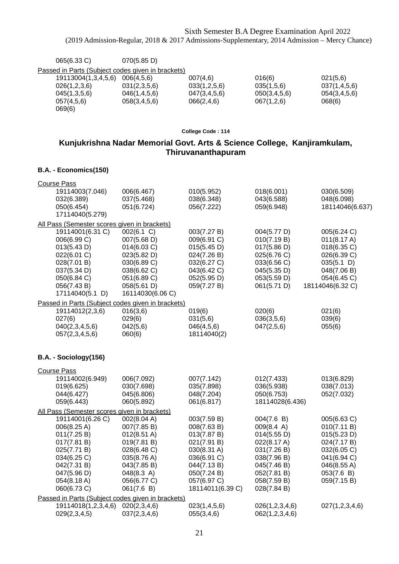| 065(6.33 C)                                       | 070(5.85 D)  |              |              |              |
|---------------------------------------------------|--------------|--------------|--------------|--------------|
| Passed in Parts (Subject codes given in brackets) |              |              |              |              |
| 19113004(1,3,4,5,6)                               | 006(4,5,6)   | 007(4,6)     | 016(6)       | 021(5,6)     |
| 026(1,2,3,6)                                      | 031(2,3,5,6) | 033(1,2,5,6) | 035(1,5,6)   | 037(1,4,5,6) |
| 045(1,3,5,6)                                      | 046(1,4,5,6) | 047(3,4,5,6) | 050(3,4,5,6) | 054(3,4,5,6) |
| 057(4,5,6)                                        | 058(3,4,5,6) | 066(2, 4, 6) | 067(1,2,6)   | 068(6)       |
| 069(6)                                            |              |              |              |              |
|                                                   |              |              |              |              |

## **Kunjukrishna Nadar Memorial Govt. Arts & Science College, Kanjiramkulam, Thiruvananthapuram**

#### **B.A. - Economics(150)**

| <b>Course Pass</b>                                                                                                                           |                                                                                                                                         |                                                                                                                      |                                                                                                                      |                                                                                                                        |
|----------------------------------------------------------------------------------------------------------------------------------------------|-----------------------------------------------------------------------------------------------------------------------------------------|----------------------------------------------------------------------------------------------------------------------|----------------------------------------------------------------------------------------------------------------------|------------------------------------------------------------------------------------------------------------------------|
| 19114003(7.046)<br>032(6.389)<br>050(6.454)<br>17114040(5.279)                                                                               | 006(6.467)<br>037(5.468)<br>051(6.724)                                                                                                  | 010(5.952)<br>038(6.348)<br>056(7.222)                                                                               | 018(6.001)<br>043(6.588)<br>059(6.948)                                                                               | 030(6.509)<br>048(6.098)<br>18114046(6.637)                                                                            |
| All Pass (Semester scores given in brackets)                                                                                                 |                                                                                                                                         |                                                                                                                      |                                                                                                                      |                                                                                                                        |
| 19114001(6.31 C)<br>006(6.99 C)<br>013(5.43 D)<br>022(6.01 C)<br>028(7.01 B)<br>037(5.34 D)<br>050(6.84 C)<br>056(7.43 B)<br>17114040(5.1 D) | 002(6.1 C)<br>007(5.68 D)<br>014(6.03 C)<br>023(5.82 D)<br>030(6.89 C)<br>038(6.62 C)<br>051(6.89 C)<br>058(5.61 D)<br>16114030(6.06 C) | 003(7.27 B)<br>009(6.91 C)<br>015(5.45 D)<br>024(7.26 B)<br>032(6.27 C)<br>043(6.42 C)<br>052(5.95 D)<br>059(7.27 B) | 004(5.77 D)<br>010(7.19 B)<br>017(5.86 D)<br>025(6.76 C)<br>033(6.56 C)<br>045(5.35 D)<br>053(5.59 D)<br>061(5.71 D) | 005(6.24 C)<br>011(8.17 A)<br>018(6.35 C)<br>026(6.39 C)<br>035(5.1)<br>048(7.06 B)<br>054(6.45 C)<br>18114046(6.32 C) |
| Passed in Parts (Subject codes given in brackets)                                                                                            |                                                                                                                                         |                                                                                                                      |                                                                                                                      |                                                                                                                        |
| 19114012(2,3,6)<br>027(6)<br>040(2,3,4,5,6)<br>057(2,3,4,5,6)                                                                                | 016(3,6)<br>029(6)<br>042(5,6)<br>060(6)                                                                                                | 019(6)<br>031(5,6)<br>046(4,5,6)<br>18114040(2)                                                                      | 020(6)<br>036(3,5,6)<br>047(2,5,6)                                                                                   | 021(6)<br>039(6)<br>055(6)                                                                                             |
| B.A. - Sociology(156)                                                                                                                        |                                                                                                                                         |                                                                                                                      |                                                                                                                      |                                                                                                                        |
| <b>Course Pass</b>                                                                                                                           |                                                                                                                                         |                                                                                                                      |                                                                                                                      |                                                                                                                        |
| 19114002(6.949)<br>019(6.625)<br>044(6.427)<br>059(6.443)                                                                                    | 006(7.092)<br>030(7.698)<br>045(6.806)<br>060(5.892)                                                                                    | 007(7.142)<br>035(7.898)<br>048(7.204)<br>061(6.817)                                                                 | 012(7.433)<br>036(5.938)<br>050(6.753)<br>18114028(6.436)                                                            | 013(6.829)<br>038(7.013)<br>052(7.032)                                                                                 |
| All Pass (Semester scores given in brackets)                                                                                                 |                                                                                                                                         |                                                                                                                      |                                                                                                                      |                                                                                                                        |
| 19114001(6.26 C)<br>006(8.25 A)<br>011(7.25 B)<br>017(7.81 B)<br>025(7.71 B)<br>034(6.25 C)<br>042(7.31 B)<br>047(5.96 D)                    | 002(8.04 A)<br>007(7.85 B)<br>$012(8.51 \text{ A})$<br>019(7.81 B)<br>028(6.48 C)<br>035(8.76 A)<br>043(7.85 B)<br>048(8.3 A)           | 003(7.59 B)<br>008(7.63 B)<br>013(7.87 B)<br>021(7.91 B)<br>030(8.31 A)<br>036(6.91 C)<br>044(7.13B)<br>050(7.24 B)  | 004(7.6 B)<br>009(8.4 A)<br>014(5.55 D)<br>022(8.17 A)<br>031(7.26 B)<br>038(7.96 B)<br>045(7.46 B)<br>052(7.81 B)   | 005(6.63 C)<br>010(7.11 B)<br>015(5.23 D)<br>024(7.17 B)<br>032(6.05 C)<br>041(6.94 C)<br>046(8.55 A)<br>053(7.6 B)    |
| 054(8.18 A)<br>060(6.73 C)                                                                                                                   | 056(6.77 C)<br>061(7.6 B)                                                                                                               | 057(6.97 C)<br>18114011(6.39 C)                                                                                      | 058(7.59 B)<br>028(7.84 B)                                                                                           | 059(7.15 B)                                                                                                            |
| Passed in Parts (Subject codes given in brackets)                                                                                            |                                                                                                                                         |                                                                                                                      |                                                                                                                      |                                                                                                                        |
| 19114018(1,2,3,4,6)<br>029(2,3,4,5)                                                                                                          | 020(2,3,4,6)<br>037(2,3,4,6)                                                                                                            | 023(1,4,5,6)<br>055(3,4,6)                                                                                           | 026(1,2,3,4,6)<br>062(1,2,3,4,6)                                                                                     | 027(1,2,3,4,6)                                                                                                         |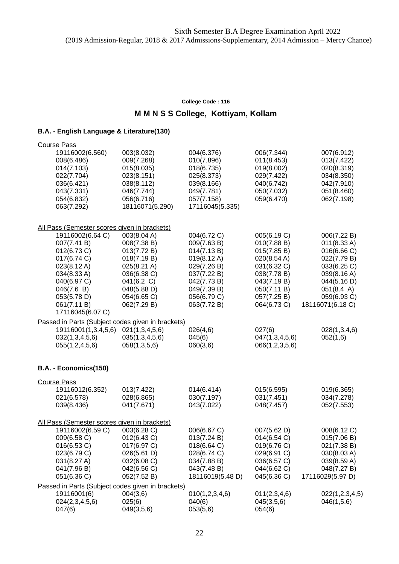### **M M N S S College, Kottiyam, Kollam**

| <b>Course Pass</b>                                |                 |                  |                            |                  |
|---------------------------------------------------|-----------------|------------------|----------------------------|------------------|
| 19116002(6.560)                                   | 003(8.032)      | 004(6.376)       | 006(7.344)                 | 007(6.912)       |
| 008(6.486)                                        | 009(7.268)      | 010(7.896)       | 011(8.453)                 | 013(7.422)       |
| 014(7.103)                                        | 015(8.035)      | 018(6.735)       | 019(8.002)                 | 020(8.319)       |
| 022(7.704)                                        | 023(8.151)      | 025(8.373)       | 029(7.422)                 | 034(8.350)       |
| 036(6.421)                                        | 038(8.112)      | 039(8.166)       | 040(6.742)                 | 042(7.910)       |
| 043(7.331)                                        | 046(7.744)      | 049(7.781)       | 050(7.032)                 | 051(8.460)       |
| 054(6.832)                                        | 056(6.716)      | 057(7.158)       | 059(6.470)                 | 062(7.198)       |
| 063(7.292)                                        | 18116071(5.290) | 17116045(5.335)  |                            |                  |
| All Pass (Semester scores given in brackets)      |                 |                  |                            |                  |
| 19116002(6.64 C)                                  | 003(8.04 A)     | 004(6.72 C)      | 005(6.19 C)                | 006(7.22 B)      |
| 007(7.41 B)                                       | 008(7.38 B)     | 009(7.63 B)      | 010(7.88 B)                | 011(8.33 A)      |
| 012(6.73 C)                                       | 013(7.72 B)     | 014(7.13 B)      | 015(7.85 B)                | 016(6.66 C)      |
| 017(6.74 C)                                       | 018(7.19 B)     | 019(8.12 A)      | 020(8.54 A)                | 022(7.79 B)      |
| 023(8.12 A)                                       | 025(8.21 A)     | 029(7.26 B)      | 031(6.32 C)                | 033(6.25 C)      |
| 034(8.33 A)                                       | 036(6.38 C)     | 037(7.22 B)      | 038(7.78 B)                | 039(8.16 A)      |
| 040(6.97 C)                                       | 041(6.2 C)      | 042(7.73 B)      | 043(7.19 B)                | 044(5.16 D)      |
| 046(7.6 B)                                        | 048(5.88 D)     | 049(7.39 B)      | 050(7.11 B)                | 051(8.4 A)       |
| 053(5.78 D)                                       | 054(6.65 C)     | 056(6.79 C)      | 057(7.25 B)                | 059(6.93 C)      |
| 061(7.11 B)                                       | 062(7.29 B)     | 063(7.72 B)      | 064(6.73 C)                | 18116071(6.18 C) |
| 17116045(6.07 C)                                  |                 |                  |                            |                  |
| Passed in Parts (Subject codes given in brackets) |                 |                  |                            |                  |
| 19116001(1,3,4,5,6)                               | 021(1,3,4,5,6)  | 026(4,6)         | 027(6)                     | 028(1,3,4,6)     |
| 032(1,3,4,5,6)                                    | 035(1,3,4,5,6)  | 045(6)           | 047(1,3,4,5,6)             | 052(1,6)         |
| 055(1,2,4,5,6)                                    | 058(1,3,5,6)    | 060(3,6)         | 066(1,2,3,5,6)             |                  |
|                                                   |                 |                  |                            |                  |
| B.A. - Economics(150)                             |                 |                  |                            |                  |
| <b>Course Pass</b>                                |                 |                  |                            |                  |
| 19116012(6.352)                                   | 013(7.422)      | 014(6.414)       | 015(6.595)                 | 019(6.365)       |
| 021(6.578)                                        | 028(6.865)      | 030(7.197)       | 031(7.451)                 | 034(7.278)       |
| 039(8.436)                                        | 041(7.671)      | 043(7.022)       | 048(7.457)                 | 052(7.553)       |
|                                                   |                 |                  |                            |                  |
| All Pass (Semester scores given in brackets)      |                 |                  |                            |                  |
| 19116002(6.59 C)                                  | 003(6.28 C)     | 006(6.67 C)      | 007(5.62 D)                | 008(6.12 C)      |
| 009(6.58 C)                                       | 012(6.43 C)     | 013(7.24 B)      | 014(6.54 C)                | 015(7.06 B)      |
| 016(6.53 C)                                       | 017(6.97 C)     | 018(6.64 C)      | 019(6.76 C)                | 021(7.38 B)      |
| 023(6.79 C)                                       | 026(5.61 D)     | 028(6.74 C)      | 029(6.91 C)<br>036(6.57 C) | 030(8.03 A)      |
| 031(8.27 A)                                       | 032(6.08 C)     | 034(7.88 B)      |                            | 039(8.59 A)      |
| 041(7.96 B)                                       | 042(6.56 C)     | 043(7.48 B)      | 044(6.62 C)                | 048(7.27 B)      |
| 051(6.36 C)                                       | 052(7.52 B)     | 18116019(5.48 D) | 045(6.36 C)                | 17116029(5.97 D) |
| Passed in Parts (Subject codes given in brackets) |                 |                  |                            |                  |
| 19116001(6)                                       | 004(3,6)        | 010(1,2,3,4,6)   | 011(2,3,4,6)               | 022(1,2,3,4,5)   |
| 024(2,3,4,5,6)                                    | 025(6)          | 040(6)           | 045(3,5,6)                 | 046(1,5,6)       |
| 047(6)                                            | 049(3,5,6)      | 053(5,6)         | 054(6)                     |                  |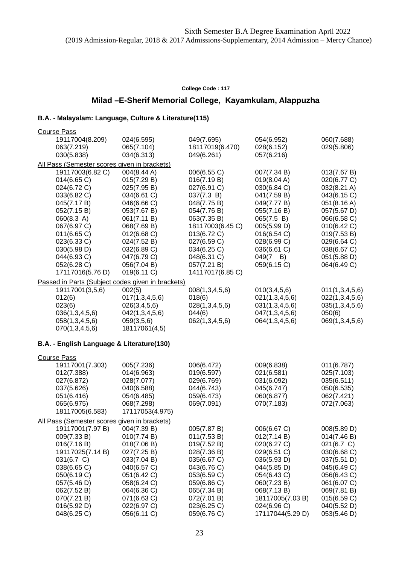## **Milad –E-Sherif Memorial College, Kayamkulam, Alappuzha**

| <b>Course Pass</b>                                |                          |                  |                          |                          |
|---------------------------------------------------|--------------------------|------------------|--------------------------|--------------------------|
| 19117004(8.209)                                   | 024(6.595)               | 049(7.695)       | 054(6.952)               | 060(7.688)               |
| 063(7.219)                                        | 065(7.104)               | 18117019(6.470)  | 028(6.152)               | 029(5.806)               |
| 030(5.838)                                        | 034(6.313)               | 049(6.261)       | 057(6.216)               |                          |
| All Pass (Semester scores given in brackets)      |                          |                  |                          |                          |
| 19117003(6.82 C)                                  | 004(8.44 A)              | 006(6.55 C)      | 007(7.34 B)              | 013(7.67 B)              |
| 014(6.65 C)                                       | 015(7.29 B)              | 016(7.19 B)      | 019(8.04 A)              | 020(6.77 C)              |
| 024(6.72 C)                                       | 025(7.95 B)              | 027(6.91 C)      | 030(6.84 C)              | 032(8.21 A)              |
| 033(6.82 C)                                       | 034(6.61 C)              | 037(7.3 B)       | 041(7.59 B)              | 043(6.15 C)              |
| 045(7.17 B)                                       | 046(6.66 C)              | 048(7.75 B)      | 049(7.77 B)              | 051(8.16 A)              |
| 052(7.15 B)                                       | 053(7.67 B)              | 054(7.76 B)      | 055(7.16 B)              | 057(5.67 D)              |
| 060(8.3 A)                                        | 061(7.11 B)              | 063(7.35 B)      | 065(7.5 B)               | 066(6.58 C)              |
| 067(6.97 C)                                       | 068(7.69 B)              | 18117003(6.45 C) | 005(5.99 D)              | 010(6.42 C)              |
| 011(6.65 C)                                       | 012(6.68 C)              | 013(6.72 C)      | 016(6.54 C)              | 019(7.53 B)              |
| 023(6.33 C)                                       | 024(7.52 B)              | 027(6.59 C)      | 028(6.99 C)              | 029(6.64 C)              |
| 030(5.98 D)                                       | 032(6.89 C)              | 034(6.25 C)      | 036(6.61 C)              | 038(6.67 C)              |
| 044(6.93 C)                                       | 047(6.79 C)              | 048(6.31 C)      | $049(7 \quad B)$         | 051(5.88 D)              |
| 052(6.28 C)                                       | 056(7.04 B)              | 057(7.21 B)      | 059(6.15 C)              | 064(6.49 C)              |
| 17117016(5.76 D)                                  | 019(6.11 C)              | 14117017(6.85 C) |                          |                          |
| Passed in Parts (Subject codes given in brackets) |                          |                  |                          |                          |
| 19117001(3,5,6)                                   | 002(5)                   | 008(1,3,4,5,6)   | 010(3,4,5,6)             | 011(1,3,4,5,6)           |
| 012(6)                                            | 017(1,3,4,5,6)           | 018(6)           | 021(1,3,4,5,6)           | 022(1,3,4,5,6)           |
| 023(6)                                            | 026(3,4,5,6)             | 028(1,3,4,5,6)   | 031(1,3,4,5,6)           | 035(1,3,4,5,6)           |
| 036(1,3,4,5,6)                                    | 042(1,3,4,5,6)           | 044(6)           | 047(1,3,4,5,6)           | 050(6)                   |
| 058(1,3,4,5,6)                                    | 059(3,5,6)               | 062(1,3,4,5,6)   | 064(1,3,4,5,6)           | 069(1,3,4,5,6)           |
| 070(1,3,4,5,6)                                    | 18117061(4,5)            |                  |                          |                          |
| B.A. - English Language & Literature(130)         |                          |                  |                          |                          |
|                                                   |                          |                  |                          |                          |
| <b>Course Pass</b>                                |                          | 006(6.472)       |                          |                          |
| 19117001(7.303)<br>012(7.388)                     | 005(7.236)<br>014(6.963) | 019(6.597)       | 009(6.838)<br>021(6.581) | 011(6.787)<br>025(7.103) |
| 027(6.872)                                        | 028(7.077)               | 029(6.769)       | 031(6.092)               | 035(6.511)               |
| 037(5.626)                                        | 040(6.588)               | 044(6.743)       | 045(6.747)               | 050(6.535)               |
| 051(6.416)                                        | 054(6.485)               | 059(6.473)       | 060(6.877)               | 062(7.421)               |
| 065(6.975)                                        | 068(7.298)               | 069(7.091)       | 070(7.183)               | 072(7.063)               |
| 18117005(6.583)                                   | 17117053(4.975)          |                  |                          |                          |
| All Pass (Semester scores given in brackets)      |                          |                  |                          |                          |
| 19117001(7.97 B)                                  | 004(7.39 B)              | 005(7.87 B)      | 006(6.67 C)              | 008(5.89 D)              |
| 009(7.33 B)                                       | 010(7.74 B)              | 011(7.53 B)      | 012(7.14 B)              | 014(7.46 B)              |
| 016(7.16 B)                                       | 018(7.06 B)              | 019(7.52 B)      | 020(6.27 C)              | 021(6.7 C)               |
| 19117025(7.14 B)                                  | 027(7.25 B)              | 028(7.36 B)      | 029(6.51 C)              | 030(6.68 C)              |
| 031(6.7 C)                                        | 033(7.04 B)              | 035(6.67 C)      | 036(5.93 D)              | 037(5.51 D)              |
| 038(6.65 C)                                       | 040(6.57 C)              | 043(6.76 C)      | 044(5.85 D)              | 045(6.49 C)              |
| 050(6.19 C)                                       | 051(6.42 C)              | 053(6.59 C)      | 054(6.43 C)              | 056(6.43 C)              |
| 057(5.46 D)                                       | 058(6.24 C)              | 059(6.86 C)      | 060(7.23 B)              | 061(6.07 C)              |
| 062(7.52 B)                                       | 064(6.36 C)              | 065(7.34 B)      | 068(7.13 B)              | 069(7.81 B)              |
| 070(7.21 B)                                       | 071(6.63 C)              | 072(7.01 B)      | 18117005(7.03 B)         | 015(6.59 C)              |
| 016(5.92 D)                                       | 022(6.97 C)              | 023(6.25 C)      | 024(6.96 C)              | 040(5.52 D)              |
| 048(6.25 C)                                       | 056(6.11 C)              | 059(6.76 C)      | 17117044(5.29 D)         | 053(5.46 D)              |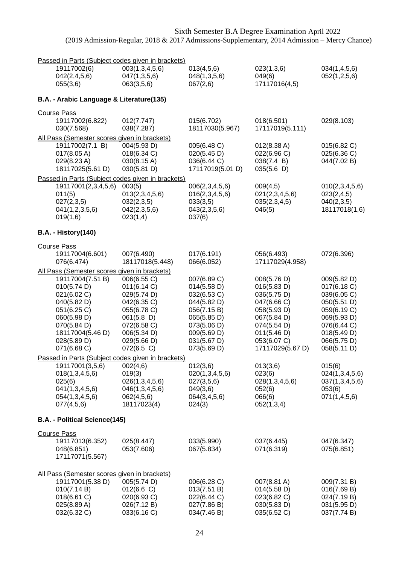| 19117002(6)<br>003(1,3,4,5,6)<br>013(4,5,6)<br>023(1,3,6)<br>034(1,4,5,6)<br>042(2,4,5,6)<br>047(1,3,5,6)<br>048(1,3,5,6)<br>049(6)<br>052(1,2,5,6)<br>17117016(4,5)<br>055(3,6)<br>063(3,5,6)<br>067(2,6)<br>B.A. - Arabic Language & Literature(135)<br><b>Course Pass</b><br>029(8.103)<br>19117002(6.822)<br>012(7.747)<br>015(6.702)<br>018(6.501)<br>038(7.287)<br>18117030(5.967)<br>17117019(5.111)<br>030(7.568)<br>All Pass (Semester scores given in brackets)<br>19117002(7.1 B)<br>004(5.93 D)<br>005(6.48 C)<br>012(8.38 A)<br>015(6.82 C)<br>017(8.05 A)<br>018(6.34 C)<br>020(5.45 D)<br>022(6.96 C)<br>025(6.36 C)<br>029(8.23 A)<br>030(8.15 A)<br>036(6.44 C)<br>038(7.4 B)<br>044(7.02 B)<br>18117025(5.61 D)<br>030(5.81 D)<br>17117019(5.01 D)<br>035(5.6)<br>Passed in Parts (Subject codes given in brackets)<br>003(5)<br>19117001(2,3,4,5,6)<br>006(2,3,4,5,6)<br>009(4,5)<br>010(2,3,4,5,6)<br>013(2,3,4,5,6)<br>016(2,3,4,5,6)<br>011(5)<br>021(2,3,4,5,6)<br>023(2,4,5)<br>027(2,3,5)<br>040(2,3,5)<br>032(2,3,5)<br>033(3,5)<br>035(2,3,4,5)<br>041(1,2,3,5,6)<br>042(2,3,5,6)<br>043(2,3,5,6)<br>046(5)<br>18117018(1,6)<br>023(1,4)<br>019(1,6)<br>037(6)<br><b>B.A. - History(140)</b><br><b>Course Pass</b><br>19117004(6.601)<br>007(6.490)<br>017(6.191)<br>056(6.493)<br>072(6.396)<br>18117018(5.448)<br>076(6.474)<br>066(6.052)<br>17117029(4.958)<br>All Pass (Semester scores given in brackets)<br>19117004(7.51 B)<br>006(6.55 C)<br>007(6.89 C)<br>008(5.76 D)<br>009(5.82 D)<br>010(5.74 D)<br>011(6.14 C)<br>014(5.58 D)<br>016(5.83 D)<br>017(6.18 C)<br>021(6.02 C)<br>029(5.74 D)<br>032(6.53 C)<br>036(5.75 D)<br>039(6.05 C)<br>040(5.82 D)<br>042(6.35 C)<br>044(5.82 D)<br>047(6.66 C)<br>050(5.51 D)<br>051(6.25 C)<br>055(6.78 C)<br>059(6.19 C)<br>056(7.15 B)<br>058(5.93 D)<br>060(5.98 D)<br>061(5.8)<br>065(5.85 D)<br>067(5.84 D)<br>069(5.93 D)<br>070(5.84 D)<br>072(6.58 C)<br>073(5.06 D)<br>074(5.54 D)<br>076(6.44 C)<br>18117004(5.46 D)<br>006(5.34 D)<br>009(5.69 D)<br>011(5.46 D)<br>018(5.49 D)<br>028(5.89 D)<br>029(5.66 D)<br>031(5.67 D)<br>053(6.07 C)<br>066(5.75 D)<br>17117029(5.67 D)<br>071(6.68 C)<br>072(6.5 C)<br>073(5.69 D)<br>058(5.11 D)<br>Passed in Parts (Subject codes given in brackets)<br>19117001(3,5,6)<br>012(3,6)<br>013(3,6)<br>015(6)<br>002(4,6)<br>019(3)<br>018(1,3,4,5,6)<br>020(1,3,4,5,6)<br>023(6)<br>024(1,3,4,5,6)<br>025(6)<br>026(1,3,4,5,6)<br>028(1,3,4,5,6)<br>027(3,5,6)<br>037(1,3,4,5,6)<br>041(1,3,4,5,6)<br>046(1,3,4,5,6)<br>049(3,6)<br>052(6)<br>053(6)<br>054(1,3,4,5,6)<br>062(4,5,6)<br>064(3,4,5,6)<br>066(6)<br>071(1, 4, 5, 6)<br>077(4,5,6)<br>18117023(4)<br>052(1,3,4)<br>024(3)<br>B.A. - Political Science(145)<br><b>Course Pass</b><br>19117013(6.352)<br>025(8.447)<br>033(5.990)<br>037(6.445)<br>047(6.347)<br>053(7.606)<br>067(5.834)<br>071(6.319)<br>048(6.851)<br>075(6.851)<br>17117071(5.567)<br>All Pass (Semester scores given in brackets)<br>005(5.74 D)<br>19117001(5.38 D)<br>006(6.28 C)<br>007(8.81 A)<br>009(7.31 B)<br>013(7.51 B)<br>010(7.14 B)<br>012(6.6 C)<br>014(5.58 D)<br>016(7.69 B)<br>018(6.61 C)<br>020(6.93 C)<br>022(6.44 C)<br>023(6.82 C)<br>024(7.19 B)<br>025(8.89 A)<br>027(7.86 B)<br>026(7.12 B)<br>030(5.83 D)<br>031(5.95 D) | Passed in Parts (Subject codes given in brackets) |             |             |             |             |
|--------------------------------------------------------------------------------------------------------------------------------------------------------------------------------------------------------------------------------------------------------------------------------------------------------------------------------------------------------------------------------------------------------------------------------------------------------------------------------------------------------------------------------------------------------------------------------------------------------------------------------------------------------------------------------------------------------------------------------------------------------------------------------------------------------------------------------------------------------------------------------------------------------------------------------------------------------------------------------------------------------------------------------------------------------------------------------------------------------------------------------------------------------------------------------------------------------------------------------------------------------------------------------------------------------------------------------------------------------------------------------------------------------------------------------------------------------------------------------------------------------------------------------------------------------------------------------------------------------------------------------------------------------------------------------------------------------------------------------------------------------------------------------------------------------------------------------------------------------------------------------------------------------------------------------------------------------------------------------------------------------------------------------------------------------------------------------------------------------------------------------------------------------------------------------------------------------------------------------------------------------------------------------------------------------------------------------------------------------------------------------------------------------------------------------------------------------------------------------------------------------------------------------------------------------------------------------------------------------------------------------------------------------------------------------------------------------------------------------------------------------------------------------------------------------------------------------------------------------------------------------------------------------------------------------------------------------------------------------------------------------------------------------------------------------------------------------------------------------------------------------------------------------------------------------------------------------------------------------------------------------------------------------------------------------------------|---------------------------------------------------|-------------|-------------|-------------|-------------|
|                                                                                                                                                                                                                                                                                                                                                                                                                                                                                                                                                                                                                                                                                                                                                                                                                                                                                                                                                                                                                                                                                                                                                                                                                                                                                                                                                                                                                                                                                                                                                                                                                                                                                                                                                                                                                                                                                                                                                                                                                                                                                                                                                                                                                                                                                                                                                                                                                                                                                                                                                                                                                                                                                                                                                                                                                                                                                                                                                                                                                                                                                                                                                                                                                                                                                                                    |                                                   |             |             |             |             |
|                                                                                                                                                                                                                                                                                                                                                                                                                                                                                                                                                                                                                                                                                                                                                                                                                                                                                                                                                                                                                                                                                                                                                                                                                                                                                                                                                                                                                                                                                                                                                                                                                                                                                                                                                                                                                                                                                                                                                                                                                                                                                                                                                                                                                                                                                                                                                                                                                                                                                                                                                                                                                                                                                                                                                                                                                                                                                                                                                                                                                                                                                                                                                                                                                                                                                                                    |                                                   |             |             |             |             |
|                                                                                                                                                                                                                                                                                                                                                                                                                                                                                                                                                                                                                                                                                                                                                                                                                                                                                                                                                                                                                                                                                                                                                                                                                                                                                                                                                                                                                                                                                                                                                                                                                                                                                                                                                                                                                                                                                                                                                                                                                                                                                                                                                                                                                                                                                                                                                                                                                                                                                                                                                                                                                                                                                                                                                                                                                                                                                                                                                                                                                                                                                                                                                                                                                                                                                                                    |                                                   |             |             |             |             |
|                                                                                                                                                                                                                                                                                                                                                                                                                                                                                                                                                                                                                                                                                                                                                                                                                                                                                                                                                                                                                                                                                                                                                                                                                                                                                                                                                                                                                                                                                                                                                                                                                                                                                                                                                                                                                                                                                                                                                                                                                                                                                                                                                                                                                                                                                                                                                                                                                                                                                                                                                                                                                                                                                                                                                                                                                                                                                                                                                                                                                                                                                                                                                                                                                                                                                                                    |                                                   |             |             |             |             |
|                                                                                                                                                                                                                                                                                                                                                                                                                                                                                                                                                                                                                                                                                                                                                                                                                                                                                                                                                                                                                                                                                                                                                                                                                                                                                                                                                                                                                                                                                                                                                                                                                                                                                                                                                                                                                                                                                                                                                                                                                                                                                                                                                                                                                                                                                                                                                                                                                                                                                                                                                                                                                                                                                                                                                                                                                                                                                                                                                                                                                                                                                                                                                                                                                                                                                                                    |                                                   |             |             |             |             |
|                                                                                                                                                                                                                                                                                                                                                                                                                                                                                                                                                                                                                                                                                                                                                                                                                                                                                                                                                                                                                                                                                                                                                                                                                                                                                                                                                                                                                                                                                                                                                                                                                                                                                                                                                                                                                                                                                                                                                                                                                                                                                                                                                                                                                                                                                                                                                                                                                                                                                                                                                                                                                                                                                                                                                                                                                                                                                                                                                                                                                                                                                                                                                                                                                                                                                                                    |                                                   |             |             |             |             |
|                                                                                                                                                                                                                                                                                                                                                                                                                                                                                                                                                                                                                                                                                                                                                                                                                                                                                                                                                                                                                                                                                                                                                                                                                                                                                                                                                                                                                                                                                                                                                                                                                                                                                                                                                                                                                                                                                                                                                                                                                                                                                                                                                                                                                                                                                                                                                                                                                                                                                                                                                                                                                                                                                                                                                                                                                                                                                                                                                                                                                                                                                                                                                                                                                                                                                                                    |                                                   |             |             |             |             |
|                                                                                                                                                                                                                                                                                                                                                                                                                                                                                                                                                                                                                                                                                                                                                                                                                                                                                                                                                                                                                                                                                                                                                                                                                                                                                                                                                                                                                                                                                                                                                                                                                                                                                                                                                                                                                                                                                                                                                                                                                                                                                                                                                                                                                                                                                                                                                                                                                                                                                                                                                                                                                                                                                                                                                                                                                                                                                                                                                                                                                                                                                                                                                                                                                                                                                                                    |                                                   |             |             |             |             |
|                                                                                                                                                                                                                                                                                                                                                                                                                                                                                                                                                                                                                                                                                                                                                                                                                                                                                                                                                                                                                                                                                                                                                                                                                                                                                                                                                                                                                                                                                                                                                                                                                                                                                                                                                                                                                                                                                                                                                                                                                                                                                                                                                                                                                                                                                                                                                                                                                                                                                                                                                                                                                                                                                                                                                                                                                                                                                                                                                                                                                                                                                                                                                                                                                                                                                                                    |                                                   |             |             |             |             |
|                                                                                                                                                                                                                                                                                                                                                                                                                                                                                                                                                                                                                                                                                                                                                                                                                                                                                                                                                                                                                                                                                                                                                                                                                                                                                                                                                                                                                                                                                                                                                                                                                                                                                                                                                                                                                                                                                                                                                                                                                                                                                                                                                                                                                                                                                                                                                                                                                                                                                                                                                                                                                                                                                                                                                                                                                                                                                                                                                                                                                                                                                                                                                                                                                                                                                                                    |                                                   |             |             |             |             |
|                                                                                                                                                                                                                                                                                                                                                                                                                                                                                                                                                                                                                                                                                                                                                                                                                                                                                                                                                                                                                                                                                                                                                                                                                                                                                                                                                                                                                                                                                                                                                                                                                                                                                                                                                                                                                                                                                                                                                                                                                                                                                                                                                                                                                                                                                                                                                                                                                                                                                                                                                                                                                                                                                                                                                                                                                                                                                                                                                                                                                                                                                                                                                                                                                                                                                                                    |                                                   |             |             |             |             |
|                                                                                                                                                                                                                                                                                                                                                                                                                                                                                                                                                                                                                                                                                                                                                                                                                                                                                                                                                                                                                                                                                                                                                                                                                                                                                                                                                                                                                                                                                                                                                                                                                                                                                                                                                                                                                                                                                                                                                                                                                                                                                                                                                                                                                                                                                                                                                                                                                                                                                                                                                                                                                                                                                                                                                                                                                                                                                                                                                                                                                                                                                                                                                                                                                                                                                                                    |                                                   |             |             |             |             |
|                                                                                                                                                                                                                                                                                                                                                                                                                                                                                                                                                                                                                                                                                                                                                                                                                                                                                                                                                                                                                                                                                                                                                                                                                                                                                                                                                                                                                                                                                                                                                                                                                                                                                                                                                                                                                                                                                                                                                                                                                                                                                                                                                                                                                                                                                                                                                                                                                                                                                                                                                                                                                                                                                                                                                                                                                                                                                                                                                                                                                                                                                                                                                                                                                                                                                                                    |                                                   |             |             |             |             |
|                                                                                                                                                                                                                                                                                                                                                                                                                                                                                                                                                                                                                                                                                                                                                                                                                                                                                                                                                                                                                                                                                                                                                                                                                                                                                                                                                                                                                                                                                                                                                                                                                                                                                                                                                                                                                                                                                                                                                                                                                                                                                                                                                                                                                                                                                                                                                                                                                                                                                                                                                                                                                                                                                                                                                                                                                                                                                                                                                                                                                                                                                                                                                                                                                                                                                                                    |                                                   |             |             |             |             |
|                                                                                                                                                                                                                                                                                                                                                                                                                                                                                                                                                                                                                                                                                                                                                                                                                                                                                                                                                                                                                                                                                                                                                                                                                                                                                                                                                                                                                                                                                                                                                                                                                                                                                                                                                                                                                                                                                                                                                                                                                                                                                                                                                                                                                                                                                                                                                                                                                                                                                                                                                                                                                                                                                                                                                                                                                                                                                                                                                                                                                                                                                                                                                                                                                                                                                                                    |                                                   |             |             |             |             |
|                                                                                                                                                                                                                                                                                                                                                                                                                                                                                                                                                                                                                                                                                                                                                                                                                                                                                                                                                                                                                                                                                                                                                                                                                                                                                                                                                                                                                                                                                                                                                                                                                                                                                                                                                                                                                                                                                                                                                                                                                                                                                                                                                                                                                                                                                                                                                                                                                                                                                                                                                                                                                                                                                                                                                                                                                                                                                                                                                                                                                                                                                                                                                                                                                                                                                                                    |                                                   |             |             |             |             |
|                                                                                                                                                                                                                                                                                                                                                                                                                                                                                                                                                                                                                                                                                                                                                                                                                                                                                                                                                                                                                                                                                                                                                                                                                                                                                                                                                                                                                                                                                                                                                                                                                                                                                                                                                                                                                                                                                                                                                                                                                                                                                                                                                                                                                                                                                                                                                                                                                                                                                                                                                                                                                                                                                                                                                                                                                                                                                                                                                                                                                                                                                                                                                                                                                                                                                                                    |                                                   |             |             |             |             |
|                                                                                                                                                                                                                                                                                                                                                                                                                                                                                                                                                                                                                                                                                                                                                                                                                                                                                                                                                                                                                                                                                                                                                                                                                                                                                                                                                                                                                                                                                                                                                                                                                                                                                                                                                                                                                                                                                                                                                                                                                                                                                                                                                                                                                                                                                                                                                                                                                                                                                                                                                                                                                                                                                                                                                                                                                                                                                                                                                                                                                                                                                                                                                                                                                                                                                                                    |                                                   |             |             |             |             |
|                                                                                                                                                                                                                                                                                                                                                                                                                                                                                                                                                                                                                                                                                                                                                                                                                                                                                                                                                                                                                                                                                                                                                                                                                                                                                                                                                                                                                                                                                                                                                                                                                                                                                                                                                                                                                                                                                                                                                                                                                                                                                                                                                                                                                                                                                                                                                                                                                                                                                                                                                                                                                                                                                                                                                                                                                                                                                                                                                                                                                                                                                                                                                                                                                                                                                                                    |                                                   |             |             |             |             |
|                                                                                                                                                                                                                                                                                                                                                                                                                                                                                                                                                                                                                                                                                                                                                                                                                                                                                                                                                                                                                                                                                                                                                                                                                                                                                                                                                                                                                                                                                                                                                                                                                                                                                                                                                                                                                                                                                                                                                                                                                                                                                                                                                                                                                                                                                                                                                                                                                                                                                                                                                                                                                                                                                                                                                                                                                                                                                                                                                                                                                                                                                                                                                                                                                                                                                                                    |                                                   |             |             |             |             |
|                                                                                                                                                                                                                                                                                                                                                                                                                                                                                                                                                                                                                                                                                                                                                                                                                                                                                                                                                                                                                                                                                                                                                                                                                                                                                                                                                                                                                                                                                                                                                                                                                                                                                                                                                                                                                                                                                                                                                                                                                                                                                                                                                                                                                                                                                                                                                                                                                                                                                                                                                                                                                                                                                                                                                                                                                                                                                                                                                                                                                                                                                                                                                                                                                                                                                                                    |                                                   |             |             |             |             |
|                                                                                                                                                                                                                                                                                                                                                                                                                                                                                                                                                                                                                                                                                                                                                                                                                                                                                                                                                                                                                                                                                                                                                                                                                                                                                                                                                                                                                                                                                                                                                                                                                                                                                                                                                                                                                                                                                                                                                                                                                                                                                                                                                                                                                                                                                                                                                                                                                                                                                                                                                                                                                                                                                                                                                                                                                                                                                                                                                                                                                                                                                                                                                                                                                                                                                                                    |                                                   |             |             |             |             |
|                                                                                                                                                                                                                                                                                                                                                                                                                                                                                                                                                                                                                                                                                                                                                                                                                                                                                                                                                                                                                                                                                                                                                                                                                                                                                                                                                                                                                                                                                                                                                                                                                                                                                                                                                                                                                                                                                                                                                                                                                                                                                                                                                                                                                                                                                                                                                                                                                                                                                                                                                                                                                                                                                                                                                                                                                                                                                                                                                                                                                                                                                                                                                                                                                                                                                                                    |                                                   |             |             |             |             |
|                                                                                                                                                                                                                                                                                                                                                                                                                                                                                                                                                                                                                                                                                                                                                                                                                                                                                                                                                                                                                                                                                                                                                                                                                                                                                                                                                                                                                                                                                                                                                                                                                                                                                                                                                                                                                                                                                                                                                                                                                                                                                                                                                                                                                                                                                                                                                                                                                                                                                                                                                                                                                                                                                                                                                                                                                                                                                                                                                                                                                                                                                                                                                                                                                                                                                                                    |                                                   |             |             |             |             |
|                                                                                                                                                                                                                                                                                                                                                                                                                                                                                                                                                                                                                                                                                                                                                                                                                                                                                                                                                                                                                                                                                                                                                                                                                                                                                                                                                                                                                                                                                                                                                                                                                                                                                                                                                                                                                                                                                                                                                                                                                                                                                                                                                                                                                                                                                                                                                                                                                                                                                                                                                                                                                                                                                                                                                                                                                                                                                                                                                                                                                                                                                                                                                                                                                                                                                                                    |                                                   |             |             |             |             |
|                                                                                                                                                                                                                                                                                                                                                                                                                                                                                                                                                                                                                                                                                                                                                                                                                                                                                                                                                                                                                                                                                                                                                                                                                                                                                                                                                                                                                                                                                                                                                                                                                                                                                                                                                                                                                                                                                                                                                                                                                                                                                                                                                                                                                                                                                                                                                                                                                                                                                                                                                                                                                                                                                                                                                                                                                                                                                                                                                                                                                                                                                                                                                                                                                                                                                                                    |                                                   |             |             |             |             |
|                                                                                                                                                                                                                                                                                                                                                                                                                                                                                                                                                                                                                                                                                                                                                                                                                                                                                                                                                                                                                                                                                                                                                                                                                                                                                                                                                                                                                                                                                                                                                                                                                                                                                                                                                                                                                                                                                                                                                                                                                                                                                                                                                                                                                                                                                                                                                                                                                                                                                                                                                                                                                                                                                                                                                                                                                                                                                                                                                                                                                                                                                                                                                                                                                                                                                                                    |                                                   |             |             |             |             |
|                                                                                                                                                                                                                                                                                                                                                                                                                                                                                                                                                                                                                                                                                                                                                                                                                                                                                                                                                                                                                                                                                                                                                                                                                                                                                                                                                                                                                                                                                                                                                                                                                                                                                                                                                                                                                                                                                                                                                                                                                                                                                                                                                                                                                                                                                                                                                                                                                                                                                                                                                                                                                                                                                                                                                                                                                                                                                                                                                                                                                                                                                                                                                                                                                                                                                                                    |                                                   |             |             |             |             |
|                                                                                                                                                                                                                                                                                                                                                                                                                                                                                                                                                                                                                                                                                                                                                                                                                                                                                                                                                                                                                                                                                                                                                                                                                                                                                                                                                                                                                                                                                                                                                                                                                                                                                                                                                                                                                                                                                                                                                                                                                                                                                                                                                                                                                                                                                                                                                                                                                                                                                                                                                                                                                                                                                                                                                                                                                                                                                                                                                                                                                                                                                                                                                                                                                                                                                                                    |                                                   |             |             |             |             |
|                                                                                                                                                                                                                                                                                                                                                                                                                                                                                                                                                                                                                                                                                                                                                                                                                                                                                                                                                                                                                                                                                                                                                                                                                                                                                                                                                                                                                                                                                                                                                                                                                                                                                                                                                                                                                                                                                                                                                                                                                                                                                                                                                                                                                                                                                                                                                                                                                                                                                                                                                                                                                                                                                                                                                                                                                                                                                                                                                                                                                                                                                                                                                                                                                                                                                                                    |                                                   |             |             |             |             |
|                                                                                                                                                                                                                                                                                                                                                                                                                                                                                                                                                                                                                                                                                                                                                                                                                                                                                                                                                                                                                                                                                                                                                                                                                                                                                                                                                                                                                                                                                                                                                                                                                                                                                                                                                                                                                                                                                                                                                                                                                                                                                                                                                                                                                                                                                                                                                                                                                                                                                                                                                                                                                                                                                                                                                                                                                                                                                                                                                                                                                                                                                                                                                                                                                                                                                                                    |                                                   |             |             |             |             |
|                                                                                                                                                                                                                                                                                                                                                                                                                                                                                                                                                                                                                                                                                                                                                                                                                                                                                                                                                                                                                                                                                                                                                                                                                                                                                                                                                                                                                                                                                                                                                                                                                                                                                                                                                                                                                                                                                                                                                                                                                                                                                                                                                                                                                                                                                                                                                                                                                                                                                                                                                                                                                                                                                                                                                                                                                                                                                                                                                                                                                                                                                                                                                                                                                                                                                                                    |                                                   |             |             |             |             |
|                                                                                                                                                                                                                                                                                                                                                                                                                                                                                                                                                                                                                                                                                                                                                                                                                                                                                                                                                                                                                                                                                                                                                                                                                                                                                                                                                                                                                                                                                                                                                                                                                                                                                                                                                                                                                                                                                                                                                                                                                                                                                                                                                                                                                                                                                                                                                                                                                                                                                                                                                                                                                                                                                                                                                                                                                                                                                                                                                                                                                                                                                                                                                                                                                                                                                                                    |                                                   |             |             |             |             |
|                                                                                                                                                                                                                                                                                                                                                                                                                                                                                                                                                                                                                                                                                                                                                                                                                                                                                                                                                                                                                                                                                                                                                                                                                                                                                                                                                                                                                                                                                                                                                                                                                                                                                                                                                                                                                                                                                                                                                                                                                                                                                                                                                                                                                                                                                                                                                                                                                                                                                                                                                                                                                                                                                                                                                                                                                                                                                                                                                                                                                                                                                                                                                                                                                                                                                                                    |                                                   |             |             |             |             |
|                                                                                                                                                                                                                                                                                                                                                                                                                                                                                                                                                                                                                                                                                                                                                                                                                                                                                                                                                                                                                                                                                                                                                                                                                                                                                                                                                                                                                                                                                                                                                                                                                                                                                                                                                                                                                                                                                                                                                                                                                                                                                                                                                                                                                                                                                                                                                                                                                                                                                                                                                                                                                                                                                                                                                                                                                                                                                                                                                                                                                                                                                                                                                                                                                                                                                                                    |                                                   |             |             |             |             |
|                                                                                                                                                                                                                                                                                                                                                                                                                                                                                                                                                                                                                                                                                                                                                                                                                                                                                                                                                                                                                                                                                                                                                                                                                                                                                                                                                                                                                                                                                                                                                                                                                                                                                                                                                                                                                                                                                                                                                                                                                                                                                                                                                                                                                                                                                                                                                                                                                                                                                                                                                                                                                                                                                                                                                                                                                                                                                                                                                                                                                                                                                                                                                                                                                                                                                                                    |                                                   |             |             |             |             |
|                                                                                                                                                                                                                                                                                                                                                                                                                                                                                                                                                                                                                                                                                                                                                                                                                                                                                                                                                                                                                                                                                                                                                                                                                                                                                                                                                                                                                                                                                                                                                                                                                                                                                                                                                                                                                                                                                                                                                                                                                                                                                                                                                                                                                                                                                                                                                                                                                                                                                                                                                                                                                                                                                                                                                                                                                                                                                                                                                                                                                                                                                                                                                                                                                                                                                                                    |                                                   |             |             |             |             |
|                                                                                                                                                                                                                                                                                                                                                                                                                                                                                                                                                                                                                                                                                                                                                                                                                                                                                                                                                                                                                                                                                                                                                                                                                                                                                                                                                                                                                                                                                                                                                                                                                                                                                                                                                                                                                                                                                                                                                                                                                                                                                                                                                                                                                                                                                                                                                                                                                                                                                                                                                                                                                                                                                                                                                                                                                                                                                                                                                                                                                                                                                                                                                                                                                                                                                                                    |                                                   |             |             |             |             |
|                                                                                                                                                                                                                                                                                                                                                                                                                                                                                                                                                                                                                                                                                                                                                                                                                                                                                                                                                                                                                                                                                                                                                                                                                                                                                                                                                                                                                                                                                                                                                                                                                                                                                                                                                                                                                                                                                                                                                                                                                                                                                                                                                                                                                                                                                                                                                                                                                                                                                                                                                                                                                                                                                                                                                                                                                                                                                                                                                                                                                                                                                                                                                                                                                                                                                                                    | 032(6.32 C)                                       | 033(6.16 C) | 034(7.46 B) | 035(6.52 C) | 037(7.74 B) |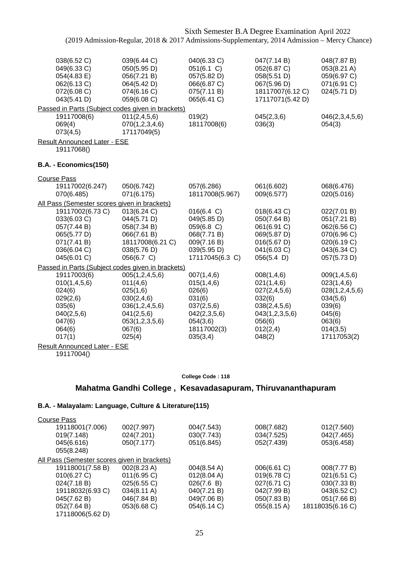|                                                                                                                                                            | Sixth Semester B.A Degree Examination April 2022<br>(2019 Admission-Regular, 2018 & 2017 Admissions-Supplementary, 2014 Admission - Mercy Chance) |                                                                                                                   |                                                                                                                      |                                                                                                                       |
|------------------------------------------------------------------------------------------------------------------------------------------------------------|---------------------------------------------------------------------------------------------------------------------------------------------------|-------------------------------------------------------------------------------------------------------------------|----------------------------------------------------------------------------------------------------------------------|-----------------------------------------------------------------------------------------------------------------------|
| 038(6.52 C)<br>049(6.33 C)<br>054(4.83 E)<br>062(6.13 C)<br>072(6.08 C)<br>043(5.41 D)                                                                     | 039(6.44 C)<br>050(5.95 D)<br>056(7.21 B)<br>064(5.42 D)<br>074(6.16 C)<br>059(6.08 C)                                                            | 040(6.33 C)<br>051(6.1 C)<br>057(5.82 D)<br>066(6.87 C)<br>075(7.11 B)<br>065(6.41 C)                             | 047(7.14 B)<br>052(6.87 C)<br>058(5.51 D)<br>067(5.96 D)<br>18117007(6.12 C)<br>17117071(5.42 D)                     | 048(7.87 B)<br>053(8.21 A)<br>059(6.97 C)<br>071(6.91 C)<br>024(5.71 D)                                               |
| Passed in Parts (Subject codes given in brackets)<br>19117008(6)<br>069(4)<br>073(4,5)                                                                     | 011(2,4,5,6)<br>070(1,2,3,4,6)<br>17117049(5)                                                                                                     | 019(2)<br>18117008(6)                                                                                             | 045(2,3,6)<br>036(3)                                                                                                 | 046(2,3,4,5,6)<br>054(3)                                                                                              |
| <b>Result Announced Later - ESE</b><br>19117068()                                                                                                          |                                                                                                                                                   |                                                                                                                   |                                                                                                                      |                                                                                                                       |
| B.A. - Economics(150)                                                                                                                                      |                                                                                                                                                   |                                                                                                                   |                                                                                                                      |                                                                                                                       |
| <b>Course Pass</b><br>19117002(6.247)<br>070(6.485)                                                                                                        | 050(6.742)<br>071(6.175)                                                                                                                          | 057(6.286)<br>18117008(5.967)                                                                                     | 061(6.602)<br>009(6.577)                                                                                             | 068(6.476)<br>020(5.016)                                                                                              |
| All Pass (Semester scores given in brackets)<br>19117002(6.73 C)<br>033(6.03 C)<br>057(7.44 B)<br>065(5.77 D)<br>071(7.41 B)<br>036(6.04 C)<br>045(6.01 C) | 013(6.24 C)<br>044(5.71 D)<br>058(7.34 B)<br>066(7.61 B)<br>18117008(6.21 C)<br>038(5.76 D)<br>056(6.7 C)                                         | 016(6.4 C)<br>049(5.85 D)<br>059(6.8 C)<br>068(7.71 B)<br>009(7.16 B)<br>039(5.95 D)<br>17117045(6.3 C)           | 018(6.43 C)<br>050(7.64 B)<br>061(6.91 C)<br>069(5.87 D)<br>016(5.67 D)<br>041(6.03 C)<br>056(5.4)                   | 022(7.01 B)<br>051(7.21 B)<br>062(6.56 C)<br>070(6.96 C)<br>020(6.19 C)<br>043(6.34 C)<br>057(5.73 D)                 |
| Passed in Parts (Subject codes given in brackets)                                                                                                          |                                                                                                                                                   |                                                                                                                   |                                                                                                                      |                                                                                                                       |
| 19117003(6)<br>010(1,4,5,6)<br>024(6)<br>029(2,6)<br>035(6)<br>040(2,5,6)<br>047(6)<br>064(6)<br>017(1)                                                    | 005(1, 2, 4, 5, 6)<br>011(4,6)<br>025(1,6)<br>030(2,4,6)<br>036(1, 2, 4, 5, 6)<br>041(2,5,6)<br>053(1,2,3,5,6)<br>067(6)<br>025(4)                | 007(1,4,6)<br>015(1,4,6)<br>026(6)<br>031(6)<br>037(2,5,6)<br>042(2,3,5,6)<br>054(3,6)<br>18117002(3)<br>035(3,4) | 008(1,4,6)<br>021(1,4,6)<br>027(2,4,5,6)<br>032(6)<br>038(2,4,5,6)<br>043(1,2,3,5,6)<br>056(6)<br>012(2,4)<br>048(2) | 009(1,4,5,6)<br>023(1,4,6)<br>028(1, 2, 4, 5, 6)<br>034(5,6)<br>039(6)<br>045(6)<br>063(6)<br>014(3,5)<br>17117053(2) |

Result Announced Later - ESE

19117004()

#### **College Code : 118**

## **Mahatma Gandhi College , Kesavadasapuram, Thiruvananthapuram**

| Course Pass                                         |                |                       |             |                  |
|-----------------------------------------------------|----------------|-----------------------|-------------|------------------|
| 19118001(7.006)                                     | 002(7.997)     | 004(7.543)            | 008(7.682)  | 012(7.560)       |
| 019(7.148)                                          | 024(7.201)     | 030(7.743)            | 034(7.525)  | 042(7.465)       |
| 045(6.616)                                          | 050(7.177)     | 051(6.845)            | 052(7.439)  | 053(6.458)       |
| 055(8.248)                                          |                |                       |             |                  |
| <u>All Pass (Semester scores given in brackets)</u> |                |                       |             |                  |
| 19118001(7.58 B)                                    | 002(8.23 A)    | $004(8.54 \text{ A})$ | 006(6.61 C) | 008(7.77 B)      |
| 010(6.27 C)                                         | $011(6.95)$ C) | 012(8.04 A)           | 019(6.78 C) | 021(6.51 C)      |
| 024(7.18 B)                                         | 025(6.55 C)    | 026(7.6 B)            | 027(6.71 C) | 030(7.33 B)      |
| 19118032(6.93 C)                                    | 034(8.11 A)    | 040(7.21 B)           | 042(7.99 B) | 043(6.52 C)      |
| 045(7.62 B)                                         | 046(7.84 B)    | 049(7.06 B)           | 050(7.83 B) | 051(7.66 B)      |
| 052(7.64 B)                                         | 053(6.68 C)    | 054(6.14 C)           | 055(8.15 A) | 18118035(6.16 C) |
| 17118006(5.62 D)                                    |                |                       |             |                  |
|                                                     |                |                       |             |                  |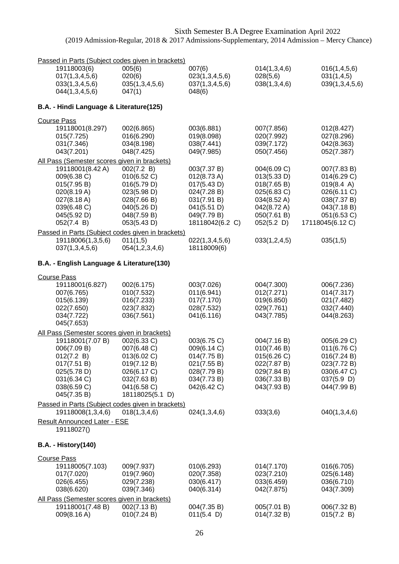| Passed in Parts (Subject codes given in brackets)                                                                                                                             |                                                                                                                          |                                                                                                                                    |                                                                                                                   |                                                                                                                          |
|-------------------------------------------------------------------------------------------------------------------------------------------------------------------------------|--------------------------------------------------------------------------------------------------------------------------|------------------------------------------------------------------------------------------------------------------------------------|-------------------------------------------------------------------------------------------------------------------|--------------------------------------------------------------------------------------------------------------------------|
| 19118003(6)<br>017(1, 3, 4, 5, 6)<br>033(1,3,4,5,6)<br>044(1,3,4,5,6)                                                                                                         | 005(6)<br>020(6)<br>035(1,3,4,5,6)<br>047(1)                                                                             | 007(6)<br>023(1,3,4,5,6)<br>037(1,3,4,5,6)<br>048(6)                                                                               | 014(1,3,4,6)<br>028(5,6)<br>038(1,3,4,6)                                                                          | 016(1,4,5,6)<br>031(1,4,5)<br>039(1,3,4,5,6)                                                                             |
| B.A. - Hindi Language & Literature(125)                                                                                                                                       |                                                                                                                          |                                                                                                                                    |                                                                                                                   |                                                                                                                          |
| <b>Course Pass</b>                                                                                                                                                            |                                                                                                                          |                                                                                                                                    |                                                                                                                   |                                                                                                                          |
| 19118001(8.297)<br>015(7.725)<br>031(7.346)<br>043(7.201)                                                                                                                     | 002(6.865)<br>016(6.290)<br>034(8.198)<br>048(7.425)                                                                     | 003(6.881)<br>019(8.098)<br>038(7.441)<br>049(7.985)                                                                               | 007(7.856)<br>020(7.992)<br>039(7.172)<br>050(7.456)                                                              | 012(8.427)<br>027(8.296)<br>042(8.363)<br>052(7.387)                                                                     |
| All Pass (Semester scores given in brackets)                                                                                                                                  |                                                                                                                          |                                                                                                                                    |                                                                                                                   |                                                                                                                          |
| 19118001(8.42 A)<br>009(6.38 C)<br>015(7.95 B)<br>020(8.19 A)<br>027(8.18 A)<br>039(6.48 C)<br>045(5.92 D)<br>052(7.4 B)<br>Passed in Parts (Subject codes given in brackets) | 002(7.2 B)<br>010(6.52 C)<br>016(5.79 D)<br>023(5.98 D)<br>028(7.66 B)<br>040(5.26 D)<br>048(7.59 B)<br>053(5.43 D)      | 003(7.37 B)<br>$012(8.73 \text{ A})$<br>017(5.43 D)<br>024(7.28 B)<br>031(7.91 B)<br>041(5.51 D)<br>049(7.79 B)<br>18118042(6.2 C) | 004(6.09 C)<br>013(5.33 D)<br>018(7.65 B)<br>025(6.83 C)<br>034(8.52 A)<br>042(8.72 A)<br>050(7.61 B)<br>052(5.2) | 007(7.83 B)<br>014(6.29 C)<br>019(8.4 A)<br>026(6.11 C)<br>038(7.37 B)<br>043(7.18 B)<br>051(6.53 C)<br>17118045(6.12 C) |
| 19118006(1,3,5,6)                                                                                                                                                             | 011(1,5)                                                                                                                 | 022(1,3,4,5,6)                                                                                                                     | 033(1,2,4,5)                                                                                                      | 035(1,5)                                                                                                                 |
| 037(1,3,4,5,6)                                                                                                                                                                | 054(1,2,3,4,6)                                                                                                           | 18118009(6)                                                                                                                        |                                                                                                                   |                                                                                                                          |
| B.A. - English Language & Literature(130)                                                                                                                                     |                                                                                                                          |                                                                                                                                    |                                                                                                                   |                                                                                                                          |
| <b>Course Pass</b>                                                                                                                                                            |                                                                                                                          |                                                                                                                                    |                                                                                                                   |                                                                                                                          |
| 19118001(6.827)<br>007(6.765)<br>015(6.139)<br>022(7.650)<br>034(7.722)<br>045(7.653)                                                                                         | 002(6.175)<br>010(7.532)<br>016(7.233)<br>023(7.832)<br>036(7.561)                                                       | 003(7.026)<br>011(6.941)<br>017(7.170)<br>028(7.532)<br>041(6.116)                                                                 | 004(7.300)<br>012(7.271)<br>019(6.850)<br>029(7.761)<br>043(7.785)                                                | 006(7.236)<br>014(7.317)<br>021(7.482)<br>032(7.440)<br>044(8.263)                                                       |
| All Pass (Semester scores given in brackets)                                                                                                                                  |                                                                                                                          |                                                                                                                                    |                                                                                                                   |                                                                                                                          |
| 19118001(7.07 B)<br>006(7.09 B)<br>012(7.2 B)<br>017(7.51 B)<br>025(5.78 D)<br>031(6.34 C)<br>038(6.59 C)<br>045(7.35 B)                                                      | 002(6.33 C)<br>007(6.48 C)<br>013(6.02 C)<br>019(7.12 B)<br>026(6.17 C)<br>032(7.63 B)<br>041(6.58 C)<br>18118025(5.1 D) | 003(6.75 C)<br>009(6.14 C)<br>014(7.75 B)<br>021(7.55 B)<br>028(7.79 B)<br>034(7.73 B)<br>042(6.42 C)                              | 004(7.16 B)<br>010(7.46 B)<br>015(6.26 C)<br>022(7.87 B)<br>029(7.84 B)<br>036(7.33 B)<br>043(7.93 B)             | 005(6.29 C)<br>011(6.76)<br>016(7.24 B)<br>023(7.72 B)<br>030(6.47 C)<br>$037(5.9)$ D)<br>044(7.99 B)                    |
| Passed in Parts (Subject codes given in brackets)<br>19118008(1,3,4,6)                                                                                                        | 018(1,3,4,6)                                                                                                             | 024(1,3,4,6)                                                                                                                       | 033(3,6)                                                                                                          | 040(1,3,4,6)                                                                                                             |
| <b>Result Announced Later - ESE</b><br>19118027()                                                                                                                             |                                                                                                                          |                                                                                                                                    |                                                                                                                   |                                                                                                                          |
| <b>B.A. - History(140)</b>                                                                                                                                                    |                                                                                                                          |                                                                                                                                    |                                                                                                                   |                                                                                                                          |
| <b>Course Pass</b><br>19118005(7.103)<br>017(7.020)<br>026(6.455)<br>038(6.620)                                                                                               | 009(7.937)<br>019(7.960)<br>029(7.238)<br>039(7.346)                                                                     | 010(6.293)<br>020(7.358)<br>030(6.417)<br>040(6.314)                                                                               | 014(7.170)<br>023(7.210)<br>033(6.459)<br>042(7.875)                                                              | 016(6.705)<br>025(6.148)<br>036(6.710)<br>043(7.309)                                                                     |
| All Pass (Semester scores given in brackets)<br>19118001(7.48 B)                                                                                                              | 002(7.13 B)                                                                                                              | 004(7.35 B)                                                                                                                        | 005(7.01 B)                                                                                                       | 006(7.32 B)                                                                                                              |
| 009(8.16 A)                                                                                                                                                                   | 010(7.24 B)                                                                                                              | 011(5.4)                                                                                                                           | 014(7.32 B)                                                                                                       | 015(7.2 B)                                                                                                               |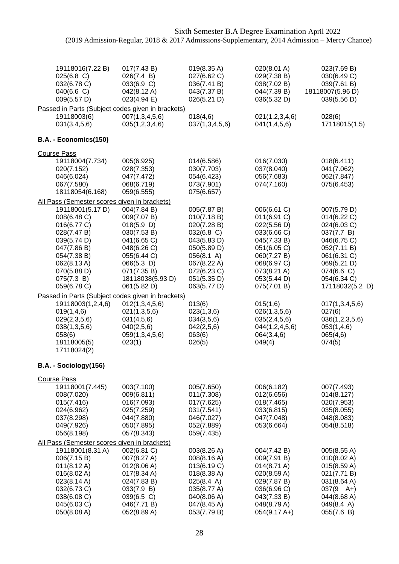| 19118016(7.22 B)<br>025(6.8 C)<br>032(6.78 C)<br>040(6.6)<br>009(5.57 D)                                                                                                                                              | 017(7.43 B)<br>026(7.4 B)<br>033(6.9 C)<br>042(8.12 A)<br>023(4.94 E)                                                                                                 | 019(8.35 A)<br>027(6.62 C)<br>036(7.41 B)<br>043(7.37 B)<br>026(5.21 D)                                                                                         | 020(8.01 A)<br>029(7.38 B)<br>038(7.02 B)<br>044(7.39 B)<br>036(5.32 D)                                                                                           | 023(7.69 B)<br>030(6.49 C)<br>039(7.61 B)<br>18118007(5.96 D)<br>039(5.56 D)                                                                                        |
|-----------------------------------------------------------------------------------------------------------------------------------------------------------------------------------------------------------------------|-----------------------------------------------------------------------------------------------------------------------------------------------------------------------|-----------------------------------------------------------------------------------------------------------------------------------------------------------------|-------------------------------------------------------------------------------------------------------------------------------------------------------------------|---------------------------------------------------------------------------------------------------------------------------------------------------------------------|
| 19118003(6)<br>031(3,4,5,6)                                                                                                                                                                                           | Passed in Parts (Subject codes given in brackets)<br>007(1,3,4,5,6)<br>035(1,2,3,4,6)                                                                                 | 018(4,6)<br>037(1,3,4,5,6)                                                                                                                                      | 021(1,2,3,4,6)<br>041(1,4,5,6)                                                                                                                                    | 028(6)<br>17118015(1,5)                                                                                                                                             |
| B.A. - Economics(150)                                                                                                                                                                                                 |                                                                                                                                                                       |                                                                                                                                                                 |                                                                                                                                                                   |                                                                                                                                                                     |
| <b>Course Pass</b><br>19118004(7.734)<br>020(7.152)<br>046(6.024)<br>067(7.580)<br>18118054(6.168)                                                                                                                    | 005(6.925)<br>028(7.353)<br>047(7.472)<br>068(6.719)<br>059(6.555)                                                                                                    | 014(6.586)<br>030(7.703)<br>054(6.423)<br>073(7.901)<br>075(6.657)                                                                                              | 016(7.030)<br>037(8.040)<br>056(7.683)<br>074(7.160)                                                                                                              | 018(6.411)<br>041(7.062)<br>062(7.847)<br>075(6.453)                                                                                                                |
| All Pass (Semester scores given in brackets)<br>19118001(5.17 D)<br>008(6.48 C)<br>016(6.77 C)<br>028(7.47 B)<br>039(5.74 D)<br>047(7.86 B)<br>054(7.38 B)<br>062(8.13 A)<br>070(5.88 D)<br>075(7.3 B)<br>059(6.78 C) | 004(7.84 B)<br>009(7.07 B)<br>018(5.9)<br>030(7.53 B)<br>041(6.65 C)<br>048(6.26 C)<br>055(6.44 C)<br>$066(5.3)$ D)<br>071(7.35 B)<br>18118038(5.93 D)<br>061(5.82 D) | 005(7.87 B)<br>010(7.18 B)<br>020(7.28 B)<br>032(6.8 C)<br>043(5.83 D)<br>050(5.89 D)<br>056(8.1 A)<br>067(8.22 A)<br>072(6.23 C)<br>051(5.35 D)<br>063(5.77 D) | 006(6.61 C)<br>011(6.91 C)<br>022(5.56 D)<br>033(6.66 C)<br>045(7.33 B)<br>051(6.05 C)<br>060(7.27 B)<br>068(6.97 C)<br>073(8.21 A)<br>053(5.44 D)<br>075(7.01 B) | 007(5.79 D)<br>014(6.22 C)<br>024(6.03 C)<br>037(7.7 B)<br>046(6.75 C)<br>052(7.11 B)<br>061(6.31 C)<br>069(5.21 D)<br>074(6.6 C)<br>054(6.34 C)<br>17118032(5.2 D) |
| 19118003(1,2,4,6)<br>019(1,4,6)<br>029(2,3,5,6)<br>038(1,3,5,6)<br>058(6)<br>18118005(5)<br>17118024(2)                                                                                                               | Passed in Parts (Subject codes given in brackets)<br>012(1,3,4,5,6)<br>021(1,3,5,6)<br>031(4,5,6)<br>040(2,5,6)<br>059(1,3,4,5,6)<br>023(1)                           | 013(6)<br>023(1,3,6)<br>034(3,5,6)<br>042(2,5,6)<br>063(6)<br>026(5)                                                                                            | 015(1,6)<br>026(1,3,5,6)<br>035(2,4,5,6)<br>044(1,2,4,5,6)<br>064(3,4,6)<br>049(4)                                                                                | 017(1,3,4,5,6)<br>027(6)<br>036(1,2,3,5,6)<br>053(1,4,6)<br>065(4,6)<br>074(5)                                                                                      |
| B.A. - Sociology(156)                                                                                                                                                                                                 |                                                                                                                                                                       |                                                                                                                                                                 |                                                                                                                                                                   |                                                                                                                                                                     |
| <b>Course Pass</b><br>19118001(7.445)<br>008(7.020)<br>015(7.416)<br>024(6.962)<br>037(8.298)<br>049(7.926)<br>056(8.198)                                                                                             | 003(7.100)<br>009(6.811)<br>016(7.093)<br>025(7.259)<br>044(7.880)<br>050(7.895)<br>057(8.343)                                                                        | 005(7.650)<br>011(7.308)<br>017(7.625)<br>031(7.541)<br>046(7.027)<br>052(7.889)<br>059(7.435)                                                                  | 006(6.182)<br>012(6.656)<br>018(7.465)<br>033(6.815)<br>047(7.048)<br>053(6.664)                                                                                  | 007(7.493)<br>014(8.127)<br>020(7.953)<br>035(8.055)<br>048(8.083)<br>054(8.518)                                                                                    |
| All Pass (Semester scores given in brackets)<br>19118001(8.31 A)<br>006(7.15 B)<br>$011(8.12 \text{ A})$<br>016(8.02 A)<br>023(8.14 A)<br>032(6.73 C)<br>038(6.08 C)<br>045(6.03 C)<br>050(8.08 A)                    | 002(6.81 C)<br>007(8.27 A)<br>012(8.06 A)<br>017(8.34 A)<br>024(7.83 B)<br>033(7.9 B)<br>039(6.5 C)<br>046(7.71 B)<br>052(8.89 A)                                     | 003(8.26 A)<br>008(8.16 A)<br>013(6.19 C)<br>018(8.38 A)<br>025(8.4 A)<br>035(8.77 A)<br>040(8.06 A)<br>047(8.45 A)<br>053(7.79 B)                              | 004(7.42 B)<br>009(7.91 B)<br>014(8.71 A)<br>020(8.59 A)<br>029(7.87 B)<br>036(6.96 C)<br>043(7.33 B)<br>048(8.79 A)<br>$054(9.17 A+)$                            | 005(8.55 A)<br>010(8.02 A)<br>015(8.59 A)<br>021(7.71 B)<br>031(8.64 A)<br>$037(9 \text{ A+})$<br>044(8.68 A)<br>049(8.4 A)<br>055(7.6 B)                           |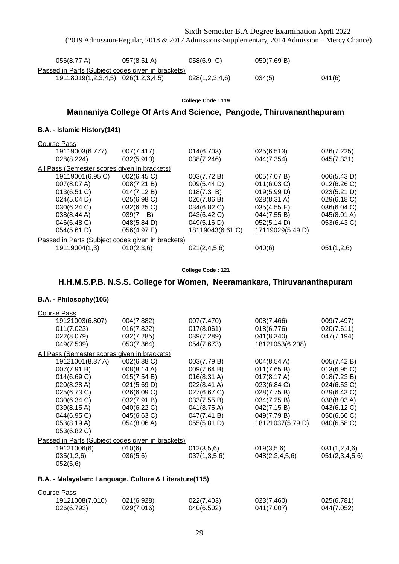|                                                                                         | (2019 Admission-Regular, 2018 & 2017 Admissions-Supplementary, 2014 Admission - Mercy Chance) |                   |                       |             |
|-----------------------------------------------------------------------------------------|-----------------------------------------------------------------------------------------------|-------------------|-----------------------|-------------|
| 056(8.77 A)                                                                             | 057(8.51 A)                                                                                   | 058(6.9 C)        | 059(7.69 B)           |             |
| Passed in Parts (Subject codes given in brackets)<br>19118019(1,2,3,4,5) 026(1,2,3,4,5) |                                                                                               | 028(1,2,3,4,6)    | 034(5)                | 041(6)      |
|                                                                                         |                                                                                               | College Code: 119 |                       |             |
|                                                                                         | Mannaniya College Of Arts And Science, Pangode, Thiruvananthapuram                            |                   |                       |             |
| B.A. - Islamic History(141)                                                             |                                                                                               |                   |                       |             |
| <b>Course Pass</b>                                                                      |                                                                                               |                   |                       |             |
| 19119003(6.777)                                                                         | 007(7.417)                                                                                    | 014(6.703)        | 025(6.513)            | 026(7.225)  |
| 028(8.224)                                                                              | 032(5.913)                                                                                    | 038(7.246)        | 044(7.354)            | 045(7.331)  |
| All Pass (Semester scores given in brackets)                                            |                                                                                               |                   |                       |             |
| 19119001(6.95 C)                                                                        | 002(6.45 C)                                                                                   | 003(7.72 B)       | 005(7.07 B)           | 006(5.43 D) |
| 007(8.07 A)                                                                             | 008(7.21 B)                                                                                   | 009(5.44 D)       | 011(6.03 C)           | 012(6.26 C) |
| 013(6.51 C)                                                                             | 014(7.12 B)                                                                                   | 018(7.3 B)        | 019(5.99 D)           | 023(5.21 D) |
| 024(5.04 D)                                                                             | 025(6.98 C)                                                                                   | 026(7.86 B)       | 028(8.31 A)           | 029(6.18 C) |
| 030(6.24 C)                                                                             | 032(6.25 C)                                                                                   | 034(6.82 C)       | $035(4.55 \text{ E})$ | 036(6.04 C) |
| 038(8.44 A)                                                                             | $039(7 \quad B)$                                                                              | 043(6.42 C)       | 044(7.55 B)           | 045(8.01 A) |
| 046(6.48 C)                                                                             | 048(5.84 D)                                                                                   | 049(5.16 D)       | 052(5.14 D)           | 053(6.43 C) |
| 054(5.61 D)                                                                             | 056(4.97 E)                                                                                   | 18119043(6.61 C)  | 17119029(5.49 D)      |             |
| Passed in Parts (Subject codes given in brackets)                                       |                                                                                               |                   |                       |             |

Sixth Semester B.A Degree Examination April 2022

#### **College Code : 121**

19119004(1,3) 010(2,3,6) 021(2,4,5,6) 040(6) 051(1,2,6)

## **H.H.M.S.P.B. N.S.S. College for Women, Neeramankara, Thiruvananthapuram**

#### **B.A. - Philosophy(105)**

| <b>Course Pass</b>                                |             |              |                       |                |  |
|---------------------------------------------------|-------------|--------------|-----------------------|----------------|--|
| 19121003(6.807)                                   | 004(7.882)  | 007(7.470)   | 008(7.466)            | 009(7.497)     |  |
| 011(7.023)                                        | 016(7.822)  | 017(8.061)   | 018(6.776)            | 020(7.611)     |  |
| 022(8.079)                                        | 032(7.285)  | 039(7.289)   | 041(8.340)            | 047(7.194)     |  |
| 049(7.509)                                        | 053(7.364)  | 054(7.673)   | 18121053(6.208)       |                |  |
| All Pass (Semester scores given in brackets)      |             |              |                       |                |  |
| 19121001(8.37 A)                                  | 002(6.88 C) | 003(7.79 B)  | 004(8.54 A)           | 005(7.42 B)    |  |
| 007(7.91 B)                                       | 008(8.14 A) | 009(7.64 B)  | 011(7.65 B)           | 013(6.95 C)    |  |
| 014(6.69 C)                                       | 015(7.54 B) | 016(8.31 A)  | $017(8.17 \text{ A})$ | 018(7.23 B)    |  |
| 020(8.28 A)                                       | 021(5.69 D) | 022(8.41 A)  | 023(6.84 C)           | 024(6.53 C)    |  |
| 025(6.73 C)                                       | 026(6.09 C) | 027(6.67 C)  | 028(7.75 B)           | 029(6.43 C)    |  |
| 030(6.34 C)                                       | 032(7.91 B) | 033(7.55 B)  | 034(7.25 B)           | 038(8.03 A)    |  |
| 039(8.15 A)                                       | 040(6.22 C) | 041(8.75 A)  | 042(7.15 B)           | 043(6.12 C)    |  |
| 044(6.95 C)                                       | 045(6.63 C) | 047(7.41 B)  | 049(7.79 B)           | 050(6.66 C)    |  |
| 053(8.19 A)                                       | 054(8.06 A) | 055(5.81 D)  | 18121037(5.79 D)      | 040(6.58 C)    |  |
| 053(6.82 C)                                       |             |              |                       |                |  |
| Passed in Parts (Subject codes given in brackets) |             |              |                       |                |  |
| 19121006(6)                                       | 010(6)      | 012(3,5,6)   | 019(3,5,6)            | 031(1,2,4,6)   |  |
| 035(1,2,6)                                        | 036(5,6)    | 037(1,3,5,6) | 048(2,3,4,5,6)        | 051(2,3,4,5,6) |  |
| 052(5,6)                                          |             |              |                       |                |  |

| Course Pass     |            |            |            |            |
|-----------------|------------|------------|------------|------------|
| 19121008(7.010) | 021(6.928) | 022(7.403) | 023(7.460) | 025(6.781) |
| 026(6.793)      | 029(7.016) | 040(6.502) | 041(7.007) | 044(7.052) |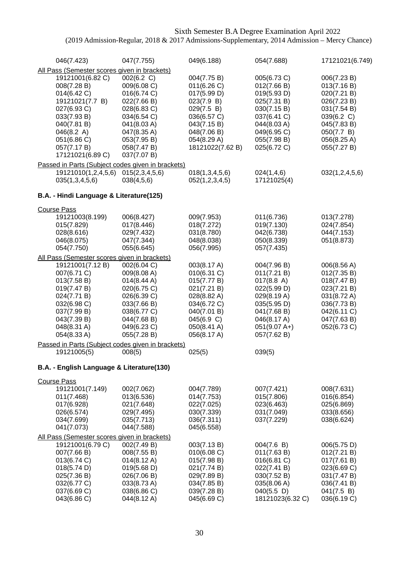| 046(7.423)                                                                                                                                                                                                                     | 047(7.755)                                                                                                                                                       | 049(6.188)                                                                                                                                          | 054(7.688)                                                                                                                                           | 17121021(6.749)                                                                                                                                  |
|--------------------------------------------------------------------------------------------------------------------------------------------------------------------------------------------------------------------------------|------------------------------------------------------------------------------------------------------------------------------------------------------------------|-----------------------------------------------------------------------------------------------------------------------------------------------------|------------------------------------------------------------------------------------------------------------------------------------------------------|--------------------------------------------------------------------------------------------------------------------------------------------------|
| All Pass (Semester scores given in brackets)<br>19121001(6.82 C)<br>008(7.28 B)<br>014(6.42 C)<br>19121021(7.7 B)<br>027(6.93 C)<br>033(7.93 B)<br>040(7.81 B)<br>046(8.2 A)<br>051(6.86 C)<br>057(7.17 B)<br>17121021(6.89 C) | 002(6.2 C)<br>009(6.08 C)<br>016(6.74 C)<br>022(7.66 B)<br>028(6.83 C)<br>034(6.54 C)<br>041(8.03 A)<br>047(8.35 A)<br>053(7.95 B)<br>058(7.47 B)<br>037(7.07 B) | 004(7.75 B)<br>011(6.26)<br>017(5.99 D)<br>023(7.9 B)<br>029(7.5 B)<br>036(6.57 C)<br>043(7.15 B)<br>048(7.06 B)<br>054(8.29 A)<br>18121022(7.62 B) | 005(6.73 C)<br>012(7.66 B)<br>019(5.93 D)<br>025(7.31 B)<br>030(7.15 B)<br>037(6.41 C)<br>044(8.03 A)<br>049(6.95 C)<br>055(7.98 B)<br>025(6.72 C)   | 006(7.23 B)<br>013(7.16 B)<br>020(7.21 B)<br>026(7.23 B)<br>031(7.54 B)<br>039(6.2 C)<br>045(7.83 B)<br>050(7.7 B)<br>056(8.25 A)<br>055(7.27 B) |
| Passed in Parts (Subject codes given in brackets)                                                                                                                                                                              |                                                                                                                                                                  |                                                                                                                                                     |                                                                                                                                                      |                                                                                                                                                  |
| 19121010(1,2,4,5,6)<br>035(1,3,4,5,6)                                                                                                                                                                                          | 015(2,3,4,5,6)<br>038(4,5,6)                                                                                                                                     | 018(1,3,4,5,6)<br>052(1,2,3,4,5)                                                                                                                    | 024(1,4,6)<br>17121025(4)                                                                                                                            | 032(1,2,4,5,6)                                                                                                                                   |
| B.A. - Hindi Language & Literature(125)                                                                                                                                                                                        |                                                                                                                                                                  |                                                                                                                                                     |                                                                                                                                                      |                                                                                                                                                  |
| <b>Course Pass</b>                                                                                                                                                                                                             |                                                                                                                                                                  |                                                                                                                                                     |                                                                                                                                                      |                                                                                                                                                  |
| 19121003(8.199)<br>015(7.829)<br>028(8.616)<br>046(8.075)<br>054(7.750)                                                                                                                                                        | 006(8.427)<br>017(8.446)<br>029(7.432)<br>047(7.344)<br>055(6.645)                                                                                               | 009(7.953)<br>018(7.272)<br>031(8.780)<br>048(8.038)<br>056(7.995)                                                                                  | 011(6.736)<br>019(7.130)<br>042(6.738)<br>050(8.339)<br>057(7.435)                                                                                   | 013(7.278)<br>024(7.854)<br>044(7.153)<br>051(8.873)                                                                                             |
| All Pass (Semester scores given in brackets)                                                                                                                                                                                   |                                                                                                                                                                  |                                                                                                                                                     |                                                                                                                                                      |                                                                                                                                                  |
| 19121001(7.12 B)<br>007(6.71 C)<br>013(7.58 B)<br>019(7.47 B)<br>024(7.71 B)<br>032(6.98 C)<br>037(7.99 B)<br>043(7.39 B)<br>048(8.31 A)<br>054(8.33 A)                                                                        | 002(6.04 C)<br>009(8.08 A)<br>014(8.44 A)<br>020(6.75 C)<br>026(6.39 C)<br>033(7.66 B)<br>038(6.77 C)<br>044(7.68 B)<br>049(6.23 C)<br>055(7.28 B)               | 003(8.17 A)<br>010(6.31 C)<br>015(7.77 B)<br>021(7.21 B)<br>028(8.82 A)<br>034(6.72 C)<br>040(7.01 B)<br>045(6.9 C)<br>050(8.41 A)<br>056(8.17 A)   | 004(7.96 B)<br>011(7.21 B)<br>017(8.8 A)<br>022(5.99 D)<br>029(8.19 A)<br>035(5.95 D)<br>041(7.68 B)<br>046(8.17 A)<br>$051(9.07 A+)$<br>057(7.62 B) | 006(8.56 A)<br>012(7.35 B)<br>018(7.47 B)<br>023(7.21 B)<br>031(8.72 A)<br>036(7.73 B)<br>042(6.11 C)<br>047(7.63 B)<br>052(6.73 C)              |
| Passed in Parts (Subject codes given in brackets)<br>19121005(5)                                                                                                                                                               | 008(5)                                                                                                                                                           | 025(5)                                                                                                                                              | 039(5)                                                                                                                                               |                                                                                                                                                  |
|                                                                                                                                                                                                                                |                                                                                                                                                                  |                                                                                                                                                     |                                                                                                                                                      |                                                                                                                                                  |
| B.A. - English Language & Literature(130)                                                                                                                                                                                      |                                                                                                                                                                  |                                                                                                                                                     |                                                                                                                                                      |                                                                                                                                                  |
| <b>Course Pass</b><br>19121001(7.149)<br>011(7.468)<br>017(6.928)<br>026(6.574)<br>034(7.699)<br>041(7.073)                                                                                                                    | 002(7.062)<br>013(6.536)<br>021(7.648)<br>029(7.495)<br>035(7.713)<br>044(7.588)                                                                                 | 004(7.789)<br>014(7.753)<br>022(7.025)<br>030(7.339)<br>036(7.311)<br>045(6.558)                                                                    | 007(7.421)<br>015(7.806)<br>023(6.463)<br>031(7.049)<br>037(7.229)                                                                                   | 008(7.631)<br>016(6.854)<br>025(6.869)<br>033(8.656)<br>038(6.624)                                                                               |
| All Pass (Semester scores given in brackets)                                                                                                                                                                                   |                                                                                                                                                                  |                                                                                                                                                     |                                                                                                                                                      |                                                                                                                                                  |
| 19121001(6.79 C)<br>007(7.66 B)<br>013(6.74 C)<br>018(5.74 D)<br>025(7.36 B)<br>032(6.77 C)<br>037(6.69 C)<br>043(6.86 C)                                                                                                      | 002(7.49 B)<br>008(7.55 B)<br>$014(8.12 \text{ A})$<br>019(5.68 D)<br>026(7.06 B)<br>033(8.73 A)<br>038(6.86 C)<br>044(8.12 A)                                   | 003(7.13 B)<br>010(6.08 C)<br>015(7.98 B)<br>021(7.74 B)<br>029(7.89 B)<br>034(7.85 B)<br>039(7.28 B)<br>045(6.69 C)                                | 004(7.6 B)<br>011(7.63 B)<br>016(6.81 C)<br>022(7.41 B)<br>030(7.52 B)<br>035(8.06 A)<br>$040(5.5)$ D)<br>18121023(6.32 C)                           | 006(5.75 D)<br>012(7.21 B)<br>017(7.61 B)<br>023(6.69 C)<br>031(7.47 B)<br>036(7.41 B)<br>041(7.5 B)<br>036(6.19 C)                              |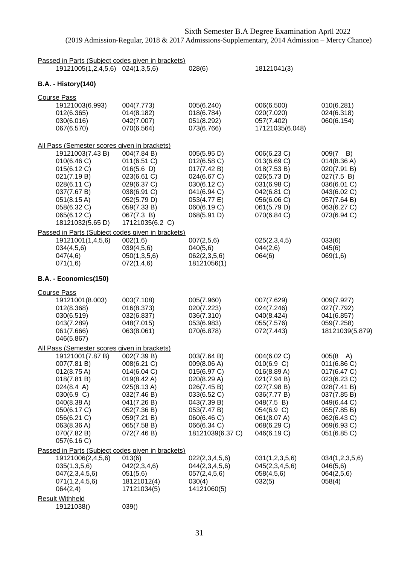| Passed in Parts (Subject codes given in brackets)                                                                                                                                                                                                                   |                                                                                                                                                    |                                                                                                                                                                        |                                                                                                                                                                |                                                                                                                                                                        |
|---------------------------------------------------------------------------------------------------------------------------------------------------------------------------------------------------------------------------------------------------------------------|----------------------------------------------------------------------------------------------------------------------------------------------------|------------------------------------------------------------------------------------------------------------------------------------------------------------------------|----------------------------------------------------------------------------------------------------------------------------------------------------------------|------------------------------------------------------------------------------------------------------------------------------------------------------------------------|
| 19121005(1,2,4,5,6) 024(1,3,5,6)                                                                                                                                                                                                                                    |                                                                                                                                                    | 028(6)                                                                                                                                                                 | 18121041(3)                                                                                                                                                    |                                                                                                                                                                        |
| <b>B.A. - History(140)</b>                                                                                                                                                                                                                                          |                                                                                                                                                    |                                                                                                                                                                        |                                                                                                                                                                |                                                                                                                                                                        |
| <b>Course Pass</b><br>19121003(6.993)<br>012(6.365)<br>030(6.016)<br>067(6.570)                                                                                                                                                                                     | 004(7.773)<br>014(8.182)<br>042(7.007)<br>070(6.564)                                                                                               | 005(6.240)<br>018(6.784)<br>051(8.292)<br>073(6.766)                                                                                                                   | 006(6.500)<br>020(7.020)<br>057(7.402)<br>17121035(6.048)                                                                                                      | 010(6.281)<br>024(6.318)<br>060(6.154)                                                                                                                                 |
| All Pass (Semester scores given in brackets)<br>19121003(7.43 B)<br>010(6.46 C)<br>015(6.12 C)<br>021(7.19 B)<br>028(6.11 C)<br>037(7.67 B)<br>051(8.15 A)<br>058(6.32 C)<br>065(6.12 C)<br>18121032(5.65 D)                                                        | 004(7.84 B)<br>011(6.51 C)<br>016(5.6)<br>023(6.61 C)<br>029(6.37 C)<br>038(6.91 C)<br>052(5.79 D)<br>059(7.33 B)<br>067(7.3 B)<br>17121035(6.2 C) | 005(5.95 D)<br>012(6.58 C)<br>017(7.42 B)<br>024(6.67 C)<br>030(6.12 C)<br>041(6.94 C)<br>053(4.77 E)<br>060(6.19 C)<br>068(5.91 D)                                    | 006(6.23 C)<br>013(6.69 C)<br>018(7.53 B)<br>026(5.73 D)<br>031(6.98 C)<br>042(6.81 C)<br>056(6.06 C)<br>061(5.79 D)<br>070(6.84 C)                            | 009(7<br>B)<br>014(8.36 A)<br>020(7.91 B)<br>027(7.5 B)<br>036(6.01 C)<br>043(6.02 C)<br>057(7.64 B)<br>063(6.27 C)<br>073(6.94 C)                                     |
| Passed in Parts (Subject codes given in brackets)<br>19121001(1,4,5,6)<br>034(4,5,6)<br>047(4,6)<br>071(1,6)                                                                                                                                                        | 002(1,6)<br>039(4,5,6)<br>050(1,3,5,6)<br>072(1,4,6)                                                                                               | 007(2,5,6)<br>040(5,6)<br>062(2,3,5,6)<br>18121056(1)                                                                                                                  | 025(2,3,4,5)<br>044(2,6)<br>064(6)                                                                                                                             | 033(6)<br>045(6)<br>069(1,6)                                                                                                                                           |
| B.A. - Economics(150)                                                                                                                                                                                                                                               |                                                                                                                                                    |                                                                                                                                                                        |                                                                                                                                                                |                                                                                                                                                                        |
| <b>Course Pass</b><br>19121001(8.003)<br>012(8.368)<br>030(6.519)<br>043(7.289)<br>061(7.666)<br>046(5.867)                                                                                                                                                         | 003(7.108)<br>016(8.373)<br>032(6.837)<br>048(7.015)<br>063(8.061)                                                                                 | 005(7.960)<br>020(7.223)<br>036(7.310)<br>053(6.983)<br>070(6.878)                                                                                                     | 007(7.629)<br>024(7.246)<br>040(8.424)<br>055(7.576)<br>072(7.443)                                                                                             | 009(7.927)<br>027(7.792)<br>041(6.857)<br>059(7.258)<br>18121039(5.879)                                                                                                |
| All Pass (Semester scores given in brackets)<br>19121001(7.87 B) 002(7.39 B)<br>007(7.81 B)<br>$012(8.75 \text{ A})$<br>018(7.81 B)<br>$024(8.4 \text{ A})$<br>030(6.9 C)<br>040(8.38 A)<br>050(6.17 C)<br>056(6.21 C)<br>063(8.36 A)<br>070(7.82 B)<br>057(6.16 C) | 008(6.21 C)<br>014(6.04 C)<br>019(8.42 A)<br>025(8.13 A)<br>032(7.46 B)<br>041(7.26 B)<br>052(7.36 B)<br>059(7.21 B)<br>065(7.58 B)<br>072(7.46 B) | 003(7.64 B)<br>009(8.06 A)<br>015(6.97 C)<br>020(8.29 A)<br>026(7.45 B)<br>033(6.52 C)<br>043(7.39 B)<br>053(7.47 B)<br>060(6.46 C)<br>066(6.34 C)<br>18121039(6.37 C) | 004(6.02 C)<br>010(6.9 C)<br>016(8.89 A)<br>021(7.94 B)<br>027(7.98 B)<br>036(7.77 B)<br>048(7.5 B)<br>054(6.9 C)<br>061(8.07 A)<br>068(6.29 C)<br>046(6.19 C) | $005(8 \text{ A})$<br>011(6.86)<br>017(6.47 C)<br>023(6.23 C)<br>028(7.41 B)<br>037(7.85 B)<br>049(6.44 C)<br>055(7.85 B)<br>062(6.43 C)<br>069(6.93 C)<br>051(6.85 C) |
| Passed in Parts (Subject codes given in brackets)<br>19121006(2,4,5,6)<br>035(1,3,5,6)<br>047(2,3,4,5,6)<br>071(1,2,4,5,6)<br>064(2,4)                                                                                                                              | 013(6)<br>042(2,3,4,6)<br>051(5,6)<br>18121012(4)<br>17121034(5)                                                                                   | 022(2,3,4,5,6)<br>044(2,3,4,5,6)<br>057(2,4,5,6)<br>030(4)<br>14121060(5)                                                                                              | 031(1,2,3,5,6)<br>045(2,3,4,5,6)<br>058(4,5,6)<br>032(5)                                                                                                       | 034(1,2,3,5,6)<br>046(5,6)<br>064(2,5,6)<br>058(4)                                                                                                                     |
| <b>Result Withheld</b><br>19121038()                                                                                                                                                                                                                                | 039()                                                                                                                                              |                                                                                                                                                                        |                                                                                                                                                                |                                                                                                                                                                        |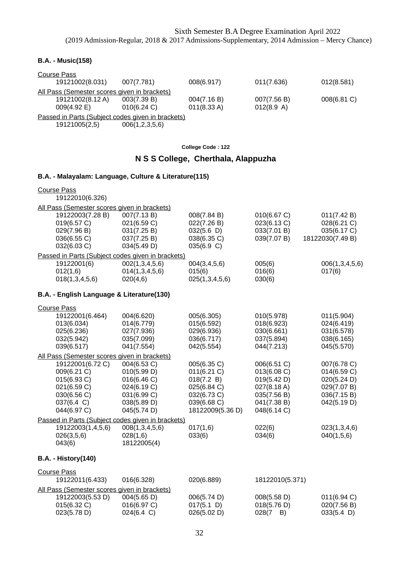### **B.A. - Music(158)**

| Course Pass                                       |                |                       |             |             |
|---------------------------------------------------|----------------|-----------------------|-------------|-------------|
| 19121002(8.031)                                   | 007(7.781)     | 008(6.917)            | 011(7.636)  | 012(8.581)  |
| All Pass (Semester scores given in brackets)      |                |                       |             |             |
| 19121002(8.12 A)                                  | 003(7.39 B)    | 004(7.16 B)           | 007(7.56 B) | 008(6.81 C) |
| $009(4.92 \text{ E})$                             | $010(6.24)$ C) | $011(8.33 \text{ A})$ | 012(8.9 A)  |             |
| Passed in Parts (Subject codes given in brackets) |                |                       |             |             |
| 19121005(2,5)                                     | 006(1,2,3,5,6) |                       |             |             |

**College Code : 122**

## **N S S College, Cherthala, Alappuzha**

| B.A. - Malayalam: Language, Culture & Literature(115)                                                     |                                                                                                       |                                                                                                         |                                                                                                       |                                                                                       |
|-----------------------------------------------------------------------------------------------------------|-------------------------------------------------------------------------------------------------------|---------------------------------------------------------------------------------------------------------|-------------------------------------------------------------------------------------------------------|---------------------------------------------------------------------------------------|
| <b>Course Pass</b><br>19122010(6.326)                                                                     |                                                                                                       |                                                                                                         |                                                                                                       |                                                                                       |
| All Pass (Semester scores given in brackets)                                                              |                                                                                                       |                                                                                                         |                                                                                                       |                                                                                       |
| 19122003(7.28 B)<br>019(6.57 C)<br>029(7.96 B)<br>036(6.55 C)<br>032(6.03 C)                              | 007(7.13B)<br>021(6.59 C)<br>031(7.25 B)<br>037(7.25 B)<br>034(5.49 D)                                | 008(7.84 B)<br>022(7.26 B)<br>032(5.6)<br>038(6.35 C)<br>035(6.9 C)                                     | 010(6.67 C)<br>023(6.13 C)<br>033(7.01 B)<br>039(7.07 B)                                              | 011(7.42 B)<br>028(6.21 C)<br>035(6.17 C)<br>18122030(7.49 B)                         |
| Passed in Parts (Subject codes given in brackets)                                                         |                                                                                                       |                                                                                                         |                                                                                                       |                                                                                       |
| 19122001(6)<br>012(1,6)<br>018(1, 3, 4, 5, 6)                                                             | 002(1,3,4,5,6)<br>014(1,3,4,5,6)<br>020(4,6)                                                          | 004(3,4,5,6)<br>015(6)<br>025(1,3,4,5,6)                                                                | 005(6)<br>016(6)<br>030(6)                                                                            | 006(1,3,4,5,6)<br>017(6)                                                              |
| B.A. - English Language & Literature(130)                                                                 |                                                                                                       |                                                                                                         |                                                                                                       |                                                                                       |
| <b>Course Pass</b>                                                                                        |                                                                                                       |                                                                                                         |                                                                                                       |                                                                                       |
| 19122001(6.464)<br>013(6.034)<br>025(6.236)<br>032(5.942)<br>039(6.517)                                   | 004(6.620)<br>014(6.779)<br>027(7.936)<br>035(7.099)<br>041(7.554)                                    | 005(6.305)<br>015(6.592)<br>029(6.936)<br>036(6.717)<br>042(5.554)                                      | 010(5.978)<br>018(6.923)<br>030(6.661)<br>037(5.894)<br>044(7.213)                                    | 011(5.904)<br>024(6.419)<br>031(6.578)<br>038(6.165)<br>045(5.570)                    |
| All Pass (Semester scores given in brackets)                                                              |                                                                                                       |                                                                                                         |                                                                                                       |                                                                                       |
| 19122001(6.72 C)<br>009(6.21 C)<br>015(6.93 C)<br>021(6.59 C)<br>030(6.56 C)<br>037(6.4 C)<br>044(6.97 C) | 004(6.53 C)<br>010(5.99 D)<br>016(6.46 C)<br>024(6.19 C)<br>031(6.99 C)<br>038(5.89 D)<br>045(5.74 D) | 005(6.35 C)<br>011(6.21)<br>018(7.2 B)<br>025(6.84 C)<br>032(6.73 C)<br>039(6.68 C)<br>18122009(5.36 D) | 006(6.51 C)<br>013(6.08 C)<br>019(5.42 D)<br>027(8.18 A)<br>035(7.56 B)<br>041(7.38 B)<br>048(6.14 C) | 007(6.78 C)<br>014(6.59 C)<br>020(5.24 D)<br>029(7.07 B)<br>036(7.15B)<br>042(5.19 D) |
| Passed in Parts (Subject codes given in brackets)                                                         |                                                                                                       |                                                                                                         |                                                                                                       |                                                                                       |
| 19122003(1,4,5,6)<br>026(3,5,6)<br>043(6)                                                                 | 008(1, 3, 4, 5, 6)<br>028(1,6)<br>18122005(4)                                                         | 017(1,6)<br>033(6)                                                                                      | 022(6)<br>034(6)                                                                                      | 023(1,3,4,6)<br>040(1,5,6)                                                            |
| <b>B.A. - History(140)</b>                                                                                |                                                                                                       |                                                                                                         |                                                                                                       |                                                                                       |
| <b>Course Pass</b>                                                                                        |                                                                                                       |                                                                                                         |                                                                                                       |                                                                                       |
|                                                                                                           |                                                                                                       |                                                                                                         |                                                                                                       |                                                                                       |

| 19122011(6.433)                              | 016(6.328)           | 020(6.889)  | 18122010(5.371) |                 |
|----------------------------------------------|----------------------|-------------|-----------------|-----------------|
| All Pass (Semester scores given in brackets) |                      |             |                 |                 |
| 19122003(5.53 D)                             | 004(5.65 D)          | 006(5.74 D) | 008(5.58 D)     | $011(6.94)$ C)  |
| $015(6.32)$ C)                               | $016(6.97)$ C)       | 017(5.1)    | 018(5.76 D)     | 020(7.56 B)     |
| 023(5.78 D)                                  | $024(6.4 \text{ C})$ | 026(5.02 D) | 028(7<br>B)     | $033(5.4 \; D)$ |
|                                              |                      |             |                 |                 |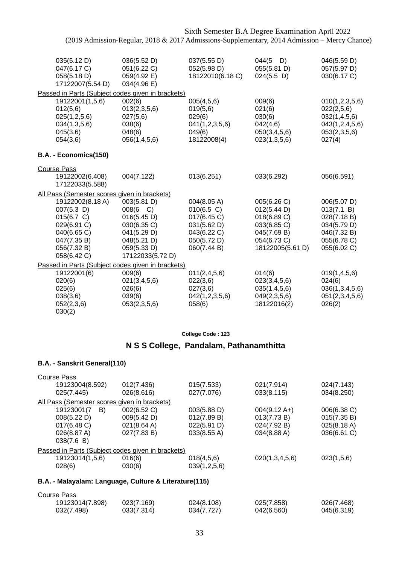|                                                                                                                            | Sixth Semester B.A Degree Examination April 2022                                                                                 |                                                                                                         |                                                                                                            |                                                                                                      |
|----------------------------------------------------------------------------------------------------------------------------|----------------------------------------------------------------------------------------------------------------------------------|---------------------------------------------------------------------------------------------------------|------------------------------------------------------------------------------------------------------------|------------------------------------------------------------------------------------------------------|
|                                                                                                                            | (2019 Admission-Regular, 2018 & 2017 Admissions-Supplementary, 2014 Admission - Mercy Chance)                                    |                                                                                                         |                                                                                                            |                                                                                                      |
| 035(5.12 D)<br>047(6.17 C)<br>058(5.18 D)<br>17122007(5.54 D)                                                              | 036(5.52 D)<br>051(6.22 C)<br>059(4.92 E)<br>034(4.96 E)                                                                         | 037(5.55 D)<br>052(5.98 D)<br>18122010(6.18 C)                                                          | $044(5$ D)<br>055(5.81 D)<br>024(5.5)                                                                      | 046(5.59 D)<br>057(5.97 D)<br>030(6.17 C)                                                            |
| 19122001(1,5,6)<br>012(5,6)<br>025(1,2,5,6)<br>034(1,3,5,6)<br>045(3,6)<br>054(3,6)                                        | Passed in Parts (Subject codes given in brackets)<br>002(6)<br>013(2,3,5,6)<br>027(5,6)<br>038(6)<br>048(6)<br>056(1,4,5,6)      | 005(4,5,6)<br>019(5,6)<br>029(6)<br>041(1,2,3,5,6)<br>049(6)<br>18122008(4)                             | 009(6)<br>021(6)<br>030(6)<br>042(4,6)<br>050(3,4,5,6)<br>023(1,3,5,6)                                     | 010(1,2,3,5,6)<br>022(2,5,6)<br>032(1,4,5,6)<br>043(1,2,4,5,6)<br>053(2,3,5,6)<br>027(4)             |
| B.A. - Economics(150)                                                                                                      |                                                                                                                                  |                                                                                                         |                                                                                                            |                                                                                                      |
| <b>Course Pass</b><br>19122002(6.408)<br>17122033(5.588)                                                                   | 004(7.122)                                                                                                                       | 013(6.251)                                                                                              | 033(6.292)                                                                                                 | 056(6.591)                                                                                           |
| All Pass (Semester scores given in brackets)                                                                               |                                                                                                                                  |                                                                                                         |                                                                                                            |                                                                                                      |
| 19122002(8.18 A)<br>$007(5.3)$ D)<br>015(6.7 C)<br>029(6.91 C)<br>040(6.65 C)<br>047(7.35 B)<br>056(7.32 B)<br>058(6.42 C) | 003(5.81 D)<br>$008(6 \text{ C})$<br>016(5.45 D)<br>030(6.35 C)<br>041(5.29 D)<br>048(5.21 D)<br>059(5.33 D)<br>17122033(5.72 D) | 004(8.05 A)<br>$010(6.5)$ C)<br>017(6.45 C)<br>031(5.62 D)<br>043(6.22 C)<br>050(5.72 D)<br>060(7.44 B) | 005(6.26 C)<br>012(5.44 D)<br>018(6.89 C)<br>033(6.85 C)<br>045(7.69 B)<br>054(6.73 C)<br>18122005(5.61 D) | 006(5.07 D)<br>013(7.1 B)<br>028(7.18 B)<br>034(5.79 D)<br>046(7.32 B)<br>055(6.78 C)<br>055(6.02 C) |
|                                                                                                                            | Passed in Parts (Subject codes given in brackets)                                                                                |                                                                                                         |                                                                                                            |                                                                                                      |
| 19122001(6)<br>020(6)<br>025(6)<br>038(3,6)<br>052(2,3,6)<br>030(2)                                                        | 009(6)<br>021(3,4,5,6)<br>026(6)<br>039(6)<br>053(2,3,5,6)                                                                       | 011(2,4,5,6)<br>022(3,6)<br>027(3,6)<br>042(1,2,3,5,6)<br>058(6)                                        | 014(6)<br>023(3,4,5,6)<br>035(1,4,5,6)<br>049(2,3,5,6)<br>18122016(2)                                      | 019(1,4,5,6)<br>024(6)<br>036(1,3,4,5,6)<br>051(2,3,4,5,6)<br>026(2)                                 |

## **N S S College, Pandalam, Pathanamthitta**

#### **B.A. - Sanskrit General(110)**

| 012(7.436)  | 015(7.533)                                   | 021(7.914)                                        | 024(7.143)  |
|-------------|----------------------------------------------|---------------------------------------------------|-------------|
| 026(8.616)  | 027(7.076)                                   | 033(8.115)                                        | 034(8.250)  |
|             |                                              |                                                   |             |
| 002(6.52 C) | 003(5.88 D)                                  | $004(9.12 \text{ A+})$                            | 006(6.38 C) |
| 009(5.42 D) | 012(7.89 B)                                  | 013(7.73 B)                                       | 015(7.35 B) |
| 021(8.64 A) | 022(5.91 D)                                  | 024(7.92 B)                                       | 025(8.18 A) |
| 027(7.83 B) | 033(8.55 A)                                  | 034(8.88 A)                                       | 036(6.61 C) |
|             |                                              |                                                   |             |
|             |                                              |                                                   |             |
| 016(6)      | 018(4,5,6)                                   | 020(1,3,4,5,6)                                    | 023(1,5,6)  |
| 030(6)      | 039(1,2,5,6)                                 |                                                   |             |
|             | All Pass (Semester scores given in brackets) | Passed in Parts (Subject codes given in brackets) |             |

| Course Pass     |            |            |            |            |
|-----------------|------------|------------|------------|------------|
| 19123014(7.898) | 023(7.169) | 024(8.108) | 025(7.858) | 026(7.468) |
| 032(7.498)      | 033(7.314) | 034(7.727) | 042(6.560) | 045(6.319) |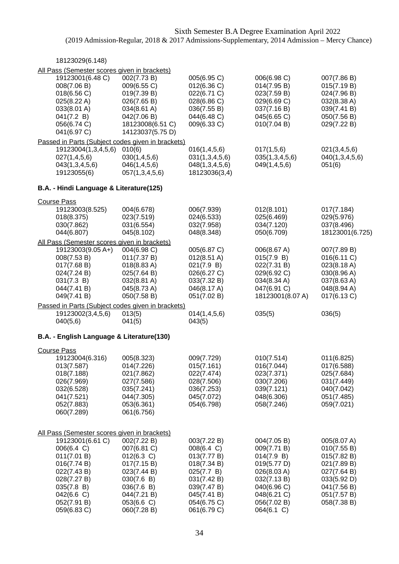| 18123029(6.148)                                                                                                                                                                                    |                                                                                                                                               |                                                                                                                                                  |                                                                                                                                                  |                                                                                                                                     |
|----------------------------------------------------------------------------------------------------------------------------------------------------------------------------------------------------|-----------------------------------------------------------------------------------------------------------------------------------------------|--------------------------------------------------------------------------------------------------------------------------------------------------|--------------------------------------------------------------------------------------------------------------------------------------------------|-------------------------------------------------------------------------------------------------------------------------------------|
| All Pass (Semester scores given in brackets)<br>19123001(6.48 C)<br>008(7.06 B)<br>018(6.56 C)<br>025(8.22 A)<br>033(8.01 A)<br>041(7.2 B)<br>056(6.74 C)<br>041(6.97 C)                           | 002(7.73 B)<br>009(6.55 C)<br>019(7.39 B)<br>026(7.65 B)<br>034(8.61 A)<br>042(7.06 B)<br>18123008(6.51 C)<br>14123037(5.75 D)                | 005(6.95 C)<br>012(6.36)<br>022(6.71 C)<br>028(6.86 C)<br>036(7.55 B)<br>044(6.48 C)<br>009(6.33 C)                                              | 006(6.98 C)<br>014(7.95 B)<br>023(7.59 B)<br>029(6.69 C)<br>037(7.16 B)<br>045(6.65 C)<br>010(7.04 B)                                            | 007(7.86 B)<br>015(7.19 B)<br>024(7.96 B)<br>032(8.38 A)<br>039(7.41 B)<br>050(7.56 B)<br>029(7.22 B)                               |
| Passed in Parts (Subject codes given in brackets)<br>19123004(1,3,4,5,6)<br>027(1,4,5,6)<br>043(1,3,4,5,6)<br>19123055(6)                                                                          | 010(6)<br>030(1,4,5,6)<br>046(1, 4, 5, 6)<br>057(1,3,4,5,6)                                                                                   | 016(1,4,5,6)<br>031(1,3,4,5,6)<br>048(1,3,4,5,6)<br>18123036(3,4)                                                                                | 017(1,5,6)<br>035(1,3,4,5,6)<br>049(1,4,5,6)                                                                                                     | 021(3,4,5,6)<br>040(1,3,4,5,6)<br>051(6)                                                                                            |
| B.A. - Hindi Language & Literature(125)                                                                                                                                                            |                                                                                                                                               |                                                                                                                                                  |                                                                                                                                                  |                                                                                                                                     |
| <b>Course Pass</b><br>19123003(8.525)<br>018(8.375)<br>030(7.862)<br>044(6.807)                                                                                                                    | 004(6.678)<br>023(7.519)<br>031(6.554)<br>045(8.102)                                                                                          | 006(7.939)<br>024(6.533)<br>032(7.958)<br>048(8.348)                                                                                             | 012(8.101)<br>025(6.469)<br>034(7.120)<br>050(6.709)                                                                                             | 017(7.184)<br>029(5.976)<br>037(8.496)<br>18123001(6.725)                                                                           |
| All Pass (Semester scores given in brackets)<br>19123003(9.05 A+)<br>008(7.53 B)<br>017(7.68 B)<br>024(7.24 B)<br>031(7.3 B)<br>044(7.41 B)<br>049(7.41 B)                                         | 004(6.98 C)<br>011(7.37 B)<br>018(8.83 A)<br>025(7.64 B)<br>032(8.81 A)<br>045(8.73 A)<br>050(7.58 B)                                         | 005(6.87 C)<br>$012(8.51 \text{ A})$<br>021(7.9 B)<br>026(6.27 C)<br>033(7.32 B)<br>046(8.17 A)<br>051(7.02 B)                                   | 006(8.67 A)<br>015(7.9 B)<br>022(7.31 B)<br>029(6.92 C)<br>034(8.34 A)<br>047(6.91 C)<br>18123001(8.07 A)                                        | 007(7.89 B)<br>016(6.11 C)<br>023(8.18 A)<br>030(8.96 A)<br>037(8.63 A)<br>048(8.94 A)<br>017(6.13 C)                               |
| Passed in Parts (Subject codes given in brackets)<br>19123002(3,4,5,6)                                                                                                                             | 013(5)                                                                                                                                        | 014(1,4,5,6)                                                                                                                                     | 035(5)                                                                                                                                           | 036(5)                                                                                                                              |
| 040(5,6)                                                                                                                                                                                           | 041(5)                                                                                                                                        | 043(5)                                                                                                                                           |                                                                                                                                                  |                                                                                                                                     |
| B.A. - English Language & Literature(130)                                                                                                                                                          |                                                                                                                                               |                                                                                                                                                  |                                                                                                                                                  |                                                                                                                                     |
| <b>Course Pass</b><br>19123004(6.316)<br>013(7.587)<br>018(7.188)<br>026(7.969)<br>032(6.528)<br>041(7.521)<br>052(7.883)<br>060(7.289)                                                            | 005(8.323)<br>014(7.226)<br>021(7.862)<br>027(7.586)<br>035(7.241)<br>044(7.305)<br>053(6.361)<br>061(6.756)                                  | 009(7.729)<br>015(7.161)<br>022(7.474)<br>028(7.506)<br>036(7.253)<br>045(7.072)<br>054(6.798)                                                   | 010(7.514)<br>016(7.044)<br>023(7.371)<br>030(7.206)<br>039(7.121)<br>048(6.306)<br>058(7.246)                                                   | 011(6.825)<br>017(6.588)<br>025(7.684)<br>031(7.449)<br>040(7.042)<br>051(7.485)<br>059(7.021)                                      |
| All Pass (Semester scores given in brackets)<br>19123001(6.61 C)<br>006(6.4 C)<br>011(7.01 B)<br>016(7.74 B)<br>022(7.43 B)<br>028(7.27 B)<br>035(7.8 B)<br>042(6.6)<br>052(7.91 B)<br>059(6.83 C) | 002(7.22 B)<br>007(6.81 C)<br>012(6.3 C)<br>017(7.15 B)<br>023(7.44 B)<br>030(7.6 B)<br>036(7.6 B)<br>044(7.21B)<br>053(6.6 C)<br>060(7.28 B) | 003(7.22 B)<br>008(6.4 C)<br>013(7.77 B)<br>018(7.34 B)<br>025(7.7 B)<br>031(7.42 B)<br>039(7.47 B)<br>045(7.41 B)<br>054(6.75 C)<br>061(6.79 C) | 004(7.05 B)<br>009(7.71 B)<br>014(7.9 B)<br>019(5.77 D)<br>026(8.03 A)<br>032(7.13 B)<br>040(6.96 C)<br>048(6.21 C)<br>056(7.02 B)<br>064(6.1 C) | 005(8.07 A)<br>010(7.55 B)<br>015(7.82 B)<br>021(7.89 B)<br>027(7.64 B)<br>033(5.92 D)<br>041(7.56 B)<br>051(7.57 B)<br>058(7.38 B) |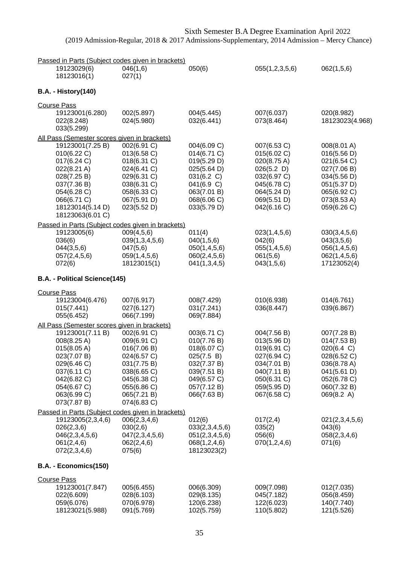| Passed in Parts (Subject codes given in brackets)                                                                                                                                                                 |                                                                                                                                                    |                                                                                                                                    |                                                                                                                                     |                                                                                                                                     |
|-------------------------------------------------------------------------------------------------------------------------------------------------------------------------------------------------------------------|----------------------------------------------------------------------------------------------------------------------------------------------------|------------------------------------------------------------------------------------------------------------------------------------|-------------------------------------------------------------------------------------------------------------------------------------|-------------------------------------------------------------------------------------------------------------------------------------|
| 19123029(6)<br>18123016(1)                                                                                                                                                                                        | 046(1,6)<br>027(1)                                                                                                                                 | 050(6)                                                                                                                             | 055(1,2,3,5,6)                                                                                                                      | 062(1,5,6)                                                                                                                          |
| <b>B.A. - History(140)</b>                                                                                                                                                                                        |                                                                                                                                                    |                                                                                                                                    |                                                                                                                                     |                                                                                                                                     |
| <b>Course Pass</b><br>19123001(6.280)<br>022(8.248)<br>033(5.299)                                                                                                                                                 | 002(5.897)<br>024(5.980)                                                                                                                           | 004(5.445)<br>032(6.441)                                                                                                           | 007(6.037)<br>073(8.464)                                                                                                            | 020(8.982)<br>18123023(4.968)                                                                                                       |
| All Pass (Semester scores given in brackets)<br>19123001(7.25 B)<br>010(6.22 C)<br>017(6.24 C)<br>022(8.21 A)<br>028(7.25 B)<br>037(7.36 B)<br>054(6.28 C)<br>066(6.71 C)<br>18123014(5.14 D)<br>18123063(6.01 C) | 002(6.91 C)<br>013(6.58 C)<br>018(6.31 C)<br>024(6.41 C)<br>029(6.31 C)<br>038(6.31 C)<br>058(6.33 C)<br>067(5.91 D)<br>023(5.52 D)                | 004(6.09 C)<br>014(6.71 C)<br>019(5.29 D)<br>025(5.64 D)<br>031(6.2 C)<br>041(6.9 C)<br>063(7.01 B)<br>068(6.06 C)<br>033(5.79 D)  | 007(6.53 C)<br>015(6.02 C)<br>020(8.75 A)<br>026(5.2)<br>032(6.97 C)<br>045(6.78 C)<br>064(5.24 D)<br>069(5.51 D)<br>042(6.16 C)    | 008(8.01 A)<br>016(5.56 D)<br>021(6.54 C)<br>027(7.06 B)<br>034(5.56 D)<br>051(5.37 D)<br>065(6.92 C)<br>073(8.53 A)<br>059(6.26 C) |
| Passed in Parts (Subject codes given in brackets)<br>19123005(6)<br>036(6)<br>044(3,5,6)<br>057(2,4,5,6)<br>072(6)                                                                                                | 009(4,5,6)<br>039(1,3,4,5,6)<br>047(5,6)<br>059(1,4,5,6)<br>18123015(1)                                                                            | 011(4)<br>040(1,5,6)<br>050(1,4,5,6)<br>060(2,4,5,6)<br>041(1,3,4,5)                                                               | 023(1,4,5,6)<br>042(6)<br>055(1,4,5,6)<br>061(5,6)<br>043(1,5,6)                                                                    | 030(3,4,5,6)<br>043(3,5,6)<br>056(1,4,5,6)<br>062(1,4,5,6)<br>17123052(4)                                                           |
| B.A. - Political Science(145)                                                                                                                                                                                     |                                                                                                                                                    |                                                                                                                                    |                                                                                                                                     |                                                                                                                                     |
| <b>Course Pass</b><br>19123004(6.476)<br>015(7.441)<br>055(6.452)                                                                                                                                                 | 007(6.917)<br>027(6.127)<br>066(7.199)                                                                                                             | 008(7.429)<br>031(7.241)<br>069(7.884)                                                                                             | 010(6.938)<br>036(8.447)                                                                                                            | 014(6.761)<br>039(6.867)                                                                                                            |
| All Pass (Semester scores given in brackets)<br>19123001(7.11 B)<br>008(8.25 A)<br>015(8.05 A)<br>023(7.07 B)<br>029(6.46 C)<br>037(6.11 C)<br>042(6.82 C)<br>054(6.67 C)<br>063(6.99 C)<br>073(7.87 B)           | 002(6.91 C)<br>009(6.91 C)<br>016(7.06 B)<br>024(6.57 C)<br>031(7.75 B)<br>038(6.65 C)<br>045(6.38 C)<br>055(6.86 C)<br>065(7.21 B)<br>074(6.83 C) | 003(6.71 C)<br>010(7.76 B)<br>018(6.07 C)<br>025(7.5 B)<br>032(7.37 B)<br>039(7.51 B)<br>049(6.57 C)<br>057(7.12 B)<br>066(7.63 B) | 004(7.56 B)<br>013(5.96 D)<br>019(6.91 C)<br>027(6.94 C)<br>034(7.01 B)<br>040(7.11 B)<br>050(6.31 C)<br>059(5.95 D)<br>067(6.58 C) | 007(7.28 B)<br>014(7.53 B)<br>020(6.4 C)<br>028(6.52 C)<br>036(8.78 A)<br>041(5.61 D)<br>052(6.78 C)<br>060(7.32 B)<br>069(8.2 A)   |
| Passed in Parts (Subject codes given in brackets)<br>19123005(2,3,4,6)<br>026(2,3,6)<br>046(2,3,4,5,6)<br>061(2,4,6)<br>072(2,3,4,6)                                                                              | 006(2,3,4,6)<br>030(2,6)<br>047(2,3,4,5,6)<br>062(2,4,6)<br>075(6)                                                                                 | 012(6)<br>033(2,3,4,5,6)<br>051(2,3,4,5,6)<br>068(1,2,4,6)<br>18123023(2)                                                          | 017(2,4)<br>035(2)<br>056(6)<br>070(1,2,4,6)                                                                                        | 021(2,3,4,5,6)<br>043(6)<br>058(2,3,4,6)<br>071(6)                                                                                  |
| B.A. - Economics(150)                                                                                                                                                                                             |                                                                                                                                                    |                                                                                                                                    |                                                                                                                                     |                                                                                                                                     |
| <b>Course Pass</b><br>19123001(7.847)<br>022(6.609)<br>059(6.076)<br>18123021(5.988)                                                                                                                              | 005(6.455)<br>028(6.103)<br>070(6.978)<br>091(5.769)                                                                                               | 006(6.309)<br>029(8.135)<br>120(6.238)<br>102(5.759)                                                                               | 009(7.098)<br>045(7.182)<br>122(6.023)<br>110(5.802)                                                                                | 012(7.035)<br>056(8.459)<br>140(7.740)<br>121(5.526)                                                                                |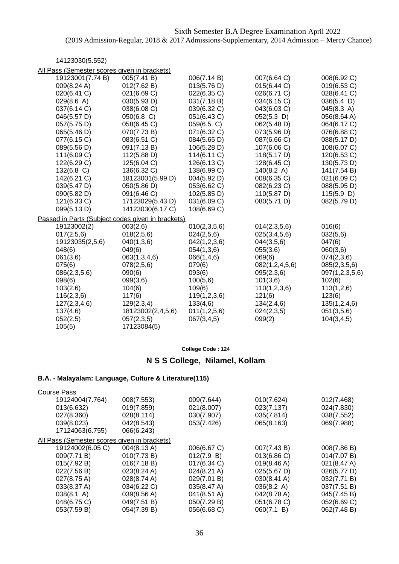14123030(5.552)

| All Pass (Semester scores given in brackets)      |                   |              |                |                |  |  |  |
|---------------------------------------------------|-------------------|--------------|----------------|----------------|--|--|--|
| 19123001(7.74 B)                                  | 005(7.41 B)       | 006(7.14 B)  | 007(6.64 C)    | 008(6.92 C)    |  |  |  |
| 009(8.24 A)                                       | 012(7.62 B)       | 013(5.76 D)  | 015(6.44 C)    | 019(6.53 C)    |  |  |  |
| 020(6.41 C)                                       | 021(6.69 C)       | 022(6.35 C)  | 026(6.71 C)    | 028(6.41 C)    |  |  |  |
| 029(8.6 A)                                        | 030(5.93 D)       | 031(7.18 B)  | 034(6.15 C)    | 036(5.4)       |  |  |  |
| 037(6.14 C)                                       | 038(6.08 C)       | 039(6.32 C)  | 043(6.03 C)    | 045(8.3 A)     |  |  |  |
| 046(5.57 D)                                       | $050(6.8)$ C)     | 051(6.43 C)  | 052(5.3)       | 056(8.64 A)    |  |  |  |
| 057(5.75 D)                                       | 058(6.45 C)       | 059(6.5 C)   | 062(5.48 D)    | 064(6.17 C)    |  |  |  |
| 065(5.46 D)                                       | 070(7.73 B)       | 071(6.32 C)  | 073(5.96 D)    | 076(6.88 C)    |  |  |  |
| 077(6.15 C)                                       | 083(6.51 C)       | 084(5.65 D)  | 087(6.66 C)    | 088(5.17 D)    |  |  |  |
| 089(5.56 D)                                       | 091(7.13 B)       | 106(5.28 D)  | 107(6.06 C)    | 108(6.07 C)    |  |  |  |
| 111(6.09 C)                                       | 112(5.88 D)       | 114(6.11 C)  | 118(5.17 D)    | 120(6.53 C)    |  |  |  |
| 122(6.29 C)                                       | 125(6.04 C)       | 126(6.13 C)  | 128(6.45 C)    | 130(5.73 D)    |  |  |  |
| 132(6.8 C)                                        | 136(6.32 C)       | 138(6.99 C)  | 140(8.2 A)     | 141(7.54 B)    |  |  |  |
| 142(6.21 C)                                       | 18123001(5.99 D)  | 004(5.92 D)  | 008(6.35 C)    | 021(6.09 C)    |  |  |  |
| 039(5.47 D)                                       | 050(5.86 D)       | 053(6.62 C)  | 082(6.23 C)    | 088(5.95 D)    |  |  |  |
| 090(5.82 D)                                       | 091(6.46 C)       | 102(5.85 D)  | 110(5.87 D)    | 115(5.9)       |  |  |  |
| 121(6.33 C)                                       | 17123029(5.43 D)  | 031(6.09 C)  | 080(5.71 D)    | 082(5.79 D)    |  |  |  |
| 099(5.13 D)                                       | 14123030(6.17 C)  | 108(6.69 C)  |                |                |  |  |  |
| Passed in Parts (Subject codes given in brackets) |                   |              |                |                |  |  |  |
| 19123002(2)                                       | 003(2,6)          | 010(2,3,5,6) | 014(2,3,5,6)   | 016(6)         |  |  |  |
| 017(2,5,6)                                        | 018(2,5,6)        | 024(2,5,6)   | 025(3,4,5,6)   | 032(5,6)       |  |  |  |
| 19123035(2,5,6)                                   | 040(1,3,6)        | 042(1,2,3,6) | 044(3,5,6)     | 047(6)         |  |  |  |
| 048(6)                                            | 049(6)            | 054(1,3,6)   | 055(3,6)       | 060(3,6)       |  |  |  |
| 061(3,6)                                          | 063(1,3,4,6)      | 066(1,4,6)   | 069(6)         | 074(2,3,6)     |  |  |  |
| 075(6)                                            | 078(2,5,6)        | 079(6)       | 082(1,2,4,5,6) | 085(2,3,5,6)   |  |  |  |
| 086(2,3,5,6)                                      | 090(6)            | 093(6)       | 095(2,3,6)     | 097(1,2,3,5,6) |  |  |  |
| 098(6)                                            | 099(3,6)          | 100(5,6)     | 101(3,6)       | 102(6)         |  |  |  |
| 103(2,6)                                          | 104(6)            | 109(6)       | 110(1,2,3,6)   | 113(1,2,6)     |  |  |  |
| 116(2,3,6)                                        | 117(6)            | 119(1,2,3,6) | 121(6)         | 123(6)         |  |  |  |
| 127(2,3,4,6)                                      | 129(2,3,4)        | 133(4,6)     | 134(2,4,6)     | 135(1,2,4,6)   |  |  |  |
| 137(4,6)                                          | 18123002(2,4,5,6) | 011(1,2,5,6) | 024(2,3,5)     | 051(3,5,6)     |  |  |  |
| 052(2,5)                                          | 057(2,3,5)        | 067(3,4,5)   | 099(2)         | 104(3, 4, 5)   |  |  |  |
| 105(5)                                            | 17123084(5)       |              |                |                |  |  |  |

#### **College Code : 124**

## **N S S College, Nilamel, Kollam**

| <b>Course Pass</b>                           |             |             |                       |             |
|----------------------------------------------|-------------|-------------|-----------------------|-------------|
| 19124004(7.764)                              | 008(7.553)  | 009(7.644)  | 010(7.624)            | 012(7.468)  |
| 013(6.632)                                   | 019(7.859)  | 021(8.007)  | 023(7.137)            | 024(7.830)  |
| 027(8.360)                                   | 028(8.114)  | 030(7.907)  | 035(7.814)            | 038(7.552)  |
| 039(8.023)                                   | 042(8.543)  | 053(7.426)  | 065(8.163)            | 069(7.988)  |
| 17124063(6.755)                              | 066(6.243)  |             |                       |             |
| All Pass (Semester scores given in brackets) |             |             |                       |             |
| 19124002(6.05 C)                             | 004(8.13 A) | 006(6.67 C) | 007(7.43 B)           | 008(7.86 B) |
| 009(7.71 B)                                  | 010(7.73 B) | 012(7.9 B)  | 013(6.86 C)           | 014(7.07 B) |
| 015(7.92 B)                                  | 016(7.18 B) | 017(6.34 C) | $019(8.46 \text{ A})$ | 021(8.47 A) |
| 022(7.56 B)                                  | 023(8.24 A) | 024(8.21 A) | 025(5.67 D)           | 026(5.77 D) |
| 027(8.75 A)                                  | 028(8.74 A) | 029(7.01 B) | 030(8.41 A)           | 032(7.71 B) |
| 033(8.37 A)                                  | 034(6.22 C) | 035(8.47 A) | $036(8.2 \text{ A})$  | 037(7.51 B) |
| $038(8.1 \text{ A})$                         | 039(8.56 A) | 041(8.51 A) | 042(8.78 A)           | 045(7.45 B) |
| 048(6.75 C)                                  | 049(7.51 B) | 050(7.29 B) | 051(6.78 C)           | 052(6.69 C) |
| 053(7.59 B)                                  | 054(7.39 B) | 056(6.68 C) | 060(7.1 B)            | 062(7.48 B) |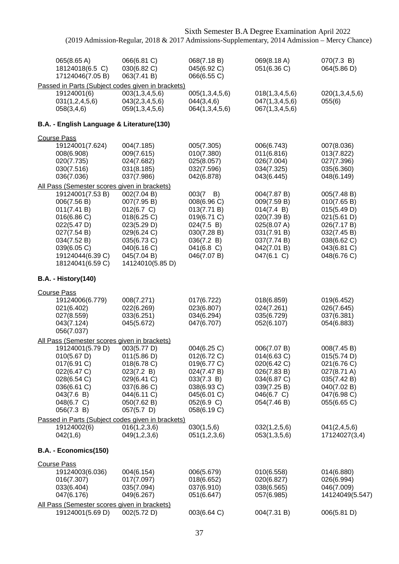| 065(8.65 A)                                                      | 066(6.81 C)                                                       | 068(7.18 B)                | 069(8.18 A)                  | 070(7.3 B)                    |
|------------------------------------------------------------------|-------------------------------------------------------------------|----------------------------|------------------------------|-------------------------------|
| 18124018(6.5 C)<br>17124046(7.05 B)                              | 030(6.82 C)<br>063(7.41 B)                                        | 045(6.92 C)<br>066(6.55 C) | 051(6.36 C)                  | 064(5.86 D)                   |
|                                                                  | Passed in Parts (Subject codes given in brackets)                 |                            |                              |                               |
| 19124001(6)                                                      | 003(1,3,4,5,6)                                                    | 005(1,3,4,5,6)             | 018(1,3,4,5,6)               | 020(1,3,4,5,6)                |
| 031(1,2,4,5,6)                                                   | 043(2,3,4,5,6)                                                    | 044(3,4,6)                 | 047(1,3,4,5,6)               | 055(6)                        |
| 058(3,4,6)                                                       | 059(1,3,4,5,6)                                                    | 064(1,3,4,5,6)             | 067(1,3,4,5,6)               |                               |
| B.A. - English Language & Literature(130)                        |                                                                   |                            |                              |                               |
| <b>Course Pass</b>                                               |                                                                   |                            |                              |                               |
| 19124001(7.624)                                                  | 004(7.185)                                                        | 005(7.305)                 | 006(6.743)                   | 007(8.036)                    |
| 008(6.908)                                                       | 009(7.615)                                                        | 010(7.380)                 | 011(6.816)                   | 013(7.822)                    |
| 020(7.735)                                                       | 024(7.682)                                                        | 025(8.057)                 | 026(7.004)                   | 027(7.396)                    |
| 030(7.516)<br>036(7.036)                                         | 031(8.185)<br>037(7.986)                                          | 032(7.596)<br>042(6.878)   | 034(7.325)<br>043(6.445)     | 035(6.360)<br>048(6.149)      |
| All Pass (Semester scores given in brackets)                     |                                                                   |                            |                              |                               |
| 19124001(7.53 B)                                                 | 002(7.04 B)                                                       | $003(7 \quad B)$           | 004(7.87 B)                  | 005(7.48 B)                   |
| 006(7.56 B)                                                      | 007(7.95 B)                                                       | 008(6.96 C)                | 009(7.59 B)                  | 010(7.65 B)                   |
| 011(7.41 B)                                                      | 012(6.7 C)                                                        | 013(7.71 B)                | 014(7.4 B)                   | 015(5.49 D)                   |
| 016(6.86 C)                                                      | 018(6.25 C)                                                       | 019(6.71 C)                | 020(7.39 B)                  | 021(5.61 D)                   |
| 022(5.47 D)                                                      | 023(5.29 D)                                                       | 024(7.5 B)                 | 025(8.07 A)                  | 026(7.17 B)                   |
| 027(7.54 B)                                                      | 029(6.24 C)                                                       | 030(7.28 B)                | 031(7.91 B)                  | 032(7.45 B)                   |
| 034(7.52 B)                                                      | 035(6.73 C)                                                       | 036(7.2 B)                 | 037(7.74 B)                  | 038(6.62 C)                   |
| 039(6.05 C)                                                      | 040(6.16 C)                                                       | $041(6.8)$ C)              | 042(7.01 B)                  | 043(6.81 C)                   |
| 19124044(6.39 C)<br>18124041(6.59 C)                             | 045(7.04 B)<br>14124010(5.85 D)                                   | 046(7.07 B)                | 047(6.1 C)                   | 048(6.76 C)                   |
| <b>B.A. - History(140)</b>                                       |                                                                   |                            |                              |                               |
|                                                                  |                                                                   |                            |                              |                               |
| <b>Course Pass</b>                                               |                                                                   |                            |                              |                               |
| 19124006(6.779)                                                  | 008(7.271)                                                        | 017(6.722)                 | 018(6.859)                   | 019(6.452)                    |
| 021(6.402)                                                       | 022(6.269)                                                        | 023(6.807)                 | 024(7.261)                   | 026(7.645)                    |
| 027(8.559)                                                       | 033(6.251)                                                        | 034(6.294)                 | 035(6.729)                   | 037(6.381)                    |
| 043(7.124)<br>056(7.037)                                         | 045(5.672)                                                        | 047(6.707)                 | 052(6.107)                   | 054(6.883)                    |
| All Pass (Semester scores given in brackets)                     |                                                                   |                            |                              |                               |
| 19124001(5.79 D)                                                 | 003(5.77 D)                                                       | 004(6.25 C)                | 006(7.07 B)                  | 008(7.45 B)                   |
| $010(5.67 \text{ D})$                                            | 011(5.86 D)                                                       | 012(6.72 C)                | 014(6.63 C)                  | 015(5.74 D)                   |
| 017(6.91 C)                                                      | 018(6.78 C)                                                       | 019(6.77 C)                | 020(6.42 C)                  | 021(6.76 C)                   |
| 022(6.47 C)                                                      | 023(7.2 B)                                                        | 024(7.47 B)                | 026(7.83 B)                  | 027(8.71 A)                   |
| 028(6.54 C)                                                      | 029(6.41 C)                                                       | 033(7.3 B)                 | 034(6.87 C)                  | 035(7.42 B)                   |
| 036(6.61 C)                                                      | 037(6.86 C)                                                       | 038(6.93 C)                | 039(7.25 B)                  | 040(7.02 B)                   |
| 043(7.6 B)                                                       | 044(6.11 C)                                                       | 045(6.01 C)                | 046(6.7 C)                   | 047(6.98 C)                   |
| 048(6.7 C)                                                       | 050(7.62 B)                                                       | 052(6.9 C)                 | 054(7.46 B)                  | 055(6.65 C)                   |
| 056(7.3 B)                                                       | 057(5.7)                                                          | 058(6.19 C)                |                              |                               |
| 19124002(6)                                                      | Passed in Parts (Subject codes given in brackets)<br>016(1,2,3,6) | 030(1,5,6)                 |                              |                               |
| 042(1,6)                                                         | 049(1,2,3,6)                                                      | 051(1,2,3,6)               | 032(1,2,5,6)<br>053(1,3,5,6) | 041(2,4,5,6)<br>17124027(3,4) |
| B.A. - Economics(150)                                            |                                                                   |                            |                              |                               |
| <b>Course Pass</b>                                               |                                                                   |                            |                              |                               |
| 19124003(6.036)                                                  | 004(6.154)                                                        | 006(5.679)                 | 010(6.558)                   | 014(6.880)                    |
| 016(7.307)                                                       | 017(7.097)                                                        | 018(6.652)                 | 020(6.827)                   | 026(6.994)                    |
| 033(6.404)                                                       | 035(7.094)                                                        | 037(6.910)                 | 038(6.565)                   | 046(7.009)                    |
| 047(6.176)                                                       | 049(6.267)                                                        | 051(6.647)                 | 057(6.985)                   | 14124049(5.547)               |
| All Pass (Semester scores given in brackets)<br>19124001(5.69 D) | 002(5.72 D)                                                       | 003(6.64 C)                | 004(7.31 B)                  | 006(5.81 D)                   |
|                                                                  |                                                                   |                            |                              |                               |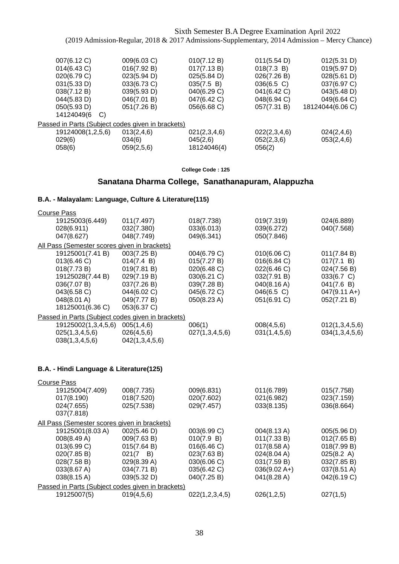| 007(6.12 C)                                       | 009(6.03 C) | 010(7.12 B)  | 011(5.54 D)  | 012(5.31 D)      |
|---------------------------------------------------|-------------|--------------|--------------|------------------|
| 014(6.43 C)                                       | 016(7.92 B) | 017(7.13 B)  | 018(7.3 B)   | 019(5.97 D)      |
| 020(6.79 C)                                       | 023(5.94 D) | 025(5.84 D)  | 026(7.26 B)  | 028(5.61 D)      |
| 031(5.33 D)                                       | 033(6.73 C) | 035(7.5 B)   | 036(6.5 C)   | 037(6.97 C)      |
| 038(7.12 B)                                       | 039(5.93 D) | 040(6.29 C)  | 041(6.42 C)  | 043(5.48 D)      |
| 044(5.83 D)                                       | 046(7.01 B) | 047(6.42 C)  | 048(6.94 C)  | 049(6.64 C)      |
| 050(5.93 D)                                       | 051(7.26 B) | 056(6.68 C)  | 057(7.31 B)  | 18124044(6.06 C) |
| 14124049(6<br>$\mathcal{C}$                       |             |              |              |                  |
| Passed in Parts (Subject codes given in brackets) |             |              |              |                  |
| 19124008(1,2,5,6)                                 | 013(2,4,6)  | 021(2,3,4,6) | 022(2,3,4,6) | 024(2,4,6)       |
| 029(6)                                            | 034(6)      | 045(2,6)     | 052(2,3,6)   | 053(2,4,6)       |
| 058(6)                                            | 059(2,5,6)  | 18124046(4)  | 056(2)       |                  |

**College Code : 125**

## **Sanatana Dharma College, Sanathanapuram, Alappuzha**

## **B.A. - Malayalam: Language, Culture & Literature(115)**

| <b>Course Pass</b>                                |                |                |               |                        |
|---------------------------------------------------|----------------|----------------|---------------|------------------------|
| 19125003(6.449)                                   | 011(7.497)     | 018(7.738)     | 019(7.319)    | 024(6.889)             |
| 028(6.911)                                        | 032(7.380)     | 033(6.013)     | 039(6.272)    | 040(7.568)             |
| 047(8.627)                                        | 048(7.749)     | 049(6.341)     | 050(7.846)    |                        |
| All Pass (Semester scores given in brackets)      |                |                |               |                        |
| 19125001(7.41 B)                                  | 003(7.25 B)    | 004(6.79 C)    | 010(6.06 C)   | 011(7.84 B)            |
| 013(6.46 C)                                       | 014(7.4 B)     | 015(7.27 B)    | 016(6.84 C)   | 017(7.1 B)             |
| 018(7.73 B)                                       | 019(7.81 B)    | 020(6.48 C)    | 022(6.46 C)   | 024(7.56 B)            |
| 19125028(7.44 B)                                  | 029(7.19 B)    | 030(6.21 C)    | 032(7.91 B)   | 033(6.7 C)             |
| 036(7.07 B)                                       | 037(7.26 B)    | 039(7.28 B)    | 040(8.16 A)   | 041(7.6 B)             |
| 043(6.58 C)                                       | 044(6.02 C)    | 045(6.72 C)    | $046(6.5)$ C) | $047(9.11 \text{ A+})$ |
| 048(8.01 A)                                       | 049(7.77 B)    | 050(8.23 A)    | 051(6.91 C)   | 052(7.21 B)            |
| 18125001(6.36 C)                                  | 053(6.37 C)    |                |               |                        |
| Passed in Parts (Subject codes given in brackets) |                |                |               |                        |
| 19125002(1,3,4,5,6)                               | 005(1,4,6)     | 006(1)         | 008(4,5,6)    | 012(1,3,4,5,6)         |
| 025(1,3,4,5,6)                                    | 026(4,5,6)     | 027(1,3,4,5,6) | 031(1,4,5,6)  | 034(1,3,4,5,6)         |
| 038(1,3,4,5,6)                                    | 042(1,3,4,5,6) |                |               |                        |
|                                                   |                |                |               |                        |

### **B.A. - Hindi Language & Literature(125)**

| <b>Course Pass</b>                                |                  |                |                       |             |
|---------------------------------------------------|------------------|----------------|-----------------------|-------------|
| 19125004(7.409)                                   | 008(7.735)       | 009(6.831)     | 011(6.789)            | 015(7.758)  |
| 017(8.190)                                        | 018(7.520)       | 020(7.602)     | 021(6.982)            | 023(7.159)  |
| 024(7.655)                                        | 025(7.538)       | 029(7.457)     | 033(8.135)            | 036(8.664)  |
| 037(7.818)                                        |                  |                |                       |             |
| All Pass (Semester scores given in brackets)      |                  |                |                       |             |
| 19125001(8.03 A)                                  | 002(5.46 D)      | 003(6.99 C)    | 004(8.13 A)           | 005(5.96 D) |
| 008(8.49 A)                                       | 009(7.63 B)      | 010(7.9 B)     | 011(7.33 B)           | 012(7.65 B) |
| 013(6.99 C)                                       | 015(7.64 B)      | 016(6.46 C)    | $017(8.58 \text{ A})$ | 018(7.99 B) |
| 020(7.85 B)                                       | $021(7 \quad B)$ | 023(7.63 B)    | 024(8.04 A)           | 025(8.2 A)  |
| 028(7.58 B)                                       | 029(8.39 A)      | 030(6.06 C)    | 031(7.59 B)           | 032(7.85 B) |
| 033(8.67 A)                                       | 034(7.71 B)      | 035(6.42 C)    | $036(9.02 A+)$        | 037(8.51 A) |
| 038(8.15 A)                                       | 039(5.32 D)      | 040(7.25 B)    | 041(8.28 A)           | 042(6.19 C) |
| Passed in Parts (Subject codes given in brackets) |                  |                |                       |             |
| 19125007(5)                                       | 019(4,5,6)       | 022(1,2,3,4,5) | 026(1,2,5)            | 027(1,5)    |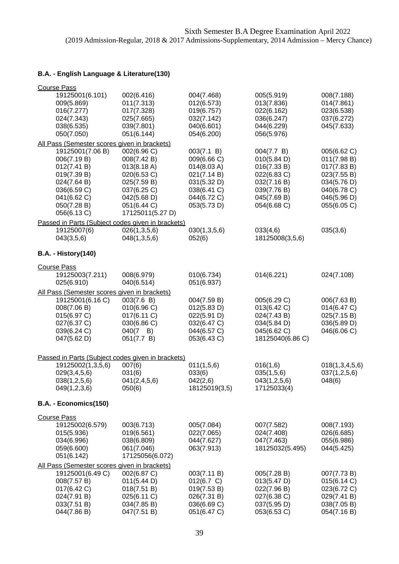| <b>Course Pass</b>                                                                                                                          |                                                                                                                                          |                                                                                                                     |                                                                                                                     |                                                                                                                      |
|---------------------------------------------------------------------------------------------------------------------------------------------|------------------------------------------------------------------------------------------------------------------------------------------|---------------------------------------------------------------------------------------------------------------------|---------------------------------------------------------------------------------------------------------------------|----------------------------------------------------------------------------------------------------------------------|
| 19125001(6.101)<br>009(5.869)<br>016(7.277)                                                                                                 | 002(6.416)<br>011(7.313)<br>017(7.328)                                                                                                   | 004(7.468)<br>012(6.573)<br>019(6.757)                                                                              | 005(5.919)<br>013(7.836)<br>022(6.162)                                                                              | 008(7.188)<br>014(7.861)<br>023(6.538)                                                                               |
| 024(7.343)<br>038(6.535)<br>050(7.050)                                                                                                      | 025(7.665)<br>039(7.801)<br>051(6.144)                                                                                                   | 032(7.142)<br>040(6.601)<br>054(6.200)                                                                              | 036(6.247)<br>044(6.229)<br>056(5.976)                                                                              | 037(6.272)<br>045(7.633)                                                                                             |
| All Pass (Semester scores given in brackets)                                                                                                |                                                                                                                                          |                                                                                                                     |                                                                                                                     |                                                                                                                      |
| 19125001(7.06 B)<br>006(7.19 B)<br>012(7.41 B)<br>019(7.39 B)<br>024(7.64 B)<br>036(6.59 C)<br>041(6.62 C)<br>050(7.28 B)<br>056(6.13 C)    | 002(6.96 C)<br>008(7.42 B)<br>013(8.18 A)<br>020(6.53 C)<br>025(7.59 B)<br>037(6.25 C)<br>042(5.68 D)<br>051(6.44 C)<br>17125011(5.27 D) | 003(7.1 B)<br>009(6.66 C)<br>014(8.03 A)<br>021(7.14 B)<br>031(5.32 D)<br>038(6.41 C)<br>044(6.72 C)<br>053(5.73 D) | 004(7.7 B)<br>010(5.84 D)<br>016(7.33 B)<br>022(6.83 C)<br>032(7.16 B)<br>039(7.76 B)<br>045(7.69 B)<br>054(6.68 C) | 005(6.62 C)<br>011(7.98 B)<br>017(7.83 B)<br>023(7.55 B)<br>034(5.76 D)<br>040(6.78 C)<br>046(5.96 D)<br>055(6.05 C) |
| Passed in Parts (Subject codes given in brackets)<br>19125007(6)<br>043(3,5,6)                                                              | 026(1,3,5,6)<br>048(1,3,5,6)                                                                                                             | 030(1,3,5,6)<br>052(6)                                                                                              | 033(4,6)<br>18125008(3,5,6)                                                                                         | 035(3,6)                                                                                                             |
| <b>B.A. - History(140)</b>                                                                                                                  |                                                                                                                                          |                                                                                                                     |                                                                                                                     |                                                                                                                      |
| <b>Course Pass</b>                                                                                                                          |                                                                                                                                          |                                                                                                                     |                                                                                                                     |                                                                                                                      |
| 19125003(7.211)<br>025(6.910)                                                                                                               | 008(6.979)<br>040(6.514)                                                                                                                 | 010(6.734)<br>051(6.937)                                                                                            | 014(6.221)                                                                                                          | 024(7.108)                                                                                                           |
| All Pass (Semester scores given in brackets)<br>19125001(6.16 C)<br>008(7.06 B)<br>015(6.97 C)<br>027(6.37 C)<br>039(6.24 C)<br>047(5.62 D) | 003(7.6 B)<br>010(6.96)<br>017(6.11 C)<br>030(6.86 C)<br>$040(7 \quad B)$<br>051(7.7 B)                                                  | 004(7.59 B)<br>012(5.83 D)<br>022(5.91 D)<br>032(6.47 C)<br>044(6.57 C)<br>053(6.43 C)                              | 005(6.29 C)<br>013(6.42 C)<br>024(7.43 B)<br>034(5.84 D)<br>045(6.62 C)<br>18125040(6.86 C)                         | 006(7.63 B)<br>014(6.47 C)<br>025(7.15 B)<br>036(5.89 D)<br>046(6.06 C)                                              |
| Passed in Parts (Subject codes given in brackets)                                                                                           |                                                                                                                                          |                                                                                                                     |                                                                                                                     |                                                                                                                      |
| 19125002(1,3,5,6)<br>029(3,4,5,6)<br>038(1,2,5,6)<br>049(1,2,3,6)                                                                           | 007(6)<br>031(6)<br>041(2,4,5,6)<br>050(6)                                                                                               | 011(1,5,6)<br>033(6)<br>042(2,6)<br>18125019(3,5)                                                                   | 016(1,6)<br>035(1,5,6)<br>043(1,2,5,6)<br>17125033(4)                                                               | 018(1, 3, 4, 5, 6)<br>037(1,2,5,6)<br>048(6)                                                                         |
| B.A. - Economics(150)                                                                                                                       |                                                                                                                                          |                                                                                                                     |                                                                                                                     |                                                                                                                      |
| <b>Course Pass</b>                                                                                                                          |                                                                                                                                          |                                                                                                                     |                                                                                                                     |                                                                                                                      |
| 19125002(6.579)<br>015(5.936)<br>034(6.996)<br>059(6.600)<br>051(6.142)                                                                     | 003(6.713)<br>019(6.561)<br>038(6.809)<br>061(7.046)<br>17125056(6.072)                                                                  | 005(7.084)<br>022(7.065)<br>044(7.627)<br>063(7.913)                                                                | 007(7.582)<br>024(7.408)<br>047(7.463)<br>18125032(5.495)                                                           | 008(7.193)<br>026(6.685)<br>055(6.986)<br>044(5.425)                                                                 |
| All Pass (Semester scores given in brackets)<br>19125001(6.49 C)<br>008(7.57 B)<br>017(6.42 C)<br>024(7.91 B)<br>033(7.51 B)<br>044(7.86 B) | 002(6.87 C)<br>011(5.44 D)<br>018(7.51 B)<br>025(6.11 C)<br>034(7.85 B)<br>047(7.51 B)                                                   | 003(7.11 B)<br>012(6.7 C)<br>019(7.53 B)<br>026(7.31 B)<br>036(6.69 C)<br>051(6.47 C)                               | 005(7.28 B)<br>013(5.47 D)<br>022(7.96 B)<br>027(6.38 C)<br>037(5.95 D)<br>053(6.53 C)                              | 007(7.73 B)<br>015(6.14 C)<br>023(6.72 C)<br>029(7.41 B)<br>038(7.05 B)<br>054(7.16 B)                               |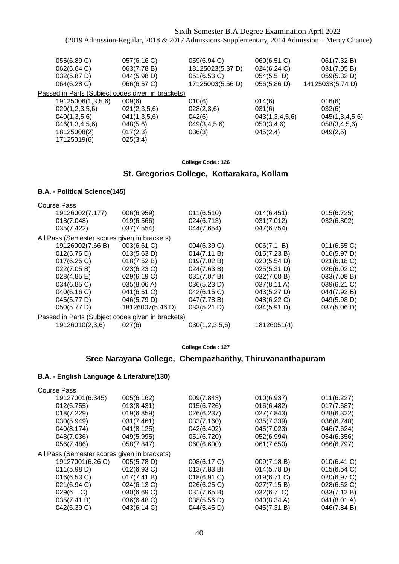| 055(6.89 C)<br>062(6.64 C)<br>032(5.87 D)                                                               | 057(6.16 C)<br>063(7.78 B)<br>044(5.98 D)        | 059(6.94 C)<br>18125023(5.37 D)<br>051(6.53 C) | 060(6.51 C)<br>024(6.24 C)<br>$054(5.5)$ D) | 061(7.32 B)<br>031(7.05 B)<br>059(5.32 D)  |
|---------------------------------------------------------------------------------------------------------|--------------------------------------------------|------------------------------------------------|---------------------------------------------|--------------------------------------------|
| 064(6.28 C)<br>Passed in Parts (Subject codes given in brackets)<br>19125006(1,3,5,6)<br>020(1,2,3,5,6) | 066(6.57 C)<br>009(6)<br>021(2,3,5,6)            | 17125003(5.56 D)<br>010(6)<br>028(2,3,6)       | 056(5.86 D)<br>014(6)<br>031(6)             | 14125038(5.74 D)<br>016(6)<br>032(6)       |
| 040(1,3,5,6)<br>046(1,3,4,5,6)<br>18125008(2)<br>17125019(6)                                            | 041(1,3,5,6)<br>048(5,6)<br>017(2,3)<br>025(3,4) | 042(6)<br>049(3,4,5,6)<br>036(3)               | 043(1,3,4,5,6)<br>050(3,4,6)<br>045(2,4)    | 045(1,3,4,5,6)<br>058(3,4,5,6)<br>049(2,5) |

**College Code : 126**

## **St. Gregorios College, Kottarakara, Kollam**

#### **B.A. - Political Science(145)**

| <b>Course Pass</b> |                                              |                                                   |                |             |             |
|--------------------|----------------------------------------------|---------------------------------------------------|----------------|-------------|-------------|
|                    | 19126002(7.177)                              | 006(6.959)                                        | 011(6.510)     | 014(6.451)  | 015(6.725)  |
|                    | 018(7.048)                                   | 019(6.566)                                        | 024(6.713)     | 031(7.012)  | 032(6.802)  |
|                    | 035(7.422)                                   | 037(7.554)                                        | 044(7.654)     | 047(6.754)  |             |
|                    | All Pass (Semester scores given in brackets) |                                                   |                |             |             |
|                    | 19126002(7.66 B)                             | 003(6.61 C)                                       | 004(6.39 C)    | 006(7.1 B)  | 011(6.55 C) |
|                    | 012(5.76 D)                                  | 013(5.63 D)                                       | 014(7.11 B)    | 015(7.23 B) | 016(5.97 D) |
|                    | $017(6.25)$ C)                               | 018(7.52 B)                                       | 019(7.02 B)    | 020(5.54 D) | 021(6.18 C) |
|                    | 022(7.05 B)                                  | 023(6.23 C)                                       | 024(7.63 B)    | 025(5.31 D) | 026(6.02 C) |
|                    | 028(4.85 E)                                  | 029(6.19 C)                                       | 031(7.07 B)    | 032(7.08 B) | 033(7.08 B) |
|                    | 034(6.85 C)                                  | 035(8.06 A)                                       | 036(5.23 D)    | 037(8.11 A) | 039(6.21 C) |
|                    | 040(6.16 C)                                  | 041(6.51 C)                                       | 042(6.15 C)    | 043(5.27 D) | 044(7.92 B) |
|                    | 045(5.77 D)                                  | 046(5.79 D)                                       | 047(7.78 B)    | 048(6.22 C) | 049(5.98 D) |
|                    | 050(5.77 D)                                  | 18126007(5.46 D)                                  | 033(5.21 D)    | 034(5.91 D) | 037(5.06 D) |
|                    |                                              | Passed in Parts (Subject codes given in brackets) |                |             |             |
|                    | 19126010(2,3,6)                              | 027(6)                                            | 030(1,2,3,5,6) | 18126051(4) |             |

#### **College Code : 127**

## **Sree Narayana College, Chempazhanthy, Thiruvananthapuram**

| <b>Course Pass</b>                           |                |             |             |             |
|----------------------------------------------|----------------|-------------|-------------|-------------|
| 19127001(6.345)                              | 005(6.162)     | 009(7.843)  | 010(6.937)  | 011(6.227)  |
| 012(6.755)                                   | 013(8.431)     | 015(6.726)  | 016(6.482)  | 017(7.687)  |
| 018(7.229)                                   | 019(6.859)     | 026(6.237)  | 027(7.843)  | 028(6.322)  |
| 030(5.949)                                   | 031(7.461)     | 033(7.160)  | 035(7.339)  | 036(6.748)  |
| 040(8.174)                                   | 041(8.125)     | 042(6.402)  | 045(7.023)  | 046(7.624)  |
| 048(7.036)                                   | 049(5.995)     | 051(6.720)  | 052(6.994)  | 054(6.356)  |
| 056(7.486)                                   | 058(7.847)     | 060(6.600)  | 061(7.650)  | 066(6.797)  |
| All Pass (Semester scores given in brackets) |                |             |             |             |
| 19127001(6.26 C)                             | 005(5.78 D)    | 008(6.17 C) | 009(7.18 B) | 010(6.41 C) |
| 011(5.98 D)                                  | $012(6.93)$ C) | 013(7.83 B) | 014(5.78 D) | 015(6.54 C) |
| 016(6.53 C)                                  | 017(7.41 B)    | 018(6.91 C) | 019(6.71 C) | 020(6.97 C) |
| 021(6.94 C)                                  | 024(6.13 C)    | 026(6.25 C) | 027(7.15 B) | 028(6.52 C) |
| 029(6 C)                                     | 030(6.69 C)    | 031(7.65 B) | 032(6.7 C)  | 033(7.12 B) |
| 035(7.41 B)                                  | 036(6.48 C)    | 038(5.56 D) | 040(8.34 A) | 041(8.01 A) |
| 042(6.39 C)                                  | 043(6.14 C)    | 044(5.45 D) | 045(7.31 B) | 046(7.84 B) |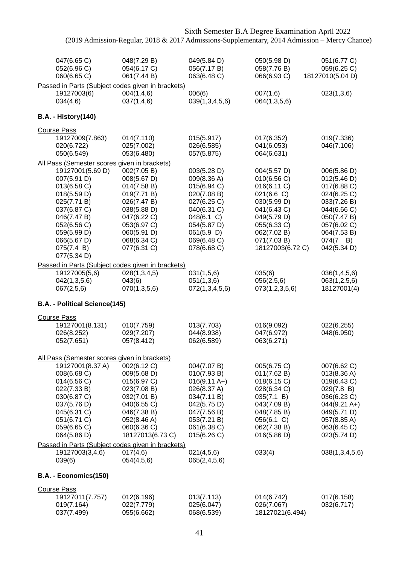| 047(6.65 C)<br>052(6.96 C)<br>060(6.65 C)                                                                                                                                            | 048(7.29 B)<br>054(6.17 C)<br>061(7.44 B)                                                                                                                         | 049(5.84 D)<br>056(7.17 B)<br>063(6.48 C)                                                                                                                     | 050(5.98 D)<br>058(7.76 B)<br>066(6.93 C)                                                                                                                             | 051(6.77 C)<br>059(6.25 C)<br>18127010(5.04 D)                                                                                                                         |
|--------------------------------------------------------------------------------------------------------------------------------------------------------------------------------------|-------------------------------------------------------------------------------------------------------------------------------------------------------------------|---------------------------------------------------------------------------------------------------------------------------------------------------------------|-----------------------------------------------------------------------------------------------------------------------------------------------------------------------|------------------------------------------------------------------------------------------------------------------------------------------------------------------------|
|                                                                                                                                                                                      | Passed in Parts (Subject codes given in brackets)                                                                                                                 |                                                                                                                                                               |                                                                                                                                                                       |                                                                                                                                                                        |
| 19127003(6)<br>034(4,6)                                                                                                                                                              | 004(1,4,6)<br>037(1,4,6)                                                                                                                                          | 006(6)<br>039(1,3,4,5,6)                                                                                                                                      | 007(1,6)<br>064(1,3,5,6)                                                                                                                                              | 023(1,3,6)                                                                                                                                                             |
| <b>B.A. - History(140)</b>                                                                                                                                                           |                                                                                                                                                                   |                                                                                                                                                               |                                                                                                                                                                       |                                                                                                                                                                        |
| <b>Course Pass</b>                                                                                                                                                                   |                                                                                                                                                                   |                                                                                                                                                               |                                                                                                                                                                       |                                                                                                                                                                        |
| 19127009(7.863)<br>020(6.722)<br>050(6.549)                                                                                                                                          | 014(7.110)<br>025(7.002)<br>053(6.480)                                                                                                                            | 015(5.917)<br>026(6.585)<br>057(5.875)                                                                                                                        | 017(6.352)<br>041(6.053)<br>064(6.631)                                                                                                                                | 019(7.336)<br>046(7.106)                                                                                                                                               |
| All Pass (Semester scores given in brackets)                                                                                                                                         |                                                                                                                                                                   |                                                                                                                                                               |                                                                                                                                                                       |                                                                                                                                                                        |
| 19127001(5.69 D)<br>007(5.91 D)<br>013(6.58 C)<br>018(5.59 D)<br>025(7.71 B)<br>037(6.87 C)<br>046(7.47 B)<br>052(6.56 C)<br>059(5.99 D)<br>066(5.67 D)<br>075(7.4 B)<br>077(5.34 D) | 002(7.05 B)<br>008(5.67 D)<br>014(7.58 B)<br>019(7.71 B)<br>026(7.47 B)<br>038(5.88 D)<br>047(6.22 C)<br>053(6.97 C)<br>060(5.91 D)<br>068(6.34 C)<br>077(6.31 C) | 003(5.28 D)<br>009(8.36 A)<br>015(6.94 C)<br>020(7.08 B)<br>027(6.25 C)<br>040(6.31 C)<br>048(6.1 C)<br>054(5.87 D)<br>061(5.9)<br>069(6.48 C)<br>078(6.68 C) | 004(5.57 D)<br>010(6.56 C)<br>016(6.11 C)<br>021(6.6 C)<br>030(5.99 D)<br>041(6.43 C)<br>049(5.79 D)<br>055(6.33 C)<br>062(7.02 B)<br>071(7.03 B)<br>18127003(6.72 C) | 006(5.86 D)<br>012(5.46 D)<br>017(6.88 C)<br>024(6.25 C)<br>033(7.26 B)<br>044(6.66 C)<br>050(7.47 B)<br>057(6.02 C)<br>064(7.53 B)<br>$074(7 \quad B)$<br>042(5.34 D) |
|                                                                                                                                                                                      | Passed in Parts (Subject codes given in brackets)                                                                                                                 |                                                                                                                                                               |                                                                                                                                                                       |                                                                                                                                                                        |
| 19127005(5,6)<br>042(1,3,5,6)<br>067(2,5,6)                                                                                                                                          | 028(1,3,4,5)<br>043(6)<br>070(1,3,5,6)                                                                                                                            | 031(1,5,6)<br>051(1,3,6)<br>072(1,3,4,5,6)                                                                                                                    | 035(6)<br>056(2,5,6)<br>073(1,2,3,5,6)                                                                                                                                | 036(1,4,5,6)<br>063(1,2,5,6)<br>18127001(4)                                                                                                                            |
| B.A. - Political Science(145)                                                                                                                                                        |                                                                                                                                                                   |                                                                                                                                                               |                                                                                                                                                                       |                                                                                                                                                                        |
|                                                                                                                                                                                      |                                                                                                                                                                   |                                                                                                                                                               |                                                                                                                                                                       |                                                                                                                                                                        |
| <b>Course Pass</b><br>19127001(8.131)<br>026(8.252)<br>052(7.651)                                                                                                                    | 010(7.759)<br>029(7.207)<br>057(8.412)                                                                                                                            | 013(7.703)<br>044(8.938)<br>062(6.589)                                                                                                                        | 016(9.092)<br>047(6.972)<br>063(6.271)                                                                                                                                | 022(6.255)<br>048(6.950)                                                                                                                                               |
| <u>All Pass (Semester scores given in brackets)</u>                                                                                                                                  |                                                                                                                                                                   |                                                                                                                                                               |                                                                                                                                                                       |                                                                                                                                                                        |
| 19127001(8.37 A)<br>008(6.68 C)<br>014(6.56 C)<br>022(7.33 B)<br>030(6.87 C)<br>037(5.76 D)<br>045(6.31 C)<br>051(6.71 C)<br>059(6.65 C)<br>064(5.86 D)                              | 002(6.12 C)<br>009(5.68 D)<br>015(6.97 C)<br>023(7.08 B)<br>032(7.01 B)<br>040(6.55 C)<br>046(7.38 B)<br>052(8.46 A)<br>060(6.36 C)<br>18127013(6.73 C)           | 004(7.07 B)<br>010(7.93 B)<br>$016(9.11 \text{ A+})$<br>026(8.37 A)<br>034(7.11 B)<br>042(5.75 D)<br>047(7.56 B)<br>053(7.21 B)<br>061(6.38 C)<br>015(6.26 C) | 005(6.75 C)<br>011(7.62 B)<br>018(6.15 C)<br>028(6.34 C)<br>035(7.1 B)<br>043(7.09 B)<br>048(7.85 B)<br>056(6.1 C)<br>062(7.38 B)<br>016(5.86 D)                      | 007(6.62 C)<br>013(8.36 A)<br>019(6.43 C)<br>029(7.8 B)<br>036(6.23 C)<br>$044(9.21 \text{ A+})$<br>049(5.71 D)<br>057(8.85 A)<br>063(6.45 C)<br>023(5.74 D)           |
|                                                                                                                                                                                      | Passed in Parts (Subject codes given in brackets)                                                                                                                 |                                                                                                                                                               |                                                                                                                                                                       |                                                                                                                                                                        |
| 19127003(3,4,6)<br>039(6)                                                                                                                                                            | 017(4,6)<br>054(4,5,6)                                                                                                                                            | 021(4,5,6)<br>065(2, 4, 5, 6)                                                                                                                                 | 033(4)                                                                                                                                                                | 038(1,3,4,5,6)                                                                                                                                                         |
| B.A. - Economics(150)                                                                                                                                                                |                                                                                                                                                                   |                                                                                                                                                               |                                                                                                                                                                       |                                                                                                                                                                        |
| <b>Course Pass</b>                                                                                                                                                                   |                                                                                                                                                                   |                                                                                                                                                               |                                                                                                                                                                       |                                                                                                                                                                        |
| 19127011(7.757)                                                                                                                                                                      | 012(6.196)                                                                                                                                                        | 013(7.113)                                                                                                                                                    | 014(6.742)                                                                                                                                                            | 017(6.158)                                                                                                                                                             |

| TATS (OTT(1.121) | 0T \REQ 2 TO | UL3(1.113) | U14(0.742)      | 017(0.158) |
|------------------|--------------|------------|-----------------|------------|
| 019(7.164)       | 022(7.779)   | 025(6.047) | 026(7.067)      | 032(6.717) |
| 037(7.499)       | 055(6.662)   | 068(6.539) | 18127021(6.494) |            |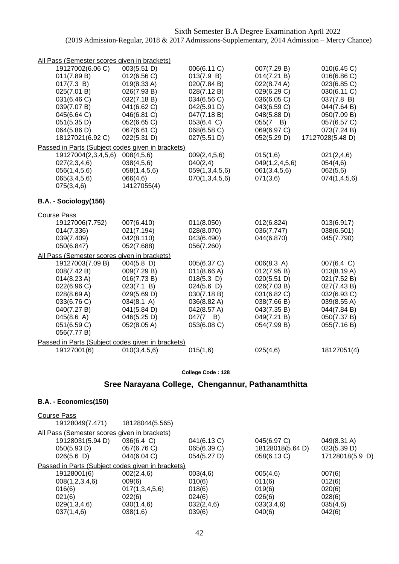| All Pass (Semester scores given in brackets)      |                           |                            |                            |                            |
|---------------------------------------------------|---------------------------|----------------------------|----------------------------|----------------------------|
| 19127002(6.06 C)                                  | 003(5.51 D)               | 006(6.11 C)                | 007(7.29 B)                | 010(6.45 C)                |
| 011(7.89 B)                                       | 012(6.56 C)               | 013(7.9 B)                 | 014(7.21 B)                | 016(6.86 C)                |
| 017(7.3 B)                                        | 019(8.33 A)               | 020(7.84 B)                | 022(8.74 A)                | 023(6.85 C)                |
| 025(7.01 B)                                       | 026(7.93 B)               | 028(7.12 B)                | 029(6.29 C)                | 030(6.11 C)                |
| 031(6.46 C)                                       | 032(7.18 B)               | 034(6.56 C)                | 036(6.05 C)                | 037(7.8 B)                 |
| 039(7.07 B)                                       | 041(6.62 C)               | 042(5.91 D)                | 043(6.59 C)                | 044(7.64 B)                |
| 045(6.64 C)                                       | 046(6.81 C)               | 047(7.18 B)                | 048(5.88 D)                | 050(7.09 B)                |
| 051(5.35 D)                                       | 052(6.65 C)               | 053(6.4 C)                 | $055(7 \quad B)$           | 057(6.57 C)                |
| 064(5.86 D)                                       | 067(6.61 C)               | 068(6.58 C)                | 069(6.97 C)                | 073(7.24 B)                |
| 18127021(6.92 C)                                  | 022(5.31 D)               | 027(5.51 D)                | 052(5.29 D)                | 17127028(5.48 D)           |
| Passed in Parts (Subject codes given in brackets) |                           |                            |                            |                            |
| 19127004(2,3,4,5,6)                               | 008(4,5,6)                | 009(2, 4, 5, 6)            | 015(1,6)                   | 021(2,4,6)                 |
| 027(2,3,4,6)                                      | 038(4,5,6)                | 040(2,4)                   | 049(1,2,4,5,6)             | 054(4,6)                   |
| 056(1,4,5,6)<br>065(3,4,5,6)                      | 058(1,4,5,6)<br>066(4,6)  | 059(1,3,4,5,6)             | 061(3,4,5,6)<br>071(3,6)   | 062(5,6)<br>074(1,4,5,6)   |
| 075(3,4,6)                                        | 14127055(4)               | 070(1,3,4,5,6)             |                            |                            |
|                                                   |                           |                            |                            |                            |
| B.A. - Sociology(156)                             |                           |                            |                            |                            |
| <b>Course Pass</b>                                |                           |                            |                            |                            |
| 19127006(7.752)                                   | 007(6.410)                | 011(8.050)                 | 012(6.824)                 | 013(6.917)                 |
| 014(7.336)                                        | 021(7.194)                | 028(8.070)                 | 036(7.747)                 | 038(6.501)                 |
| 039(7.409)                                        | 042(8.110)                | 043(6.490)                 | 044(6.870)                 | 045(7.790)                 |
| 050(6.847)                                        | 052(7.688)                | 056(7.260)                 |                            |                            |
| All Pass (Semester scores given in brackets)      |                           |                            |                            |                            |
| 19127003(7.09 B)                                  | $004(5.8)$ D)             | 005(6.37 C)                | 006(8.3 A)                 | 007(6.4 C)                 |
| 008(7.42 B)                                       | 009(7.29 B)               | 011(8.66 A)                | 012(7.95 B)                | 013(8.19 A)                |
| 014(8.23 A)                                       | 016(7.73 B)               | $018(5.3)$ D)              | 020(5.51 D)                | 021(7.52 B)                |
| 022(6.96 C)                                       | 023(7.1 B)                | 024(5.6)                   | 026(7.03 B)                | 027(7.43 B)                |
| 028(8.69 A)                                       | 029(5.69 D)               | 030(7.18 B)                | 031(6.82 C)                | 032(6.93 C)                |
| 033(6.76 C)<br>040(7.27 B)                        | 034(8.1 A)<br>041(5.84 D) | 036(8.82 A)<br>042(8.57 A) | 038(7.66 B)<br>043(7.35 B) | 039(8.55 A)<br>044(7.84 B) |
| 045(8.6 A)                                        | 046(5.25 D)               | $047(7 \quad B)$           | 049(7.21 B)                | 050(7.37 B)                |
| 051(6.59 C)                                       | 052(8.05 A)               | 053(6.08 C)                | 054(7.99 B)                | 055(7.16 B)                |
| 056(7.77 B)                                       |                           |                            |                            |                            |
| Passed in Parts (Subject codes given in brackets) |                           |                            |                            |                            |
|                                                   |                           |                            |                            |                            |
| 19127001(6)                                       | 010(3,4,5,6)              | 015(1,6)                   | 025(4,6)                   | 18127051(4)                |

## **Sree Narayana College, Chengannur, Pathanamthitta**

### **B.A. - Economics(150)**

| 18128044(5.565)                                   |             |                  |                 |  |  |
|---------------------------------------------------|-------------|------------------|-----------------|--|--|
| All Pass (Semester scores given in brackets)      |             |                  |                 |  |  |
| 036(6.4 C)                                        | 041(6.13 C) | 045(6.97 C)      | 049(8.31 A)     |  |  |
| 057(6.76 C)                                       | 065(6.39 C) | 18128018(5.64 D) | 023(5.39 D)     |  |  |
| 044(6.04 C)                                       | 054(5.27 D) | 058(6.13 C)      | 17128018(5.9 D) |  |  |
| Passed in Parts (Subject codes given in brackets) |             |                  |                 |  |  |
| 002(2,4,6)                                        | 003(4,6)    | 005(4,6)         | 007(6)          |  |  |
| 009(6)                                            | 010(6)      | 011(6)           | 012(6)          |  |  |
| 017(1,3,4,5,6)                                    | 018(6)      | 019(6)           | 020(6)          |  |  |
| 022(6)                                            | 024(6)      | 026(6)           | 028(6)          |  |  |
| 030(1,4,6)                                        | 032(2,4,6)  | 033(3,4,6)       | 035(4,6)        |  |  |
| 038(1,6)                                          | 039(6)      | 040(6)           | 042(6)          |  |  |
|                                                   |             |                  |                 |  |  |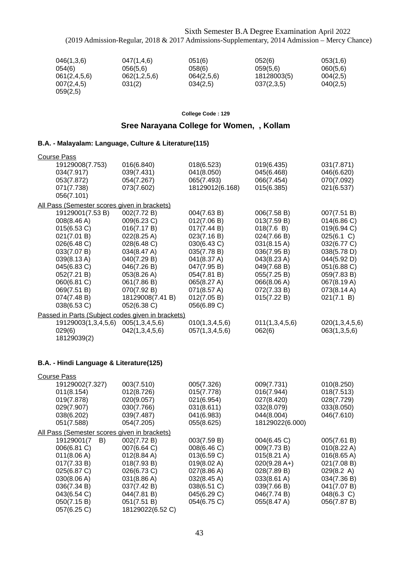| 046(1,3,6)   | 047(1,4,6)   | 051(6)     | 052(6)      | 053(1,6) |
|--------------|--------------|------------|-------------|----------|
| 054(6)       | 056(5,6)     | 058(6)     | 059(5,6)    | 060(5,6) |
| 061(2,4,5,6) | 062(1,2,5,6) | 064(2,5,6) | 18128003(5) | 004(2,5) |
| 007(2,4,5)   | 031(2)       | 034(2,5)   | 037(2,3,5)  | 040(2,5) |
| 059(2,5)     |              |            |             |          |

**College Code : 129**

# **Sree Narayana College for Women, , Kollam**

### **B.A. - Malayalam: Language, Culture & Literature(115)**

| <b>Course Pass</b>                                |                  |                 |                       |                |
|---------------------------------------------------|------------------|-----------------|-----------------------|----------------|
| 19129008(7.753)                                   | 016(6.840)       | 018(6.523)      | 019(6.435)            | 031(7.871)     |
| 034(7.917)                                        | 039(7.431)       | 041(8.050)      | 045(6.468)            | 046(6.620)     |
| 053(7.872)                                        | 054(7.267)       | 065(7.493)      | 066(7.454)            | 070(7.092)     |
| 071(7.738)                                        | 073(7.602)       | 18129012(6.168) | 015(6.385)            | 021(6.537)     |
| 056(7.101)                                        |                  |                 |                       |                |
| All Pass (Semester scores given in brackets)      |                  |                 |                       |                |
| 19129001(7.53 B)                                  | 002(7.72 B)      | 004(7.63 B)     | 006(7.58 B)           | 007(7.51 B)    |
| 008(8.46 A)                                       | 009(6.23 C)      | 012(7.06 B)     | 013(7.59 B)           | 014(6.86 C)    |
| 015(6.53 C)                                       | 016(7.17 B)      | 017(7.44 B)     | 018(7.6 B)            | 019(6.94 C)    |
| 021(7.01 B)                                       | 022(8.25 A)      | 023(7.16 B)     | 024(7.66 B)           | 025(6.1 C)     |
| 026(6.48 C)                                       | 028(6.48 C)      | 030(6.43 C)     | $031(8.15 \text{ A})$ | 032(6.77 C)    |
| 033(7.07 B)                                       | 034(8.47 A)      | 035(7.78 B)     | 036(7.95 B)           | 038(5.78 D)    |
| 039(8.13 A)                                       | 040(7.29 B)      | 041(8.37 A)     | 043(8.23 A)           | 044(5.92 D)    |
| 045(6.83 C)                                       | 046(7.26 B)      | 047(7.95 B)     | 049(7.68 B)           | 051(6.88 C)    |
| 052(7.21 B)                                       | 053(8.26 A)      | 054(7.81 B)     | 055(7.25 B)           | 059(7.83 B)    |
| 060(6.81 C)                                       | 061(7.86 B)      | 065(8.27 A)     | 066(8.06 A)           | 067(8.19 A)    |
| 069(7.51 B)                                       | 070(7.92 B)      | 071(8.57 A)     | 072(7.33 B)           | 073(8.14 A)    |
| 074(7.48 B)                                       | 18129008(7.41 B) | 012(7.05 B)     | 015(7.22 B)           | 021(7.1 B)     |
| 038(6.53 C)                                       | 052(6.38 C)      | 056(6.89 C)     |                       |                |
| Passed in Parts (Subject codes given in brackets) |                  |                 |                       |                |
| 19129003(1,3,4,5,6)                               | 005(1,3,4,5,6)   | 010(1,3,4,5,6)  | 011(1,3,4,5,6)        | 020(1,3,4,5,6) |
| 029(6)                                            | 042(1,3,4,5,6)   | 057(1,3,4,5,6)  | 062(6)                | 063(1,3,5,6)   |
| 18129039(2)                                       |                  |                 |                       |                |

### **B.A. - Hindi Language & Literature(125)**

| <b>Course Pass</b>                           |                       |                       |                       |                       |
|----------------------------------------------|-----------------------|-----------------------|-----------------------|-----------------------|
| 19129002(7.327)                              | 003(7.510)            | 005(7.326)            | 009(7.731)            | 010(8.250)            |
| 011(8.154)                                   | 012(8.726)            | 015(7.778)            | 016(7.944)            | 018(7.513)            |
| 019(7.878)                                   | 020(9.057)            | 021(6.954)            | 027(8.420)            | 028(7.729)            |
| 029(7.907)                                   | 030(7.766)            | 031(8.611)            | 032(8.079)            | 033(8.050)            |
| 038(6.202)                                   | 039(7.487)            | 041(6.983)            | 044(8.004)            | 046(7.610)            |
| 051(7.588)                                   | 054(7.205)            | 055(8.625)            | 18129022(6.000)       |                       |
| All Pass (Semester scores given in brackets) |                       |                       |                       |                       |
| 19129001(7<br>B)                             | 002(7.72 B)           | 003(7.59 B)           | 004(6.45 C)           | 005(7.61 B)           |
| 006(6.81 C)                                  | 007(6.64 C)           | 008(6.46 C)           | 009(7.73 B)           | $010(8.22 \text{ A})$ |
| 011(8.06 A)                                  | $012(8.84 \text{ A})$ | 013(6.59 C)           | $015(8.21 \text{ A})$ | 016(8.65 A)           |
| 017(7.33 B)                                  | 018(7.93 B)           | 019(8.02 A)           | $020(9.28 A+)$        | 021(7.08 B)           |
| 025(6.87 C)                                  | 026(6.73 C)           | $027(8.86 \text{ A})$ | 028(7.89 B)           | $029(8.2 \text{ A})$  |
| 030(8.06 A)                                  | 031(8.86 A)           | 032(8.45 A)           | 033(8.61 A)           | 034(7.36 B)           |
| 036(7.34 B)                                  | 037(7.42 B)           | 038(6.51 C)           | 039(7.66 B)           | 041(7.07 B)           |
| 043(6.54 C)                                  | 044(7.81 B)           | 045(6.29 C)           | 046(7.74 B)           | 048(6.3 C)            |
| 050(7.15 B)                                  | 051(7.51 B)           | 054(6.75 C)           | 055(8.47 A)           | 056(7.87 B)           |
| 057(6.25 C)                                  | 18129022(6.52 C)      |                       |                       |                       |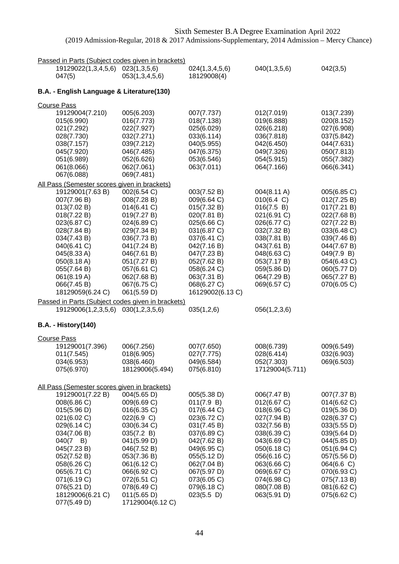|                    |                                                                                                                                                                                                                                                                                                 | Passed in Parts (Subject codes given in brackets)                                                                                                                                                                                                                                     |                                                                                                                                                                                                                                   |                                                                                                                                                                                                                |                                                                                                                                                                                                               |
|--------------------|-------------------------------------------------------------------------------------------------------------------------------------------------------------------------------------------------------------------------------------------------------------------------------------------------|---------------------------------------------------------------------------------------------------------------------------------------------------------------------------------------------------------------------------------------------------------------------------------------|-----------------------------------------------------------------------------------------------------------------------------------------------------------------------------------------------------------------------------------|----------------------------------------------------------------------------------------------------------------------------------------------------------------------------------------------------------------|---------------------------------------------------------------------------------------------------------------------------------------------------------------------------------------------------------------|
|                    | 19129022(1,3,4,5,6)<br>047(5)                                                                                                                                                                                                                                                                   | 023(1,3,5,6)<br>053(1,3,4,5,6)                                                                                                                                                                                                                                                        | 024(1,3,4,5,6)<br>18129008(4)                                                                                                                                                                                                     | 040(1,3,5,6)                                                                                                                                                                                                   | 042(3,5)                                                                                                                                                                                                      |
|                    | B.A. - English Language & Literature(130)                                                                                                                                                                                                                                                       |                                                                                                                                                                                                                                                                                       |                                                                                                                                                                                                                                   |                                                                                                                                                                                                                |                                                                                                                                                                                                               |
| <b>Course Pass</b> | 19129004(7.210)<br>015(6.990)<br>021(7.292)<br>028(7.730)<br>038(7.157)<br>045(7.920)<br>051(6.989)<br>061(8.066)<br>067(6.088)                                                                                                                                                                 | 005(6.203)<br>016(7.773)<br>022(7.927)<br>032(7.271)<br>039(7.212)<br>046(7.485)<br>052(6.626)<br>062(7.061)<br>069(7.481)                                                                                                                                                            | 007(7.737)<br>018(7.138)<br>025(6.029)<br>033(6.114)<br>040(5.955)<br>047(6.375)<br>053(6.546)<br>063(7.011)                                                                                                                      | 012(7.019)<br>019(6.888)<br>026(6.218)<br>036(7.818)<br>042(6.450)<br>049(7.326)<br>054(5.915)<br>064(7.166)                                                                                                   | 013(7.239)<br>020(8.152)<br>027(6.908)<br>037(5.842)<br>044(7.631)<br>050(7.813)<br>055(7.382)<br>066(6.341)                                                                                                  |
|                    | All Pass (Semester scores given in brackets)<br>19129001(7.63 B)<br>007(7.96 B)<br>013(7.02 B)<br>018(7.22 B)<br>023(6.87 C)<br>028(7.84 B)<br>034(7.43 B)<br>040(6.41 C)<br>045(8.33 A)<br>050(8.18 A)<br>055(7.64 B)<br>061(8.19 A)<br>066(7.45 B)<br>18129059(6.24 C)<br>19129006(1,2,3,5,6) | 002(6.54 C)<br>008(7.28 B)<br>014(6.41 C)<br>019(7.27 B)<br>024(6.89 C)<br>029(7.34 B)<br>036(7.73 B)<br>041(7.24 B)<br>046(7.61 B)<br>051(7.27 B)<br>057(6.61 C)<br>062(7.68 B)<br>067(6.75 C)<br>061(5.59 D)<br>Passed in Parts (Subject codes given in brackets)<br>030(1,2,3,5,6) | 003(7.52 B)<br>009(6.64 C)<br>015(7.32 B)<br>020(7.81 B)<br>025(6.66 C)<br>031(6.87 C)<br>037(6.41 C)<br>042(7.16 B)<br>047(7.23 B)<br>052(7.62 B)<br>058(6.24 C)<br>063(7.31 B)<br>068(6.27 C)<br>16129002(6.13 C)<br>035(1,2,6) | 004(8.11 A)<br>010(6.4 C)<br>016(7.5 B)<br>021(6.91 C)<br>026(6.77 C)<br>032(7.32 B)<br>038(7.81 B)<br>043(7.61 B)<br>048(6.63 C)<br>053(7.17 B)<br>059(5.86 D)<br>064(7.29 B)<br>069(6.57 C)<br>056(1,2,3,6)  | 005(6.85 C)<br>012(7.25 B)<br>017(7.21 B)<br>022(7.68 B)<br>027(7.22 B)<br>033(6.48 C)<br>039(7.46 B)<br>044(7.67 B)<br>049(7.9 B)<br>054(6.43 C)<br>060(5.77 D)<br>065(7.27 B)<br>070(6.05 C)                |
|                    | <b>B.A. - History(140)</b>                                                                                                                                                                                                                                                                      |                                                                                                                                                                                                                                                                                       |                                                                                                                                                                                                                                   |                                                                                                                                                                                                                |                                                                                                                                                                                                               |
| <b>Course Pass</b> | 19129001(7.396)<br>011(7.545)<br>034(6.953)<br>075(6.970)                                                                                                                                                                                                                                       | 006(7.256)<br>018(6.905)<br>038(6.460)<br>18129006(5.494)                                                                                                                                                                                                                             | 007(7.650)<br>027(7.775)<br>049(6.584)<br>075(6.810)                                                                                                                                                                              | 008(6.739)<br>028(6.414)<br>052(7.303)<br>17129004(5.711)                                                                                                                                                      | 009(6.549)<br>032(6.903)<br>069(6.503)                                                                                                                                                                        |
|                    | All Pass (Semester scores given in brackets)<br>19129001(7.22 B)<br>008(6.86 C)<br>015(5.96 D)<br>021(6.02 C)<br>029(6.14 C)<br>034(7.06 B)<br>$040(7 \quad B)$<br>045(7.23 B)<br>052(7.52 B)<br>058(6.26 C)<br>065(6.71 C)<br>071(6.19 C)<br>076(5.21 D)<br>18129006(6.21 C)<br>077(5.49 D)    | 004(5.65 D)<br>009(6.69 C)<br>016(6.35 C)<br>022(6.9 C)<br>030(6.34 C)<br>035(7.2 B)<br>041(5.99 D)<br>046(7.52 B)<br>053(7.36 B)<br>061(6.12 C)<br>066(6.92 C)<br>072(6.51 C)<br>078(6.49 C)<br>011(5.65 D)<br>17129004(6.12 C)                                                      | 005(5.38 D)<br>011(7.9 B)<br>017(6.44 C)<br>023(6.72 C)<br>031(7.45 B)<br>037(6.89 C)<br>042(7.62 B)<br>049(6.95 C)<br>055(5.12 D)<br>062(7.04 B)<br>067(5.97 D)<br>073(6.05 C)<br>079(6.18 C)<br>$023(5.5)$ D)                   | 006(7.47 B)<br>012(6.67 C)<br>018(6.96 C)<br>027(7.94 B)<br>032(7.56 B)<br>038(6.39 C)<br>043(6.69 C)<br>050(6.18 C)<br>056(6.16 C)<br>063(6.66 C)<br>069(6.67 C)<br>074(6.98 C)<br>080(7.08 B)<br>063(5.91 D) | 007(7.37 B)<br>014(6.62 C)<br>019(5.36 D)<br>028(6.37 C)<br>033(5.55 D)<br>039(5.64 D)<br>044(5.85 D)<br>051(6.94 C)<br>057(5.56 D)<br>064(6.6 C)<br>070(6.93 C)<br>075(7.13 B)<br>081(6.62 C)<br>075(6.62 C) |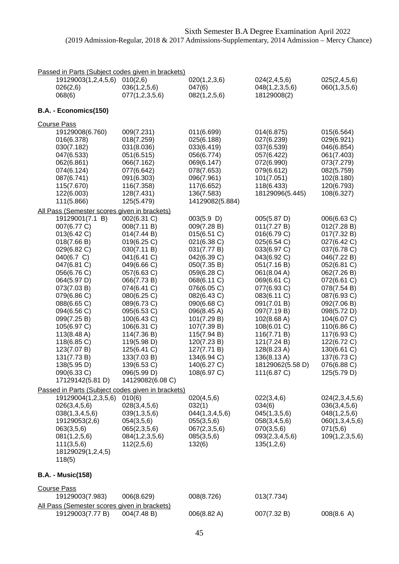| Passed in Parts (Subject codes given in brackets)                                                                                                                                                                                                                                                                           |                                                                                                                                                                                                                                                                                                                              |                                                                                                                                                                                                                                                                                                          |                                                                                                                                                                                                                                                                                                               |                                                                                                                                                                                                                                                                                                          |
|-----------------------------------------------------------------------------------------------------------------------------------------------------------------------------------------------------------------------------------------------------------------------------------------------------------------------------|------------------------------------------------------------------------------------------------------------------------------------------------------------------------------------------------------------------------------------------------------------------------------------------------------------------------------|----------------------------------------------------------------------------------------------------------------------------------------------------------------------------------------------------------------------------------------------------------------------------------------------------------|---------------------------------------------------------------------------------------------------------------------------------------------------------------------------------------------------------------------------------------------------------------------------------------------------------------|----------------------------------------------------------------------------------------------------------------------------------------------------------------------------------------------------------------------------------------------------------------------------------------------------------|
| 19129003(1,2,4,5,6)<br>026(2,6)<br>068(6)                                                                                                                                                                                                                                                                                   | 010(2,6)<br>036(1, 2, 5, 6)<br>077(1, 2, 3, 5, 6)                                                                                                                                                                                                                                                                            | 020(1,2,3,6)<br>047(6)<br>082(1,2,5,6)                                                                                                                                                                                                                                                                   | 024(2,4,5,6)<br>048(1,2,3,5,6)<br>18129008(2)                                                                                                                                                                                                                                                                 | 025(2,4,5,6)<br>060(1,3,5,6)                                                                                                                                                                                                                                                                             |
| B.A. - Economics(150)                                                                                                                                                                                                                                                                                                       |                                                                                                                                                                                                                                                                                                                              |                                                                                                                                                                                                                                                                                                          |                                                                                                                                                                                                                                                                                                               |                                                                                                                                                                                                                                                                                                          |
| <b>Course Pass</b>                                                                                                                                                                                                                                                                                                          |                                                                                                                                                                                                                                                                                                                              |                                                                                                                                                                                                                                                                                                          |                                                                                                                                                                                                                                                                                                               |                                                                                                                                                                                                                                                                                                          |
| 19129008(6.760)<br>016(6.378)<br>030(7.182)<br>047(6.533)<br>062(6.861)<br>074(6.124)<br>087(6.741)<br>115(7.670)<br>122(6.003)<br>111(5.866)<br>All Pass (Semester scores given in brackets)<br>19129001(7.1 B)                                                                                                            | 009(7.231)<br>018(7.259)<br>031(8.036)<br>051(6.515)<br>066(7.162)<br>077(6.642)<br>091(6.303)<br>116(7.358)<br>128(7.431)<br>125(5.479)<br>002(6.31 C)                                                                                                                                                                      | 011(6.699)<br>025(6.188)<br>033(6.419)<br>056(6.774)<br>069(6.147)<br>078(7.653)<br>096(7.961)<br>117(6.652)<br>136(7.583)<br>14129082(5.884)<br>003(5.9 D)                                                                                                                                              | 014(6.875)<br>027(6.239)<br>037(6.539)<br>057(6.422)<br>072(6.990)<br>079(6.612)<br>101(7.051)<br>118(6.433)<br>18129096(5.445)<br>005(5.87 D)                                                                                                                                                                | 015(6.564)<br>029(6.921)<br>046(6.854)<br>061(7.403)<br>073(7.279)<br>082(5.759)<br>102(8.180)<br>120(6.793)<br>108(6.327)<br>006(6.63 C)                                                                                                                                                                |
| 007(6.77 C)<br>013(6.42 C)<br>018(7.66 B)<br>029(6.82 C)<br>040(6.7 C)<br>047(6.81 C)<br>056(6.76 C)<br>064(5.97 D)<br>073(7.03 B)<br>079(6.86 C)<br>088(6.65 C)<br>094(6.56 C)<br>099(7.25 B)<br>105(6.97 C)<br>113(8.48 A)<br>118(6.85 C)<br>123(7.07 B)<br>131(7.73 B)<br>138(5.95 D)<br>090(6.33 C)<br>17129142(5.81 D) | 008(7.11 B)<br>014(7.44 B)<br>019(6.25 C)<br>030(7.11 B)<br>041(6.41 C)<br>049(6.66 C)<br>057(6.63 C)<br>066(7.73 B)<br>074(6.41 C)<br>080(6.25 C)<br>089(6.73 C)<br>095(6.53 C)<br>100(6.43 C)<br>106(6.31 C)<br>114(7.36 B)<br>119(5.98 D)<br>125(6.41 C)<br>133(7.03 B)<br>139(6.53 C)<br>096(5.99 D)<br>14129082(6.08 C) | 009(7.28 B)<br>015(6.51 C)<br>021(6.38 C)<br>031(7.77 B)<br>042(6.39 C)<br>050(7.35 B)<br>059(6.28 C)<br>068(6.11 C)<br>076(6.05 C)<br>082(6.43 C)<br>090(6.68 C)<br>096(8.45 A)<br>101(7.29 B)<br>107(7.39 B)<br>115(7.94 B)<br>120(7.23 B)<br>127(7.71 B)<br>134(6.94 C)<br>140(6.27 C)<br>108(6.97 C) | 011(7.27 B)<br>016(6.79 C)<br>025(6.54 C)<br>033(6.97 C)<br>043(6.92 C)<br>051(7.16 B)<br>061(8.04 A)<br>069(6.61 C)<br>077(6.93 C)<br>083(6.11 C)<br>091(7.01 B)<br>097(7.19 B)<br>102(8.68 A)<br>108(6.01 C)<br>116(7.71 B)<br>121(7.24 B)<br>128(8.23 A)<br>136(8.13 A)<br>18129062(5.58 D)<br>111(6.87 C) | 012(7.28 B)<br>017(7.32 B)<br>027(6.42 C)<br>037(6.78 C)<br>046(7.22 B)<br>052(6.81 C)<br>062(7.26 B)<br>072(6.61 C)<br>078(7.54 B)<br>087(6.93 C)<br>092(7.06 B)<br>098(5.72 D)<br>104(6.07 C)<br>110(6.86 C)<br>117(6.93 C)<br>122(6.72 C)<br>130(6.61 C)<br>137(6.73 C)<br>076(6.88 C)<br>125(5.79 D) |
| Passed in Parts (Subject codes given in brackets)<br>19129004(1,2,3,5,6)<br>026(3,4,5,6)<br>038(1,3,4,5,6)<br>19129053(2,6)<br>063(3,5,6)<br>081(1,2,5,6)<br>111(3,5,6)<br>18129029(1,2,4,5)<br>118(5)                                                                                                                      | 010(6)<br>028(3,4,5,6)<br>039(1,3,5,6)<br>054(3,5,6)<br>065(2,3,5,6)<br>084(1,2,3,5,6)<br>112(2,5,6)                                                                                                                                                                                                                         | 020(4,5,6)<br>032(1)<br>044(1,3,4,5,6)<br>055(3,5,6)<br>067(2,3,5,6)<br>085(3,5,6)<br>132(6)                                                                                                                                                                                                             | 022(3,4,6)<br>034(6)<br>045(1,3,5,6)<br>058(3,4,5,6)<br>070(3,5,6)<br>093(2,3,4,5,6)<br>135(1,2,6)                                                                                                                                                                                                            | 024(2,3,4,5,6)<br>036(3,4,5,6)<br>048(1,2,5,6)<br>060(1,3,4,5,6)<br>071(5,6)<br>109(1, 2, 3, 5, 6)                                                                                                                                                                                                       |
| <b>B.A. - Music(158)</b>                                                                                                                                                                                                                                                                                                    |                                                                                                                                                                                                                                                                                                                              |                                                                                                                                                                                                                                                                                                          |                                                                                                                                                                                                                                                                                                               |                                                                                                                                                                                                                                                                                                          |
| <b>Course Pass</b>                                                                                                                                                                                                                                                                                                          |                                                                                                                                                                                                                                                                                                                              |                                                                                                                                                                                                                                                                                                          |                                                                                                                                                                                                                                                                                                               |                                                                                                                                                                                                                                                                                                          |
| 19129003(7.983)<br>All Pass (Semester scores given in brackets)                                                                                                                                                                                                                                                             | 006(8.629)                                                                                                                                                                                                                                                                                                                   | 008(8.726)                                                                                                                                                                                                                                                                                               | 013(7.734)                                                                                                                                                                                                                                                                                                    |                                                                                                                                                                                                                                                                                                          |

| $\overline{a}$ . assumed to the scores given in biackets). |             |             |             |            |
|------------------------------------------------------------|-------------|-------------|-------------|------------|
| 19129003(7.77 B)                                           | 004(7.48 B) | 006(8.82 A) | 007(7.32 B) | 008(8.6 A) |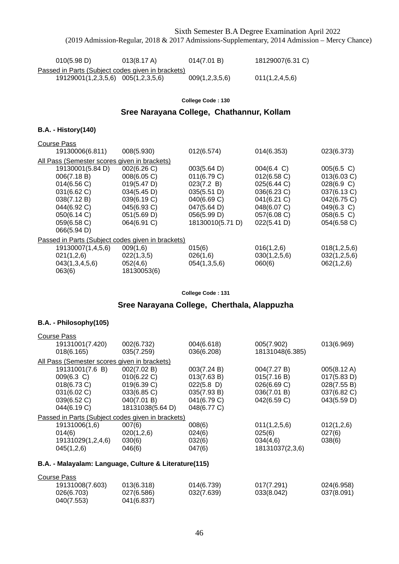| 010(5.98 D)                                       | $013(8.17 \text{ A})$ | 014(7.01 B)    | 18129007(6.31 C) |
|---------------------------------------------------|-----------------------|----------------|------------------|
| Passed in Parts (Subject codes given in brackets) |                       |                |                  |
| 19129001(1,2,3,5,6) 005(1,2,3,5,6)                |                       | 009(1,2,3,5,6) | 011(1,2,4,5,6)   |

#### **College Code : 130**

## **Sree Narayana College, Chathannur, Kollam**

#### **B.A. - History(140)**

| <b>Course Pass</b> |             |                                                                                                   |                      |              |
|--------------------|-------------|---------------------------------------------------------------------------------------------------|----------------------|--------------|
| 19130006(6.811)    | 008(5.930)  | 012(6.574)                                                                                        | 014(6.353)           | 023(6.373)   |
|                    |             |                                                                                                   |                      |              |
| 19130001(5.84 D)   | 002(6.26 C) | 003(5.64 D)                                                                                       | $004(6.4 \text{ C})$ | 005(6.5 C)   |
| 006(7.18 B)        | 008(6.05 C) | 011(6.79 C)                                                                                       | 012(6.58)            | 013(6.03 C)  |
| 014(6.56)          | 019(5.47 D) | 023(7.2 B)                                                                                        | 025(6.44 C)          | 028(6.9 C)   |
| 031(6.62 C)        | 034(5.45 D) | 035(5.51 D)                                                                                       | 036(6.23 C)          | 037(6.13 C)  |
| 038(7.12 B)        | 039(6.19 C) | 040(6.69 C)                                                                                       | 041(6.21 C)          | 042(6.75 C)  |
| 044(6.92 C)        | 045(6.93 C) | 047(5.64 D)                                                                                       | 048(6.07 C)          | 049(6.3 C)   |
| 050(6.14 C)        | 051(5.69 D) | 056(5.99 D)                                                                                       | 057(6.08 C)          | 058(6.5 C)   |
| 059(6.58 C)        | 064(6.91 C) | 18130010(5.71 D)                                                                                  | 022(5.41 D)          | 054(6.58 C)  |
| 066(5.94 D)        |             |                                                                                                   |                      |              |
|                    |             |                                                                                                   |                      |              |
| 19130007(1,4,5,6)  | 009(1,6)    | 015(6)                                                                                            | 016(1,2,6)           | 018(1,2,5,6) |
| 021(1,2,6)         | 022(1,3,5)  | 026(1,6)                                                                                          | 030(1,2,5,6)         | 032(1,2,5,6) |
| 043(1,3,4,5,6)     | 052(4,6)    | 054(1,3,5,6)                                                                                      | 060(6)               | 062(1,2,6)   |
| 063(6)             | 18130053(6) |                                                                                                   |                      |              |
|                    |             | All Pass (Semester scores given in brackets)<br>Passed in Parts (Subject codes given in brackets) |                      |              |

#### **College Code : 131**

### **Sree Narayana College, Cherthala, Alappuzha**

#### **B.A. - Philosophy(105)**

| <b>Course Pass</b>                                    |                  |               |                 |             |
|-------------------------------------------------------|------------------|---------------|-----------------|-------------|
| 19131001(7.420)                                       | 002(6.732)       | 004(6.618)    | 005(7.902)      | 013(6.969)  |
| 018(6.165)                                            | 035(7.259)       | 036(6.208)    | 18131048(6.385) |             |
| All Pass (Semester scores given in brackets)          |                  |               |                 |             |
| 19131001(7.6 B)                                       | 002(7.02 B)      | 003(7.24 B)   | 004(7.27 B)     | 005(8.12 A) |
| 009(6.3 C)                                            | 010(6.22 C)      | 013(7.63 B)   | 015(7.16 B)     | 017(5.83 D) |
| 018(6.73 C)                                           | 019(6.39 C)      | $022(5.8)$ D) | 026(6.69 C)     | 028(7.55 B) |
| 031(6.02 C)                                           | 033(6.85 C)      | 035(7.93 B)   | 036(7.01 B)     | 037(6.82 C) |
| 039(6.52 C)                                           | 040(7.01 B)      | 041(6.79 C)   | 042(6.59 C)     | 043(5.59 D) |
| 044(6.19 C)                                           | 18131038(5.64 D) | 048(6.77 C)   |                 |             |
| Passed in Parts (Subject codes given in brackets)     |                  |               |                 |             |
| 19131006(1,6)                                         | 007(6)           | 008(6)        | 011(1,2,5,6)    | 012(1,2,6)  |
| 014(6)                                                | 020(1,2,6)       | 024(6)        | 025(6)          | 027(6)      |
| 19131029(1,2,4,6)                                     | 030(6)           | 032(6)        | 034(4,6)        | 038(6)      |
| 045(1,2,6)                                            | 046(6)           | 047(6)        | 18131037(2,3,6) |             |
| B.A. - Malayalam: Language, Culture & Literature(115) |                  |               |                 |             |
|                                                       |                  |               |                 |             |
| <b>Course Pass</b>                                    |                  |               |                 |             |
| 19131008(7.603)                                       | 013(6.318)       | 014(6.739)    | 017(7.291)      | 024(6.958)  |
| 026(6.703)                                            | 027(6.586)       | 032(7.639)    | 033(8.042)      | 037(8.091)  |
| 040(7.553)                                            | 041(6.837)       |               |                 |             |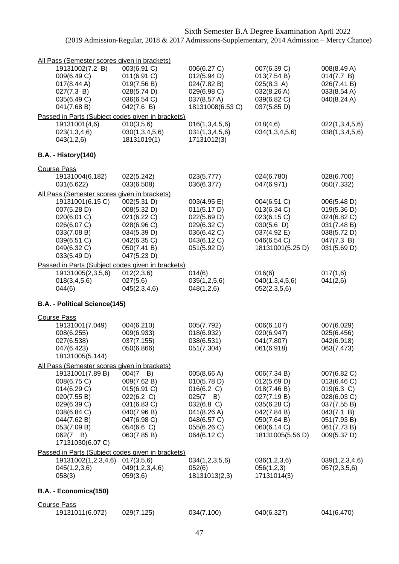| All Pass (Semester scores given in brackets)      |                            |                            |                            |                           |
|---------------------------------------------------|----------------------------|----------------------------|----------------------------|---------------------------|
| 19131002(7.2 B)                                   | 003(6.91 C)                | 006(6.27 C)                | 007(6.39 C)                | 008(8.49 A)               |
| 009(6.49 C)                                       | 011(6.91 C)                | 012(5.94 D)                | 013(7.54 B)                | 014(7.7 B)                |
| 017(8.44 A)                                       | 019(7.56 B)                | 024(7.82 B)                | 025(8.3 A)                 | 026(7.41 B)               |
| 027(7.3 B)                                        | 028(5.74 D)                | 029(6.98 C)                | 032(8.26 A)                | 033(8.54 A)               |
| 035(6.49 C)                                       | 036(6.54 C)                | 037(8.57 A)                | 039(6.82 C)                | 040(8.24 A)               |
| 041(7.68 B)                                       | 042(7.6 B)                 | 18131008(6.53 C)           | 037(5.85 D)                |                           |
| Passed in Parts (Subject codes given in brackets) |                            |                            |                            |                           |
| 19131001(4,6)                                     | 010(3,5,6)                 | 016(1,3,4,5,6)             | 018(4,6)                   | 022(1,3,4,5,6)            |
| 023(1,3,4,6)                                      | 030(1,3,4,5,6)             | 031(1,3,4,5,6)             | 034(1,3,4,5,6)             | 038(1,3,4,5,6)            |
| 043(1,2,6)                                        | 18131019(1)                | 17131012(3)                |                            |                           |
| <b>B.A. - History(140)</b>                        |                            |                            |                            |                           |
| <b>Course Pass</b>                                |                            |                            |                            |                           |
| 19131004(6.182)                                   | 022(5.242)                 | 023(5.777)                 | 024(6.780)                 | 028(6.700)                |
| 031(6.622)                                        | 033(6.508)                 | 036(6.377)                 | 047(6.971)                 | 050(7.332)                |
| All Pass (Semester scores given in brackets)      |                            |                            |                            |                           |
| 19131001(6.15 C)                                  | 002(5.31 D)                | 003(4.95 E)                | 004(6.51 C)                | 006(5.48 D)               |
| 007(5.28 D)                                       | 008(5.32 D)                | 011(5.17 D)                | 013(6.34 C)                | 019(5.36 D)               |
| 020(6.01 C)                                       |                            |                            | 023(6.15 C)                | 024(6.82 C)               |
| 026(6.07 C)                                       | 021(6.22 C)                | 022(5.69 D)                |                            |                           |
| 033(7.08 B)                                       | 028(6.96 C)                | 029(6.32 C)                | 030(5.6)                   | 031(7.48 B)               |
| 039(6.51 C)                                       | 034(5.39 D)                | 036(6.42 C)<br>043(6.12 C) | 037(4.92 E)<br>046(6.54 C) | 038(5.72 D)               |
| 049(6.32 C)                                       | 042(6.35 C)                | 051(5.92 D)                | 18131001(5.25 D)           | 047(7.3 B)<br>031(5.69 D) |
| 033(5.49 D)                                       | 050(7.41 B)<br>047(5.23 D) |                            |                            |                           |
|                                                   |                            |                            |                            |                           |
| Passed in Parts (Subject codes given in brackets) |                            | 014(6)                     |                            |                           |
| 19131005(2,3,5,6)                                 | 012(2,3,6)                 |                            | 016(6)                     | 017(1,6)                  |
| 018(3, 4, 5, 6)                                   | 027(5,6)                   | 035(1,2,5,6)               | 040(1,3,4,5,6)             | 041(2,6)                  |
| 044(6)                                            | 045(2,3,4,6)               | 048(1,2,6)                 | 052(2,3,5,6)               |                           |
| B.A. - Political Science(145)                     |                            |                            |                            |                           |
| <b>Course Pass</b>                                |                            |                            |                            |                           |
| 19131001(7.049)                                   | 004(6.210)                 | 005(7.792)                 | 006(6.107)                 | 007(6.029)                |
| 008(6.255)                                        | 009(6.933)                 | 018(6.932)                 | 020(6.947)                 | 025(6.456)                |
| 027(6.538)                                        | 037(7.155)                 | 038(6.531)                 | 041(7.807)                 | 042(6.918)                |
| 047(6.423)                                        | 050(6.866)                 | 051(7.304)                 | 061(6.918)                 | 063(7.473)                |
| 18131005(5.144)                                   |                            |                            |                            |                           |
| All Pass (Semester scores given in brackets)      |                            |                            |                            |                           |
| 19131001(7.89 B)                                  | $004(7 \quad B)$           | 005(8.66 A)                | 006(7.34 B)                | 007(6.82 C)               |
| 008(6.75 C)                                       | 009(7.62 B)                | 010(5.78 D)                | 012(5.69 D)                | 013(6.46 C)               |
| 014(6.29 C)                                       | 015(6.91 C)                | 016(6.2 C)                 | 018(7.46 B)                | 019(6.3 C)                |
| 020(7.55 B)                                       | 022(6.2 C)                 | $025(7 \quad B)$           | 027(7.19 B)                | 028(6.03 C)               |
| 029(6.39 C)                                       | 031(6.83 C)                | 032(6.8 C)                 | 035(6.28 C)                | 037(7.55 B)               |
| 038(6.84 C)                                       | 040(7.96 B)                | 041(8.26 A)                | 042(7.84 B)                | 043(7.1 B)                |
| 044(7.62 B)                                       | 047(6.98 C)                | 048(6.57 C)                | 050(7.64 B)                | 051(7.93 B)               |
| 053(7.09 B)                                       | 054(6.6 C)                 | 055(6.26 C)                | 060(6.14 C)                | 061(7.73 B)               |
| $062(7 \quad B)$                                  | 063(7.85 B)                | 064(6.12 C)                | 18131005(5.56 D)           | 009(5.37 D)               |
| 17131030(6.07 C)                                  |                            |                            |                            |                           |
| Passed in Parts (Subject codes given in brackets) |                            |                            |                            |                           |
| 19131002(1,2,3,4,6)                               | 017(3,5,6)                 | 034(1,2,3,5,6)             | 036(1,2,3,6)               | 039(1,2,3,4,6)            |
| 045(1,2,3,6)                                      | 049(1,2,3,4,6)             | 052(6)                     | 056(1,2,3)                 | 057(2,3,5,6)              |
| 058(3)                                            | 059(3,6)                   | 18131013(2,3)              | 17131014(3)                |                           |
| B.A. - Economics(150)                             |                            |                            |                            |                           |
|                                                   |                            |                            |                            |                           |
| <b>Course Pass</b>                                |                            |                            |                            |                           |
| 19131011(6.072)                                   | 029(7.125)                 | 034(7.100)                 | 040(6.327)                 | 041(6.470)                |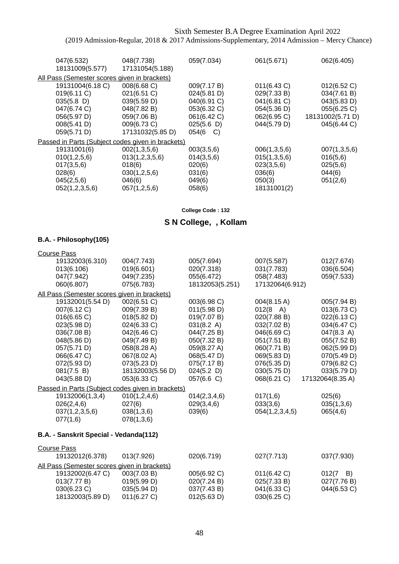| 048(7.738)                                   | 059(7.034)       | 061(5.671)                                        | 062(6.405)       |
|----------------------------------------------|------------------|---------------------------------------------------|------------------|
|                                              |                  |                                                   |                  |
| All Pass (Semester scores given in brackets) |                  |                                                   |                  |
| 008(6.68 C)                                  | 009(7.17 B)      | 011(6.43 C)                                       | 012(6.52 C)      |
| 021(6.51 C)                                  | 024(5.81 D)      | 029(7.33 B)                                       | 034(7.61 B)      |
| 039(5.59 D)                                  | 040(6.91 C)      | 041(6.81 C)                                       | 043(5.83 D)      |
| 048(7.82 B)                                  | 053(6.32 C)      | 054(5.36 D)                                       | 055(6.25 C)      |
| 059(7.06 B)                                  | 061(6.42 C)      | 062(6.95 C)                                       | 18131002(5.71 D) |
| 009(6.73 C)                                  | 025(5.6)         | 044(5.79 D)                                       | 045(6.44 C)      |
| 17131032(5.85 D)                             | $054(6 \quad C)$ |                                                   |                  |
|                                              |                  |                                                   |                  |
| 002(1,3,5,6)                                 | 003(3,5,6)       | 006(1,3,5,6)                                      | 007(1,3,5,6)     |
| 013(1,2,3,5,6)                               | 014(3,5,6)       | 015(1,3,5,6)                                      | 016(5,6)         |
| 018(6)                                       | 020(6)           | 023(3,5,6)                                        | 025(5,6)         |
| 030(1,2,5,6)                                 | 031(6)           | 036(6)                                            | 044(6)           |
| 046(6)                                       | 049(6)           | 050(3)                                            | 051(2,6)         |
| 057(1,2,5,6)                                 | 058(6)           | 18131001(2)                                       |                  |
|                                              | 17131054(5.188)  | Passed in Parts (Subject codes given in brackets) |                  |

**College Code : 132**

# **S N College, , Kollam**

### **B.A. - Philosophy(105)**

| <b>Course Pass</b>                                |                  |                 |                       |                 |
|---------------------------------------------------|------------------|-----------------|-----------------------|-----------------|
| 19132003(6.310)                                   | 004(7.743)       | 005(7.694)      | 007(5.587)            | 012(7.674)      |
| 013(6.106)                                        | 019(6.601)       | 020(7.318)      | 031(7.783)            | 036(6.504)      |
| 047(7.942)                                        | 049(7.235)       | 055(6.472)      | 058(7.483)            | 059(7.533)      |
| 060(6.807)                                        | 075(6.783)       | 18132053(5.251) | 17132064(6.912)       |                 |
| All Pass (Semester scores given in brackets)      |                  |                 |                       |                 |
| 19132001(5.54 D)                                  | 002(6.51 C)      | 003(6.98 C)     | $004(8.15 \text{ A})$ | 005(7.94 B)     |
| 007(6.12 C)                                       | 009(7.39 B)      | 011(5.98 D)     | $012(8 \text{ A})$    | 013(6.73 C)     |
| 016(6.65 C)                                       | 018(5.82 D)      | 019(7.07 B)     | 020(7.88 B)           | 022(6.13 C)     |
| 023(5.98 D)                                       | 024(6.33 C)      | 031(8.2 A)      | 032(7.02 B)           | 034(6.47 C)     |
| 036(7.08 B)                                       | 042(6.46 C)      | 044(7.25 B)     | 046(6.69 C)           | 047(8.3 A)      |
| 048(5.86 D)                                       | 049(7.49 B)      | 050(7.32 B)     | 051(7.51 B)           | 055(7.52 B)     |
| 057(5.71 D)                                       | 058(8.28 A)      | 059(8.27 A)     | 060(7.71 B)           | 062(5.99 D)     |
| 066(6.47 C)                                       | 067(8.02 A)      | 068(5.47 D)     | 069(5.83 D)           | 070(5.49 D)     |
| 072(5.93 D)                                       | 073(5.23 D)      | 075(7.17 B)     | 076(5.35 D)           | 079(6.82 C)     |
| 081(7.5 B)                                        | 18132003(5.56 D) | 024(5.2)        | 030(5.75 D)           | 033(5.79 D)     |
| 043(5.88 D)                                       | 053(6.33 C)      | 057(6.6 C)      | 068(6.21 C)           | 17132064(8.35A) |
| Passed in Parts (Subject codes given in brackets) |                  |                 |                       |                 |
| 19132006(1,3,4)                                   | 010(1, 2, 4, 6)  | 014(2,3,4,6)    | 017(1,6)              | 025(6)          |
| 026(2,4,6)                                        | 027(6)           | 029(3,4,6)      | 033(3,6)              | 035(1,3,6)      |
| 037(1,2,3,5,6)                                    | 038(1,3,6)       | 039(6)          | 054(1,2,3,4,5)        | 065(4,6)        |
| 077(1,6)                                          | 078(1,3,6)       |                 |                       |                 |
| B.A. - Sanskrit Special - Vedanda(112)            |                  |                 |                       |                 |
| <b>Course Pass</b>                                |                  |                 |                       |                 |
| 19132012(6.378)                                   | 013(7.926)       | 020(6.719)      | 027(7.713)            | 037(7.930)      |
| All Pass (Semester scores given in brackets)      |                  |                 |                       |                 |
| 19132002(6.47 C)                                  | 003(7.03 B)      | 005(6.92 C)     | 011(6.42 C)           | 012(7<br>B)     |
| 013(7.77 B)                                       | 019(5.99 D)      | 020(7.24 B)     | 025(7.33 B)           | 027(7.76 B)     |
| 030(6.23 C)                                       | 035(5.94 D)      | 037(7.43 B)     | 041(6.33 C)           | 044(6.53 C)     |
| 18132003(5.89 D)                                  | 011(6.27 C)      | 012(5.63 D)     | 030(6.25 C)           |                 |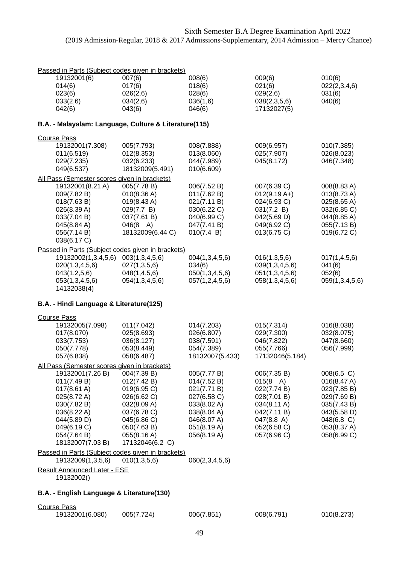| Passed in Parts (Subject codes given in brackets)                        |                                   |                            |                               |                            |
|--------------------------------------------------------------------------|-----------------------------------|----------------------------|-------------------------------|----------------------------|
| 19132001(6)<br>014(6)                                                    | 007(6)<br>017(6)                  | 008(6)<br>018(6)           | 009(6)<br>021(6)              | 010(6)<br>022(2,3,4,6)     |
| 023(6)                                                                   | 026(2,6)                          | 028(6)                     | 029(2,6)                      | 031(6)                     |
| 033(2,6)<br>042(6)                                                       | 034(2,6)<br>043(6)                | 036(1,6)<br>046(6)         | 038(2,3,5,6)<br>17132027(5)   | 040(6)                     |
| B.A. - Malayalam: Language, Culture & Literature(115)                    |                                   |                            |                               |                            |
| <b>Course Pass</b>                                                       |                                   |                            |                               |                            |
| 19132001(7.308)                                                          | 005(7.793)                        | 008(7.888)                 | 009(6.957)                    | 010(7.385)                 |
| 011(6.519)<br>029(7.235)                                                 | 012(8.353)<br>032(6.233)          | 013(8.060)<br>044(7.989)   | 025(7.907)<br>045(8.172)      | 026(8.023)<br>046(7.348)   |
| 049(6.537)                                                               | 18132009(5.491)                   | 010(6.609)                 |                               |                            |
| All Pass (Semester scores given in brackets)                             |                                   |                            |                               |                            |
| 19132001(8.21 A)<br>009(7.82 B)                                          | 005(7.78 B)<br>010(8.36 A)        | 006(7.52 B)<br>011(7.62 B) | 007(6.39 C)<br>$012(9.19 A+)$ | 008(8.83 A)<br>013(8.73 A) |
| 018(7.63 B)                                                              | 019(8.43 A)                       | 021(7.11 B)                | 024(6.93 C)                   | 025(8.65 A)                |
| 026(8.39 A)                                                              | 029(7.7 B)                        | 030(6.22 C)                | 031(7.2 B)                    | 032(6.85 C)                |
| 033(7.04 B)<br>045(8.84 A)                                               | 037(7.61 B)<br>$046(8 \text{ A})$ | 040(6.99 C)<br>047(7.41 B) | 042(5.69 D)<br>049(6.92 C)    | 044(8.85 A)<br>055(7.13B)  |
| 056(7.14 B)                                                              | 18132009(6.44 C)                  | 010(7.4 B)                 | 013(6.75 C)                   | 019(6.72 C)                |
| 038(6.17 C)                                                              |                                   |                            |                               |                            |
| Passed in Parts (Subject codes given in brackets)<br>19132002(1,3,4,5,6) | 003(1,3,4,5,6)                    | 004(1,3,4,5,6)             | 016(1,3,5,6)                  |                            |
| 020(1,3,4,5,6)                                                           | 027(1,3,5,6)                      | 034(6)                     | 039(1,3,4,5,6)                | 017(1,4,5,6)<br>041(6)     |
| 043(1,2,5,6)                                                             | 048(1, 4, 5, 6)                   | 050(1,3,4,5,6)             | 051(1,3,4,5,6)                | 052(6)                     |
| 053(1,3,4,5,6)                                                           | 054(1,3,4,5,6)                    | 057(1,2,4,5,6)             | 058(1,3,4,5,6)                | 059(1,3,4,5,6)             |
| 14132038(4)                                                              |                                   |                            |                               |                            |
| B.A. - Hindi Language & Literature(125)                                  |                                   |                            |                               |                            |
| <b>Course Pass</b><br>19132005(7.098)                                    |                                   | 014(7.203)                 | 015(7.314)                    |                            |
| 017(8.070)                                                               | 011(7.042)<br>025(8.693)          | 026(6.807)                 | 029(7.300)                    | 016(8.038)<br>032(8.075)   |
| 033(7.753)                                                               | 036(8.127)                        | 038(7.591)                 | 046(7.822)                    | 047(8.660)                 |
| 050(7.778)                                                               | 053(8.449)                        | 054(7.389)                 | 055(7.766)                    | 056(7.999)                 |
| 057(6.838)<br>All Pass (Semester scores given in brackets)               | 058(6.487)                        | 18132007(5.433)            | 17132046(5.184)               |                            |
| 19132001(7.26 B)                                                         | 004(7.39 B)                       | 005(7.77 B)                | 006(7.35 B)                   | 008(6.5 C)                 |
| 011(7.49 B)                                                              | 012(7.42 B)                       | 014(7.52 B)                | $015(8 \text{ A})$            | 016(8.47 A)                |
| $017(8.61 \text{ A})$                                                    | 019(6.95 C)<br>026(6.62 C)        | 021(7.71 B)                | 022(7.74 B)                   | 023(7.85 B)                |
| 025(8.72 A)<br>030(7.82 B)                                               | 032(8.09 A)                       | 027(6.58 C)<br>033(8.02 A) | 028(7.01 B)<br>034(8.11 A)    | 029(7.69 B)<br>035(7.43 B) |
| 036(8.22 A)                                                              | 037(6.78 C)                       | 038(8.04 A)                | 042(7.11 B)                   | 043(5.58 D)                |
| 044(5.89 D)                                                              | 045(6.86 C)                       | 046(8.07 A)                | 047(8.8 A)                    | $048(6.8)$ C)              |
| 049(6.19 C)                                                              | 050(7.63 B)                       | 051(8.19 A)                | 052(6.58 C)                   | 053(8.37 A)                |
| 054(7.64 B)<br>18132007(7.03 B)                                          | 055(8.16 A)<br>17132046(6.2 C)    | 056(8.19 A)                | 057(6.96 C)                   | 058(6.99 C)                |
| Passed in Parts (Subject codes given in brackets)                        |                                   |                            |                               |                            |
| 19132009(1,3,5,6)                                                        | 010(1,3,5,6)                      | 060(2,3,4,5,6)             |                               |                            |
| <b>Result Announced Later - ESE</b><br>19132002()                        |                                   |                            |                               |                            |
| B.A. - English Language & Literature(130)                                |                                   |                            |                               |                            |
| <b>Course Pass</b>                                                       |                                   |                            |                               |                            |
| 19132001(6.080)                                                          | 005(7.724)                        | 006(7.851)                 | 008(6.791)                    | 010(8.273)                 |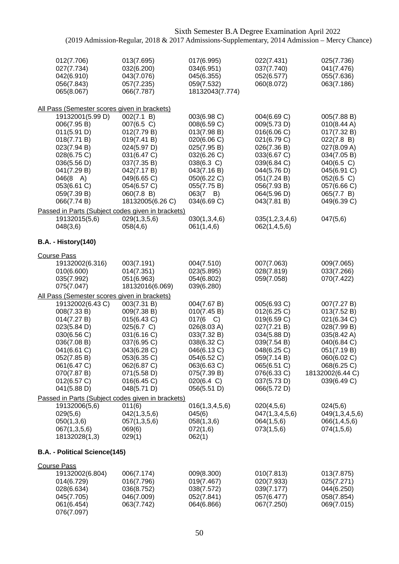| 012(7.706)<br>027(7.734)<br>042(6.910)<br>056(7.843)<br>065(8.067) | 013(7.695)<br>032(6.200)<br>043(7.076)<br>057(7.235)<br>066(7.787) | 017(6.995)<br>034(6.951)<br>045(6.355)<br>059(7.532)<br>18132043(7.774) | 022(7.431)<br>037(7.740)<br>052(6.577)<br>060(8.072) | 025(7.736)<br>041(7.476)<br>055(7.636)<br>063(7.186) |
|--------------------------------------------------------------------|--------------------------------------------------------------------|-------------------------------------------------------------------------|------------------------------------------------------|------------------------------------------------------|
| All Pass (Semester scores given in brackets)                       |                                                                    |                                                                         |                                                      |                                                      |
| 19132001(5.99 D)                                                   | 002(7.1 B)                                                         | 003(6.98 C)                                                             | 004(6.69 C)                                          | 005(7.88 B)                                          |
| 006(7.95 B)                                                        | 007(6.5 C)                                                         | 008(6.59 C)                                                             | 009(5.73 D)                                          | 010(8.44 A)                                          |
| 011(5.91 D)                                                        | 012(7.79 B)                                                        | 013(7.98 B)                                                             | 016(6.06 C)                                          | 017(7.32 B)                                          |
| 018(7.71 B)                                                        | 019(7.41 B)                                                        | 020(6.06 C)                                                             | 021(6.79 C)                                          | 022(7.8 B)                                           |
| 023(7.94 B)<br>028(6.75 C)                                         | 024(5.97 D)<br>031(6.47 C)                                         | 025(7.95 B)                                                             | 026(7.36 B)                                          | 027(8.09 A)                                          |
| 036(5.56 D)                                                        | 037(7.35 B)                                                        | 032(6.26 C)<br>038(6.3 C)                                               | 033(6.67 C)<br>039(6.84 C)                           | 034(7.05 B)<br>040(6.5 C)                            |
| 041(7.29 B)                                                        | 042(7.17 B)                                                        | 043(7.16 B)                                                             | 044(5.76 D)                                          | 045(6.91 C)                                          |
| $046(8 \text{ A})$                                                 | 049(6.65 C)                                                        | 050(6.22 C)                                                             | 051(7.24 B)                                          | 052(6.5 C)                                           |
| 053(6.61 C)                                                        | 054(6.57 C)                                                        | 055(7.75 B)                                                             | 056(7.93 B)                                          | 057(6.66 C)                                          |
| 059(7.39 B)                                                        | 060(7.8 B)                                                         | $063(7 \quad B)$                                                        | 064(5.96 D)                                          | 065(7.7 B)                                           |
| 066(7.74 B)                                                        | 18132005(6.26 C)                                                   | 034(6.69 C)                                                             | 043(7.81 B)                                          | 049(6.39 C)                                          |
| Passed in Parts (Subject codes given in brackets)                  |                                                                    |                                                                         |                                                      |                                                      |
| 19132015(5,6)                                                      | 029(1,3,5,6)                                                       | 030(1,3,4,6)                                                            | 035(1,2,3,4,6)                                       | 047(5,6)                                             |
| 048(3,6)                                                           | 058(4,6)                                                           | 061(1,4,6)                                                              | 062(1,4,5,6)                                         |                                                      |
| <b>B.A. - History(140)</b>                                         |                                                                    |                                                                         |                                                      |                                                      |
| <b>Course Pass</b>                                                 |                                                                    |                                                                         |                                                      |                                                      |
| 19132002(6.316)                                                    | 003(7.191)                                                         | 004(7.510)                                                              | 007(7.063)                                           | 009(7.065)                                           |
| 010(6.600)                                                         | 014(7.351)                                                         | 023(5.895)                                                              | 028(7.819)                                           | 033(7.266)                                           |
| 035(7.992)                                                         | 051(6.963)                                                         | 054(6.802)                                                              | 059(7.058)                                           | 070(7.422)                                           |
| 075(7.047)                                                         | 18132016(6.069)                                                    | 039(6.280)                                                              |                                                      |                                                      |
| All Pass (Semester scores given in brackets)                       |                                                                    |                                                                         |                                                      |                                                      |
| 19132002(6.43 C)                                                   | 003(7.31 B)                                                        | 004(7.67 B)                                                             | 005(6.93 C)                                          | 007(7.27 B)                                          |
| 008(7.33 B)<br>014(7.27 B)                                         | 009(7.38 B)<br>015(6.43 C)                                         | 010(7.45 B)<br>017(6 C)                                                 | 012(6.25 C)<br>019(6.59 C)                           | 013(7.52 B)<br>021(6.34 C)                           |
| 023(5.84 D)                                                        | 025(6.7 C)                                                         | 026(8.03 A)                                                             | 027(7.21 B)                                          | 028(7.99 B)                                          |
| 030(6.56 C)                                                        | 031(6.16 C)                                                        | 033(7.32 B)                                                             | 034(5.88 D)                                          | 035(8.42 A)                                          |
| 036(7.08 B)                                                        | 037(6.95 C)                                                        | 038(6.32 C)                                                             | 039(7.54 B)                                          | 040(6.84 C)                                          |
| 041(6.61 C)                                                        | 043(6.28 C)                                                        | 046(6.13 C)                                                             | 048(6.25 C)                                          | 051(7.19 B)                                          |
| 052(7.85 B)                                                        | 053(6.35 C)                                                        | 054(6.52 C)                                                             | 059(7.14 B)                                          | 060(6.02 C)                                          |
| 061(6.47 C)                                                        | 062(6.87 C)                                                        | 063(6.63 C)                                                             | 065(6.51 C)                                          | 068(6.25 C)                                          |
| 070(7.87 B)<br>012(6.57 C)                                         | 071(5.58 D)<br>016(6.45 C)                                         | 075(7.39 B)<br>020(6.4 C)                                               | 076(6.33 C)<br>037(5.73 D)                           | 18132002(6.44 C)<br>039(6.49 C)                      |
| 041(5.88 D)                                                        | 048(5.71 D)                                                        | 056(5.51 D)                                                             | 066(5.72 D)                                          |                                                      |
| Passed in Parts (Subject codes given in brackets)                  |                                                                    |                                                                         |                                                      |                                                      |
| 19132006(5,6)                                                      | 011(6)                                                             | 016(1, 3, 4, 5, 6)                                                      | 020(4,5,6)                                           | 024(5,6)                                             |
| 029(5,6)                                                           | 042(1,3,5,6)                                                       | 045(6)                                                                  | 047(1,3,4,5,6)                                       | 049(1,3,4,5,6)                                       |
| 050(1,3,6)                                                         | 057(1,3,5,6)                                                       | 058(1,3,6)                                                              | 064(1,5,6)                                           | 066(1,4,5,6)                                         |
| 067(1,3,5,6)                                                       | 069(6)                                                             | 072(1,6)                                                                | 073(1,5,6)                                           | 074(1,5,6)                                           |
| 18132028(1,3)                                                      | 029(1)                                                             | 062(1)                                                                  |                                                      |                                                      |
| B.A. - Political Science(145)                                      |                                                                    |                                                                         |                                                      |                                                      |
| <b>Course Pass</b>                                                 |                                                                    |                                                                         |                                                      |                                                      |
| 19132002(6.804)                                                    | 006(7.174)                                                         | 009(8.300)                                                              | 010(7.813)                                           | 013(7.875)                                           |
| 014(6.729)                                                         | 016(7.796)                                                         | 019(7.467)                                                              | 020(7.933)                                           | 025(7.271)                                           |
| 028(6.634)                                                         | 036(8.752)                                                         | 038(7.572)                                                              | 039(7.177)                                           | 044(6.250)                                           |
| 045(7.705)                                                         | 046(7.009)                                                         | 052(7.841)<br>064(6.866)                                                | 057(6.477)<br>067(7.250)                             | 058(7.854)<br>069(7.015)                             |
| 061(6.454)<br>076(7.097)                                           | 063(7.742)                                                         |                                                                         |                                                      |                                                      |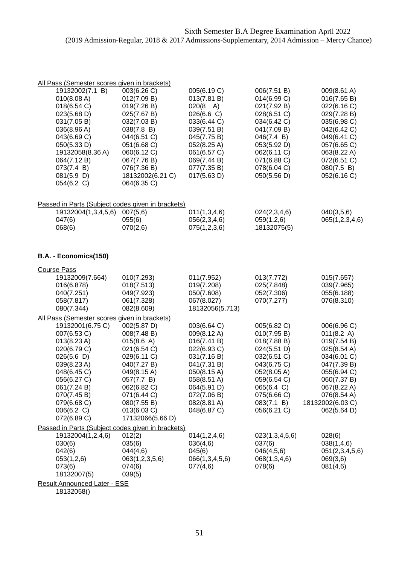| All Pass (Semester scores given in brackets)      |                    |                              |                            |                              |  |
|---------------------------------------------------|--------------------|------------------------------|----------------------------|------------------------------|--|
| 19132002(7.1 B)                                   | 003(6.26 C)        | 005(6.19 C)                  | 006(7.51 B)                | 009(8.61 A)                  |  |
| 010(8.08 A)                                       | 012(7.09 B)        | 013(7.81 B)                  | 014(6.99 C)                | 016(7.65 B)                  |  |
| 018(6.54 C)                                       | 019(7.26 B)        | $020(8 \text{ A})$           | 021(7.92 B)                | 022(6.16 C)                  |  |
| 023(5.68 D)                                       | 025(7.67 B)        | $026(6.6)$ C)                | 028(6.51 C)                | 029(7.28 B)                  |  |
| 031(7.05 B)                                       | 032(7.03 B)        | 033(6.44 C)                  | 034(6.42 C)                | 035(6.98 C)                  |  |
| 036(8.96 A)                                       | 038(7.8 B)         | 039(7.51 B)                  | 041(7.09 B)                | 042(6.42 C)                  |  |
| 043(6.69 C)                                       | 044(6.51 C)        | 045(7.75 B)                  | 046(7.4 B)                 | 049(6.41 C)                  |  |
| 050(5.33 D)                                       | 051(6.68 C)        | 052(8.25 A)                  | 053(5.92 D)                | 057(6.65 C)                  |  |
| 19132058(8.36 A)                                  | 060(6.12 C)        | 061(6.57 C)                  | 062(6.11 C)                | 063(8.22 A)                  |  |
| 064(7.12 B)                                       | 067(7.76 B)        | 069(7.44 B)                  | 071(6.88 C)                | 072(6.51 C)                  |  |
| 073(7.4 B)                                        | 076(7.36 B)        | 077(7.35 B)                  | 078(6.04 C)                | 080(7.5 B)                   |  |
| 081(5.9)                                          | 18132002(6.21 C)   | 017(5.63 D)                  | 050(5.56 D)                | 052(6.16 C)                  |  |
| 054(6.2 C)                                        | 064(6.35 C)        |                              |                            |                              |  |
|                                                   |                    |                              |                            |                              |  |
| Passed in Parts (Subject codes given in brackets) |                    |                              |                            |                              |  |
| 19132004(1,3,4,5,6)<br>047(6)                     | 007(5,6)<br>055(6) | 011(1,3,4,6)<br>056(2,3,4,6) | 024(2,3,4,6)<br>059(1,2,6) | 040(3,5,6)<br>065(1,2,3,4,6) |  |
| 068(6)                                            | 070(2,6)           | 075(1,2,3,6)                 | 18132075(5)                |                              |  |

### **B.A. - Economics(150)**

| <b>Course Pass</b>                           |                                                   |                 |                |                  |
|----------------------------------------------|---------------------------------------------------|-----------------|----------------|------------------|
| 19132009(7.664)                              | 010(7.293)                                        | 011(7.952)      | 013(7.772)     | 015(7.657)       |
| 016(6.878)                                   | 018(7.513)                                        | 019(7.208)      | 025(7.848)     | 039(7.965)       |
| 040(7.251)                                   | 049(7.923)                                        | 050(7.608)      | 052(7.306)     | 055(6.188)       |
| 058(7.817)                                   | 061(7.328)                                        | 067(8.027)      | 070(7.277)     | 076(8.310)       |
| 080(7.344)                                   | 082(8.609)                                        | 18132056(5.713) |                |                  |
| All Pass (Semester scores given in brackets) |                                                   |                 |                |                  |
| 19132001(6.75 C)                             | 002(5.87 D)                                       | 003(6.64 C)     | 005(6.82 C)    | 006(6.96 C)      |
| 007(6.53 C)                                  | 008(7.48 B)                                       | 009(8.12 A)     | 010(7.95 B)    | 011(8.2 A)       |
| 013(8.23 A)                                  | 015(8.6 A)                                        | 016(7.41 B)     | 018(7.88 B)    | 019(7.54 B)      |
| 020(6.79 C)                                  | 021(6.54 C)                                       | 022(6.93 C)     | 024(5.51 D)    | 025(8.54 A)      |
| 026(5.6)                                     | 029(6.11 C)                                       | 031(7.16 B)     | 032(6.51 C)    | 034(6.01 C)      |
| 039(8.23 A)                                  | 040(7.27 B)                                       | 041(7.31 B)     | 043(6.75 C)    | 047(7.39 B)      |
| 048(6.45 C)                                  | 049(8.15 A)                                       | 050(8.15 A)     | 052(8.05 A)    | 055(6.94 C)      |
| 056(6.27 C)                                  | 057(7.7 B)                                        | 058(8.51 A)     | 059(6.54 C)    | 060(7.37 B)      |
| 061(7.24 B)                                  | 062(6.82 C)                                       | 064(5.91 D)     | 065(6.4 C)     | 067(8.22 A)      |
| 070(7.45 B)                                  | 071(6.44 C)                                       | 072(7.06 B)     | 075(6.66 C)    | 076(8.54 A)      |
| 079(6.68 C)                                  | 080(7.55 B)                                       | 082(8.81 A)     | 083(7.1 B)     | 18132002(6.03 C) |
| 006(6.2 C)                                   | 013(6.03 C)                                       | 048(6.87 C)     | 056(6.21 C)    | 062(5.64 D)      |
| 072(6.89 C)                                  | 17132066(5.66 D)                                  |                 |                |                  |
|                                              | Passed in Parts (Subject codes given in brackets) |                 |                |                  |
| 19132004(1,2,4,6)                            | 012(2)                                            | 014(1,2,4,6)    | 023(1,3,4,5,6) | 028(6)           |
| 030(6)                                       | 035(6)                                            | 036(4,6)        | 037(6)         | 038(1,4,6)       |
| 042(6)                                       | 044(4,6)                                          | 045(6)          | 046(4,5,6)     | 051(2,3,4,5,6)   |
| 053(1,2,6)                                   | 063(1,2,3,5,6)                                    | 066(1,3,4,5,6)  | 068(1,3,4,6)   | 069(3,6)         |
| 073(6)                                       | 074(6)                                            | 077(4,6)        | 078(6)         | 081(4,6)         |
| 18132007(5)                                  | 039(5)                                            |                 |                |                  |
| <b>Result Announced Later - ESE</b>          |                                                   |                 |                |                  |
| 19122059                                     |                                                   |                 |                |                  |

18132058()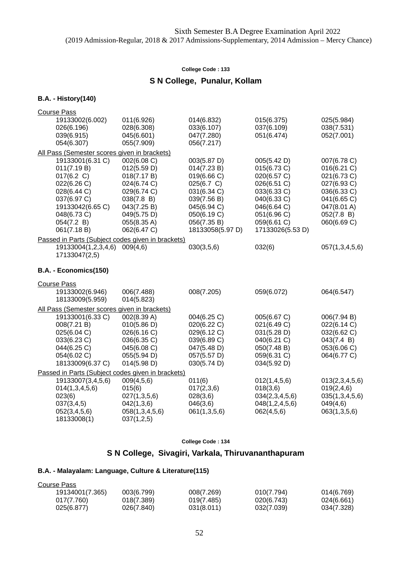### **S N College, Punalur, Kollam**

#### **B.A. - History(140)**

| <b>Course Pass</b>                                                                                                                                         |                                                                                                                                                   |                                                                                                                                                        |                                                                                                                                                         |                                                                                                                                    |
|------------------------------------------------------------------------------------------------------------------------------------------------------------|---------------------------------------------------------------------------------------------------------------------------------------------------|--------------------------------------------------------------------------------------------------------------------------------------------------------|---------------------------------------------------------------------------------------------------------------------------------------------------------|------------------------------------------------------------------------------------------------------------------------------------|
| 19133002(6.002)<br>026(6.196)<br>039(6.915)<br>054(6.307)                                                                                                  | 011(6.926)<br>028(6.308)<br>045(6.601)<br>055(7.909)                                                                                              | 014(6.832)<br>033(6.107)<br>047(7.280)<br>056(7.217)                                                                                                   | 015(6.375)<br>037(6.109)<br>051(6.474)                                                                                                                  | 025(5.984)<br>038(7.531)<br>052(7.001)                                                                                             |
|                                                                                                                                                            | All Pass (Semester scores given in brackets)                                                                                                      |                                                                                                                                                        |                                                                                                                                                         |                                                                                                                                    |
| 19133001(6.31 C)<br>011(7.19 B)<br>017(6.2 C)<br>022(6.26 C)<br>028(6.44 C)<br>037(6.97 C)<br>19133042(6.65 C)<br>048(6.73 C)<br>054(7.2 B)<br>061(7.18 B) | 002(6.08 C)<br>012(5.59 D)<br>018(7.17 B)<br>024(6.74 C)<br>029(6.74 C)<br>038(7.8 B)<br>043(7.25 B)<br>049(5.75 D)<br>055(8.35 A)<br>062(6.47 C) | 003(5.87 D)<br>014(7.23 B)<br>019(6.66 C)<br>025(6.7 C)<br>031(6.34 C)<br>039(7.56 B)<br>045(6.94 C)<br>050(6.19 C)<br>056(7.35 B)<br>18133058(5.97 D) | 005(5.42 D)<br>015(6.73 C)<br>020(6.57 C)<br>026(6.51 C)<br>033(6.33 C)<br>040(6.33 C)<br>046(6.64 C)<br>051(6.96 C)<br>059(6.61 C)<br>17133026(5.53 D) | 007(6.78 C)<br>016(6.21 C)<br>021(6.73 C)<br>027(6.93 C)<br>036(6.33 C)<br>041(6.65 C)<br>047(8.01 A)<br>052(7.8 B)<br>060(6.69 C) |
|                                                                                                                                                            | Passed in Parts (Subject codes given in brackets)                                                                                                 |                                                                                                                                                        |                                                                                                                                                         |                                                                                                                                    |
| 19133004(1,2,3,4,6)<br>17133047(2,5)                                                                                                                       | 009(4,6)                                                                                                                                          | 030(3,5,6)                                                                                                                                             | 032(6)                                                                                                                                                  | 057(1,3,4,5,6)                                                                                                                     |
| B.A. - Economics(150)                                                                                                                                      |                                                                                                                                                   |                                                                                                                                                        |                                                                                                                                                         |                                                                                                                                    |
| <b>Course Pass</b>                                                                                                                                         |                                                                                                                                                   |                                                                                                                                                        |                                                                                                                                                         |                                                                                                                                    |
| 19133002(6.946)<br>18133009(5.959)                                                                                                                         | 006(7.488)<br>014(5.823)                                                                                                                          | 008(7.205)                                                                                                                                             | 059(6.072)                                                                                                                                              | 064(6.547)                                                                                                                         |
|                                                                                                                                                            | All Pass (Semester scores given in brackets)                                                                                                      |                                                                                                                                                        |                                                                                                                                                         |                                                                                                                                    |
| 19133001(6.33 C)<br>008(7.21 B)<br>025(6.04 C)<br>033(6.23 C)<br>044(6.25 C)<br>054(6.02 C)<br>18133009(6.37 C)                                            | 002(8.39 A)<br>010(5.86 D)<br>026(6.16 C)<br>036(6.35 C)<br>045(6.08 C)<br>055(5.94 D)<br>014(5.98 D)                                             | 004(6.25 C)<br>020(6.22 C)<br>029(6.12 C)<br>039(6.89 C)<br>047(5.48 D)<br>057(5.57 D)<br>030(5.74 D)                                                  | 005(6.67 C)<br>021(6.49 C)<br>031(5.28 D)<br>040(6.21 C)<br>050(7.48 B)<br>059(6.31 C)<br>034(5.92 D)                                                   | 006(7.94 B)<br>022(6.14 C)<br>032(6.62 C)<br>043(7.4 B)<br>053(6.06 C)<br>064(6.77 C)                                              |
|                                                                                                                                                            | Passed in Parts (Subject codes given in brackets)                                                                                                 |                                                                                                                                                        |                                                                                                                                                         |                                                                                                                                    |
| 19133007(3,4,5,6)<br>014(1,3,4,5,6)<br>023(6)<br>037(3,4,5)<br>052(3,4,5,6)<br>18133008(1)                                                                 | 009(4,5,6)<br>015(6)<br>027(1,3,5,6)<br>042(1,3,6)<br>058(1,3,4,5,6)<br>037(1,2,5)                                                                | 011(6)<br>017(2,3,6)<br>028(3,6)<br>046(3,6)<br>061(1,3,5,6)                                                                                           | 012(1,4,5,6)<br>018(3,6)<br>034(2,3,4,5,6)<br>048(1,2,4,5,6)<br>062(4,5,6)                                                                              | 013(2,3,4,5,6)<br>019(2,4,6)<br>035(1,3,4,5,6)<br>049(4,6)<br>063(1,3,5,6)                                                         |

#### **College Code : 134**

## **S N College, Sivagiri, Varkala, Thiruvananthapuram**

### **B.A. - Malayalam: Language, Culture & Literature(115)**

| Course Pass     |            |            |            |            |
|-----------------|------------|------------|------------|------------|
| 19134001(7.365) | 003(6.799) | 008(7.269) | 010(7.794) | 014(6.769) |
| 017(7.760)      | 018(7.389) | 019(7.485) | 020(6.743) | 024(6.661) |
| 025(6.877)      | 026(7.840) | 031(8.011) | 032(7.039) | 034(7.328) |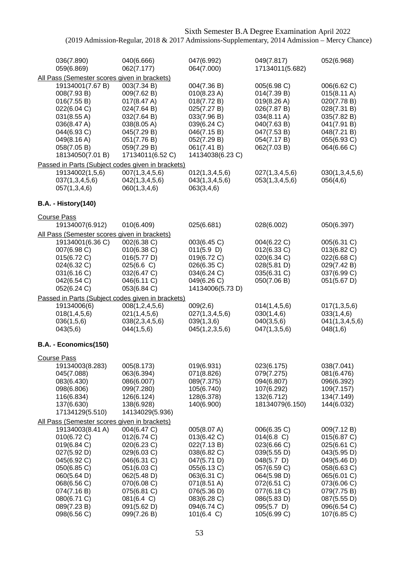| 036(7.890)<br>059(6.869)                                                                                                                                                                                                                                          | 040(6.666)<br>062(7.177)                                                                                                                                                        | 047(6.992)<br>064(7.000)                                                                                                                                                        | 049(7.817)<br>17134011(5.682)                                                                                                                                                    | 052(6.968)                                                                                                                                                                       |
|-------------------------------------------------------------------------------------------------------------------------------------------------------------------------------------------------------------------------------------------------------------------|---------------------------------------------------------------------------------------------------------------------------------------------------------------------------------|---------------------------------------------------------------------------------------------------------------------------------------------------------------------------------|----------------------------------------------------------------------------------------------------------------------------------------------------------------------------------|----------------------------------------------------------------------------------------------------------------------------------------------------------------------------------|
| All Pass (Semester scores given in brackets)<br>19134001(7.67 B)<br>008(7.93 B)<br>016(7.55 B)<br>022(6.04 C)<br>031(8.55 A)<br>036(8.47 A)<br>044(6.93 C)<br>049(8.16 A)<br>058(7.05 B)<br>18134050(7.01 B)<br>Passed in Parts (Subject codes given in brackets) | 003(7.34 B)<br>009(7.62 B)<br>017(8.47 A)<br>024(7.64 B)<br>032(7.64 B)<br>038(8.05 A)<br>045(7.29 B)<br>051(7.76 B)<br>059(7.29 B)<br>17134011(6.52 C)                         | 004(7.36 B)<br>010(8.23 A)<br>018(7.72 B)<br>025(7.27 B)<br>033(7.96 B)<br>039(6.24 C)<br>046(7.15 B)<br>052(7.29 B)<br>061(7.41 B)<br>14134038(6.23 C)                         | 005(6.98 C)<br>014(7.39 B)<br>019(8.26 A)<br>026(7.87 B)<br>034(8.11 A)<br>040(7.63 B)<br>047(7.53 B)<br>054(7.17 B)<br>062(7.03 B)                                              | 006(6.62 C)<br>$015(8.11 \text{ A})$<br>020(7.78 B)<br>028(7.31 B)<br>035(7.82 B)<br>041(7.91 B)<br>048(7.21 B)<br>055(6.93 C)<br>064(6.66 C)                                    |
| 19134002(1,5,6)<br>037(1,3,4,5,6)<br>057(1,3,4,6)                                                                                                                                                                                                                 | 007(1, 3, 4, 5, 6)<br>042(1,3,4,5,6)<br>060(1,3,4,6)                                                                                                                            | 012(1,3,4,5,6)<br>043(1,3,4,5,6)<br>063(3,4,6)                                                                                                                                  | 027(1,3,4,5,6)<br>053(1,3,4,5,6)                                                                                                                                                 | 030(1,3,4,5,6)<br>056(4,6)                                                                                                                                                       |
| <b>B.A. - History(140)</b>                                                                                                                                                                                                                                        |                                                                                                                                                                                 |                                                                                                                                                                                 |                                                                                                                                                                                  |                                                                                                                                                                                  |
| <b>Course Pass</b><br>19134007(6.912)                                                                                                                                                                                                                             | 010(6.409)                                                                                                                                                                      | 025(6.681)                                                                                                                                                                      | 028(6.002)                                                                                                                                                                       | 050(6.397)                                                                                                                                                                       |
| All Pass (Semester scores given in brackets)<br>19134001(6.36 C)<br>007(6.98 C)<br>015(6.72 C)<br>024(6.32 C)<br>031(6.16 C)<br>042(6.54 C)<br>052(6.24 C)                                                                                                        | 002(6.38 C)<br>$010(6.38)$ C)<br>016(5.77 D)<br>025(6.6 C)<br>032(6.47 C)<br>046(6.11 C)<br>053(6.84 C)                                                                         | 003(6.45 C)<br>011(5.9)<br>019(6.72 C)<br>026(6.35 C)<br>034(6.24 C)<br>049(6.26 C)<br>14134006(5.73 D)                                                                         | 004(6.22 C)<br>012(6.33 C)<br>020(6.34 C)<br>028(5.81 D)<br>035(6.31 C)<br>050(7.06 B)                                                                                           | 005(6.31 C)<br>013(6.82 C)<br>022(6.68 C)<br>029(7.42 B)<br>037(6.99 C)<br>051(5.67 D)                                                                                           |
| Passed in Parts (Subject codes given in brackets)<br>19134006(6)<br>018(1,4,5,6)<br>036(1,5,6)<br>043(5,6)                                                                                                                                                        | 008(1, 2, 4, 5, 6)<br>021(1,4,5,6)<br>038(2,3,4,5,6)<br>044(1,5,6)                                                                                                              | 009(2,6)<br>027(1,3,4,5,6)<br>039(1,3,6)<br>045(1,2,3,5,6)                                                                                                                      | 014(1,4,5,6)<br>030(1,4,6)<br>040(3,5,6)<br>047(1,3,5,6)                                                                                                                         | 017(1,3,5,6)<br>033(1,4,6)<br>041(1,3,4,5,6)<br>048(1,6)                                                                                                                         |
| B.A. - Economics(150)                                                                                                                                                                                                                                             |                                                                                                                                                                                 |                                                                                                                                                                                 |                                                                                                                                                                                  |                                                                                                                                                                                  |
| <b>Course Pass</b><br>19134003(8.283)<br>045(7.088)<br>083(6.430)<br>098(6.806)<br>116(6.834)<br>137(6.630)<br>17134129(5.510)                                                                                                                                    | 005(8.173)<br>063(6.394)<br>086(6.007)<br>099(7.280)<br>126(6.124)<br>138(6.928)<br>14134029(5.936)                                                                             | 019(6.931)<br>071(8.826)<br>089(7.375)<br>105(6.740)<br>128(6.378)<br>140(6.900)                                                                                                | 023(6.175)<br>079(7.275)<br>094(6.807)<br>107(6.292)<br>132(6.712)<br>18134079(6.150)                                                                                            | 038(7.041)<br>081(6.476)<br>096(6.392)<br>109(7.157)<br>134(7.149)<br>144(6.032)                                                                                                 |
| All Pass (Semester scores given in brackets)<br>19134003(8.41 A)<br>010(6.72 C)<br>019(6.84 C)<br>027(5.92 D)<br>045(6.92 C)<br>050(6.85 C)<br>060(5.64 D)<br>068(6.56 C)<br>074(7.16 B)<br>080(6.71 C)<br>089(7.23 B)<br>098(6.56 C)                             | 004(6.47 C)<br>012(6.74 C)<br>020(6.23 C)<br>029(6.03 C)<br>046(6.31 C)<br>051(6.03 C)<br>062(5.48 D)<br>070(6.08 C)<br>075(6.81 C)<br>081(6.4 C)<br>091(5.62 D)<br>099(7.26 B) | 005(8.07 A)<br>013(6.42 C)<br>022(7.13 B)<br>038(6.82 C)<br>047(5.71 D)<br>055(6.13 C)<br>063(6.31 C)<br>071(8.51 A)<br>076(5.36 D)<br>083(6.28 C)<br>094(6.74 C)<br>101(6.4 C) | 006(6.35 C)<br>$014(6.8)$ C)<br>023(6.66 C)<br>039(5.55 D)<br>048(5.7 D)<br>057(6.59 C)<br>064(5.98 D)<br>072(6.51 C)<br>077(6.18 C)<br>086(5.83 D)<br>095(5.7 D)<br>105(6.99 C) | 009(7.12 B)<br>015(6.87 C)<br>025(6.61 C)<br>043(5.95 D)<br>049(5.46 D)<br>058(6.63 C)<br>065(6.01 C)<br>073(6.06 C)<br>079(7.75 B)<br>087(5.55 D)<br>096(6.54 C)<br>107(6.85 C) |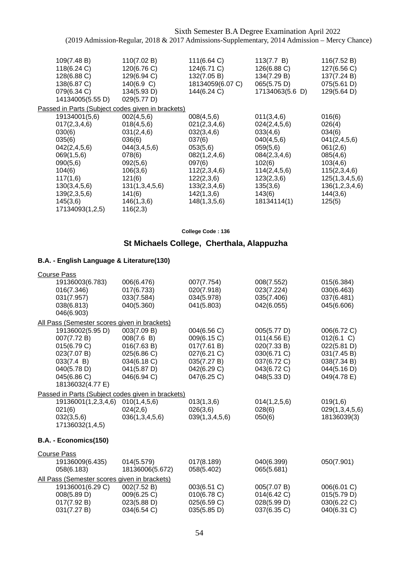| 109(7.48 B)<br>118(6.24 C)<br>128(6.88 C)<br>138(6.87 C)<br>079(6.34 C)<br>14134005(5.55 D)                                                                                      | 110(7.02 B)<br>120(6.76 C)<br>129(6.94 C)<br>140(6.9 C)<br>134(5.93 D)<br>029(5.77 D)                                                                              | 111(6.64 C)<br>124(6.71 C)<br>132(7.05 B)<br>18134059(6.07 C)<br>144(6.24 C)                                                                                         | 113(7.7 B)<br>126(6.88 C)<br>134(7.29 B)<br>065(5.75 D)<br>17134063(5.6 D)                                                                                    | 116(7.52 B)<br>127(6.56 C)<br>137(7.24 B)<br>075(5.61 D)<br>129(5.64 D)                                                                                  |
|----------------------------------------------------------------------------------------------------------------------------------------------------------------------------------|--------------------------------------------------------------------------------------------------------------------------------------------------------------------|----------------------------------------------------------------------------------------------------------------------------------------------------------------------|---------------------------------------------------------------------------------------------------------------------------------------------------------------|----------------------------------------------------------------------------------------------------------------------------------------------------------|
|                                                                                                                                                                                  | Passed in Parts (Subject codes given in brackets)                                                                                                                  |                                                                                                                                                                      |                                                                                                                                                               |                                                                                                                                                          |
| 19134001(5,6)<br>017(2,3,4,6)<br>030(6)<br>035(6)<br>042(2,4,5,6)<br>069(1,5,6)<br>090(5,6)<br>104(6)<br>117(1,6)<br>130(3,4,5,6)<br>139(2,3,5,6)<br>145(3,6)<br>17134093(1,2,5) | 002(4,5,6)<br>018(4,5,6)<br>031(2,4,6)<br>036(6)<br>044(3,4,5,6)<br>078(6)<br>092(5,6)<br>106(3,6)<br>121(6)<br>131(1,3,4,5,6)<br>141(6)<br>146(1,3,6)<br>116(2,3) | 008(4,5,6)<br>021(2,3,4,6)<br>032(3,4,6)<br>037(6)<br>053(5,6)<br>082(1,2,4,6)<br>097(6)<br>112(2,3,4,6)<br>122(2,3,6)<br>133(2,3,4,6)<br>142(1,3,6)<br>148(1,3,5,6) | 011(3,4,6)<br>024(2,4,5,6)<br>033(4,6)<br>040(4,5,6)<br>059(5,6)<br>084(2,3,4,6)<br>102(6)<br>114(2,4,5,6)<br>123(2,3,6)<br>135(3,6)<br>143(6)<br>18134114(1) | 016(6)<br>026(4)<br>034(6)<br>041(2,4,5,6)<br>061(2,6)<br>085(4,6)<br>103(4,6)<br>115(2,3,4,6)<br>125(1,3,4,5,6)<br>136(1,2,3,4,6)<br>144(3,6)<br>125(5) |
|                                                                                                                                                                                  |                                                                                                                                                                    |                                                                                                                                                                      |                                                                                                                                                               |                                                                                                                                                          |

**College Code : 136**

# **St Michaels College, Cherthala, Alappuzha**

| <b>Course Pass</b>                                                                                                                                                            |                                                                                                      |                                                                                                       |                                                                                                       |                                                                                                      |
|-------------------------------------------------------------------------------------------------------------------------------------------------------------------------------|------------------------------------------------------------------------------------------------------|-------------------------------------------------------------------------------------------------------|-------------------------------------------------------------------------------------------------------|------------------------------------------------------------------------------------------------------|
| 19136003(6.783)<br>016(7.346)<br>031(7.957)<br>038(6.813)                                                                                                                     | 006(6.476)<br>017(6.733)<br>033(7.584)<br>040(5.360)                                                 | 007(7.754)<br>020(7.918)<br>034(5.978)<br>041(5.803)                                                  | 008(7.552)<br>023(7.224)<br>035(7.406)<br>042(6.055)                                                  | 015(6.384)<br>030(6.463)<br>037(6.481)<br>045(6.606)                                                 |
| 046(6.903)                                                                                                                                                                    |                                                                                                      |                                                                                                       |                                                                                                       |                                                                                                      |
| All Pass (Semester scores given in brackets)<br>19136002(5.95 D)<br>007(7.72 B)<br>015(6.79 C)<br>023(7.07 B)<br>033(7.4 B)<br>040(5.78 D)<br>045(6.86 C)<br>18136032(4.77 E) | 003(7.09 B)<br>008(7.6 B)<br>016(7.63 B)<br>025(6.86 C)<br>034(6.18 C)<br>041(5.87 D)<br>046(6.94 C) | 004(6.56 C)<br>009(6.15 C)<br>017(7.61 B)<br>027(6.21 C)<br>035(7.27 B)<br>042(6.29 C)<br>047(6.25 C) | 005(5.77 D)<br>011(4.56 E)<br>020(7.33 B)<br>030(6.71 C)<br>037(6.72 C)<br>043(6.72 C)<br>048(5.33 D) | 006(6.72 C)<br>012(6.1 C)<br>022(5.81 D)<br>031(7.45 B)<br>038(7.34 B)<br>044(5.16 D)<br>049(4.78 E) |
| Passed in Parts (Subject codes given in brackets)                                                                                                                             |                                                                                                      |                                                                                                       |                                                                                                       |                                                                                                      |
| 19136001(1,2,3,4,6)<br>021(6)<br>032(3,5,6)<br>17136032(1,4,5)                                                                                                                | 010(1, 4, 5, 6)<br>024(2,6)<br>036(1,3,4,5,6)                                                        | 013(1,3,6)<br>026(3,6)<br>039(1,3,4,5,6)                                                              | 014(1,2,5,6)<br>028(6)<br>050(6)                                                                      | 019(1,6)<br>029(1,3,4,5,6)<br>18136039(3)                                                            |
| B.A. - Economics(150)                                                                                                                                                         |                                                                                                      |                                                                                                       |                                                                                                       |                                                                                                      |
| <b>Course Pass</b>                                                                                                                                                            |                                                                                                      |                                                                                                       |                                                                                                       |                                                                                                      |
| 19136009(6.435)<br>058(6.183)                                                                                                                                                 | 014(5.579)<br>18136006(5.672)                                                                        | 017(8.189)<br>058(5.402)                                                                              | 040(6.399)<br>065(5.681)                                                                              | 050(7.901)                                                                                           |
| All Pass (Semester scores given in brackets)<br>19136001(6.29 C)<br>008(5.89 D)<br>017(7.92 B)<br>031(7.27 B)                                                                 | 002(7.52 B)<br>009(6.25 C)<br>023(5.88 D)<br>034(6.54 C)                                             | 003(6.51 C)<br>010(6.78 C)<br>025(6.59 C)<br>035(5.85 D)                                              | 005(7.07 B)<br>014(6.42 C)<br>028(5.99 D)<br>037(6.35 C)                                              | 006(6.01 C)<br>015(5.79 D)<br>030(6.22 C)<br>040(6.31 C)                                             |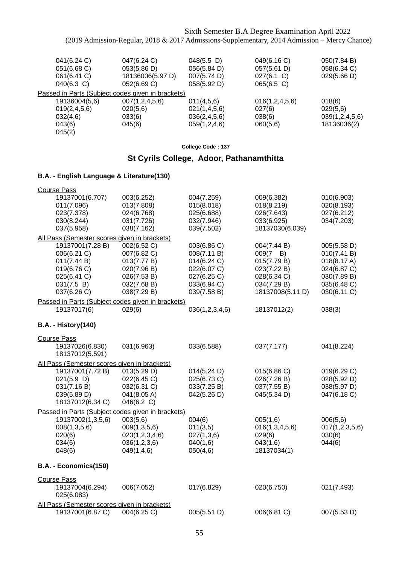| 041(6.24 C)                                       | 047(6.24 C)        | $048(5.5)$ D) | 049(6.16 C)    | 050(7.84 B)    |
|---------------------------------------------------|--------------------|---------------|----------------|----------------|
| 051(6.68 C)                                       | 053(5.86 D)        | 056(5.84 D)   | 057(5.61 D)    | 058(6.34 C)    |
| 061(6.41 C)                                       | 18136006(5.97 D)   | 007(5.74 D)   | 027(6.1 C)     | 029(5.66 D)    |
| $040(6.3)$ C)                                     | 052(6.69 C)        | 058(5.92 D)   | 065(6.5 C)     |                |
| Passed in Parts (Subject codes given in brackets) |                    |               |                |                |
| 19136004(5,6)                                     | 007(1, 2, 4, 5, 6) | 011(4,5,6)    | 016(1,2,4,5,6) | 018(6)         |
| 019(2, 4, 5, 6)                                   | 020(5,6)           | 021(1,4,5,6)  | 027(6)         | 029(5,6)       |
| 032(4,6)                                          | 033(6)             | 036(2,4,5,6)  | 038(6)         | 039(1,2,4,5,6) |
| 043(6)                                            | 045(6)             | 059(1,2,4,6)  | 060(5,6)       | 18136036(2)    |
| 045(2)                                            |                    |               |                |                |
|                                                   |                    |               |                |                |

**College Code : 137**

# **St Cyrils College, Adoor, Pathanamthitta**

| <b>Course Pass</b>                                                                                        |                                                                                                       |                                                                                                       |                                                                                                            |                                                                                                       |
|-----------------------------------------------------------------------------------------------------------|-------------------------------------------------------------------------------------------------------|-------------------------------------------------------------------------------------------------------|------------------------------------------------------------------------------------------------------------|-------------------------------------------------------------------------------------------------------|
| 19137001(6.707)<br>011(7.096)<br>023(7.378)<br>030(8.244)<br>037(5.958)                                   | 003(6.252)<br>013(7.808)<br>024(6.768)<br>031(7.726)<br>038(7.162)                                    | 004(7.259)<br>015(8.018)<br>025(6.688)<br>032(7.946)<br>039(7.502)                                    | 009(6.382)<br>018(8.219)<br>026(7.643)<br>033(6.925)<br>18137030(6.039)                                    | 010(6.903)<br>020(8.193)<br>027(6.212)<br>034(7.203)                                                  |
| All Pass (Semester scores given in brackets)                                                              |                                                                                                       |                                                                                                       |                                                                                                            |                                                                                                       |
| 19137001(7.28 B)<br>006(6.21 C)<br>011(7.44 B)<br>019(6.76 C)<br>025(6.41 C)<br>031(7.5 B)<br>037(6.26 C) | 002(6.52 C)<br>007(6.82 C)<br>013(7.77 B)<br>020(7.96 B)<br>026(7.53 B)<br>032(7.68 B)<br>038(7.29 B) | 003(6.86 C)<br>008(7.11 B)<br>014(6.24 C)<br>022(6.07 C)<br>027(6.25 C)<br>033(6.94 C)<br>039(7.58 B) | 004(7.44 B)<br>009(7<br>B)<br>015(7.79 B)<br>023(7.22 B)<br>028(6.34 C)<br>034(7.29 B)<br>18137008(5.11 D) | 005(5.58 D)<br>010(7.41 B)<br>018(8.17 A)<br>024(6.87 C)<br>030(7.89 B)<br>035(6.48 C)<br>030(6.11 C) |
| Passed in Parts (Subject codes given in brackets)                                                         |                                                                                                       |                                                                                                       |                                                                                                            |                                                                                                       |
| 19137017(6)                                                                                               | 029(6)                                                                                                | 036(1,2,3,4,6)                                                                                        | 18137012(2)                                                                                                | 038(3)                                                                                                |
| <b>B.A. - History(140)</b>                                                                                |                                                                                                       |                                                                                                       |                                                                                                            |                                                                                                       |
| <b>Course Pass</b><br>19137026(6.830)<br>18137012(5.591)                                                  | 031(6.963)                                                                                            | 033(6.588)                                                                                            | 037(7.177)                                                                                                 | 041(8.224)                                                                                            |
| All Pass (Semester scores given in brackets)                                                              |                                                                                                       |                                                                                                       |                                                                                                            |                                                                                                       |
| 19137001(7.72 B)<br>021(5.9)<br>031(7.16 B)<br>039(5.89 D)<br>18137012(6.34 C)                            | 013(5.29 D)<br>022(6.45 C)<br>032(6.31 C)<br>041(8.05 A)<br>046(6.2 C)                                | 014(5.24 D)<br>025(6.73 C)<br>033(7.25 B)<br>042(5.26 D)                                              | 015(6.86 C)<br>026(7.26 B)<br>037(7.55 B)<br>045(5.34 D)                                                   | 019(6.29 C)<br>028(5.92 D)<br>038(5.97 D)<br>047(6.18 C)                                              |
| Passed in Parts (Subject codes given in brackets)                                                         |                                                                                                       |                                                                                                       |                                                                                                            |                                                                                                       |
| 19137002(1,3,5,6)<br>008(1,3,5,6)<br>020(6)<br>034(6)<br>048(6)                                           | 003(5,6)<br>009(1,3,5,6)<br>023(1,2,3,4,6)<br>036(1,2,3,6)<br>049(1,4,6)                              | 004(6)<br>011(3,5)<br>027(1,3,6)<br>040(1,6)<br>050(4,6)                                              | 005(1,6)<br>016(1,3,4,5,6)<br>029(6)<br>043(1,6)<br>18137034(1)                                            | 006(5,6)<br>017(1, 2, 3, 5, 6)<br>030(6)<br>044(6)                                                    |
| B.A. - Economics(150)                                                                                     |                                                                                                       |                                                                                                       |                                                                                                            |                                                                                                       |
| <b>Course Pass</b><br>19137004(6.294)<br>025(6.083)                                                       | 006(7.052)                                                                                            | 017(6.829)                                                                                            | 020(6.750)                                                                                                 | 021(7.493)                                                                                            |
| All Pass (Semester scores given in brackets)                                                              |                                                                                                       |                                                                                                       |                                                                                                            |                                                                                                       |
| 19137001(6.87 C)                                                                                          | 004(6.25 C)                                                                                           | 005(5.51 D)                                                                                           | 006(6.81 C)                                                                                                | 007(5.53 D)                                                                                           |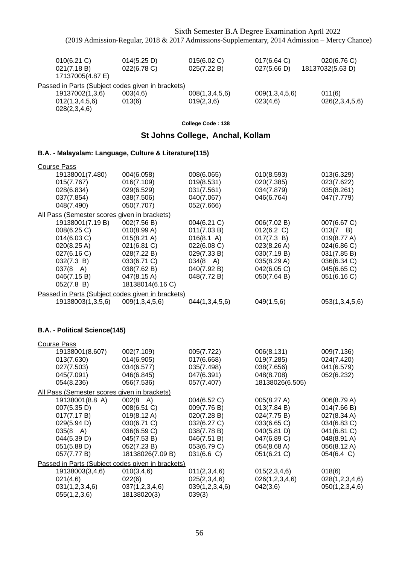| $010(6.21)$ C)<br>021(7.18 B)<br>17137005(4.87 E) | 014(5.25 D)<br>022(6.78 C) | 015(6.02 C)<br>025(7.22 B) | 017(6.64)<br>027(5.66 D) | 020(6.76 C)<br>18137032(5.63 D) |
|---------------------------------------------------|----------------------------|----------------------------|--------------------------|---------------------------------|
| Passed in Parts (Subject codes given in brackets) |                            |                            |                          |                                 |
| 19137002(1,3,6)                                   | 003(4,6)                   | 008(1,3,4,5,6)             | 009(1,3,4,5,6)           | 011(6)                          |
| 012(1,3,4,5,6)                                    | 013(6)                     | 019(2,3,6)                 | 023(4,6)                 | 026(2,3,4,5,6)                  |
| 028(2,3,4,6)                                      |                            |                            |                          |                                 |

### **St Johns College, Anchal, Kollam**

### **B.A. - Malayalam: Language, Culture & Literature(115)**

| <b>Course Pass</b> |                                              |                                                   |                    |                       |                  |
|--------------------|----------------------------------------------|---------------------------------------------------|--------------------|-----------------------|------------------|
|                    | 19138001(7.480)                              | 004(6.058)                                        | 008(6.065)         | 010(8.593)            | 013(6.329)       |
|                    | 015(7.767)                                   | 016(7.109)                                        | 019(8.531)         | 020(7.385)            | 023(7.622)       |
|                    | 028(6.834)                                   | 029(6.529)                                        | 031(7.561)         | 034(7.879)            | 035(8.261)       |
|                    | 037(7.854)                                   | 038(7.506)                                        | 040(7.067)         | 046(6.764)            | 047(7.779)       |
|                    | 048(7.490)                                   | 050(7.707)                                        | 052(7.666)         |                       |                  |
|                    | All Pass (Semester scores given in brackets) |                                                   |                    |                       |                  |
|                    | 19138001(7.19 B)                             | 002(7.56 B)                                       | 004(6.21 C)        | 006(7.02 B)           | 007(6.67 C)      |
|                    | 008(6.25 C)                                  | 010(8.99 A)                                       | 011(7.03 B)        | 012(6.2 C)            | $013(7 \quad B)$ |
|                    | 014(6.03 C)                                  | $015(8.21 \text{ A})$                             | 016(8.1 A)         | 017(7.3 B)            | 019(8.77 A)      |
|                    | 020(8.25 A)                                  | 021(6.81 C)                                       | 022(6.08 C)        | $023(8.26 \text{ A})$ | 024(6.86 C)      |
|                    | 027(6.16 C)                                  | 028(7.22 B)                                       | 029(7.33 B)        | 030(7.19 B)           | 031(7.85 B)      |
|                    | 032(7.3 B)                                   | 033(6.71 C)                                       | $034(8 \text{ A})$ | 035(8.29 A)           | 036(6.34 C)      |
|                    | $037(8 \text{ A})$                           | 038(7.62 B)                                       | 040(7.92 B)        | 042(6.05 C)           | 045(6.65 C)      |
|                    | 046(7.15 B)                                  | 047(8.15 A)                                       | 048(7.72 B)        | 050(7.64 B)           | 051(6.16 C)      |
|                    | 052(7.8 B)                                   | 18138014(6.16 C)                                  |                    |                       |                  |
|                    |                                              | Passed in Parts (Subject codes given in brackets) |                    |                       |                  |
|                    | 19138003(1,3,5,6)                            | 009(1,3,4,5,6)                                    | 044(1,3,4,5,6)     | 049(1,5,6)            | 053(1,3,4,5,6)   |

### **B.A. - Political Science(145)**

| <b>Course Pass</b>                                |                       |                |                 |                |
|---------------------------------------------------|-----------------------|----------------|-----------------|----------------|
| 19138001(8.607)                                   | 002(7.109)            | 005(7.722)     | 006(8.131)      | 009(7.136)     |
| 013(7.630)                                        | 014(6.905)            | 017(6.668)     | 019(7.285)      | 024(7.420)     |
| 027(7.503)                                        | 034(6.577)            | 035(7.498)     | 038(7.656)      | 041(6.579)     |
| 045(7.091)                                        | 046(6.845)            | 047(6.391)     | 048(8.708)      | 052(6.232)     |
| 054(8.236)                                        | 056(7.536)            | 057(7.407)     | 18138026(6.505) |                |
| All Pass (Semester scores given in brackets)      |                       |                |                 |                |
| 19138001(8.8 A)                                   | $002(8 \text{ A})$    | 004(6.52 C)    | 005(8.27 A)     | 006(8.79 A)    |
| 007(5.35 D)                                       | 008(6.51 C)           | 009(7.76 B)    | 013(7.84 B)     | 014(7.66 B)    |
| 017(7.17 B)                                       | $019(8.12 \text{ A})$ | 020(7.28 B)    | 024(7.75 B)     | 027(8.34 A)    |
| 029(5.94 D)                                       | 030(6.71 C)           | 032(6.27 C)    | 033(6.65 C)     | 034(6.83 C)    |
| $035(8 \text{ A})$                                | 036(6.59 C)           | 038(7.78 B)    | 040(5.81 D)     | 041(6.81 C)    |
| 044(5.39 D)                                       | 045(7.53 B)           | 046(7.51 B)    | 047(6.89 C)     | 048(8.91 A)    |
| 051(5.88 D)                                       | 052(7.23 B)           | 053(6.79 C)    | 054(8.68 A)     | 056(8.12 A)    |
| 057(7.77 B)                                       | 18138026(7.09 B)      | 031(6.6)       | 051(6.21 C)     | 054(6.4 C)     |
| Passed in Parts (Subject codes given in brackets) |                       |                |                 |                |
| 19138003(3,4,6)                                   | 010(3,4,6)            | 011(2,3,4,6)   | 015(2,3,4,6)    | 018(6)         |
| 021(4,6)                                          | 022(6)                | 025(2,3,4,6)   | 026(1,2,3,4,6)  | 028(1,2,3,4,6) |
| 031(1,2,3,4,6)                                    | 037(1,2,3,4,6)        | 039(1,2,3,4,6) | 042(3,6)        | 050(1,2,3,4,6) |
| 055(1,2,3,6)                                      | 18138020(3)           | 039(3)         |                 |                |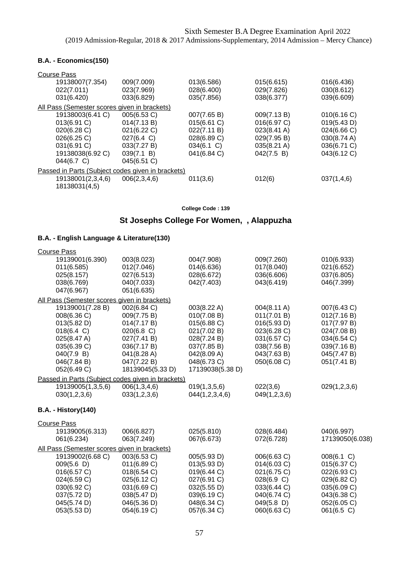### **B.A. - Economics(150)**

| Course Pass                                       |                      |             |             |             |
|---------------------------------------------------|----------------------|-------------|-------------|-------------|
| 19138007(7.354)                                   | 009(7.009)           | 013(6.586)  | 015(6.615)  | 016(6.436)  |
| 022(7.011)                                        | 023(7.969)           | 028(6.400)  | 029(7.826)  | 030(8.612)  |
| 031(6.420)                                        | 033(6.829)           | 035(7.856)  | 038(6.377)  | 039(6.609)  |
| All Pass (Semester scores given in brackets)      |                      |             |             |             |
| 19138003(6.41 C)                                  | 005(6.53 C)          | 007(7.65 B) | 009(7.13 B) | 010(6.16 C) |
| 013(6.91 C)                                       | 014(7.13 B)          | 015(6.61 C) | 016(6.97 C) | 019(5.43 D) |
| 020(6.28 C)                                       | 021(6.22 C)          | 022(7.11 B) | 023(8.41 A) | 024(6.66 C) |
| 026(6.25 C)                                       | $027(6.4 \text{ C})$ | 028(6.89 C) | 029(7.95 B) | 030(8.74 A) |
| 031(6.91 C)                                       | 033(7.27 B)          | 034(6.1 C)  | 035(8.21 A) | 036(6.71 C) |
| 19138038(6.92 C)                                  | 039(7.1 B)           | 041(6.84 C) | 042(7.5 B)  | 043(6.12 C) |
| 044(6.7 C)                                        | 045(6.51 C)          |             |             |             |
| Passed in Parts (Subject codes given in brackets) |                      |             |             |             |
| 19138001(2,3,4,6)                                 | 006(2,3,4,6)         | 011(3,6)    | 012(6)      | 037(1,4,6)  |
| 18138031(4,5)                                     |                      |             |             |             |

**College Code : 139**

# **St Josephs College For Women, , Alappuzha**

| <b>Course Pass</b>         |                                                   |                  |              |                 |
|----------------------------|---------------------------------------------------|------------------|--------------|-----------------|
| 19139001(6.390)            | 003(8.023)                                        | 004(7.908)       | 009(7.260)   | 010(6.933)      |
| 011(6.585)                 | 012(7.046)                                        | 014(6.636)       | 017(8.040)   | 021(6.652)      |
| 025(8.157)                 | 027(6.513)                                        | 028(6.672)       | 036(6.606)   | 037(6.805)      |
| 038(6.769)                 | 040(7.033)                                        | 042(7.403)       | 043(6.419)   | 046(7.399)      |
| 047(6.967)                 | 051(6.635)                                        |                  |              |                 |
|                            | All Pass (Semester scores given in brackets)      |                  |              |                 |
| 19139001(7.28 B)           | 002(6.84 C)                                       | 003(8.22 A)      | 004(8.11 A)  | 007(6.43 C)     |
| 008(6.36 C)                | 009(7.75 B)                                       | 010(7.08 B)      | 011(7.01 B)  | 012(7.16 B)     |
| 013(5.82 D)                | 014(7.17 B)                                       | 015(6.88 C)      | 016(5.93 D)  | 017(7.97 B)     |
| 018(6.4 C)                 | $020(6.8)$ C)                                     | 021(7.02 B)      | 023(6.28 C)  | 024(7.08 B)     |
| 025(8.47 A)                | 027(7.41 B)                                       | 028(7.24 B)      | 031(6.57 C)  | 034(6.54 C)     |
| 035(6.39 C)                | 036(7.17 B)                                       | 037(7.85 B)      | 038(7.56 B)  | 039(7.16 B)     |
| 040(7.9 B)                 | 041(8.28 A)                                       | 042(8.09 A)      | 043(7.63 B)  | 045(7.47 B)     |
| 046(7.84 B)                | 047(7.22 B)                                       | 048(6.73 C)      | 050(6.08 C)  | 051(7.41 B)     |
| 052(6.49 C)                | 18139045(5.33 D)                                  | 17139038(5.38 D) |              |                 |
|                            | Passed in Parts (Subject codes given in brackets) |                  |              |                 |
| 19139005(1,3,5,6)          | 006(1,3,4,6)                                      | 019(1,3,5,6)     | 022(3,6)     | 029(1,2,3,6)    |
| 030(1,2,3,6)               | 033(1,2,3,6)                                      | 044(1,2,3,4,6)   | 049(1,2,3,6) |                 |
| <b>B.A. - History(140)</b> |                                                   |                  |              |                 |
| <b>Course Pass</b>         |                                                   |                  |              |                 |
| 19139005(6.313)            | 006(6.827)                                        | 025(5.810)       | 028(6.484)   | 040(6.997)      |
| 061(6.234)                 | 063(7.249)                                        | 067(6.673)       | 072(6.728)   | 17139050(6.038) |
|                            | All Pass (Semester scores given in brackets)      |                  |              |                 |
| 19139002(6.68 C)           | 003(6.53 C)                                       | 005(5.93 D)      | 006(6.63 C)  | 008(6.1 C)      |
| 009(5.6 D)                 | 011(6.89 C)                                       | 013(5.93 D)      | 014(6.03 C)  | 015(6.37 C)     |
| 016(6.57 C)                | 018(6.54 C)                                       | 019(6.44 C)      | 021(6.75 C)  | 022(6.93 C)     |
| 024(6.59 C)                | 025(6.12 C)                                       | 027(6.91 C)      | 028(6.9 C)   | 029(6.82 C)     |
| 030(6.92 C)                | 031(6.69 C)                                       | 032(5.55 D)      | 033(6.44 C)  | 035(6.09 C)     |
| 037(5.72 D)                | 038(5.47 D)                                       | 039(6.19 C)      | 040(6.74 C)  | 043(6.38 C)     |
| 045(5.74 D)                | 046(5.36 D)                                       | 048(6.34 C)      | 049(5.8)     | 052(6.05 C)     |
| 053(5.53 D)                | 054(6.19 C)                                       | 057(6.34 C)      | 060(6.63 C)  | 061(6.5 C)      |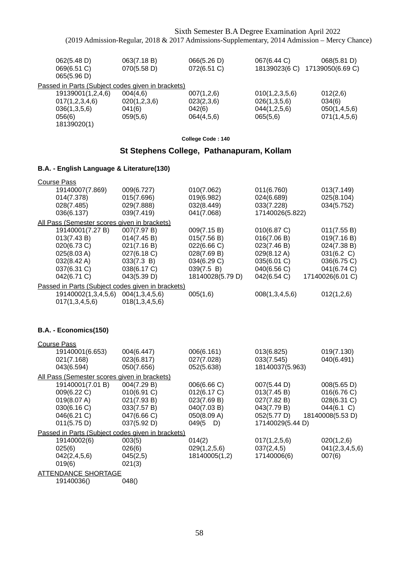| 062(5.48 D)<br>069(6.51 C)<br>065(5.96 D)         | 063(7.18 B)<br>070(5.58 D) | 066(5.26 D)<br>072(6.51 C) | 067(6.44 C)<br>18139023(6 C) | 068(5.81 D)<br>17139050(6.69 C) |
|---------------------------------------------------|----------------------------|----------------------------|------------------------------|---------------------------------|
| Passed in Parts (Subject codes given in brackets) |                            |                            |                              |                                 |
| 19139001(1,2,4,6)                                 | 004(4,6)                   | 007(1,2,6)                 | 010(1,2,3,5,6)               | 012(2,6)                        |
| 017(1,2,3,4,6)                                    | 020(1,2,3,6)               | 023(2,3,6)                 | 026(1,3,5,6)                 | 034(6)                          |
| 036(1,3,5,6)                                      | 041(6)                     | 042(6)                     | 044(1,2,5,6)                 | 050(1,4,5,6)                    |
| 056(6)<br>18139020(1)                             | 059(5,6)                   | 064(4,5,6)                 | 065(5,6)                     | 071(1,4,5,6)                    |

## **St Stephens College, Pathanapuram, Kollam**

### **B.A. - English Language & Literature(130)**

| <b>Course Pass</b>                                |                |                  |                 |                  |
|---------------------------------------------------|----------------|------------------|-----------------|------------------|
| 19140007(7.869)                                   | 009(6.727)     | 010(7.062)       | 011(6.760)      | 013(7.149)       |
| 014(7.378)                                        | 015(7.696)     | 019(6.982)       | 024(6.689)      | 025(8.104)       |
| 028(7.485)                                        | 029(7.888)     | 032(8.449)       | 033(7.228)      | 034(5.752)       |
| 036(6.137)                                        | 039(7.419)     | 041(7.068)       | 17140026(5.822) |                  |
| All Pass (Semester scores given in brackets)      |                |                  |                 |                  |
| 19140001(7.27 B)                                  | 007(7.97 B)    | 009(7.15 B)      | 010(6.87 C)     | 011(7.55 B)      |
| 013(7.43 B)                                       | 014(7.45 B)    | 015(7.56 B)      | 016(7.06 B)     | 019(7.16 B)      |
| 020(6.73 C)                                       | 021(7.16 B)    | 022(6.66 C)      | 023(7.46 B)     | 024(7.38 B)      |
| 025(8.03 A)                                       | 027(6.18 C)    | 028(7.69 B)      | 029(8.12 A)     | 031(6.2 C)       |
| 032(8.42 A)                                       | 033(7.3 B)     | 034(6.29 C)      | 035(6.01 C)     | 036(6.75 C)      |
| 037(6.31 C)                                       | 038(6.17 C)    | 039(7.5 B)       | 040(6.56 C)     | 041(6.74 C)      |
| 042(6.71 C)                                       | 043(5.39 D)    | 18140028(5.79 D) | 042(6.54 C)     | 17140026(6.01 C) |
| Passed in Parts (Subject codes given in brackets) |                |                  |                 |                  |
| 19140002(1,3,4,5,6)                               | 004(1,3,4,5,6) | 005(1,6)         | 008(1,3,4,5,6)  | 012(1,2,6)       |
| 017(1,3,4,5,6)                                    | 018(1,3,4,5,6) |                  |                 |                  |
|                                                   |                |                  |                 |                  |

### **B.A. - Economics(150)**

| 004(6.447)                                   | 006(6.161)       | 013(6.825)                                        | 019(7.130)       |
|----------------------------------------------|------------------|---------------------------------------------------|------------------|
| 023(6.817)                                   | 027(7.028)       | 033(7.545)                                        | 040(6.491)       |
| 050(7.656)                                   | 052(5.638)       | 18140037(5.963)                                   |                  |
| All Pass (Semester scores given in brackets) |                  |                                                   |                  |
| 004(7.29 B)                                  | 006(6.66 C)      | 007(5.44 D)                                       | 008(5.65 D)      |
| 010(6.91 C)                                  | 012(6.17 C)      | 013(7.45 B)                                       | 016(6.76 C)      |
| 021(7.93 B)                                  | 023(7.69 B)      | 027(7.82 B)                                       | 028(6.31 C)      |
| 033(7.57 B)                                  | 040(7.03 B)      | 043(7.79 B)                                       | 044(6.1 C)       |
| 047(6.66 C)                                  | 050(8.09 A)      | 052(5.77 D)                                       | 18140008(5.53 D) |
| 037(5.92 D)                                  | $049(5 \quad D)$ | 17140029(5.44 D)                                  |                  |
|                                              |                  |                                                   |                  |
| 003(5)                                       | 014(2)           | 017(1,2,5,6)                                      | 020(1,2,6)       |
| 026(6)                                       | 029(1,2,5,6)     | 037(2,4,5)                                        | 041(2,3,4,5,6)   |
| 045(2,5)                                     | 18140005(1,2)    | 17140006(6)                                       | 007(6)           |
| 021(3)                                       |                  |                                                   |                  |
| <b>ATTENDANCE SHORTAGE</b>                   |                  |                                                   |                  |
| 048()                                        |                  |                                                   |                  |
|                                              |                  | Passed in Parts (Subject codes given in brackets) |                  |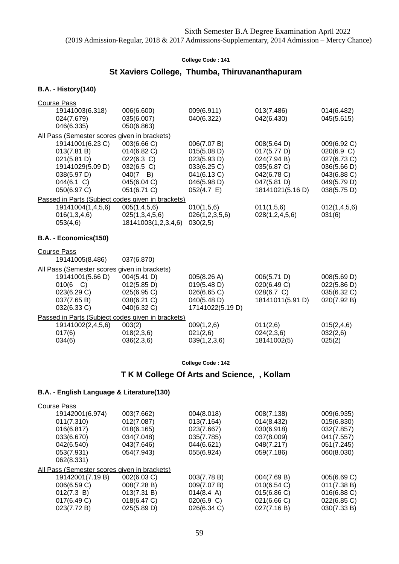# **St Xaviers College, Thumba, Thiruvananthapuram**

#### **B.A. - History(140)**

| 006(6.600)<br>009(6.911)<br>19141003(6.318)<br>013(7.486)<br>035(6.007)<br>040(6.322)<br>042(6.430)<br>024(7.679)<br>046(6.335)<br>050(6.863)<br>All Pass (Semester scores given in brackets)<br>19141001(6.23 C)<br>003(6.66 C)<br>006(7.07 B)<br>008(5.64 D)<br>014(6.82 C)<br>013(7.81 B)<br>015(5.08 D)<br>017(5.77 D)<br>021(5.81 D)<br>022(6.3 C)<br>023(5.93 D)<br>024(7.94 B)<br>19141029(5.09 D)<br>032(6.5 C)<br>033(6.25 C)<br>035(6.87 C)<br>038(5.97 D)<br>041(6.13 C)<br>042(6.78 C)<br>$040(7 \quad B)$<br>044(6.1 C)<br>046(5.98 D)<br>047(5.81 D)<br>045(6.04 C)<br>050(6.97 C)<br>18141021(5.16 D)<br>051(6.71 C)<br>$052(4.7)$ E)<br>Passed in Parts (Subject codes given in brackets)<br>19141004(1,4,5,6)<br>005(1,4,5,6)<br>010(1,5,6)<br>011(1,5,6)<br>016(1,3,4,6)<br>025(1,3,4,5,6)<br>026(1,2,3,5,6)<br>028(1,2,4,5,6)<br>053(4,6)<br>18141003(1,2,3,4,6)<br>030(2,5)<br>B.A. - Economics(150)<br><b>Course Pass</b><br>19141005(8.486)<br>037(6.870)<br>All Pass (Semester scores given in brackets)<br>19141001(5.66 D)<br>005(8.26 A)<br>006(5.71 D)<br>004(5.41 D)<br>010(6 C)<br>019(5.48 D)<br>020(6.49 C)<br>012(5.85 D)<br>023(6.29 C)<br>026(6.65 C)<br>028(6.7 C)<br>025(6.95 C)<br>040(5.48 D)<br>18141011(5.91 D)<br>037(7.65 B)<br>038(6.21 C)<br>032(6.33 C)<br>040(6.32 C)<br>17141022(5.19 D)<br>Passed in Parts (Subject codes given in brackets)<br>19141002(2,4,5,6)<br>003(2)<br>009(1,2,6)<br>011(2,6)<br>017(6)<br>018(2,3,6)<br>021(2,6)<br>024(2,3,6)<br>036(2,3,6)<br>039(1,2,3,6)<br>18141002(5)<br>034(6)<br>025(2) | <b>Course Pass</b> |  |  |                            |
|--------------------------------------------------------------------------------------------------------------------------------------------------------------------------------------------------------------------------------------------------------------------------------------------------------------------------------------------------------------------------------------------------------------------------------------------------------------------------------------------------------------------------------------------------------------------------------------------------------------------------------------------------------------------------------------------------------------------------------------------------------------------------------------------------------------------------------------------------------------------------------------------------------------------------------------------------------------------------------------------------------------------------------------------------------------------------------------------------------------------------------------------------------------------------------------------------------------------------------------------------------------------------------------------------------------------------------------------------------------------------------------------------------------------------------------------------------------------------------------------------------------------------------------------------------------------------|--------------------|--|--|----------------------------|
|                                                                                                                                                                                                                                                                                                                                                                                                                                                                                                                                                                                                                                                                                                                                                                                                                                                                                                                                                                                                                                                                                                                                                                                                                                                                                                                                                                                                                                                                                                                                                                          |                    |  |  | 014(6.482)                 |
|                                                                                                                                                                                                                                                                                                                                                                                                                                                                                                                                                                                                                                                                                                                                                                                                                                                                                                                                                                                                                                                                                                                                                                                                                                                                                                                                                                                                                                                                                                                                                                          |                    |  |  | 045(5.615)                 |
|                                                                                                                                                                                                                                                                                                                                                                                                                                                                                                                                                                                                                                                                                                                                                                                                                                                                                                                                                                                                                                                                                                                                                                                                                                                                                                                                                                                                                                                                                                                                                                          |                    |  |  |                            |
|                                                                                                                                                                                                                                                                                                                                                                                                                                                                                                                                                                                                                                                                                                                                                                                                                                                                                                                                                                                                                                                                                                                                                                                                                                                                                                                                                                                                                                                                                                                                                                          |                    |  |  |                            |
|                                                                                                                                                                                                                                                                                                                                                                                                                                                                                                                                                                                                                                                                                                                                                                                                                                                                                                                                                                                                                                                                                                                                                                                                                                                                                                                                                                                                                                                                                                                                                                          |                    |  |  | 009(6.92 C)                |
|                                                                                                                                                                                                                                                                                                                                                                                                                                                                                                                                                                                                                                                                                                                                                                                                                                                                                                                                                                                                                                                                                                                                                                                                                                                                                                                                                                                                                                                                                                                                                                          |                    |  |  | 020(6.9 C)                 |
|                                                                                                                                                                                                                                                                                                                                                                                                                                                                                                                                                                                                                                                                                                                                                                                                                                                                                                                                                                                                                                                                                                                                                                                                                                                                                                                                                                                                                                                                                                                                                                          |                    |  |  | 027(6.73 C)                |
|                                                                                                                                                                                                                                                                                                                                                                                                                                                                                                                                                                                                                                                                                                                                                                                                                                                                                                                                                                                                                                                                                                                                                                                                                                                                                                                                                                                                                                                                                                                                                                          |                    |  |  | 036(5.66 D)                |
|                                                                                                                                                                                                                                                                                                                                                                                                                                                                                                                                                                                                                                                                                                                                                                                                                                                                                                                                                                                                                                                                                                                                                                                                                                                                                                                                                                                                                                                                                                                                                                          |                    |  |  | 043(6.88 C)<br>049(5.79 D) |
|                                                                                                                                                                                                                                                                                                                                                                                                                                                                                                                                                                                                                                                                                                                                                                                                                                                                                                                                                                                                                                                                                                                                                                                                                                                                                                                                                                                                                                                                                                                                                                          |                    |  |  | 038(5.75 D)                |
|                                                                                                                                                                                                                                                                                                                                                                                                                                                                                                                                                                                                                                                                                                                                                                                                                                                                                                                                                                                                                                                                                                                                                                                                                                                                                                                                                                                                                                                                                                                                                                          |                    |  |  |                            |
|                                                                                                                                                                                                                                                                                                                                                                                                                                                                                                                                                                                                                                                                                                                                                                                                                                                                                                                                                                                                                                                                                                                                                                                                                                                                                                                                                                                                                                                                                                                                                                          |                    |  |  | 012(1,4,5,6)               |
|                                                                                                                                                                                                                                                                                                                                                                                                                                                                                                                                                                                                                                                                                                                                                                                                                                                                                                                                                                                                                                                                                                                                                                                                                                                                                                                                                                                                                                                                                                                                                                          |                    |  |  | 031(6)                     |
|                                                                                                                                                                                                                                                                                                                                                                                                                                                                                                                                                                                                                                                                                                                                                                                                                                                                                                                                                                                                                                                                                                                                                                                                                                                                                                                                                                                                                                                                                                                                                                          |                    |  |  |                            |
|                                                                                                                                                                                                                                                                                                                                                                                                                                                                                                                                                                                                                                                                                                                                                                                                                                                                                                                                                                                                                                                                                                                                                                                                                                                                                                                                                                                                                                                                                                                                                                          |                    |  |  |                            |
|                                                                                                                                                                                                                                                                                                                                                                                                                                                                                                                                                                                                                                                                                                                                                                                                                                                                                                                                                                                                                                                                                                                                                                                                                                                                                                                                                                                                                                                                                                                                                                          |                    |  |  |                            |
|                                                                                                                                                                                                                                                                                                                                                                                                                                                                                                                                                                                                                                                                                                                                                                                                                                                                                                                                                                                                                                                                                                                                                                                                                                                                                                                                                                                                                                                                                                                                                                          |                    |  |  |                            |
|                                                                                                                                                                                                                                                                                                                                                                                                                                                                                                                                                                                                                                                                                                                                                                                                                                                                                                                                                                                                                                                                                                                                                                                                                                                                                                                                                                                                                                                                                                                                                                          |                    |  |  |                            |
|                                                                                                                                                                                                                                                                                                                                                                                                                                                                                                                                                                                                                                                                                                                                                                                                                                                                                                                                                                                                                                                                                                                                                                                                                                                                                                                                                                                                                                                                                                                                                                          |                    |  |  |                            |
|                                                                                                                                                                                                                                                                                                                                                                                                                                                                                                                                                                                                                                                                                                                                                                                                                                                                                                                                                                                                                                                                                                                                                                                                                                                                                                                                                                                                                                                                                                                                                                          |                    |  |  | 008(5.69 D)                |
|                                                                                                                                                                                                                                                                                                                                                                                                                                                                                                                                                                                                                                                                                                                                                                                                                                                                                                                                                                                                                                                                                                                                                                                                                                                                                                                                                                                                                                                                                                                                                                          |                    |  |  | 022(5.86 D)                |
|                                                                                                                                                                                                                                                                                                                                                                                                                                                                                                                                                                                                                                                                                                                                                                                                                                                                                                                                                                                                                                                                                                                                                                                                                                                                                                                                                                                                                                                                                                                                                                          |                    |  |  | 035(6.32 C)                |
|                                                                                                                                                                                                                                                                                                                                                                                                                                                                                                                                                                                                                                                                                                                                                                                                                                                                                                                                                                                                                                                                                                                                                                                                                                                                                                                                                                                                                                                                                                                                                                          |                    |  |  | 020(7.92 B)                |
|                                                                                                                                                                                                                                                                                                                                                                                                                                                                                                                                                                                                                                                                                                                                                                                                                                                                                                                                                                                                                                                                                                                                                                                                                                                                                                                                                                                                                                                                                                                                                                          |                    |  |  |                            |
|                                                                                                                                                                                                                                                                                                                                                                                                                                                                                                                                                                                                                                                                                                                                                                                                                                                                                                                                                                                                                                                                                                                                                                                                                                                                                                                                                                                                                                                                                                                                                                          |                    |  |  |                            |
|                                                                                                                                                                                                                                                                                                                                                                                                                                                                                                                                                                                                                                                                                                                                                                                                                                                                                                                                                                                                                                                                                                                                                                                                                                                                                                                                                                                                                                                                                                                                                                          |                    |  |  | 015(2,4,6)                 |
|                                                                                                                                                                                                                                                                                                                                                                                                                                                                                                                                                                                                                                                                                                                                                                                                                                                                                                                                                                                                                                                                                                                                                                                                                                                                                                                                                                                                                                                                                                                                                                          |                    |  |  | 032(2,6)                   |
|                                                                                                                                                                                                                                                                                                                                                                                                                                                                                                                                                                                                                                                                                                                                                                                                                                                                                                                                                                                                                                                                                                                                                                                                                                                                                                                                                                                                                                                                                                                                                                          |                    |  |  |                            |

**College Code : 142**

## **T K M College Of Arts and Science, , Kollam**

| <b>Course Pass</b>                           |             |                      |             |                |
|----------------------------------------------|-------------|----------------------|-------------|----------------|
| 19142001(6.974)                              | 003(7.662)  | 004(8.018)           | 008(7.138)  | 009(6.935)     |
| 011(7.310)                                   | 012(7.087)  | 013(7.164)           | 014(8.432)  | 015(6.830)     |
| 016(6.817)                                   | 018(6.165)  | 023(7.667)           | 030(6.918)  | 032(7.857)     |
| 033(6.670)                                   | 034(7.048)  | 035(7.785)           | 037(8.009)  | 041(7.557)     |
| 042(6.540)                                   | 043(7.646)  | 044(6.621)           | 048(7.217)  | 051(7.245)     |
| 053(7.931)                                   | 054(7.943)  | 055(6.924)           | 059(7.186)  | 060(8.030)     |
| 062(8.331)                                   |             |                      |             |                |
| All Pass (Semester scores given in brackets) |             |                      |             |                |
| 19142001(7.19 B)                             | 002(6.03 C) | 003(7.78 B)          | 004(7.69 B) | 005(6.69 C)    |
| 006(6.59 C)                                  | 008(7.28 B) | 009(7.07 B)          | 010(6.54 C) | 011(7.38 B)    |
| 012(7.3 B)                                   | 013(7.31 B) | $014(8.4 \text{ A})$ | 015(6.86)   | $016(6.88)$ C) |
| 017(6.49 C)                                  | 018(6.47 C) | 020(6.9 C)           | 021(6.66 C) | 022(6.85 C)    |
| 023(7.72 B)                                  | 025(5.89 D) | 026(6.34 C)          | 027(7.16 B) | 030(7.33 B)    |
|                                              |             |                      |             |                |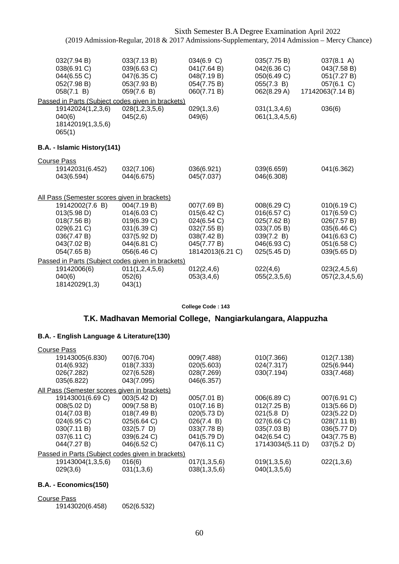| 032(7.94 B)<br>038(6.91 C)<br>044(6.55 C)<br>052(7.98 B)<br>058(7.1 B)                                    | 033(7.13 B)<br>039(6.63 C)<br>047(6.35 C)<br>053(7.93 B)<br>059(7.6 B)                                | 034(6.9 C)<br>041(7.64 B)<br>048(7.19 B)<br>054(7.75 B)<br>060(7.71 B)                                     | 035(7.75 B)<br>042(6.36 C)<br>050(6.49 C)<br>055(7.3 B)<br>062(8.29 A)                               | $037(8.1 \text{ A})$<br>043(7.58 B)<br>051(7.27 B)<br>057(6.1 C)<br>17142063(7.14 B)                  |
|-----------------------------------------------------------------------------------------------------------|-------------------------------------------------------------------------------------------------------|------------------------------------------------------------------------------------------------------------|------------------------------------------------------------------------------------------------------|-------------------------------------------------------------------------------------------------------|
|                                                                                                           | Passed in Parts (Subject codes given in brackets)                                                     |                                                                                                            |                                                                                                      |                                                                                                       |
| 19142024(1,2,3,6)<br>040(6)<br>18142019(1,3,5,6)<br>065(1)                                                | 028(1,2,3,5,6)<br>045(2,6)                                                                            | 029(1,3,6)<br>049(6)                                                                                       | 031(1,3,4,6)<br>061(1,3,4,5,6)                                                                       | 036(6)                                                                                                |
| B.A. - Islamic History(141)                                                                               |                                                                                                       |                                                                                                            |                                                                                                      |                                                                                                       |
| <b>Course Pass</b>                                                                                        |                                                                                                       |                                                                                                            |                                                                                                      |                                                                                                       |
| 19142031(6.452)<br>043(6.594)                                                                             | 032(7.106)<br>044(6.675)                                                                              | 036(6.921)<br>045(7.037)                                                                                   | 039(6.659)<br>046(6.308)                                                                             | 041(6.362)                                                                                            |
| All Pass (Semester scores given in brackets)                                                              |                                                                                                       |                                                                                                            |                                                                                                      |                                                                                                       |
| 19142002(7.6 B)<br>013(5.98 D)<br>018(7.56 B)<br>029(6.21 C)<br>036(7.47 B)<br>043(7.02 B)<br>054(7.65 B) | 004(7.19 B)<br>014(6.03 C)<br>019(6.39 C)<br>031(6.39 C)<br>037(5.92 D)<br>044(6.81 C)<br>056(6.46 C) | 007(7.69 B)<br>015(6.42 C)<br>024(6.54 C)<br>032(7.55 B)<br>038(7.42 B)<br>045(7.77 B)<br>18142013(6.21 C) | 008(6.29 C)<br>016(6.57 C)<br>025(7.62 B)<br>033(7.05 B)<br>039(7.2 B)<br>046(6.93 C)<br>025(5.45 D) | 010(6.19 C)<br>017(6.59 C)<br>026(7.57 B)<br>035(6.46 C)<br>041(6.63 C)<br>051(6.58 C)<br>039(5.65 D) |
|                                                                                                           | Passed in Parts (Subject codes given in brackets)                                                     |                                                                                                            |                                                                                                      |                                                                                                       |
| 19142006(6)<br>040(6)<br>18142029(1,3)                                                                    | 011(1,2,4,5,6)<br>052(6)<br>043(1)                                                                    | 012(2,4,6)<br>053(3,4,6)                                                                                   | 022(4,6)<br>055(2,3,5,6)                                                                             | 023(2,4,5,6)<br>057(2,3,4,5,6)                                                                        |

**College Code : 143**

### **T.K. Madhavan Memorial College, Nangiarkulangara, Alappuzha**

### **B.A. - English Language & Literature(130)**

| <b>Course Pass</b>                                |               |              |                  |               |
|---------------------------------------------------|---------------|--------------|------------------|---------------|
| 19143005(6.830)                                   | 007(6.704)    | 009(7.488)   | 010(7.366)       | 012(7.138)    |
| 014(6.932)                                        | 018(7.333)    | 020(5.603)   | 024(7.317)       | 025(6.944)    |
| 026(7.282)                                        | 027(6.528)    | 028(7.269)   | 030(7.194)       | 033(7.468)    |
| 035(6.822)                                        | 043(7.095)    | 046(6.357)   |                  |               |
| All Pass (Semester scores given in brackets)      |               |              |                  |               |
| 19143001(6.69 C)                                  | 003(5.42 D)   | 005(7.01 B)  | 006(6.89 C)      | 007(6.91 C)   |
| 008(5.02 D)                                       | 009(7.58 B)   | 010(7.16 B)  | 012(7.25 B)      | 013(5.66 D)   |
| 014(7.03 B)                                       | 018(7.49 B)   | 020(5.73 D)  | $021(5.8)$ D)    | 023(5.22 D)   |
| 024(6.95 C)                                       | 025(6.64 C)   | 026(7.4 B)   | 027(6.66 C)      | 028(7.11 B)   |
| 030(7.11 B)                                       | $032(5.7)$ D) | 033(7.78 B)  | 035(7.03 B)      | 036(5.77 D)   |
| 037(6.11 C)                                       | 039(6.24 C)   | 041(5.79 D)  | 042(6.54 C)      | 043(7.75 B)   |
| 044(7.27 B)                                       | 046(6.52 C)   | 047(6.11 C)  | 17143034(5.11 D) | $037(5.2)$ D) |
| Passed in Parts (Subject codes given in brackets) |               |              |                  |               |
| 19143004(1,3,5,6)                                 | 016(6)        | 017(1,3,5,6) | 019(1,3,5,6)     | 022(1,3,6)    |
| 029(3,6)                                          | 031(1,3,6)    | 038(1,3,5,6) | 040(1,3,5,6)     |               |

### **B.A. - Economics(150)**

Course Pass

19143020(6.458) 052(6.532)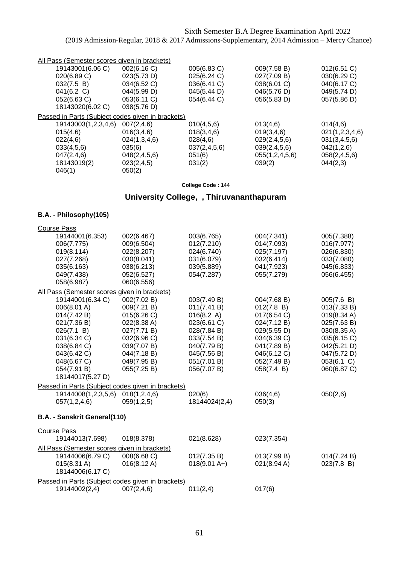| All Pass (Semester scores given in brackets)      |                 |              |                |                |
|---------------------------------------------------|-----------------|--------------|----------------|----------------|
| 19143001(6.06 C)                                  | 002(6.16 C)     | 005(6.83 C)  | 009(7.58 B)    | 012(6.51 C)    |
| 020(6.89 C)                                       | 023(5.73 D)     | 025(6.24 C)  | 027(7.09 B)    | 030(6.29 C)    |
| 032(7.5 B)                                        | 034(6.52 C)     | 036(6.41 C)  | 038(6.01 C)    | 040(6.17 C)    |
| 041(6.2 C)                                        | 044(5.99 D)     | 045(5.44 D)  | 046(5.76 D)    | 049(5.74 D)    |
| 052(6.63 C)                                       | 053(6.11 C)     | 054(6.44 C)  | 056(5.83 D)    | 057(5.86 D)    |
| 18143020(6.02 C)                                  | 038(5.76 D)     |              |                |                |
| Passed in Parts (Subject codes given in brackets) |                 |              |                |                |
| 19143003(1,2,3,4,6)                               | 007(2,4,6)      | 010(4,5,6)   | 013(4,6)       | 014(4,6)       |
| 015(4,6)                                          | 016(3,4,6)      | 018(3,4,6)   | 019(3,4,6)     | 021(1,2,3,4,6) |
| 022(4,6)                                          | 024(1,3,4,6)    | 028(4,6)     | 029(2,4,5,6)   | 031(3,4,5,6)   |
| 033(4,5,6)                                        | 035(6)          | 037(2,4,5,6) | 039(2,4,5,6)   | 042(1,2,6)     |
| 047(2,4,6)                                        | 048(2, 4, 5, 6) | 051(6)       | 055(1,2,4,5,6) | 058(2,4,5,6)   |
| 18143019(2)                                       | 023(2,4,5)      | 031(2)       | 039(2)         | 044(2,3)       |
| 046(1)                                            | 050(2)          |              |                |                |

# **University College, , Thiruvananthapuram**

### **B.A. - Philosophy(105)**

| <b>Course Pass</b>                                |                       |                |             |             |
|---------------------------------------------------|-----------------------|----------------|-------------|-------------|
| 19144001(6.353)                                   | 002(6.467)            | 003(6.765)     | 004(7.341)  | 005(7.388)  |
| 006(7.775)                                        | 009(6.504)            | 012(7.210)     | 014(7.093)  | 016(7.977)  |
| 019(8.114)                                        | 022(8.207)            | 024(6.740)     | 025(7.197)  | 026(6.830)  |
| 027(7.268)                                        | 030(8.041)            | 031(6.079)     | 032(6.414)  | 033(7.080)  |
| 035(6.163)                                        | 038(6.213)            | 039(5.889)     | 041(7.923)  | 045(6.833)  |
| 049(7.438)                                        | 052(6.527)            | 054(7.287)     | 055(7.279)  | 056(6.455)  |
| 058(6.987)                                        | 060(6.556)            |                |             |             |
| All Pass (Semester scores given in brackets)      |                       |                |             |             |
| 19144001(6.34 C)                                  | 002(7.02 B)           | 003(7.49 B)    | 004(7.68 B) | 005(7.6 B)  |
| 006(8.01 A)                                       | 009(7.21 B)           | 011(7.41 B)    | 012(7.8 B)  | 013(7.33 B) |
| 014(7.42 B)                                       | 015(6.26)             | 016(8.2 A)     | 017(6.54 C) | 019(8.34 A) |
| 021(7.36 B)                                       | 022(8.38 A)           | 023(6.61 C)    | 024(7.12 B) | 025(7.63 B) |
| 026(7.1 B)                                        | 027(7.71 B)           | 028(7.84 B)    | 029(5.55 D) | 030(8.35 A) |
| 031(6.34 C)                                       | 032(6.96 C)           | 033(7.54 B)    | 034(6.39 C) | 035(6.15 C) |
| 038(6.84 C)                                       | 039(7.07 B)           | 040(7.79 B)    | 041(7.89 B) | 042(5.21 D) |
| 043(6.42 C)                                       | 044(7.18 B)           | 045(7.56 B)    | 046(6.12 C) | 047(5.72 D) |
| 048(6.67 C)                                       | 049(7.95 B)           | 051(7.01 B)    | 052(7.49 B) | 053(6.1 C)  |
| 054(7.91 B)                                       | 055(7.25 B)           | 056(7.07 B)    | 058(7.4 B)  | 060(6.87 C) |
| 18144017(5.27 D)                                  |                       |                |             |             |
| Passed in Parts (Subject codes given in brackets) |                       |                |             |             |
| 19144008(1,2,3,5,6)                               | 018(1,2,4,6)          | 020(6)         | 036(4,6)    | 050(2,6)    |
| 057(1,2,4,6)                                      | 059(1,2,5)            | 18144024(2,4)  | 050(3)      |             |
| B.A. - Sanskrit General(110)                      |                       |                |             |             |
|                                                   |                       |                |             |             |
| <b>Course Pass</b>                                |                       |                |             |             |
| 19144013(7.698)                                   | 018(8.378)            | 021(8.628)     | 023(7.354)  |             |
| All Pass (Semester scores given in brackets)      |                       |                |             |             |
| 19144006(6.79 C)                                  | 008(6.68 C)           | 012(7.35 B)    | 013(7.99 B) | 014(7.24 B) |
| 015(8.31 A)                                       | $016(8.12 \text{ A})$ | $018(9.01 A+)$ | 021(8.94 A) | 023(7.8 B)  |
| 18144006(6.17 C)                                  |                       |                |             |             |
| Passed in Parts (Subject codes given in brackets) |                       |                |             |             |
| 19144002(2,4)                                     | 007(2, 4, 6)          | 011(2,4)       | 017(6)      |             |
|                                                   |                       |                |             |             |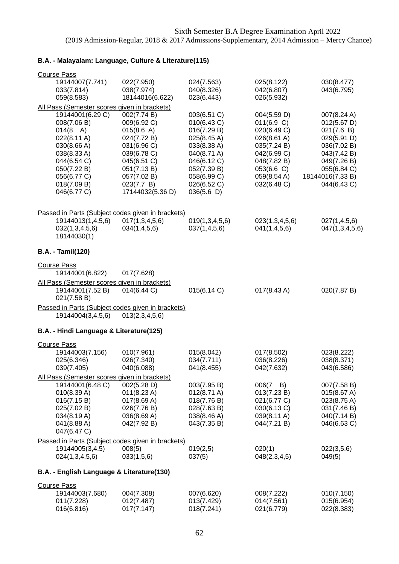## **B.A. - Malayalam: Language, Culture & Literature(115)**

| <b>Course Pass</b>                                               |                                                   |                                      |                            |                                |
|------------------------------------------------------------------|---------------------------------------------------|--------------------------------------|----------------------------|--------------------------------|
| 19144007(7.741)                                                  | 022(7.950)                                        | 024(7.563)                           | 025(8.122)                 | 030(8.477)                     |
| 033(7.814)                                                       | 038(7.974)                                        | 040(8.326)                           | 042(6.807)                 | 043(6.795)                     |
| 059(8.583)                                                       | 18144016(6.622)                                   | 023(6.443)                           | 026(5.932)                 |                                |
| All Pass (Semester scores given in brackets)<br>19144001(6.29 C) |                                                   | 003(6.51 C)                          | 004(5.59 D)                | 007(8.24 A)                    |
| 008(7.06 B)                                                      | 002(7.74 B)<br>009(6.92 C)                        | 010(6.43 C)                          | 011(6.9 C)                 | 012(5.67 D)                    |
| $014(8 \text{ A})$                                               | 015(8.6 A)                                        | 016(7.29 B)                          | 020(6.49 C)                | 021(7.6 B)                     |
| $022(8.11 \text{ A})$                                            | 024(7.72 B)                                       | 025(8.45 A)                          | $026(8.61 \text{ A})$      | 029(5.91 D)                    |
| 030(8.66 A)                                                      | 031(6.96 C)                                       | 033(8.38 A)                          | 035(7.24 B)                | 036(7.02 B)                    |
| 038(8.33 A)                                                      | 039(6.78 C)                                       | 040(8.71 A)                          | 042(6.99 C)                | 043(7.42 B)                    |
| 044(6.54 C)                                                      | 045(6.51 C)                                       | 046(6.12 C)                          | 048(7.82 B)                | 049(7.26 B)                    |
| 050(7.22 B)                                                      | 051(7.13 B)                                       | 052(7.39 B)<br>058(6.99 C)           | 053(6.6 C)                 | 055(6.84 C)                    |
| 056(6.77 C)<br>018(7.09 B)                                       | 057(7.02 B)<br>023(7.7 B)                         | 026(6.52 C)                          | 059(8.54 A)<br>032(6.48 C) | 18144016(7.33B)<br>044(6.43 C) |
| 046(6.77 C)                                                      | 17144032(5.36 D)                                  | 036(5.6)                             |                            |                                |
|                                                                  |                                                   |                                      |                            |                                |
|                                                                  | Passed in Parts (Subject codes given in brackets) |                                      |                            |                                |
| 19144013(1,4,5,6)                                                | 017(1,3,4,5,6)                                    | 019(1,3,4,5,6)                       | 023(1,3,4,5,6)             | 027(1,4,5,6)                   |
| 032(1,3,4,5,6)                                                   | 034(1,4,5,6)                                      | 037(1,4,5,6)                         | 041(1,4,5,6)               | 047(1,3,4,5,6)                 |
| 18144030(1)                                                      |                                                   |                                      |                            |                                |
| <b>B.A. - Tamil(120)</b>                                         |                                                   |                                      |                            |                                |
| <b>Course Pass</b>                                               |                                                   |                                      |                            |                                |
| 19144001(6.822)                                                  | 017(7.628)                                        |                                      |                            |                                |
| All Pass (Semester scores given in brackets)                     |                                                   |                                      |                            |                                |
| 19144001(7.52 B)<br>021(7.58 B)                                  | 014(6.44 C)                                       | 015(6.14 C)                          | $017(8.43 \text{ A})$      | 020(7.87 B)                    |
|                                                                  | Passed in Parts (Subject codes given in brackets) |                                      |                            |                                |
| 19144004(3,4,5,6)                                                | 013(2,3,4,5,6)                                    |                                      |                            |                                |
| B.A. - Hindi Language & Literature(125)                          |                                                   |                                      |                            |                                |
| <b>Course Pass</b>                                               |                                                   |                                      |                            |                                |
| 19144003(7.156)                                                  | 010(7.961)                                        | 015(8.042)                           | 017(8.502)                 | 023(8.222)                     |
| 025(6.346)                                                       | 026(7.340)                                        | 034(7.711)                           | 036(8.226)                 | 038(8.371)                     |
| 039(7.405)                                                       | 040(6.088)                                        | 041(8.455)                           | 042(7.632)                 | 043(6.586)                     |
| All Pass (Semester scores given in brackets)                     |                                                   |                                      |                            |                                |
| 19144001(6.48 C)                                                 | 002(5.28 D)                                       | 003(7.95 B)                          | $006(7 - B)$               | 007(7.58 B)                    |
| 010(8.39 A)<br>016(7.15 B)                                       | 011(8.23 A)<br>017(8.69 A)                        | $012(8.71 \text{ A})$<br>018(7.76 B) | 013(7.23 B)<br>021(6.77 C) | 015(8.67 A)<br>023(8.75 A)     |
| 025(7.02 B)                                                      | 026(7.76 B)                                       | 028(7.63 B)                          | 030(6.13 C)                | 031(7.46 B)                    |
| 034(8.19 A)                                                      | 036(8.69 A)                                       | 038(8.46 A)                          | 039(8.11 A)                | 040(7.14 B)                    |
| 041(8.88 A)                                                      | 042(7.92 B)                                       | 043(7.35 B)                          | 044(7.21 B)                | 046(6.63 C)                    |
| 047(6.47 C)                                                      |                                                   |                                      |                            |                                |
|                                                                  | Passed in Parts (Subject codes given in brackets) |                                      |                            |                                |
| 19144005(3,4,5)                                                  | 008(5)                                            | 019(2,5)                             | 020(1)                     | 022(3,5,6)                     |
| 024(1,3,4,5,6)                                                   | 033(1,5,6)                                        | 037(5)                               | 048(2,3,4,5)               | 049(5)                         |
| B.A. - English Language & Literature(130)                        |                                                   |                                      |                            |                                |
| <b>Course Pass</b>                                               |                                                   |                                      |                            |                                |
| 19144003(7.680)                                                  | 004(7.308)                                        | 007(6.620)                           | 008(7.222)                 | 010(7.150)                     |
| 011(7.228)<br>016(6.816)                                         | 012(7.487)<br>017(7.147)                          | 013(7.429)<br>018(7.241)             | 014(7.561)<br>021(6.779)   | 015(6.954)<br>022(8.383)       |
|                                                                  |                                                   |                                      |                            |                                |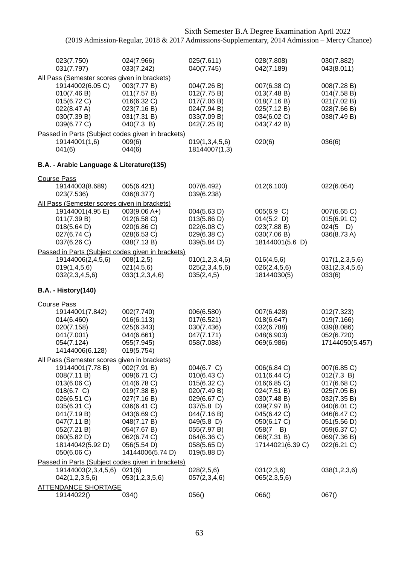| Sixth Semester B.A Degree Examination April 2022<br>(2019 Admission-Regular, 2018 & 2017 Admissions-Supplementary, 2014 Admission - Mercy Chance)                                                                                                                                              |                                                                                                                                                                                       |                                                                                                                                                                                     |                                                                                                                                                                             |                                                                                                                                                                  |
|------------------------------------------------------------------------------------------------------------------------------------------------------------------------------------------------------------------------------------------------------------------------------------------------|---------------------------------------------------------------------------------------------------------------------------------------------------------------------------------------|-------------------------------------------------------------------------------------------------------------------------------------------------------------------------------------|-----------------------------------------------------------------------------------------------------------------------------------------------------------------------------|------------------------------------------------------------------------------------------------------------------------------------------------------------------|
| 023(7.750)<br>031(7.797)                                                                                                                                                                                                                                                                       | 024(7.966)<br>033(7.242)                                                                                                                                                              | 025(7.611)<br>040(7.745)                                                                                                                                                            | 028(7.808)<br>042(7.189)                                                                                                                                                    | 030(7.882)<br>043(8.011)                                                                                                                                         |
| All Pass (Semester scores given in brackets)<br>19144002(6.05 C)<br>010(7.46 B)<br>015(6.72 C)<br>022(8.47 A)<br>030(7.39 B)<br>039(6.77 C)                                                                                                                                                    | 003(7.77 B)<br>011(7.57 B)<br>016(6.32 C)<br>023(7.16 B)<br>031(7.31 B)<br>040(7.3 B)                                                                                                 | 004(7.26 B)<br>012(7.75 B)<br>017(7.06 B)<br>024(7.94 B)<br>033(7.09 B)<br>042(7.25 B)                                                                                              | 007(6.38 C)<br>013(7.48 B)<br>018(7.16 B)<br>025(7.12 B)<br>034(6.02 C)<br>043(7.42 B)                                                                                      | 008(7.28 B)<br>014(7.58 B)<br>021(7.02 B)<br>028(7.66 B)<br>038(7.49 B)                                                                                          |
| Passed in Parts (Subject codes given in brackets)<br>19144001(1,6)<br>041(6)                                                                                                                                                                                                                   | 009(6)<br>044(6)                                                                                                                                                                      | 019(1,3,4,5,6)<br>18144007(1,3)                                                                                                                                                     | 020(6)                                                                                                                                                                      | 036(6)                                                                                                                                                           |
| B.A. - Arabic Language & Literature(135)                                                                                                                                                                                                                                                       |                                                                                                                                                                                       |                                                                                                                                                                                     |                                                                                                                                                                             |                                                                                                                                                                  |
| <b>Course Pass</b><br>19144003(8.689)<br>023(7.536)                                                                                                                                                                                                                                            | 005(6.421)<br>036(8.377)                                                                                                                                                              | 007(6.492)<br>039(6.238)                                                                                                                                                            | 012(6.100)                                                                                                                                                                  | 022(6.054)                                                                                                                                                       |
| All Pass (Semester scores given in brackets)<br>19144001(4.95 E)<br>011(7.39 B)<br>018(5.64 D)<br>027(6.74 C)<br>037(6.26 C)                                                                                                                                                                   | $003(9.06 A+)$<br>012(6.58)<br>020(6.86 C)<br>028(6.53 C)<br>038(7.13 B)                                                                                                              | 004(5.63 D)<br>013(5.86 D)<br>022(6.08 C)<br>029(6.38 C)<br>039(5.84 D)                                                                                                             | 005(6.9 C)<br>014(5.2)<br>023(7.88 B)<br>030(7.06 B)<br>18144001(5.6 D)                                                                                                     | 007(6.65 C)<br>015(6.91 C)<br>$024(5)$ D)<br>036(8.73 A)                                                                                                         |
| Passed in Parts (Subject codes given in brackets)<br>19144006(2,4,5,6)<br>019(1,4,5,6)<br>032(2,3,4,5,6)                                                                                                                                                                                       | 008(1,2,5)<br>021(4,5,6)<br>033(1,2,3,4,6)                                                                                                                                            | 010(1,2,3,4,6)<br>025(2,3,4,5,6)<br>035(2,4,5)                                                                                                                                      | 016(4,5,6)<br>026(2,4,5,6)<br>18144030(5)                                                                                                                                   | 017(1,2,3,5,6)<br>031(2,3,4,5,6)<br>033(6)                                                                                                                       |
| <b>B.A. - History(140)</b>                                                                                                                                                                                                                                                                     |                                                                                                                                                                                       |                                                                                                                                                                                     |                                                                                                                                                                             |                                                                                                                                                                  |
| <b>Course Pass</b><br>19144001(7.842)<br>014(6.460)<br>020(7.158)<br>041(7.001)<br>054(7.124)<br>14144006(6.128)                                                                                                                                                                               | 002(7.740)<br>016(6.113)<br>025(6.343)<br>044(6.661)<br>055(7.945)<br>019(5.754)                                                                                                      | 006(6.580)<br>017(6.521)<br>030(7.436)<br>047(7.171)<br>058(7.088)                                                                                                                  | 007(6.428)<br>018(6.647)<br>032(6.788)<br>048(6.903)<br>069(6.986)                                                                                                          | 012(7.323)<br>019(7.166)<br>039(8.086)<br>052(6.720)<br>17144050(5.457)                                                                                          |
| All Pass (Semester scores given in brackets)<br>19144001(7.78 B)<br>008(7.11 B)<br>013(6.06 C)<br>018(6.7 C)<br>026(6.51 C)<br>035(6.31 C)<br>041(7.19 B)<br>047(7.11 B)<br>052(7.21 B)<br>060(5.82 D)<br>18144042(5.92 D)<br>050(6.06 C)<br>Passed in Parts (Subject codes given in brackets) | 002(7.91 B)<br>009(6.71 C)<br>014(6.78 C)<br>019(7.38 B)<br>027(7.16 B)<br>036(6.41 C)<br>043(6.69 C)<br>048(7.17 B)<br>054(7.67 B)<br>062(6.74 C)<br>056(5.54 D)<br>14144006(5.74 D) | 004(6.7 C)<br>010(6.43 C)<br>015(6.32 C)<br>020(7.49 B)<br>029(6.67 C)<br>$037(5.8)$ D)<br>044(7.16 B)<br>$049(5.8)$ D)<br>055(7.97 B)<br>064(6.36 C)<br>058(5.65 D)<br>019(5.88 D) | 006(6.84 C)<br>011(6.44 C)<br>016(6.85 C)<br>024(7.51 B)<br>030(7.48 B)<br>039(7.97 B)<br>045(6.42 C)<br>050(6.17 C)<br>$058(7 \quad B)$<br>068(7.31 B)<br>17144021(6.39 C) | 007(6.85 C)<br>012(7.3 B)<br>017(6.68 C)<br>025(7.05 B)<br>032(7.35 B)<br>040(6.01 C)<br>046(6.47 C)<br>051(5.56 D)<br>059(6.37 C)<br>069(7.36 B)<br>022(6.21 C) |
| 19144003(2,3,4,5,6)<br>042(1,2,3,5,6)                                                                                                                                                                                                                                                          | 021(6)<br>053(1,2,3,5,6)                                                                                                                                                              | 028(2,5,6)<br>057(2,3,4,6)                                                                                                                                                          | 031(2,3,6)<br>065(2,3,5,6)                                                                                                                                                  | 038(1,2,3,6)                                                                                                                                                     |
| <b>ATTENDANCE SHORTAGE</b><br>19144022()                                                                                                                                                                                                                                                       | 034()                                                                                                                                                                                 | 056()                                                                                                                                                                               | 066()                                                                                                                                                                       | 067()                                                                                                                                                            |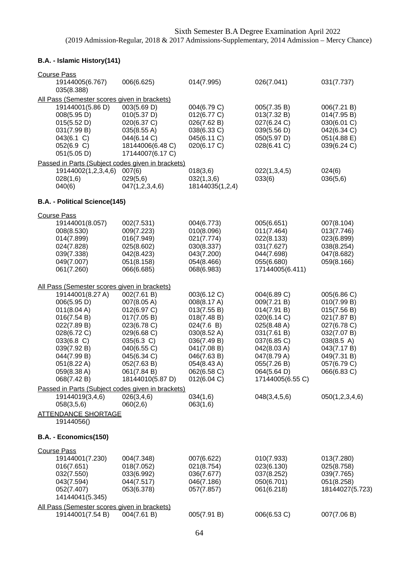# **B.A. - Islamic History(141)**

| <b>Course Pass</b><br>19144005(6.767)                                                                                                                                                                                                | 006(6.625)                                                                                                                                                                           | 014(7.995)                                                                                                                                                                      | 026(7.041)                                                                                                                                                                            | 031(7.737)                                                                                                                                                       |
|--------------------------------------------------------------------------------------------------------------------------------------------------------------------------------------------------------------------------------------|--------------------------------------------------------------------------------------------------------------------------------------------------------------------------------------|---------------------------------------------------------------------------------------------------------------------------------------------------------------------------------|---------------------------------------------------------------------------------------------------------------------------------------------------------------------------------------|------------------------------------------------------------------------------------------------------------------------------------------------------------------|
| 035(8.388)                                                                                                                                                                                                                           |                                                                                                                                                                                      |                                                                                                                                                                                 |                                                                                                                                                                                       |                                                                                                                                                                  |
| All Pass (Semester scores given in brackets)<br>19144001(5.86 D)<br>008(5.95 D)<br>015(5.52 D)<br>031(7.99 B)<br>043(6.1 C)<br>052(6.9 C)<br>051(5.05 D)                                                                             | 003(5.69 D)<br>010(5.37 D)<br>020(6.37 C)<br>035(8.55 A)<br>044(6.14 C)<br>18144006(6.48 C)<br>17144007(6.17 C)                                                                      | 004(6.79 C)<br>012(6.77 C)<br>026(7.62 B)<br>038(6.33 C)<br>045(6.11 C)<br>020(6.17 C)                                                                                          | 005(7.35 B)<br>013(7.32 B)<br>027(6.24 C)<br>039(5.56 D)<br>050(5.97 D)<br>028(6.41 C)                                                                                                | 006(7.21 B)<br>014(7.95 B)<br>030(6.01 C)<br>042(6.34 C)<br>051(4.88 E)<br>039(6.24 C)                                                                           |
| Passed in Parts (Subject codes given in brackets)                                                                                                                                                                                    |                                                                                                                                                                                      |                                                                                                                                                                                 |                                                                                                                                                                                       |                                                                                                                                                                  |
| 19144002(1,2,3,4,6)<br>028(1,6)<br>040(6)                                                                                                                                                                                            | 007(6)<br>029(5,6)<br>047(1,2,3,4,6)                                                                                                                                                 | 018(3,6)<br>032(1,3,6)<br>18144035(1,2,4)                                                                                                                                       | 022(1,3,4,5)<br>033(6)                                                                                                                                                                | 024(6)<br>036(5,6)                                                                                                                                               |
| B.A. - Political Science(145)                                                                                                                                                                                                        |                                                                                                                                                                                      |                                                                                                                                                                                 |                                                                                                                                                                                       |                                                                                                                                                                  |
| <b>Course Pass</b><br>19144001(8.057)<br>008(8.530)<br>014(7.899)<br>024(7.828)<br>039(7.338)<br>049(7.007)<br>061(7.260)                                                                                                            | 002(7.531)<br>009(7.223)<br>016(7.949)<br>025(8.602)<br>042(8.423)<br>051(8.158)<br>066(6.685)                                                                                       | 004(6.773)<br>010(8.096)<br>021(7.774)<br>030(8.337)<br>043(7.200)<br>054(8.466)<br>068(6.983)                                                                                  | 005(6.651)<br>011(7.464)<br>022(8.133)<br>031(7.627)<br>044(7.698)<br>055(6.680)<br>17144005(6.411)                                                                                   | 007(8.104)<br>013(7.746)<br>023(6.899)<br>038(8.254)<br>047(8.682)<br>059(8.166)                                                                                 |
| All Pass (Semester scores given in brackets)<br>19144001(8.27 A)<br>006(5.95 D)<br>011(8.04 A)<br>016(7.54 B)<br>022(7.89 B)<br>028(6.72 C)<br>033(6.8 C)<br>039(7.92 B)<br>044(7.99 B)<br>051(8.22 A)<br>059(8.38 A)<br>068(7.42 B) | 002(7.61 B)<br>007(8.05 A)<br>012(6.97 C)<br>017(7.05 B)<br>023(6.78 C)<br>029(6.68 C)<br>035(6.3 C)<br>040(6.55 C)<br>045(6.34 C)<br>052(7.63 B)<br>061(7.84 B)<br>18144010(5.87 D) | 003(6.12 C)<br>008(8.17 A)<br>013(7.55 B)<br>018(7.48 B)<br>024(7.6 B)<br>030(8.52 A)<br>036(7.49 B)<br>041(7.08 B)<br>046(7.63 B)<br>054(8.43 A)<br>062(6.58 C)<br>012(6.04 C) | 004(6.89 C)<br>009(7.21 B)<br>014(7.91 B)<br>020(6.14 C)<br>025(8.48 A)<br>031(7.61 B)<br>037(6.85 C)<br>042(8.03 A)<br>047(8.79 A)<br>055(7.26 B)<br>064(5.64 D)<br>17144005(6.55 C) | 005(6.86 C)<br>010(7.99 B)<br>015(7.56 B)<br>021(7.87 B)<br>027(6.78 C)<br>032(7.07 B)<br>038(8.5 A)<br>043(7.17 B)<br>049(7.31 B)<br>057(6.79 C)<br>066(6.83 C) |
| Passed in Parts (Subject codes given in brackets)                                                                                                                                                                                    |                                                                                                                                                                                      |                                                                                                                                                                                 |                                                                                                                                                                                       |                                                                                                                                                                  |
| 19144019(3,4,6)<br>058(3,5,6)                                                                                                                                                                                                        | 026(3,4,6)<br>060(2,6)                                                                                                                                                               | 034(1,6)<br>063(1,6)                                                                                                                                                            | 048(3, 4, 5, 6)                                                                                                                                                                       | 050(1,2,3,4,6)                                                                                                                                                   |
| <b>ATTENDANCE SHORTAGE</b><br>19144056()                                                                                                                                                                                             |                                                                                                                                                                                      |                                                                                                                                                                                 |                                                                                                                                                                                       |                                                                                                                                                                  |
| B.A. - Economics(150)                                                                                                                                                                                                                |                                                                                                                                                                                      |                                                                                                                                                                                 |                                                                                                                                                                                       |                                                                                                                                                                  |
| <b>Course Pass</b><br>19144001(7.230)<br>016(7.651)<br>032(7.550)<br>043(7.594)<br>052(7.407)<br>14144041(5.345)<br>All Pass (Semester scores given in brackets)                                                                     | 004(7.348)<br>018(7.052)<br>033(6.992)<br>044(7.517)<br>053(6.378)                                                                                                                   | 007(6.622)<br>021(8.754)<br>036(7.677)<br>046(7.186)<br>057(7.857)                                                                                                              | 010(7.933)<br>023(6.130)<br>037(8.252)<br>050(6.701)<br>061(6.218)                                                                                                                    | 013(7.280)<br>025(8.758)<br>039(7.765)<br>051(8.258)<br>18144027(5.723)                                                                                          |
| 19144001(7.54 B)                                                                                                                                                                                                                     | 004(7.61 B)                                                                                                                                                                          | 005(7.91 B)                                                                                                                                                                     | 006(6.53 C)                                                                                                                                                                           | 007(7.06 B)                                                                                                                                                      |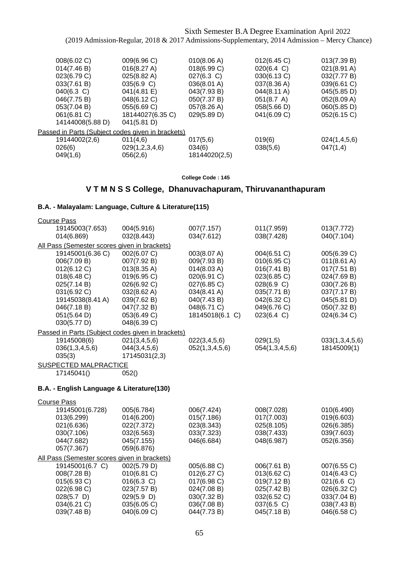| 008(6.02 C)                                       | 009(6.96 C)      | 010(8.06 A)   | 012(6.45 C) | 013(7.39 B)           |  |  |
|---------------------------------------------------|------------------|---------------|-------------|-----------------------|--|--|
| 014(7.46 B)                                       | 016(8.27 A)      | 018(6.99 C)   | 020(6.4 C)  | $021(8.91 \text{ A})$ |  |  |
| 023(6.79 C)                                       | 025(8.82 A)      | 027(6.3 C)    | 030(6.13 C) | 032(7.77 B)           |  |  |
| 033(7.61 B)                                       | 035(6.9 C)       | 036(8.01 A)   | 037(8.36 A) | 039(6.61 C)           |  |  |
| $040(6.3)$ C)                                     | 041(4.81 E)      | 043(7.93 B)   | 044(8.11 A) | 045(5.85 D)           |  |  |
| 046(7.75 B)                                       | 048(6.12 C)      | 050(7.37 B)   | 051(8.7 A)  | 052(8.09 A)           |  |  |
| 053(7.04 B)                                       | 055(6.69 C)      | 057(8.26 A)   | 058(5.66 D) | 060(5.85 D)           |  |  |
| 061(6.81 C)                                       | 18144027(6.35 C) | 029(5.89 D)   | 041(6.09 C) | 052(6.15 C)           |  |  |
| 14144008(5.88 D)                                  | 041(5.81 D)      |               |             |                       |  |  |
| Passed in Parts (Subject codes given in brackets) |                  |               |             |                       |  |  |
| 19144002(2,6)                                     | 011(4,6)         | 017(5,6)      | 019(6)      | 024(1,4,5,6)          |  |  |
| 026(6)                                            | 029(1,2,3,4,6)   | 034(6)        | 038(5,6)    | 047(1,4)              |  |  |
| 049(1,6)                                          | 056(2,6)         | 18144020(2,5) |             |                       |  |  |
|                                                   |                  |               |             |                       |  |  |

#### **College Code : 145**

## **V T M N S S College, Dhanuvachapuram, Thiruvananthapuram**

## **B.A. - Malayalam: Language, Culture & Literature(115)**

| <b>Course Pass</b>                                |               |                 |                |                       |
|---------------------------------------------------|---------------|-----------------|----------------|-----------------------|
| 19145003(7.653)                                   | 004(5.916)    | 007(7.157)      | 011(7.959)     | 013(7.772)            |
| 014(6.869)                                        | 032(8.443)    | 034(7.612)      | 038(7.428)     | 040(7.104)            |
| All Pass (Semester scores given in brackets)      |               |                 |                |                       |
| 19145001(6.36 C)                                  | 002(6.07 C)   | 003(8.07 A)     | 004(6.51 C)    | 005(6.39 C)           |
| 006(7.09 B)                                       | 007(7.92 B)   | 009(7.93 B)     | 010(6.95 C)    | $011(8.61 \text{ A})$ |
| 012(6.12 C)                                       | 013(8.35 A)   | 014(8.03 A)     | 016(7.41 B)    | 017(7.51 B)           |
| 018(6.48 C)                                       | 019(6.95 C)   | 020(6.91 C)     | 023(6.85 C)    | 024(7.69 B)           |
| 025(7.14 B)                                       | 026(6.92 C)   | 027(6.85 C)     | 028(6.9 C)     | 030(7.26 B)           |
| 031(6.92 C)                                       | 032(8.62 A)   | 034(8.41 A)     | 035(7.71 B)    | 037(7.17 B)           |
| 19145038(8.41 A)                                  | 039(7.62 B)   | 040(7.43 B)     | 042(6.32 C)    | 045(5.81 D)           |
| 046(7.18B)                                        | 047(7.32 B)   | 048(6.71 C)     | 049(6.76 C)    | 050(7.32 B)           |
| 051(5.64 D)                                       | 053(6.49 C)   | 18145018(6.1 C) | 023(6.4 C)     | 024(6.34 C)           |
| 030(5.77 D)                                       | 048(6.39 C)   |                 |                |                       |
| Passed in Parts (Subject codes given in brackets) |               |                 |                |                       |
| 19145008(6)                                       | 021(3,4,5,6)  | 022(3,4,5,6)    | 029(1,5)       | 033(1,3,4,5,6)        |
| 036(1,3,4,5,6)                                    | 044(3,4,5,6)  | 052(1,3,4,5,6)  | 054(1,3,4,5,6) | 18145009(1)           |
| 035(3)                                            | 17145031(2,3) |                 |                |                       |
| SUSPECTED MALPRACTICE                             |               |                 |                |                       |

17145041() 052()

| <b>Course Pass</b>                           |               |             |             |               |
|----------------------------------------------|---------------|-------------|-------------|---------------|
| 19145001(6.728)                              | 005(6.784)    | 006(7.424)  | 008(7.028)  | 010(6.490)    |
| 013(6.299)                                   | 014(6.200)    | 015(7.186)  | 017(7.003)  | 019(6.603)    |
| 021(6.636)                                   | 022(7.372)    | 023(8.343)  | 025(8.105)  | 026(6.385)    |
| 030(7.106)                                   | 032(6.563)    | 033(7.323)  | 038(7.433)  | 039(7.603)    |
| 044(7.682)                                   | 045(7.155)    | 046(6.684)  | 048(6.987)  | 052(6.356)    |
| 057(7.367)                                   | 059(6.876)    |             |             |               |
| All Pass (Semester scores given in brackets) |               |             |             |               |
| 19145001(6.7 C)                              | 002(5.79 D)   | 005(6.88 C) | 006(7.61 B) | 007(6.55 C)   |
| 008(7.28 B)                                  | 010(6.81 C)   | 012(6.27 C) | 013(6.62 C) | 014(6.43 C)   |
| 015(6.93 C)                                  | $016(6.3)$ C) | 017(6.98 C) | 019(7.12 B) | $021(6.6)$ C) |
| 022(6.98 C)                                  | 023(7.57 B)   | 024(7.08 B) | 025(7.42 B) | 026(6.32 C)   |
| $028(5.7)$ D)                                | 029(5.9)      | 030(7.32 B) | 032(6.52 C) | 033(7.04 B)   |
| 034(6.21 C)                                  | 035(6.05 C)   | 036(7.08 B) | 037(6.5 C)  | 038(7.43 B)   |
| 039(7.48 B)                                  | 040(6.09 C)   | 044(7.73 B) | 045(7.18 B) | 046(6.58 C)   |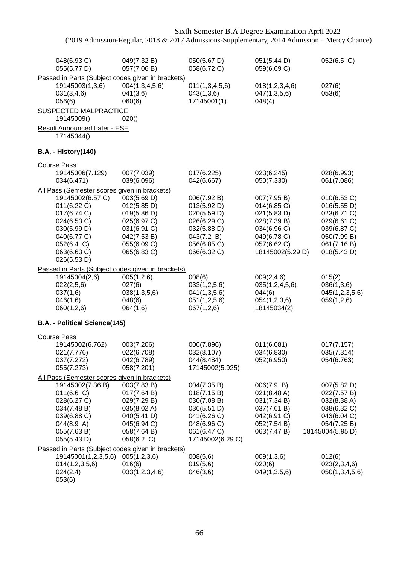|                                                                                              | Sixth Semester B.A Degree Examination April 2022<br>(2019 Admission-Regular, 2018 & 2017 Admissions-Supplementary, 2014 Admission - Mercy Chance) |                                                          |                                                          |                                                          |  |
|----------------------------------------------------------------------------------------------|---------------------------------------------------------------------------------------------------------------------------------------------------|----------------------------------------------------------|----------------------------------------------------------|----------------------------------------------------------|--|
| 048(6.93 C)<br>055(5.77 D)                                                                   | 049(7.32 B)<br>057(7.06 B)                                                                                                                        | 050(5.67 D)<br>058(6.72 C)                               | 051(5.44 D)<br>059(6.69 C)                               | 052(6.5 C)                                               |  |
| Passed in Parts (Subject codes given in brackets)<br>19145003(1,3,6)<br>031(3,4,6)<br>056(6) | 004(1,3,4,5,6)<br>041(3,6)<br>060(6)                                                                                                              | 011(1,3,4,5,6)<br>043(1,3,6)<br>17145001(1)              | 018(1,2,3,4,6)<br>047(1,3,5,6)<br>048(4)                 | 027(6)<br>053(6)                                         |  |
| <b>SUSPECTED MALPRACTICE</b><br>19145009()                                                   | 020()                                                                                                                                             |                                                          |                                                          |                                                          |  |
| <b>Result Announced Later - ESE</b><br>17145044()                                            |                                                                                                                                                   |                                                          |                                                          |                                                          |  |
| <b>B.A. - History(140)</b>                                                                   |                                                                                                                                                   |                                                          |                                                          |                                                          |  |
|                                                                                              |                                                                                                                                                   |                                                          |                                                          |                                                          |  |
| <b>Course Pass</b><br>19145006(7.129)<br>034(6.471)                                          | 007(7.039)<br>039(6.096)                                                                                                                          | 017(6.225)<br>042(6.667)                                 | 023(6.245)<br>050(7.330)                                 | 028(6.993)<br>061(7.086)                                 |  |
| All Pass (Semester scores given in brackets)                                                 |                                                                                                                                                   |                                                          |                                                          |                                                          |  |
| 19145002(6.57 C)<br>011(6.22 C)<br>017(6.74 C)<br>024(6.53 C)                                | 003(5.69 D)<br>012(5.85 D)<br>019(5.86 D)<br>025(6.97 C)                                                                                          | 006(7.92 B)<br>013(5.92 D)<br>020(5.59 D)<br>026(6.29 C) | 007(7.95 B)<br>014(6.85 C)<br>021(5.83 D)<br>028(7.39 B) | 010(6.53 C)<br>016(5.55 D)<br>023(6.71 C)<br>029(6.61 C) |  |
| 030(5.99 D)<br>040(6.77 C)<br>052(6.4 C)                                                     | 031(6.91 C)<br>042(7.53 B)<br>055(6.09 C)                                                                                                         | 032(5.88 D)<br>043(7.2 B)<br>056(6.85 C)                 | 034(6.96 C)<br>049(6.78 C)<br>057(6.62 C)                | 039(6.87 C)<br>050(7.99 B)<br>061(7.16 B)                |  |
| 063(6.63 C)<br>026(5.53 D)                                                                   | 065(6.83 C)                                                                                                                                       | 066(6.32 C)                                              | 18145002(5.29 D)                                         | 018(5.43 D)                                              |  |
| Passed in Parts (Subject codes given in brackets)                                            |                                                                                                                                                   |                                                          |                                                          |                                                          |  |
| 19145004(2,6)<br>022(2,5,6)                                                                  | 005(1,2,6)<br>027(6)                                                                                                                              | 008(6)<br>033(1,2,5,6)                                   | 009(2,4,6)<br>035(1,2,4,5,6)                             | 015(2)<br>036(1,3,6)                                     |  |
| 037(1,6)                                                                                     | 038(1,3,5,6)                                                                                                                                      | 041(1,3,5,6)                                             | 044(6)                                                   | 045(1,2,3,5,6)                                           |  |
| 046(1,6)<br>060(1,2,6)                                                                       | 048(6)<br>064(1,6)                                                                                                                                | 051(1,2,5,6)<br>067(1,2,6)                               | 054(1,2,3,6)<br>18145034(2)                              | 059(1,2,6)                                               |  |
| B.A. - Political Science(145)                                                                |                                                                                                                                                   |                                                          |                                                          |                                                          |  |
| <b>Course Pass</b>                                                                           |                                                                                                                                                   |                                                          |                                                          |                                                          |  |
| 19145002(6.762)                                                                              | 003(7.206)                                                                                                                                        | 006(7.896)                                               | 011(6.081)                                               | 017(7.157)                                               |  |
| 021(7.776)<br>037(7.272)                                                                     | 022(6.708)<br>042(6.789)                                                                                                                          | 032(8.107)<br>044(8.484)                                 | 034(6.830)<br>052(6.950)                                 | 035(7.314)<br>054(6.763)                                 |  |
| 055(7.273)                                                                                   | 058(7.201)                                                                                                                                        | 17145002(5.925)                                          |                                                          |                                                          |  |
| All Pass (Semester scores given in brackets)                                                 |                                                                                                                                                   |                                                          |                                                          |                                                          |  |
| 19145002(7.36 B)                                                                             | 003(7.83 B)                                                                                                                                       | 004(7.35 B)                                              | 006(7.9 B)                                               | 007(5.82 D)                                              |  |
| 011(6.6 C)                                                                                   | 017(7.64 B)                                                                                                                                       | 018(7.15 B)                                              | $021(8.48 \text{ A})$                                    | 022(7.57 B)                                              |  |
| 028(6.27 C)                                                                                  | 029(7.29 B)                                                                                                                                       | 030(7.08 B)                                              | 031(7.34 B)                                              | 032(8.38 A)                                              |  |
| 034(7.48 B)                                                                                  | 035(8.02 A)                                                                                                                                       | 036(5.51 D)                                              | 037(7.61 B)                                              | 038(6.32 C)                                              |  |
| 039(6.88 C)<br>044(8.9 A)                                                                    | 040(5.41 D)<br>045(6.94 C)                                                                                                                        | 041(6.26 C)<br>048(6.96 C)                               | 042(6.91 C)<br>052(7.54 B)                               | 043(6.04 C)<br>054(7.25 B)                               |  |
| 055(7.63 B)                                                                                  | 058(7.64 B)                                                                                                                                       | 061(6.47 C)                                              | 063(7.47 B)                                              | 18145004(5.95 D)                                         |  |
| 055(5.43 D)                                                                                  | 058(6.2 C)                                                                                                                                        | 17145002(6.29 C)                                         |                                                          |                                                          |  |
| Passed in Parts (Subject codes given in brackets)                                            |                                                                                                                                                   |                                                          |                                                          |                                                          |  |
| 19145001(1,2,3,5,6)                                                                          | 005(1,2,3,6)                                                                                                                                      | 008(5,6)                                                 | 009(1,3,6)                                               | 012(6)                                                   |  |
| 014(1,2,3,5,6)                                                                               | 016(6)                                                                                                                                            | 019(5,6)                                                 | 020(6)                                                   | 023(2,3,4,6)                                             |  |
| 024(2,4)<br>053(6)                                                                           | 033(1,2,3,4,6)                                                                                                                                    | 046(3,6)                                                 | 049(1,3,5,6)                                             | 050(1,3,4,5,6)                                           |  |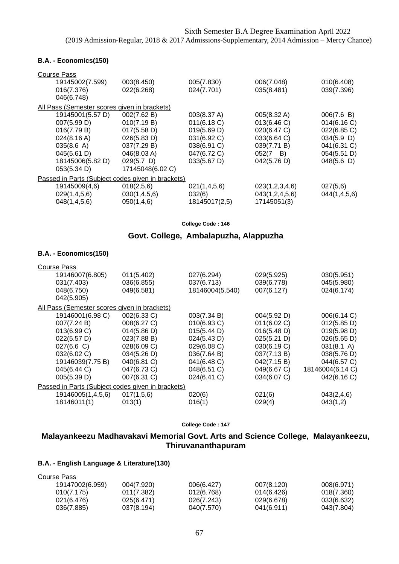#### **B.A. - Economics(150)**

| <b>Course Pass</b>                                |                  |               |                  |               |
|---------------------------------------------------|------------------|---------------|------------------|---------------|
| 19145002(7.599)                                   | 003(8.450)       | 005(7.830)    | 006(7.048)       | 010(6.408)    |
| 016(7.376)                                        | 022(6.268)       | 024(7.701)    | 035(8.481)       | 039(7.396)    |
| 046(6.748)                                        |                  |               |                  |               |
| All Pass (Semester scores given in brackets)      |                  |               |                  |               |
| 19145001(5.57 D)                                  | 002(7.62 B)      | 003(8.37 A)   | 005(8.32 A)      | 006(7.6 B)    |
| 007(5.99 D)                                       | 010(7.19 B)      | 011(6.18 C)   | 013(6.46 C)      | 014(6.16)     |
| 016(7.79 B)                                       | 017(5.58 D)      | 019(5.69 D)   | 020(6.47 C)      | 022(6.85 C)   |
| $024(8.16 \text{ A})$                             | 026(5.83 D)      | 031(6.92 C)   | 033(6.64 C)      | $034(5.9)$ D) |
| 035(8.6 A)                                        | 037(7.29 B)      | 038(6.91 C)   | 039(7.71 B)      | 041(6.31 C)   |
| 045(5.61 D)                                       | 046(8.03 A)      | 047(6.72 C)   | $052(7 \quad B)$ | 054(5.51 D)   |
| 18145006(5.82 D)                                  | $029(5.7)$ D)    | 033(5.67 D)   | 042(5.76 D)      | 048(5.6)      |
| 053(5.34 D)                                       | 17145048(6.02 C) |               |                  |               |
| Passed in Parts (Subject codes given in brackets) |                  |               |                  |               |
| 19145009(4,6)                                     | 018(2,5,6)       | 021(1,4,5,6)  | 023(1,2,3,4,6)   | 027(5,6)      |
| 029(1,4,5,6)                                      | 030(1,4,5,6)     | 032(6)        | 043(1,2,4,5,6)   | 044(1,4,5,6)  |
| 048(1,4,5,6)                                      | 050(1,4,6)       | 18145017(2,5) | 17145051(3)      |               |
|                                                   |                  |               |                  |               |

**College Code : 146**

# **Govt. College, Ambalapuzha, Alappuzha**

### **B.A. - Economics(150)**

| <b>Course Pass</b> |                                                   |                 |             |                      |
|--------------------|---------------------------------------------------|-----------------|-------------|----------------------|
| 19146007(6.805)    | 011(5.402)                                        | 027(6.294)      | 029(5.925)  | 030(5.951)           |
| 031(7.403)         | 036(6.855)                                        | 037(6.713)      | 039(6.778)  | 045(5.980)           |
| 048(6.750)         | 049(6.581)                                        | 18146004(5.540) | 007(6.127)  | 024(6.174)           |
| 042(5.905)         |                                                   |                 |             |                      |
|                    | All Pass (Semester scores given in brackets)      |                 |             |                      |
| 19146001(6.98 C)   | 002(6.33 C)                                       | 003(7.34 B)     | 004(5.92 D) | 006(6.14 C)          |
| 007(7.24 B)        | 008(6.27 C)                                       | 010(6.93 C)     | 011(6.02 C) | 012(5.85 D)          |
| 013(6.99 C)        | 014(5.86 D)                                       | 015(5.44 D)     | 016(5.48 D) | 019(5.98 D)          |
| 022(5.57 D)        | 023(7.88 B)                                       | 024(5.43 D)     | 025(5.21 D) | 026(5.65 D)          |
| 027(6.6 C)         | 028(6.09 C)                                       | 029(6.08 C)     | 030(6.19 C) | $031(8.1 \text{ A})$ |
| 032(6.02 C)        | 034(5.26 D)                                       | 036(7.64 B)     | 037(7.13 B) | 038(5.76 D)          |
| 19146039(7.75 B)   | 040(6.81 C)                                       | 041(6.48 C)     | 042(7.15 B) | 044(6.57 C)          |
| 045(6.44 C)        | 047(6.73 C)                                       | 048(6.51 C)     | 049(6.67 C) | 18146004(6.14 C)     |
| 005(5.39 D)        | 007(6.31 C)                                       | 024(6.41 C)     | 034(6.07 C) | 042(6.16 C)          |
|                    | Passed in Parts (Subject codes given in brackets) |                 |             |                      |
| 19146005(1,4,5,6)  | 017(1,5,6)                                        | 020(6)          | 021(6)      | 043(2,4,6)           |
| 18146011(1)        | 013(1)                                            | 016(1)          | 029(4)      | 043(1,2)             |
|                    |                                                   |                 |             |                      |

**College Code : 147**

## **Malayankeezu Madhavakavi Memorial Govt. Arts and Science College, Malayankeezu, Thiruvananthapuram**

| Course Pass     |            |            |            |            |
|-----------------|------------|------------|------------|------------|
| 19147002(6.959) | 004(7.920) | 006(6.427) | 007(8.120) | 008(6.971) |
| 010(7.175)      | 011(7.382) | 012(6.768) | 014(6.426) | 018(7.360) |
| 021(6.476)      | 025(6.471) | 026(7.243) | 029(6.678) | 033(6.632) |
| 036(7.885)      | 037(8.194) | 040(7.570) | 041(6.911) | 043(7.804) |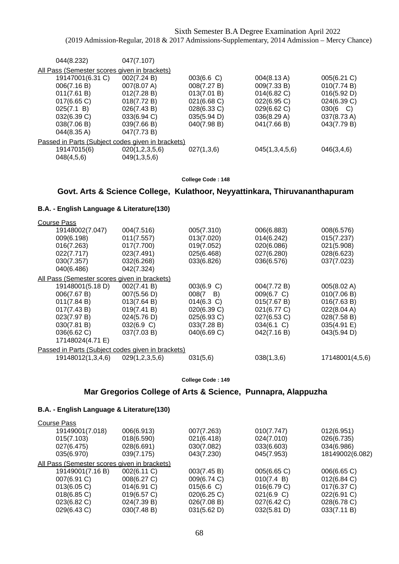| 047(7.107)                                        |             |                |                    |
|---------------------------------------------------|-------------|----------------|--------------------|
| All Pass (Semester scores given in brackets)      |             |                |                    |
| 002(7.24 B)                                       | 003(6.6 C)  | 004(8.13 A)    | 005(6.21 C)        |
| 007(8.07 A)                                       | 008(7.27 B) | 009(7.33 B)    | 010(7.74 B)        |
| 012(7.28 B)                                       | 013(7.01 B) | 014(6.82 C)    | 016(5.92 D)        |
| 018(7.72 B)                                       | 021(6.68 C) | 022(6.95 C)    | 024(6.39 C)        |
| 026(7.43 B)                                       | 028(6.33 C) | 029(6.62 C)    | $030(6 \text{ C})$ |
| 033(6.94 C)                                       | 035(5.94 D) | 036(8.29 A)    | 037(8.73 A)        |
| 039(7.66 B)                                       | 040(7.98 B) | 041(7.66 B)    | 043(7.79 B)        |
| 047(7.73 B)                                       |             |                |                    |
| Passed in Parts (Subject codes given in brackets) |             |                |                    |
| 020(1,2,3,5,6)                                    | 027(1,3,6)  | 045(1,3,4,5,6) | 046(3,4,6)         |
| 049(1,3,5,6)                                      |             |                |                    |
|                                                   |             |                |                    |

#### **College Code : 148**

## **Govt. Arts & Science College, Kulathoor, Neyyattinkara, Thiruvananthapuram**

### **B.A. - English Language & Literature(130)**

| <b>Course Pass</b>                                |                |                  |             |                 |
|---------------------------------------------------|----------------|------------------|-------------|-----------------|
| 19148002(7.047)                                   | 004(7.516)     | 005(7.310)       | 006(6.883)  | 008(6.576)      |
| 009(6.198)                                        | 011(7.557)     | 013(7.020)       | 014(6.242)  | 015(7.237)      |
| 016(7.263)                                        | 017(7.700)     | 019(7.052)       | 020(6.086)  | 021(5.908)      |
| 022(7.717)                                        | 023(7.491)     | 025(6.468)       | 027(6.280)  | 028(6.623)      |
| 030(7.357)                                        | 032(6.268)     | 033(6.826)       | 036(6.576)  | 037(7.023)      |
| 040(6.486)                                        | 042(7.324)     |                  |             |                 |
| All Pass (Semester scores given in brackets)      |                |                  |             |                 |
| 19148001(5.18 D)                                  | 002(7.41 B)    | 003(6.9 C)       | 004(7.72 B) | 005(8.02 A)     |
| 006(7.67 B)                                       | 007(5.56 D)    | $008(7 \quad B)$ | 009(6.7 C)  | 010(7.06 B)     |
| 011(7.84 B)                                       | 013(7.64 B)    | $014(6.3)$ C)    | 015(7.67 B) | 016(7.63 B)     |
| 017(7.43 B)                                       | 019(7.41 B)    | 020(6.39 C)      | 021(6.77 C) | 022(8.04 A)     |
| 023(7.97 B)                                       | 024(5.76 D)    | 025(6.93 C)      | 027(6.53 C) | 028(7.58 B)     |
| 030(7.81 B)                                       | 032(6.9 C)     | 033(7.28 B)      | 034(6.1 C)  | 035(4.91 E)     |
| 036(6.62 C)                                       | 037(7.03 B)    | 040(6.69 C)      | 042(7.16 B) | 043(5.94 D)     |
| 17148024(4.71 E)                                  |                |                  |             |                 |
| Passed in Parts (Subject codes given in brackets) |                |                  |             |                 |
| 19148012(1,3,4,6)                                 | 029(1,2,3,5,6) | 031(5,6)         | 038(1,3,6)  | 17148001(4,5,6) |
|                                                   |                |                  |             |                 |

**College Code : 149**

### **Mar Gregorios College of Arts & Science, Punnapra, Alappuzha**

| Course Pass                                  |             |             |             |                 |
|----------------------------------------------|-------------|-------------|-------------|-----------------|
| 19149001(7.018)                              | 006(6.913)  | 007(7.263)  | 010(7.747)  | 012(6.951)      |
| 015(7.103)                                   | 018(6.590)  | 021(6.418)  | 024(7.010)  | 026(6.735)      |
| 027(6.475)                                   | 028(6.691)  | 030(7.082)  | 033(6.603)  | 034(6.986)      |
| 035(6.970)                                   | 039(7.175)  | 043(7.230)  | 045(7.953)  | 18149002(6.082) |
| All Pass (Semester scores given in brackets) |             |             |             |                 |
| 19149001(7.16 B)                             | 002(6.11 C) | 003(7.45 B) | 005(6.65 C) | 006(6.65 C)     |
| 007(6.91 C)                                  | 008(6.27 C) | 009(6.74 C) | 010(7.4 B)  | 012(6.84 C)     |
| 013(6.05 C)                                  | 014(6.91 C) | 015(6.6)    | 016(6.79 C) | 017(6.37 C)     |
| $018(6.85)$ C)                               | 019(6.57 C) | 020(6.25 C) | 021(6.9 C)  | 022(6.91 C)     |
| 023(6.82 C)                                  | 024(7.39 B) | 026(7.08 B) | 027(6.42 C) | 028(6.78 C)     |
| 029(6.43 C)                                  | 030(7.48 B) | 031(5.62 D) | 032(5.81 D) | 033(7.11 B)     |
|                                              |             |             |             |                 |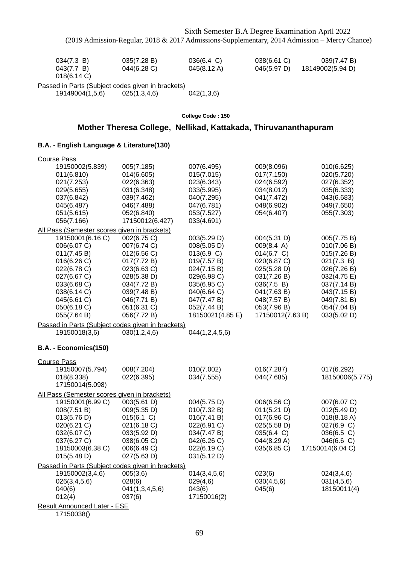| 034(7.3 B)<br>043(7.7 B)<br>$018(6.14)$ C)               | 035(7.28 B)<br>044(6.28 C) | $036(6.4 \, C)$<br>045(8.12 A) | $038(6.61)$ C)<br>046(5.97 D) | 039(7.47 B)<br>18149002(5.94 D) |
|----------------------------------------------------------|----------------------------|--------------------------------|-------------------------------|---------------------------------|
| <u>Passed in Parts (Subject codes given in brackets)</u> |                            |                                |                               |                                 |

19149004(1,5,6) 025(1,3,4,6) 042(1,3,6)

**College Code : 150**

## **Mother Theresa College, Nellikad, Kattakada, Thiruvananthapuram**

### **B.A. - English Language & Literature(130)**

| <b>Course Pass</b>                                                                                                                                                     |                                                                                                                                                                   |                                                                                                                                                                       |                                                                                                                                                                     |                                                                                                                                                                  |
|------------------------------------------------------------------------------------------------------------------------------------------------------------------------|-------------------------------------------------------------------------------------------------------------------------------------------------------------------|-----------------------------------------------------------------------------------------------------------------------------------------------------------------------|---------------------------------------------------------------------------------------------------------------------------------------------------------------------|------------------------------------------------------------------------------------------------------------------------------------------------------------------|
| 19150002(5.839)<br>011(6.810)<br>021(7.253)<br>029(5.655)<br>037(6.842)<br>045(6.487)<br>051(5.615)<br>056(7.166)                                                      | 005(7.185)<br>014(6.605)<br>022(6.363)<br>031(6.348)<br>039(7.462)<br>046(7.488)<br>052(6.840)<br>17150012(6.427)                                                 | 007(6.495)<br>015(7.015)<br>023(6.343)<br>033(5.995)<br>040(7.295)<br>047(6.781)<br>053(7.527)<br>033(4.691)                                                          | 009(8.096)<br>017(7.150)<br>024(6.592)<br>034(8.012)<br>041(7.472)<br>048(6.902)<br>054(6.407)                                                                      | 010(6.625)<br>020(5.720)<br>027(6.352)<br>035(6.333)<br>043(6.683)<br>049(7.650)<br>055(7.303)                                                                   |
| All Pass (Semester scores given in brackets)                                                                                                                           |                                                                                                                                                                   |                                                                                                                                                                       |                                                                                                                                                                     |                                                                                                                                                                  |
| 19150001(6.16 C)<br>006(6.07 C)<br>011(7.45 B)<br>016(6.26 C)<br>022(6.78 C)<br>027(6.67 C)<br>033(6.68 C)<br>038(6.14 C)<br>045(6.61 C)<br>050(6.18 C)<br>055(7.64 B) | 002(6.75 C)<br>007(6.74 C)<br>012(6.56 C)<br>017(7.72 B)<br>023(6.63 C)<br>028(5.38 D)<br>034(7.72 B)<br>039(7.48 B)<br>046(7.71 B)<br>051(6.31 C)<br>056(7.72 B) | 003(5.29 D)<br>008(5.05 D)<br>013(6.9 C)<br>019(7.57 B)<br>024(7.15 B)<br>029(6.98 C)<br>035(6.95 C)<br>040(6.64 C)<br>047(7.47 B)<br>052(7.44 B)<br>18150021(4.85 E) | 004(5.31 D)<br>009(8.4 A)<br>014(6.7 C)<br>020(6.87 C)<br>025(5.28 D)<br>031(7.26 B)<br>036(7.5 B)<br>041(7.63 B)<br>048(7.57 B)<br>053(7.96 B)<br>17150012(7.63 B) | 005(7.75 B)<br>010(7.06 B)<br>015(7.26 B)<br>021(7.3 B)<br>026(7.26 B)<br>032(4.75 E)<br>037(7.14 B)<br>043(7.15 B)<br>049(7.81 B)<br>054(7.04 B)<br>033(5.02 D) |
| Passed in Parts (Subject codes given in brackets)                                                                                                                      |                                                                                                                                                                   |                                                                                                                                                                       |                                                                                                                                                                     |                                                                                                                                                                  |
| 19150018(3,6)                                                                                                                                                          | 030(1,2,4,6)                                                                                                                                                      | 044(1,2,4,5,6)                                                                                                                                                        |                                                                                                                                                                     |                                                                                                                                                                  |
| B.A. - Economics(150)                                                                                                                                                  |                                                                                                                                                                   |                                                                                                                                                                       |                                                                                                                                                                     |                                                                                                                                                                  |
| <b>Course Pass</b>                                                                                                                                                     |                                                                                                                                                                   |                                                                                                                                                                       |                                                                                                                                                                     |                                                                                                                                                                  |
| 19150007(5.794)<br>018(8.338)<br>17150014(5.098)                                                                                                                       | 008(7.204)<br>022(6.395)                                                                                                                                          | 010(7.002)<br>034(7.555)                                                                                                                                              | 016(7.287)<br>044(7.685)                                                                                                                                            | 017(6.292)<br>18150006(5.775)                                                                                                                                    |
| All Pass (Semester scores given in brackets)                                                                                                                           |                                                                                                                                                                   |                                                                                                                                                                       |                                                                                                                                                                     |                                                                                                                                                                  |
| 19150001(6.99 C)<br>008(7.51 B)<br>013(5.76 D)<br>020(6.21 C)<br>032(6.07 C)<br>037(6.27 C)<br>18150003(6.38 C)<br>015(5.48 D)                                         | 003(5.61 D)<br>009(5.35 D)<br>015(6.1 C)<br>021(6.18 C)<br>033(5.92 D)<br>038(6.05 C)<br>006(6.49 C)<br>027(5.63 D)                                               | 004(5.75 D)<br>010(7.32 B)<br>016(7.41 B)<br>022(6.91 C)<br>034(7.47 B)<br>042(6.26 C)<br>022(6.19 C)<br>031(5.12 D)                                                  | 006(6.56 C)<br>011(5.21 D)<br>017(6.96 C)<br>025(5.58 D)<br>035(6.4 C)<br>044(8.29 A)<br>035(6.85 C)                                                                | 007(6.07 C)<br>012(5.49 D)<br>$018(8.18 \text{ A})$<br>027(6.9 C)<br>036(6.5 C)<br>046(6.6 C)<br>17150014(6.04 C)                                                |
| Passed in Parts (Subject codes given in brackets)                                                                                                                      |                                                                                                                                                                   |                                                                                                                                                                       |                                                                                                                                                                     |                                                                                                                                                                  |
| 19150002(3,4,6)<br>026(3,4,5,6)<br>040(6)<br>012(4)                                                                                                                    | 005(3,6)<br>028(6)<br>041(1,3,4,5,6)<br>037(6)                                                                                                                    | 014(3,4,5,6)<br>029(4,6)<br>043(6)<br>17150016(2)                                                                                                                     | 023(6)<br>030(4,5,6)<br>045(6)                                                                                                                                      | 024(3,4,6)<br>031(4,5,6)<br>18150011(4)                                                                                                                          |
| <b>Result Announced Later - ESE</b><br>17150000                                                                                                                        |                                                                                                                                                                   |                                                                                                                                                                       |                                                                                                                                                                     |                                                                                                                                                                  |

17150038()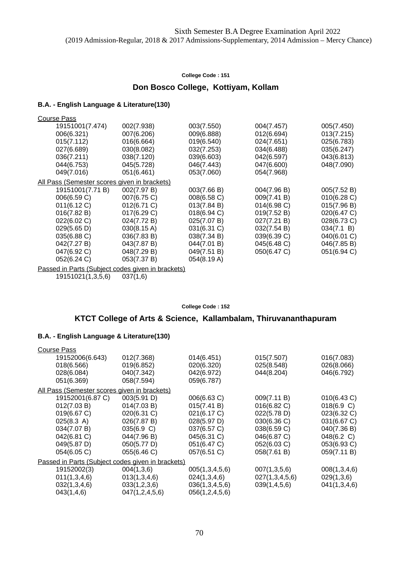### **Don Bosco College, Kottiyam, Kollam**

#### **B.A. - English Language & Literature(130)**

| <b>Course Pass</b>                           |             |             |                |                |
|----------------------------------------------|-------------|-------------|----------------|----------------|
| 19151001(7.474)                              | 002(7.938)  | 003(7.550)  | 004(7.457)     | 005(7.450)     |
| 006(6.321)                                   | 007(6.206)  | 009(6.888)  | 012(6.694)     | 013(7.215)     |
| 015(7.112)                                   | 016(6.664)  | 019(6.540)  | 024(7.651)     | 025(6.783)     |
| 027(6.689)                                   | 030(8.082)  | 032(7.253)  | 034(6.488)     | 035(6.247)     |
| 036(7.211)                                   | 038(7.120)  | 039(6.603)  | 042(6.597)     | 043(6.813)     |
| 044(6.753)                                   | 045(5.728)  | 046(7.443)  | 047(6.600)     | 048(7.090)     |
| 049(7.016)                                   | 051(6.461)  | 053(7.060)  | 054(7.968)     |                |
| All Pass (Semester scores given in brackets) |             |             |                |                |
| 19151001(7.71 B)                             | 002(7.97 B) | 003(7.66 B) | 004(7.96 B)    | 005(7.52 B)    |
| 006(6.59 C)                                  | 007(6.75 C) | 008(6.58 C) | 009(7.41 B)    | $010(6.28)$ C) |
| 011(6.12 C)                                  | 012(6.71 C) | 013(7.84 B) | $014(6.98)$ C) | 015(7.96 B)    |
| 016(7.82 B)                                  | 017(6.29 C) | 018(6.94 C) | 019(7.52 B)    | 020(6.47 C)    |
| 022(6.02 C)                                  | 024(7.72 B) | 025(7.07 B) | 027(7.21 B)    | 028(6.73 C)    |
| 029(5.65 D)                                  | 030(8.15 A) | 031(6.31 C) | 032(7.54 B)    | 034(7.1 B)     |
| 035(6.88 C)                                  | 036(7.83 B) | 038(7.34 B) | 039(6.39 C)    | 040(6.01 C)    |
| 042(7.27 B)                                  | 043(7.87 B) | 044(7.01 B) | 045(6.48 C)    | 046(7.85 B)    |
| 047(6.92 C)                                  | 048(7.29 B) | 049(7.51 B) | 050(6.47 C)    | 051(6.94 C)    |
| 052(6.24 C)                                  | 053(7.37 B) | 054(8.19 A) |                |                |

Passed in Parts (Subject codes given in brackets) 19151021(1,3,5,6) 037(1,6)

#### **College Code : 152**

### **KTCT College of Arts & Science, Kallambalam, Thiruvananthapuram**

| <b>Course Pass</b>                           |                                                   |                |                |              |
|----------------------------------------------|---------------------------------------------------|----------------|----------------|--------------|
| 19152006(6.643)                              | 012(7.368)                                        | 014(6.451)     | 015(7.507)     | 016(7.083)   |
| 018(6.566)                                   | 019(6.852)                                        | 020(6.320)     | 025(8.548)     | 026(8.066)   |
| 028(6.084)                                   | 040(7.342)                                        | 042(6.972)     | 044(8.204)     | 046(6.792)   |
| 051(6.369)                                   | 058(7.594)                                        | 059(6.787)     |                |              |
| All Pass (Semester scores given in brackets) |                                                   |                |                |              |
| 19152001(6.87 C)                             | 003(5.91 D)                                       | 006(6.63 C)    | 009(7.11 B)    | 010(6.43 C)  |
| 012(7.03 B)                                  | 014(7.03 B)                                       | 015(7.41 B)    | 016(6.82 C)    | 018(6.9 C)   |
| 019(6.67 C)                                  | 020(6.31 C)                                       | 021(6.17 C)    | 022(5.78 D)    | 023(6.32 C)  |
| 025(8.3 A)                                   | 026(7.87 B)                                       | 028(5.97 D)    | 030(6.36 C)    | 031(6.67 C)  |
| 034(7.07 B)                                  | 035(6.9 C)                                        | 037(6.57 C)    | 038(6.59 C)    | 040(7.36 B)  |
| 042(6.81 C)                                  | 044(7.96 B)                                       | 045(6.31 C)    | 046(6.87 C)    | 048(6.2 C)   |
| 049(5.87 D)                                  | 050(5.77 D)                                       | 051(6.47 C)    | 052(6.03 C)    | 053(6.93 C)  |
| 054(6.05 C)                                  | 055(6.46 C)                                       | 057(6.51 C)    | 058(7.61 B)    | 059(7.11 B)  |
|                                              | Passed in Parts (Subject codes given in brackets) |                |                |              |
| 19152002(3)                                  | 004(1,3,6)                                        | 005(1,3,4,5,6) | 007(1,3,5,6)   | 008(1,3,4,6) |
| 011(1,3,4,6)                                 | 013(1,3,4,6)                                      | 024(1,3,4,6)   | 027(1,3,4,5,6) | 029(1,3,6)   |
| 032(1,3,4,6)                                 | 033(1,2,3,6)                                      | 036(1,3,4,5,6) | 039(1,4,5,6)   | 041(1,3,4,6) |
| 043(1,4,6)                                   | 047(1,2,4,5,6)                                    | 056(1,2,4,5,6) |                |              |
|                                              |                                                   |                |                |              |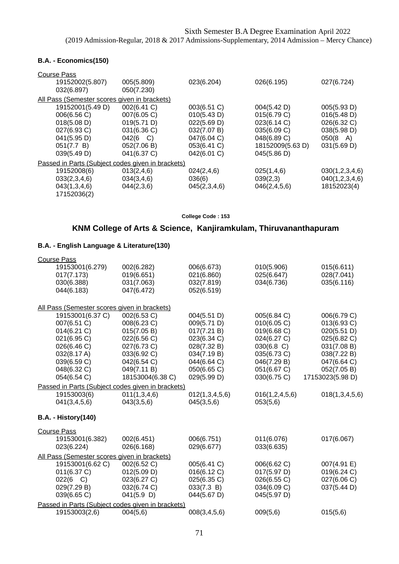### **B.A. - Economics(150)**

| <b>Course Pass</b><br>19152002(5.807)             | 005(5.809)       | 023(6.204)     | 026(6.195)       | 027(6.724)         |
|---------------------------------------------------|------------------|----------------|------------------|--------------------|
| 032(6.897)                                        | 050(7.230)       |                |                  |                    |
| All Pass (Semester scores given in brackets)      |                  |                |                  |                    |
| 19152001(5.49 D)                                  | 002(6.41 C)      | $003(6.51)$ C) | 004(5.42 D)      | 005(5.93 D)        |
| 006(6.56 C)                                       | 007(6.05 C)      | 010(5.43 D)    | 015(6.79 C)      | 016(5.48 D)        |
| 018(5.08 D)                                       | 019(5.71 D)      | 022(5.69 D)    | 023(6.14 C)      | 026(6.32 C)        |
| 027(6.93 C)                                       | 031(6.36 C)      | 032(7.07 B)    | 035(6.09 C)      | 038(5.98 D)        |
| 041(5.95 D)                                       | $042(6 \quad C)$ | 047(6.04 C)    | 048(6.89 C)      | $050(8 \text{ A})$ |
| 051(7.7 B)                                        | 052(7.06 B)      | 053(6.41 C)    | 18152009(5.63 D) | 031(5.69 D)        |
| 039(5.49 D)                                       | 041(6.37 C)      | 042(6.01 C)    | 045(5.86 D)      |                    |
| Passed in Parts (Subject codes given in brackets) |                  |                |                  |                    |
| 19152008(6)                                       | 013(2,4,6)       | 024(2,4,6)     | 025(1,4,6)       | 030(1,2,3,4,6)     |
| 033(2,3,4,6)                                      | 034(3,4,6)       | 036(6)         | 039(2,3)         | 040(1,2,3,4,6)     |
| 043(1,3,4,6)                                      | 044(2,3,6)       | 045(2,3,4,6)   | 046(2, 4, 5, 6)  | 18152023(4)        |
| 17152036(2)                                       |                  |                |                  |                    |

**College Code : 153**

## **KNM College of Arts & Science, Kanjiramkulam, Thiruvananthapuram**

| <b>Course Pass</b>                           |                                                   |                |                |                  |
|----------------------------------------------|---------------------------------------------------|----------------|----------------|------------------|
| 19153001(6.279)                              | 002(6.282)                                        | 006(6.673)     | 010(5.906)     | 015(6.611)       |
| 017(7.173)                                   | 019(6.651)                                        | 021(6.860)     | 025(6.647)     | 028(7.041)       |
| 030(6.388)                                   | 031(7.063)                                        | 032(7.819)     | 034(6.736)     | 035(6.116)       |
| 044(6.183)                                   | 047(6.472)                                        | 052(6.519)     |                |                  |
| All Pass (Semester scores given in brackets) |                                                   |                |                |                  |
| 19153001(6.37 C)                             | 002(6.53 C)                                       | 004(5.51 D)    | 005(6.84 C)    | 006(6.79 C)      |
| 007(6.51 C)                                  | 008(6.23 C)                                       | 009(5.71 D)    | 010(6.05 C)    | 013(6.93 C)      |
| 014(6.21)                                    | 015(7.05 B)                                       | 017(7.21 B)    | 019(6.68 C)    | 020(5.51 D)      |
| 021(6.95 C)                                  | 022(6.56 C)                                       | 023(6.34 C)    | 024(6.27 C)    | 025(6.82 C)      |
| 026(6.46 C)                                  | 027(6.73 C)                                       | 028(7.32 B)    | $030(6.8)$ C)  | 031(7.08 B)      |
| 032(8.17 A)                                  | 033(6.92 C)                                       | 034(7.19 B)    | 035(6.73 C)    | 038(7.22 B)      |
| 039(6.59 C)                                  | 042(6.54 C)                                       | 044(6.64 C)    | 046(7.29 B)    | 047(6.64 C)      |
| 048(6.32 C)                                  | 049(7.11 B)                                       | 050(6.65 C)    | 051(6.67 C)    | 052(7.05 B)      |
| 054(6.54 C)                                  | 18153004(6.38 C)                                  | 029(5.99 D)    | 030(6.75 C)    | 17153023(5.98 D) |
|                                              | Passed in Parts (Subject codes given in brackets) |                |                |                  |
| 19153003(6)                                  | 011(1,3,4,6)                                      | 012(1,3,4,5,6) | 016(1,2,4,5,6) | 018(1,3,4,5,6)   |
| 041(3,4,5,6)                                 | 043(3,5,6)                                        | 045(3,5,6)     | 053(5,6)       |                  |
| <b>B.A. - History(140)</b>                   |                                                   |                |                |                  |
| <b>Course Pass</b>                           |                                                   |                |                |                  |
| 19153001(6.382)                              | 002(6.451)                                        | 006(6.751)     | 011(6.076)     | 017(6.067)       |
| 023(6.224)                                   | 026(6.168)                                        | 029(6.677)     | 033(6.635)     |                  |
| All Pass (Semester scores given in brackets) |                                                   |                |                |                  |
| 19153001(6.62 C)                             | 002(6.52 C)                                       | 005(6.41 C)    | 006(6.62 C)    | 007(4.91 E)      |
| 011(6.37 C)                                  | 012(5.09 D)                                       | 016(6.12 C)    | 017(5.97 D)    | 019(6.24 C)      |
| 022(6 C)                                     | 023(6.27 C)                                       | 025(6.35 C)    | 026(6.55 C)    | 027(6.06 C)      |
| 029(7.29 B)                                  | 032(6.74 C)                                       | 033(7.3 B)     | 034(6.09 C)    | 037(5.44 D)      |
| 039(6.65 C)                                  | 041(5.9)                                          | 044(5.67 D)    | 045(5.97 D)    |                  |
|                                              | Passed in Parts (Subject codes given in brackets) |                |                |                  |
| 19153003(2,6)                                | 004(5,6)                                          | 008(3,4,5,6)   | 009(5,6)       | 015(5,6)         |
|                                              |                                                   |                |                |                  |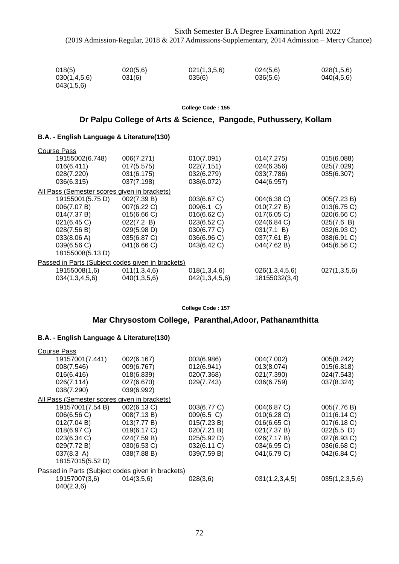| 018(5)       | 020(5,6) | 021(1,3,5,6) | 024(5.6) | 028(1,5,6) |
|--------------|----------|--------------|----------|------------|
| 030(1,4,5,6) | 031(6)   | 035(6)       | 036(5,6) | 040(4,5,6) |
| 043(1,5,6)   |          |              |          |            |

### **Dr Palpu College of Arts & Science, Pangode, Puthussery, Kollam**

### **B.A. - English Language & Literature(130)**

| <b>Course Pass</b>                                |              |                |                |                |
|---------------------------------------------------|--------------|----------------|----------------|----------------|
| 19155002(6.748)                                   | 006(7.271)   | 010(7.091)     | 014(7.275)     | 015(6.088)     |
| 016(6.411)                                        | 017(5.575)   | 022(7.151)     | 024(6.356)     | 025(7.029)     |
| 028(7.220)                                        | 031(6.175)   | 032(6.279)     | 033(7.786)     | 035(6.307)     |
| 036(6.315)                                        | 037(7.198)   | 038(6.072)     | 044(6.957)     |                |
| All Pass (Semester scores given in brackets)      |              |                |                |                |
| 19155001(5.75 D)                                  | 002(7.39 B)  | 003(6.67 C)    | 004(6.38 C)    | 005(7.23 B)    |
| 006(7.07 B)                                       | 007(6.22 C)  | 009(6.1 C)     | 010(7.27 B)    | $013(6.75)$ C) |
| 014(7.37 B)                                       | 015(6.66 C)  | 016(6.62 C)    | 017(6.05 C)    | 020(6.66 C)    |
| 021(6.45 C)                                       | 022(7.2 B)   | 023(6.52 C)    | 024(6.84 C)    | 025(7.6 B)     |
| 028(7.56 B)                                       | 029(5.98 D)  | 030(6.77 C)    | 031(7.1 B)     | 032(6.93 C)    |
| 033(8.06 A)                                       | 035(6.87 C)  | 036(6.96 C)    | 037(7.61 B)    | 038(6.91 C)    |
| 039(6.56 C)                                       | 041(6.66 C)  | 043(6.42 C)    | 044(7.62 B)    | 045(6.56 C)    |
| 18155008(5.13 D)                                  |              |                |                |                |
| Passed in Parts (Subject codes given in brackets) |              |                |                |                |
| 19155008(1,6)                                     | 011(1,3,4,6) | 018(1,3,4,6)   | 026(1,3,4,5,6) | 027(1,3,5,6)   |
| 034(1,3,4,5,6)                                    | 040(1,3,5,6) | 042(1,3,4,5,6) | 18155032(3,4)  |                |

**College Code : 157**

## **Mar Chrysostom College, Paranthal,Adoor, Pathanamthitta**

| <b>Course Pass</b>                                |             |             |                |                 |
|---------------------------------------------------|-------------|-------------|----------------|-----------------|
| 19157001(7.441)                                   | 002(6.167)  | 003(6.986)  | 004(7.002)     | 005(8.242)      |
| 008(7.546)                                        | 009(6.767)  | 012(6.941)  | 013(8.074)     | 015(6.818)      |
| 016(6.416)                                        | 018(6.839)  | 020(7.368)  | 021(7.390)     | 024(7.543)      |
| 026(7.114)                                        | 027(6.670)  | 029(7.743)  | 036(6.759)     | 037(8.324)      |
| 038(7.290)                                        | 039(6.992)  |             |                |                 |
| All Pass (Semester scores given in brackets)      |             |             |                |                 |
| 19157001(7.54 B)                                  | 002(6.13 C) | 003(6.77 C) | 004(6.87 C)    | 005(7.76 B)     |
| 006(6.56 C)                                       | 008(7.13 B) | 009(6.5 C)  | 010(6.28)      | 011(6.14 C)     |
| 012(7.04 B)                                       | 013(7.77 B) | 015(7.23 B) | 016(6.65 C)    | 017(6.18 C)     |
| 018(6.97 C)                                       | 019(6.17 C) | 020(7.21 B) | 021(7.37 B)    | $022(5.5 \; D)$ |
| 023(6.34 C)                                       | 024(7.59 B) | 025(5.92 D) | 026(7.17 B)    | 027(6.93 C)     |
| 029(7.72 B)                                       | 030(6.53 C) | 032(6.11 C) | 034(6.95 C)    | 036(6.68 C)     |
| $037(8.3 \text{ A})$                              | 038(7.88 B) | 039(7.59 B) | 041(6.79 C)    | 042(6.84 C)     |
| 18157015(5.52 D)                                  |             |             |                |                 |
| Passed in Parts (Subject codes given in brackets) |             |             |                |                 |
| 19157007(3,6)                                     | 014(3,5,6)  | 028(3,6)    | 031(1,2,3,4,5) | 035(1,2,3,5,6)  |
| 040(2,3,6)                                        |             |             |                |                 |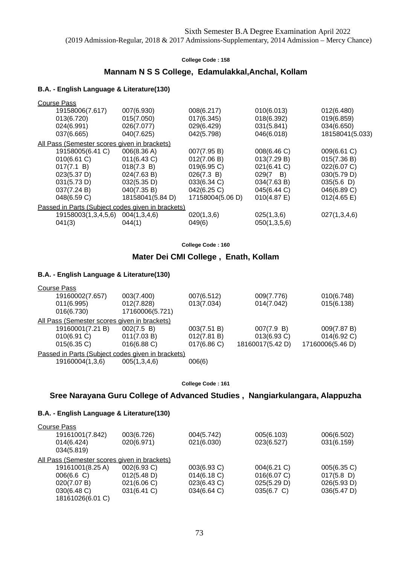### **Mannam N S S College, Edamulakkal,Anchal, Kollam**

#### **B.A. - English Language & Literature(130)**

| Course Pass                                       |                  |                  |                     |                 |
|---------------------------------------------------|------------------|------------------|---------------------|-----------------|
| 19158006(7.617)                                   | 007(6.930)       | 008(6.217)       | 010(6.013)          | 012(6.480)      |
| 013(6.720)                                        | 015(7.050)       | 017(6.345)       | 018(6.392)          | 019(6.859)      |
| 024(6.991)                                        | 026(7.077)       | 029(6.429)       | 031(5.841)          | 034(6.650)      |
| 037(6.665)                                        | 040(7.625)       | 042(5.798)       | 046(6.018)          | 18158041(5.033) |
| All Pass (Semester scores given in brackets)      |                  |                  |                     |                 |
| 19158005(6.41 C)                                  | 006(8.36 A)      | 007(7.95 B)      | 008(6.46 C)         | 009(6.61 C)     |
| 010(6.61 C)                                       | 011(6.43 C)      | 012(7.06 B)      | 013(7.29 B)         | 015(7.36 B)     |
| 017(7.1 B)                                        | 018(7.3 B)       | 019(6.95 C)      | 021(6.41 C)         | 022(6.07 C)     |
| 023(5.37 D)                                       | 024(7.63 B)      | 026(7.3 B)       | 029(7<br><b>B</b> ) | 030(5.79 D)     |
| 031(5.73 D)                                       | 032(5.35 D)      | 033(6.34 C)      | 034(7.63 B)         | 035(5.6)        |
| 037(7.24 B)                                       | 040(7.35 B)      | 042(6.25 C)      | 045(6.44 C)         | 046(6.89 C)     |
| 048(6.59 C)                                       | 18158041(5.84 D) | 17158004(5.06 D) | 010(4.87 E)         | 012(4.65 E)     |
| Passed in Parts (Subject codes given in brackets) |                  |                  |                     |                 |
| 19158003(1,3,4,5,6)                               | 004(1,3,4,6)     | 020(1,3,6)       | 025(1,3,6)          | 027(1,3,4,6)    |
| 041(3)                                            | 044(1)           | 049(6)           | 050(1,3,5,6)        |                 |
|                                                   |                  |                  |                     |                 |

**College Code : 160**

### **Mater Dei CMI College , Enath, Kollam**

### **B.A. - English Language & Literature(130)**

| 003(7.400)                                        | 007(6.512)  | 009(7.776)       | 010(6.748)       |
|---------------------------------------------------|-------------|------------------|------------------|
| 012(7.828)                                        | 013(7.034)  | 014(7.042)       | 015(6.138)       |
| 17160006(5.721)                                   |             |                  |                  |
| All Pass (Semester scores given in brackets)      |             |                  |                  |
| 002(7.5 B)                                        | 003(7.51 B) | 007(7.9 B)       | 009(7.87 B)      |
| 011(7.03 B)                                       | 012(7.81 B) | 013(6.93 C)      | 014(6.92 C)      |
| $016(6.88)$ C)                                    | 017(6.86)   | 18160017(5.42 D) | 17160006(5.46 D) |
| Passed in Parts (Subject codes given in brackets) |             |                  |                  |
| 005(1,3,4,6)                                      | 006(6)      |                  |                  |
|                                                   |             |                  |                  |

**College Code : 161**

### **Sree Narayana Guru College of Advanced Studies , Nangiarkulangara, Alappuzha**

| 003(6.726)                                   | 004(5.742)  | 005(6.103)     | 006(6.502)    |
|----------------------------------------------|-------------|----------------|---------------|
| 020(6.971)                                   | 021(6.030)  | 023(6.527)     | 031(6.159)    |
|                                              |             |                |               |
| All Pass (Semester scores given in brackets) |             |                |               |
| 002(6.93 C)                                  | 003(6.93 C) | $004(6.21)$ C) | 005(6.35 C)   |
| 012(5.48 D)                                  | 014(6.18)   | 016(6.07 C)    | $017(5.8)$ D) |
| 021(6.06 C)                                  | 023(6.43 C) | 025(5.29 D)    | 026(5.93 D)   |
| 031(6.41 C)                                  | 034(6.64 C) | 035(6.7 C)     | 036(5.47 D)   |
|                                              |             |                |               |
|                                              |             |                |               |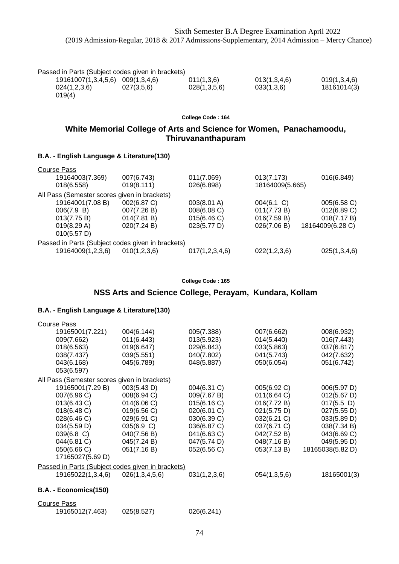| Passed in Parts (Subject codes given in brackets) |  |  |
|---------------------------------------------------|--|--|
|                                                   |  |  |

| 19161007(1,3,4,5,6) 009(1,3,4,6) |            | 011(1,3,6)   | 013(1,3,4,6) | 019(1,3,4,6) |
|----------------------------------|------------|--------------|--------------|--------------|
| 024(1,2,3,6)                     | 027(3,5,6) | 028(1,3,5,6) | 033(1,3,6)   | 18161014(3)  |
| 019(4)                           |            |              |              |              |

## **White Memorial College of Arts and Science for Women, Panachamoodu, Thiruvananthapuram**

### **B.A. - English Language & Literature(130)**

| 007(6.743)   | 011(7.069)     | 013(7.173)                                                                                        | 016(6.849)       |
|--------------|----------------|---------------------------------------------------------------------------------------------------|------------------|
| 019(8.111)   | 026(6.898)     | 18164009(5.665)                                                                                   |                  |
|              |                |                                                                                                   |                  |
| 002(6.87 C)  | 003(8.01 A)    | $004(6.1)$ C)                                                                                     | 005(6.58 C)      |
| 007(7.26 B)  | 008(6.08 C)    | 011(7.73 B)                                                                                       | 012(6.89 C)      |
| 014(7.81 B)  | 015(6.46 C)    | 016(7.59 B)                                                                                       | 018(7.17 B)      |
| 020(7.24 B)  | 023(5.77 D)    | 026(7.06 B)                                                                                       | 18164009(6.28 C) |
|              |                |                                                                                                   |                  |
|              |                |                                                                                                   |                  |
| 010(1,2,3,6) | 017(1,2,3,4,6) | 022(1,2,3,6)                                                                                      | 025(1,3,4,6)     |
|              |                | All Pass (Semester scores given in brackets)<br>Passed in Parts (Subject codes given in brackets) |                  |

#### **College Code : 165**

### **NSS Arts and Science College, Perayam, Kundara, Kollam**

| <b>Course Pass</b>                                |                |              |              |                  |
|---------------------------------------------------|----------------|--------------|--------------|------------------|
| 19165001(7.221)                                   | 004(6.144)     | 005(7.388)   | 007(6.662)   | 008(6.932)       |
| 009(7.662)                                        | 011(6.443)     | 013(5.923)   | 014(5.440)   | 016(7.443)       |
| 018(6.563)                                        | 019(6.647)     | 029(6.843)   | 033(5.863)   | 037(6.817)       |
| 038(7.437)                                        | 039(5.551)     | 040(7.802)   | 041(5.743)   | 042(7.632)       |
| 043(6.168)                                        | 045(6.789)     | 048(5.887)   | 050(6.054)   | 051(6.742)       |
| 053(6.597)                                        |                |              |              |                  |
| All Pass (Semester scores given in brackets)      |                |              |              |                  |
| 19165001(7.29 B)                                  | 003(5.43 D)    | 004(6.31 C)  | 005(6.92 C)  | 006(5.97 D)      |
| 007(6.96 C)                                       | 008(6.94 C)    | 009(7.67 B)  | 011(6.64)    | 012(5.67 D)      |
| 013(6.43 C)                                       | 014(6.06 C)    | 015(6.16 C)  | 016(7.72 B)  | $017(5.5)$ D)    |
| 018(6.48 C)                                       | 019(6.56 C)    | 020(6.01 C)  | 021(5.75 D)  | 027(5.55 D)      |
| 028(6.46 C)                                       | 029(6.91 C)    | 030(6.39 C)  | 032(6.21 C)  | 033(5.89 D)      |
| 034(5.59 D)                                       | 035(6.9 C)     | 036(6.87 C)  | 037(6.71 C)  | 038(7.34 B)      |
| $039(6.8)$ C)                                     | 040(7.56 B)    | 041(6.63 C)  | 042(7.52 B)  | 043(6.69 C)      |
| 044(6.81 C)                                       | 045(7.24 B)    | 047(5.74 D)  | 048(7.16 B)  | 049(5.95 D)      |
| 050(6.66 C)                                       | 051(7.16 B)    | 052(6.56 C)  | 053(7.13 B)  | 18165038(5.82 D) |
| 17165027(5.69 D)                                  |                |              |              |                  |
| Passed in Parts (Subject codes given in brackets) |                |              |              |                  |
| 19165022(1,3,4,6)                                 | 026(1,3,4,5,6) | 031(1,2,3,6) | 054(1,3,5,6) | 18165001(3)      |
| B.A. - Economics(150)                             |                |              |              |                  |

| Course Pass     |            |            |
|-----------------|------------|------------|
| 19165012(7.463) | 025(8.527) | 026(6.241) |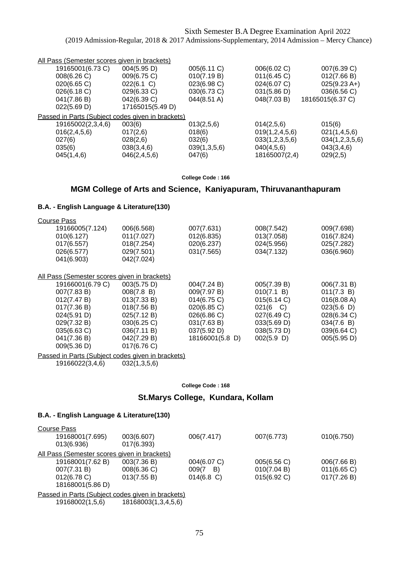| All Pass (Semester scores given in brackets) |              |                                                   |                  |
|----------------------------------------------|--------------|---------------------------------------------------|------------------|
| 004(5.95 D)                                  | 005(6.11 C)  | 006(6.02 C)                                       | 007(6.39 C)      |
| 009(6.75 C)                                  | 010(7.19 B)  | 011(6.45)                                         | 012(7.66 B)      |
| 022(6.1 C)                                   | 023(6.98 C)  | 024(6.07 C)                                       | $025(9.23 A+)$   |
| 029(6.33 C)                                  | 030(6.73 C)  | 031(5.86 D)                                       | 036(6.56 C)      |
| 042(6.39 C)                                  | 044(8.51 A)  | 048(7.03 B)                                       | 18165015(6.37 C) |
| 17165015(5.49 D)                             |              |                                                   |                  |
|                                              |              |                                                   |                  |
| 003(6)                                       | 013(2,5,6)   | 014(2,5,6)                                        | 015(6)           |
| 017(2,6)                                     | 018(6)       | 019(1, 2, 4, 5, 6)                                | 021(1,4,5,6)     |
| 028(2,6)                                     | 032(6)       | 033(1,2,3,5,6)                                    | 034(1,2,3,5,6)   |
| 038(3,4,6)                                   | 039(1,3,5,6) | 040(4,5,6)                                        | 043(3,4,6)       |
| 046(2, 4, 5, 6)                              | 047(6)       | 18165007(2,4)                                     | 029(2,5)         |
|                                              |              | Passed in Parts (Subject codes given in brackets) |                  |

**College Code : 166**

### **MGM College of Arts and Science, Kaniyapuram, Thiruvananthapuram**

### **B.A. - English Language & Literature(130)**

| <b>Course Pass</b>                           |             |                 |                  |             |
|----------------------------------------------|-------------|-----------------|------------------|-------------|
| 19166005(7.124)                              | 006(6.568)  | 007(7.631)      | 008(7.542)       | 009(7.698)  |
| 010(6.127)                                   | 011(7.027)  | 012(6.835)      | 013(7.058)       | 016(7.824)  |
| 017(6.557)                                   | 018(7.254)  | 020(6.237)      | 024(5.956)       | 025(7.282)  |
| 026(6.577)                                   | 029(7.501)  | 031(7.565)      | 034(7.132)       | 036(6.960)  |
| 041(6.903)                                   | 042(7.024)  |                 |                  |             |
|                                              |             |                 |                  |             |
| All Pass (Semester scores given in brackets) |             |                 |                  |             |
| 19166001(6.79 C)                             | 003(5.75 D) | 004(7.24 B)     | 005(7.39 B)      | 006(7.31 B) |
| 007(7.83 B)                                  | 008(7.8 B)  | 009(7.97 B)     | 010(7.1 B)       | 011(7.3 B)  |
| 012(7.47 B)                                  | 013(7.33 B) | 014(6.75 C)     | 015(6.14 C)      | 016(8.08 A) |
| 017(7.36 B)                                  | 018(7.56 B) | 020(6.85 C)     | $021(6 \quad C)$ | 023(5.6)    |
| 024(5.91 D)                                  | 025(7.12 B) | 026(6.86 C)     | 027(6.49 C)      | 028(6.34 C) |
| 029(7.32 B)                                  | 030(6.25 C) | 031(7.63 B)     | 033(5.69 D)      | 034(7.6 B)  |
| 035(6.63 C)                                  | 036(7.11 B) | 037(5.92 D)     | 038(5.73 D)      | 039(6.64 C) |
| 041(7.36 B)                                  | 042(7.29 B) | 18166001(5.8 D) | 002(5.9)         | 005(5.95 D) |
| 009(5.36 D)                                  | 017(6.76 C) |                 |                  |             |
|                                              |             |                 |                  |             |

Passed in Parts (Subject codes given in brackets)

19166022(3,4,6) 032(1,3,5,6)

#### **College Code : 168**

### **St.Marys College, Kundara, Kollam**

| <b>Course Pass</b>                                |                     |               |                |                |
|---------------------------------------------------|---------------------|---------------|----------------|----------------|
| 19168001(7.695)                                   | 003(6.607)          | 006(7.417)    | 007(6.773)     | 010(6.750)     |
| 013(6.936)                                        | 017(6.393)          |               |                |                |
| All Pass (Semester scores given in brackets)      |                     |               |                |                |
| 19168001(7.62 B)                                  | 003(7.36 B)         | 004(6.07 C)   | 005(6.56 C)    | 006(7.66 B)    |
| 007(7.31 B)                                       | 008(6.36 C)         | 009(7<br>B)   | 010(7.04 B)    | $011(6.65)$ C) |
| 012(6.78 C)                                       | 013(7.55 B)         | $014(6.8)$ C) | $015(6.92)$ C) | 017(7.26 B)    |
| 18168001(5.86 D)                                  |                     |               |                |                |
| Passed in Parts (Subject codes given in brackets) |                     |               |                |                |
| 19168002(1,5,6)                                   | 18168003(1,3,4,5,6) |               |                |                |
|                                                   |                     |               |                |                |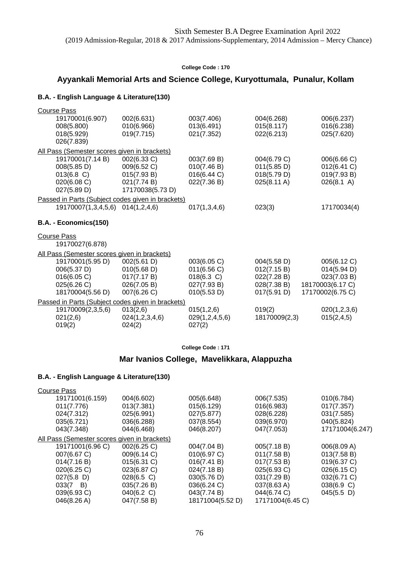## **Ayyankali Memorial Arts and Science College, Kuryottumala, Punalur, Kollam**

### **B.A. - English Language & Literature(130)**

| Course Pass<br>19170001(6.907)<br>008(5.800)<br>018(5.929)<br>026(7.839)          | 002(6.631)<br>010(6.966)<br>019(7.715)                                       | 003(7.406)<br>013(6.491)<br>021(7.352)                                    | 004(6.268)<br>015(8.117)<br>022(6.213)                                  | 006(6.237)<br>016(6.238)<br>025(7.620)                                            |
|-----------------------------------------------------------------------------------|------------------------------------------------------------------------------|---------------------------------------------------------------------------|-------------------------------------------------------------------------|-----------------------------------------------------------------------------------|
| All Pass (Semester scores given in brackets)                                      |                                                                              |                                                                           |                                                                         |                                                                                   |
| 19170001(7.14 B)<br>008(5.85 D)<br>$013(6.8)$ C)<br>020(6.08 C)<br>027(5.89 D)    | 002(6.33 C)<br>009(6.52 C)<br>015(7.93 B)<br>021(7.74 B)<br>17170038(5.73 D) | 003(7.69 B)<br>010(7.46 B)<br>016(6.44 C)<br>022(7.36 B)                  | 004(6.79 C)<br>011(5.85 D)<br>018(5.79 D)<br>025(8.11 A)                | 006(6.66 C)<br>012(6.41 C)<br>019(7.93 B)<br>026(8.1 A)                           |
| Passed in Parts (Subject codes given in brackets)                                 |                                                                              |                                                                           |                                                                         |                                                                                   |
| 19170007(1,3,4,5,6)                                                               | 014(1,2,4,6)                                                                 | 017(1,3,4,6)                                                              | 023(3)                                                                  | 17170034(4)                                                                       |
| B.A. - Economics(150)                                                             |                                                                              |                                                                           |                                                                         |                                                                                   |
| Course Pass<br>19170027(6.878)                                                    |                                                                              |                                                                           |                                                                         |                                                                                   |
| All Pass (Semester scores given in brackets)                                      |                                                                              |                                                                           |                                                                         |                                                                                   |
| 19170001(5.95 D)<br>006(5.37 D)<br>016(6.05 C)<br>025(6.26 C)<br>18170004(5.56 D) | 002(5.61 D)<br>010(5.68 D)<br>017(7.17 B)<br>026(7.05 B)<br>007(6.26 C)      | 003(6.05 C)<br>011(6.56 C)<br>$018(6.3)$ C)<br>027(7.93 B)<br>010(5.53 D) | 004(5.58 D)<br>012(7.15 B)<br>022(7.28 B)<br>028(7.38 B)<br>017(5.91 D) | 005(6.12 C)<br>014(5.94 D)<br>023(7.03 B)<br>18170003(6.17 C)<br>17170002(6.75 C) |
| Passed in Parts (Subject codes given in brackets)                                 |                                                                              |                                                                           |                                                                         |                                                                                   |
| 19170009(2,3,5,6)<br>021(2,6)<br>019(2)                                           | 013(2,6)<br>024(1,2,3,4,6)<br>024(2)                                         | 015(1,2,6)<br>029(1,2,4,5,6)<br>027(2)                                    | 019(2)<br>18170009(2,3)                                                 | 020(1,2,3,6)<br>015(2,4,5)                                                        |

**College Code : 171**

## **Mar Ivanios College, Mavelikkara, Alappuzha**

| <b>Course Pass</b>                           |               |                  |                  |                 |
|----------------------------------------------|---------------|------------------|------------------|-----------------|
| 19171001(6.159)                              | 004(6.602)    | 005(6.648)       | 006(7.535)       | 010(6.784)      |
| 011(7.776)                                   | 013(7.381)    | 015(6.129)       | 016(6.983)       | 017(7.357)      |
| 024(7.312)                                   | 025(6.991)    | 027(5.877)       | 028(6.228)       | 031(7.585)      |
| 035(6.721)                                   | 036(6.288)    | 037(8.554)       | 039(6.970)       | 040(5.824)      |
| 043(7.348)                                   | 044(6.468)    | 046(8.207)       | 047(7.053)       | 17171004(6.247) |
| All Pass (Semester scores given in brackets) |               |                  |                  |                 |
| 19171001(6.96 C)                             | 002(6.25 C)   | 004(7.04 B)      | 005(7.18 B)      | 006(8.09 A)     |
| 007(6.67 C)                                  | 009(6.14 C)   | 010(6.97 C)      | 011(7.58 B)      | 013(7.58 B)     |
| 014(7.16 B)                                  | 015(6.31 C)   | 016(7.41 B)      | 017(7.53 B)      | 019(6.37 C)     |
| 020(6.25)                                    | 023(6.87 C)   | 024(7.18 B)      | 025(6.93 C)      | 026(6.15 C)     |
| $027(5.8)$ D)                                | $028(6.5)$ C) | 030(5.76 D)      | 031(7.29 B)      | 032(6.71 C)     |
| $033(7 \quad B)$                             | 035(7.26 B)   | 036(6.24 C)      | 037(8.63 A)      | 038(6.9 C)      |
| 039(6.93 C)                                  | 040(6.2 C)    | 043(7.74 B)      | 044(6.74 C)      | $045(5.5 \; D)$ |
| 046(8.26 A)                                  | 047(7.58 B)   | 18171004(5.52 D) | 17171004(6.45 C) |                 |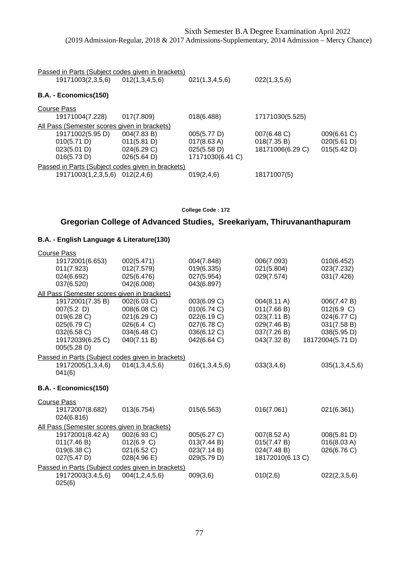| Passed in Parts (Subject codes given in brackets)<br>19171003(2,3,5,6)<br>012(1,3,4,5,6)<br>021(1,3,4,5,6)<br>022(1,3,5,6) |             |                  |                  |             |  |  |
|----------------------------------------------------------------------------------------------------------------------------|-------------|------------------|------------------|-------------|--|--|
|                                                                                                                            |             |                  |                  |             |  |  |
| B.A. - Economics(150)                                                                                                      |             |                  |                  |             |  |  |
| Course Pass                                                                                                                |             |                  |                  |             |  |  |
| 19171004(7.228)                                                                                                            | 017(7.809)  | 018(6.488)       | 17171030(5.525)  |             |  |  |
| All Pass (Semester scores given in brackets)                                                                               |             |                  |                  |             |  |  |
| 19171002(5.95 D)                                                                                                           | 004(7.83 B) | 005(5.77 D)      | 007(6.48 C)      | 009(6.61 C) |  |  |
| 010(5.71 D)                                                                                                                | 011(5.81 D) | 017(8.63 A)      | 018(7.35 B)      | 020(5.61 D) |  |  |
| 023(5.01 D)                                                                                                                | 024(6.29 C) | 025(5.58 D)      | 18171006(6.29 C) | 015(5.42 D) |  |  |
| 016(5.73 D)                                                                                                                | 026(5.64 D) | 17171030(6.41 C) |                  |             |  |  |
| Passed in Parts (Subject codes given in brackets)                                                                          |             |                  |                  |             |  |  |
| 19171003(1,2,3,5,6)                                                                                                        | 012(2,4,6)  | 019(2,4,6)       | 18171007(5)      |             |  |  |

# **Gregorian College of Advanced Studies, Sreekariyam, Thiruvananthapuram**

| <b>Course Pass</b>                                                                                                |                                                                                       |                                                                                        |                                                                                        |                                                                                            |
|-------------------------------------------------------------------------------------------------------------------|---------------------------------------------------------------------------------------|----------------------------------------------------------------------------------------|----------------------------------------------------------------------------------------|--------------------------------------------------------------------------------------------|
| 19172001(6.653)<br>011(7.923)<br>024(6.692)<br>037(6.520)                                                         | 002(5.471)<br>012(7.579)<br>025(6.476)<br>042(6.008)                                  | 004(7.848)<br>019(6.335)<br>027(5.954)<br>043(6.897)                                   | 006(7.093)<br>021(5.804)<br>029(7.574)                                                 | 010(6.452)<br>023(7.232)<br>031(7.426)                                                     |
| All Pass (Semester scores given in brackets)                                                                      |                                                                                       |                                                                                        |                                                                                        |                                                                                            |
| 19172001(7.35 B)<br>$007(5.2)$ D)<br>019(6.28 C)<br>025(6.79 C)<br>032(6.58 C)<br>19172039(6.25 C)<br>005(5.28 D) | 002(6.03 C)<br>008(6.08 C)<br>021(6.29 C)<br>026(6.4 C)<br>034(6.48 C)<br>040(7.11 B) | 003(6.09 C)<br>010(6.74 C)<br>022(6.19 C)<br>027(6.78 C)<br>036(6.12 C)<br>042(6.64 C) | 004(8.11 A)<br>011(7.66 B)<br>023(7.11 B)<br>029(7.46 B)<br>037(7.26 B)<br>043(7.32 B) | 006(7.47 B)<br>012(6.9 C)<br>024(6.77 C)<br>031(7.58 B)<br>038(5.95 D)<br>18172004(5.71 D) |
| Passed in Parts (Subject codes given in brackets)                                                                 |                                                                                       |                                                                                        |                                                                                        |                                                                                            |
| 19172005(1,3,4,6)<br>041(6)                                                                                       | 014(1,3,4,5,6)                                                                        | 016(1,3,4,5,6)                                                                         | 033(3,4,6)                                                                             | 035(1,3,4,5,6)                                                                             |
| B.A. - Economics(150)                                                                                             |                                                                                       |                                                                                        |                                                                                        |                                                                                            |
| <b>Course Pass</b>                                                                                                |                                                                                       |                                                                                        |                                                                                        |                                                                                            |
| 19172007(8.682)<br>024(6.816)                                                                                     | 013(6.754)                                                                            | 015(6.563)                                                                             | 016(7.061)                                                                             | 021(6.361)                                                                                 |
| All Pass (Semester scores given in brackets)                                                                      |                                                                                       |                                                                                        |                                                                                        |                                                                                            |
| 19172001(8.42 A)<br>011(7.46 B)<br>019(6.38 C)<br>027(5.47 D)                                                     | 002(6.93 C)<br>012(6.9 C)<br>021(6.52 C)<br>$028(4.96 \text{ E})$                     | 005(6.27 C)<br>013(7.44 B)<br>023(7.14 B)<br>029(5.79 D)                               | 007(8.52 A)<br>015(7.47 B)<br>024(7.48 B)<br>18172010(6.13 C)                          | 008(5.81 D)<br>016(8.03 A)<br>026(6.76 C)                                                  |
| Passed in Parts (Subject codes given in brackets)                                                                 |                                                                                       |                                                                                        |                                                                                        |                                                                                            |
| 19172003(3,4,5,6)<br>025(6)                                                                                       | 004(1,2,4,5,6)                                                                        | 009(3,6)                                                                               | 010(2,6)                                                                               | 022(2,3,5,6)                                                                               |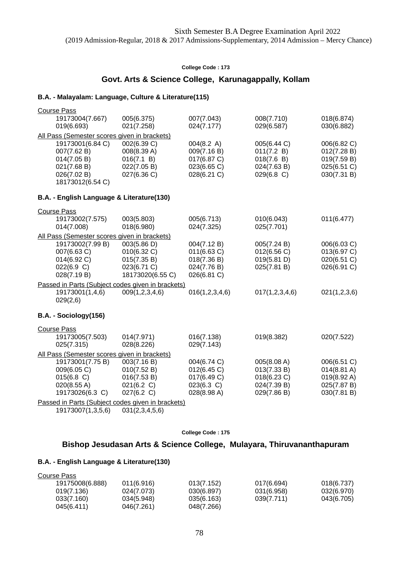## **Govt. Arts & Science College, Karunagappally, Kollam**

### **B.A. - Malayalam: Language, Culture & Literature(115)**

| <b>Course Pass</b> |                                              |                                                   |                |                |                       |
|--------------------|----------------------------------------------|---------------------------------------------------|----------------|----------------|-----------------------|
|                    | 19173004(7.667)                              | 005(6.375)                                        | 007(7.043)     | 008(7.710)     | 018(6.874)            |
|                    | 019(6.693)                                   | 021(7.258)                                        | 024(7.177)     | 029(6.587)     | 030(6.882)            |
|                    | All Pass (Semester scores given in brackets) |                                                   |                |                |                       |
|                    | 19173001(6.84 C)                             | 002(6.39 C)                                       | 004(8.2 A)     | 005(6.44 C)    | 006(6.82 C)           |
|                    | 007(7.62 B)                                  | 008(8.39 A)                                       | 009(7.16 B)    | 011(7.2 B)     | 012(7.28 B)           |
|                    | 014(7.05 B)                                  | 016(7.1 B)                                        | 017(6.87 C)    | 018(7.6 B)     | 019(7.59 B)           |
|                    | 021(7.68 B)                                  | 022(7.05 B)                                       | 023(6.65 C)    | 024(7.63 B)    | 025(6.51 C)           |
|                    | 026(7.02 B)                                  | 027(6.36 C)                                       | 028(6.21 C)    | 029(6.8 C)     | 030(7.31 B)           |
|                    | 18173012(6.54 C)                             |                                                   |                |                |                       |
|                    | B.A. - English Language & Literature(130)    |                                                   |                |                |                       |
| <b>Course Pass</b> |                                              |                                                   |                |                |                       |
|                    | 19173002(7.575)                              | 003(5.803)                                        | 005(6.713)     | 010(6.043)     | 011(6.477)            |
|                    | 014(7.008)                                   | 018(6.980)                                        | 024(7.325)     | 025(7.701)     |                       |
|                    | All Pass (Semester scores given in brackets) |                                                   |                |                |                       |
|                    | 19173002(7.99 B)                             | 003(5.86 D)                                       | 004(7.12 B)    | 005(7.24 B)    | 006(6.03 C)           |
|                    | 007(6.63 C)                                  | 010(6.32 C)                                       | 011(6.63 C)    | 012(6.56 C)    | 013(6.97 C)           |
|                    | 014(6.92 C)                                  | 015(7.35 B)                                       | 018(7.36 B)    | 019(5.81 D)    | 020(6.51 C)           |
|                    | 022(6.9 C)                                   | 023(6.71 C)                                       | 024(7.76 B)    | 025(7.81 B)    | 026(6.91 C)           |
|                    | 028(7.19 B)                                  | 18173020(6.55 C)                                  | 026(6.81 C)    |                |                       |
|                    |                                              | Passed in Parts (Subject codes given in brackets) |                |                |                       |
|                    | 19173001(1,4,6)                              | 009(1, 2, 3, 4, 6)                                | 016(1,2,3,4,6) | 017(1,2,3,4,6) | 021(1,2,3,6)          |
|                    | 029(2,6)                                     |                                                   |                |                |                       |
|                    | B.A. - Sociology(156)                        |                                                   |                |                |                       |
| <b>Course Pass</b> |                                              |                                                   |                |                |                       |
|                    | 19173005(7.503)                              | 014(7.971)                                        | 016(7.138)     | 019(8.382)     | 020(7.522)            |
|                    | 025(7.315)                                   | 028(8.226)                                        | 029(7.143)     |                |                       |
|                    | All Pass (Semester scores given in brackets) |                                                   |                |                |                       |
|                    | 19173001(7.75 B)                             | 003(7.16 B)                                       | 004(6.74 C)    | 005(8.08 A)    | 006(6.51 C)           |
|                    | 009(6.05 C)                                  | 010(7.52 B)                                       | 012(6.45 C)    | 013(7.33 B)    | $014(8.81 \text{ A})$ |
|                    | 015(6.8 C)                                   | 016(7.53 B)                                       | 017(6.49 C)    | 018(6.23 C)    | 019(8.92 A)           |
|                    | 020(8.55 A)                                  | 021(6.2 C)                                        | 023(6.3 C)     | 024(7.39 B)    | 025(7.87 B)           |
|                    | 19173026(6.3 C)                              | 027(6.2 C)                                        | 028(8.98 A)    | 029(7.86 B)    | 030(7.81 B)           |
|                    |                                              | Passed in Parts (Subject codes given in brackets) |                |                |                       |
|                    | 19173007(1,3,5,6)                            | 031(2,3,4,5,6)                                    |                |                |                       |

**College Code : 175**

## **Bishop Jesudasan Arts & Science College, Mulayara, Thiruvananthapuram**

| Course Pass     |            |            |            |            |
|-----------------|------------|------------|------------|------------|
| 19175008(6.888) | 011(6.916) | 013(7.152) | 017(6.694) | 018(6.737) |
| 019(7.136)      | 024(7.073) | 030(6.897) | 031(6.958) | 032(6.970) |
| 033(7.160)      | 034(5.948) | 035(6.163) | 039(7.711) | 043(6.705) |
| 045(6.411)      | 046(7.261) | 048(7.266) |            |            |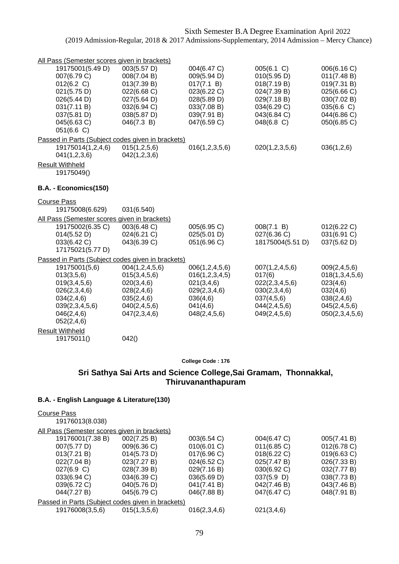| All Pass (Semester scores given in brackets)                     |                            |                           |                            |                            |
|------------------------------------------------------------------|----------------------------|---------------------------|----------------------------|----------------------------|
| 19175001(5.49 D)                                                 | 003(5.57 D)                | 004(6.47 C)               | 005(6.1 C)                 | 006(6.16 C)                |
| 007(6.79 C)                                                      | 008(7.04 B)                | 009(5.94 D)               | 010(5.95 D)                | 011(7.48 B)                |
| 012(6.2 C)<br>021(5.75 D)                                        | 013(7.39 B)<br>022(6.68 C) | 017(7.1 B)<br>023(6.22 C) | 018(7.19 B)<br>024(7.39 B) | 019(7.31 B)<br>025(6.66 C) |
| 026(5.44 D)                                                      | 027(5.64 D)                | 028(5.89 D)               | 029(7.18 B)                | 030(7.02 B)                |
| 031(7.11 B)                                                      | 032(6.94 C)                | 033(7.08 B)               | 034(6.29 C)                | 035(6.6 C)                 |
| 037(5.81 D)                                                      | 038(5.87 D)                | 039(7.91 B)               | 043(6.84 C)                | 044(6.86 C)                |
| 045(6.63 C)                                                      | 046(7.3 B)                 | 047(6.59 C)               | 048(6.8 C)                 | 050(6.85 C)                |
| 051(6.6 C)                                                       |                            |                           |                            |                            |
| Passed in Parts (Subject codes given in brackets)                |                            |                           |                            |                            |
| 19175014(1,2,4,6)                                                | 015(1,2,5,6)               | 016(1,2,3,5,6)            | 020(1,2,3,5,6)             | 036(1,2,6)                 |
| 041(1,2,3,6)                                                     | 042(1,2,3,6)               |                           |                            |                            |
| <b>Result Withheld</b>                                           |                            |                           |                            |                            |
| 19175049()                                                       |                            |                           |                            |                            |
| B.A. - Economics(150)                                            |                            |                           |                            |                            |
|                                                                  |                            |                           |                            |                            |
| <b>Course Pass</b><br>19175008(6.629)                            | 031(6.540)                 |                           |                            |                            |
|                                                                  |                            |                           |                            |                            |
| All Pass (Semester scores given in brackets)<br>19175002(6.35 C) | 003(6.48 C)                | 005(6.95 C)               |                            |                            |
| 014(5.52 D)                                                      | 024(6.21 C)                | 025(5.01 D)               | 008(7.1 B)<br>027(6.36 C)  | 012(6.22 C)<br>031(6.91 C) |
| 033(6.42 C)                                                      | 043(6.39 C)                | 051(6.96 C)               | 18175004(5.51 D)           | 037(5.62 D)                |
| 17175021(5.77 D)                                                 |                            |                           |                            |                            |
| Passed in Parts (Subject codes given in brackets)                |                            |                           |                            |                            |
| 19175001(5,6)                                                    | 004(1, 2, 4, 5, 6)         | 006(1, 2, 4, 5, 6)        | 007(1, 2, 4, 5, 6)         | 009(2,4,5,6)               |
| 013(3,5,6)                                                       | 015(3,4,5,6)               | 016(1,2,3,4,5)            | 017(6)                     | 018(1,3,4,5,6)             |
| 019(3,4,5,6)                                                     | 020(3,4,6)                 | 021(3,4,6)                | 022(2,3,4,5,6)             | 023(4,6)                   |
| 026(2,3,4,6)                                                     | 028(2,4,6)                 | 029(2,3,4,6)              | 030(2,3,4,6)               | 032(4,6)                   |
| 034(2,4,6)                                                       | 035(2,4,6)                 | 036(4,6)                  | 037(4,5,6)                 | 038(2,4,6)                 |
| 039(2,3,4,5,6)                                                   | 040(2, 4, 5, 6)            | 041(4,6)                  | 044(2,4,5,6)               | 045(2, 4, 5, 6)            |
| 046(2, 4, 6)                                                     | 047(2,3,4,6)               | 048(2, 4, 5, 6)           | 049(2, 4, 5, 6)            | 050(2,3,4,5,6)             |
| 052(2,4,6)                                                       |                            |                           |                            |                            |
| <b>Result Withheld</b>                                           |                            |                           |                            |                            |
| 19175011()                                                       | 042()                      |                           |                            |                            |

### **Sri Sathya Sai Arts and Science College,Sai Gramam, Thonnakkal, Thiruvananthapuram**

| <b>Course Pass</b><br>19176013(8.038)             |              |              |                |             |
|---------------------------------------------------|--------------|--------------|----------------|-------------|
| All Pass (Semester scores given in brackets)      |              |              |                |             |
| 19176001(7.38 B)                                  | 002(7.25 B)  | 003(6.54 C)  | 004(6.47 C)    | 005(7.41 B) |
| 007(5.77 D)                                       | 009(6.36 C)  | 010(6.01 C)  | $011(6.85)$ C) | 012(6.78 C) |
| 013(7.21 B)                                       | 014(5.73 D)  | 017(6.96 C)  | 018(6.22 C)    | 019(6.63 C) |
| 022(7.04 B)                                       | 023(7.27 B)  | 024(6.52 C)  | 025(7.47 B)    | 026(7.33 B) |
| 027(6.9 C)                                        | 028(7.39 B)  | 029(7.16 B)  | 030(6.92 C)    | 032(7.77 B) |
| 033(6.94 C)                                       | 034(6.39 C)  | 036(5.69 D)  | $037(5.9)$ D)  | 038(7.73 B) |
| 039(6.72 C)                                       | 040(5.76 D)  | 041(7.41 B)  | 042(7.46 B)    | 043(7.46 B) |
| 044(7.27 B)                                       | 045(6.79 C)  | 046(7.88 B)  | 047(6.47 C)    | 048(7.91 B) |
| Passed in Parts (Subject codes given in brackets) |              |              |                |             |
| 19176008(3,5,6)                                   | 015(1,3,5,6) | 016(2,3,4,6) | 021(3,4,6)     |             |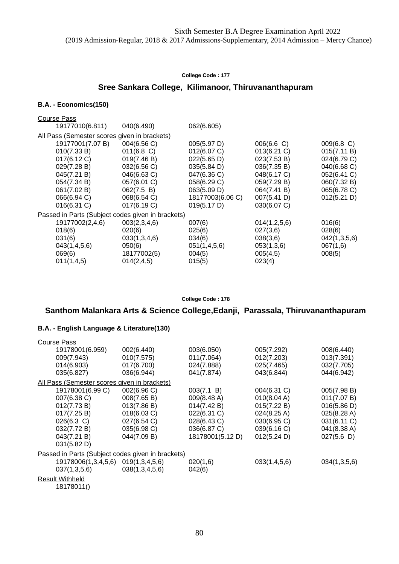## **Sree Sankara College, Kilimanoor, Thiruvananthapuram**

### **B.A. - Economics(150)**

| <b>Course Pass</b>                                |               |                  |               |                      |
|---------------------------------------------------|---------------|------------------|---------------|----------------------|
| 19177010(6.811)                                   | 040(6.490)    | 062(6.605)       |               |                      |
| All Pass (Semester scores given in brackets)      |               |                  |               |                      |
| 19177001(7.07 B)                                  | 004(6.56 C)   | 005(5.97 D)      | $006(6.6)$ C) | $009(6.8 \text{ C})$ |
| 010(7.33 B)                                       | $011(6.8)$ C) | 012(6.07 C)      | 013(6.21 C)   | 015(7.11 B)          |
| 017(6.12 C)                                       | 019(7.46 B)   | 022(5.65 D)      | 023(7.53 B)   | 024(6.79 C)          |
| 029(7.28 B)                                       | 032(6.56 C)   | 035(5.84 D)      | 036(7.35 B)   | 040(6.68 C)          |
| 045(7.21 B)                                       | 046(6.63 C)   | 047(6.36 C)      | 048(6.17 C)   | 052(6.41 C)          |
| 054(7.34 B)                                       | 057(6.01 C)   | 058(6.29 C)      | 059(7.29 B)   | 060(7.32 B)          |
| 061(7.02 B)                                       | 062(7.5 B)    | 063(5.09 D)      | 064(7.41 B)   | 065(6.78 C)          |
| 066(6.94 C)                                       | 068(6.54 C)   | 18177003(6.06 C) | 007(5.41 D)   | 012(5.21 D)          |
| 016(6.31 C)                                       | 017(6.19 C)   | 019(5.17 D)      | 030(6.07 C)   |                      |
| Passed in Parts (Subject codes given in brackets) |               |                  |               |                      |
| 19177002(2,4,6)                                   | 003(2,3,4,6)  | 007(6)           | 014(1,2,5,6)  | 016(6)               |
| 018(6)                                            | 020(6)        | 025(6)           | 027(3,6)      | 028(6)               |
| 031(6)                                            | 033(1,3,4,6)  | 034(6)           | 038(3,6)      | 042(1,3,5,6)         |
| 043(1,4,5,6)                                      | 050(6)        | 051(1,4,5,6)     | 053(1,3,6)    | 067(1,6)             |
| 069(6)                                            | 18177002(5)   | 004(5)           | 005(4,5)      | 008(5)               |
| 011(1,4,5)                                        | 014(2, 4, 5)  | 015(5)           | 023(4)        |                      |

**College Code : 178**

## **Santhom Malankara Arts & Science College,Edanji, Parassala, Thiruvananthapuram**

| <b>Course Pass</b>                                |                |                  |                       |              |
|---------------------------------------------------|----------------|------------------|-----------------------|--------------|
| 19178001(6.959)                                   | 002(6.440)     | 003(6.050)       | 005(7.292)            | 008(6.440)   |
| 009(7.943)                                        | 010(7.575)     | 011(7.064)       | 012(7.203)            | 013(7.391)   |
| 014(6.903)                                        | 017(6.700)     | 024(7.888)       | 025(7.465)            | 032(7.705)   |
| 035(6.827)                                        | 036(6.944)     | 041(7.874)       | 043(6.844)            | 044(6.942)   |
| All Pass (Semester scores given in brackets)      |                |                  |                       |              |
| 19178001(6.99 C)                                  | 002(6.96 C)    | 003(7.1 B)       | 004(6.31 C)           | 005(7.98 B)  |
| 007(6.38 C)                                       | 008(7.65 B)    | 009(8.48 A)      | 010(8.04 A)           | 011(7.07 B)  |
| 012(7.73 B)                                       | 013(7.86 B)    | 014(7.42 B)      | 015(7.22 B)           | 016(5.86 D)  |
| 017(7.25 B)                                       | 018(6.03 C)    | 022(6.31 C)      | $024(8.25 \text{ A})$ | 025(8.28 A)  |
| 026(6.3 C)                                        | 027(6.54 C)    | 028(6.43 C)      | 030(6.95 C)           | 031(6.11 C)  |
| 032(7.72 B)                                       | 035(6.98 C)    | 036(6.87 C)      | 039(6.16 C)           | 041(8.38 A)  |
| 043(7.21 B)                                       | 044(7.09 B)    | 18178001(5.12 D) | 012(5.24 D)           | 027(5.6)     |
| 031(5.82 D)                                       |                |                  |                       |              |
| Passed in Parts (Subject codes given in brackets) |                |                  |                       |              |
| 19178006(1,3,4,5,6)                               | 019(1,3,4,5,6) | 020(1,6)         | 033(1,4,5,6)          | 034(1,3,5,6) |
| 037(1,3,5,6)                                      | 038(1,3,4,5,6) | 042(6)           |                       |              |
| Result Withheld                                   |                |                  |                       |              |
| 18178011()                                        |                |                  |                       |              |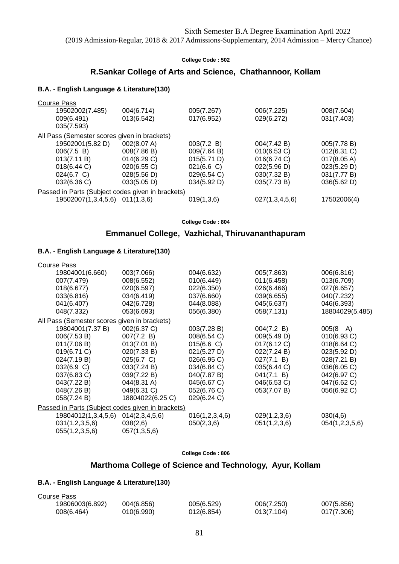### **R.Sankar College of Arts and Science, Chathannoor, Kollam**

#### **B.A. - English Language & Literature(130)**

| <b>Course Pass</b>                                  |             |               |                |                       |
|-----------------------------------------------------|-------------|---------------|----------------|-----------------------|
| 19502002(7.485)                                     | 004(6.714)  | 005(7.267)    | 006(7.225)     | 008(7.604)            |
| 009(6.491)                                          | 013(6.542)  | 017(6.952)    | 029(6.272)     | 031(7.403)            |
| 035(7.593)                                          |             |               |                |                       |
| <u>All Pass (Semester scores given in brackets)</u> |             |               |                |                       |
| 19502001(5.82 D)                                    | 002(8.07 A) | 003(7.2 B)    | 004(7.42 B)    | 005(7.78 B)           |
| 006(7.5 B)                                          | 008(7.86 B) | 009(7.64 B)   | 010(6.53 C)    | $012(6.31)$ C)        |
| 013(7.11 B)                                         | 014(6.29 C) | 015(5.71 D)   | 016(6.74 C)    | $017(8.05 \text{ A})$ |
| 018(6.44 C)                                         | 020(6.55 C) | $021(6.6)$ C) | 022(5.96 D)    | 023(5.29 D)           |
| 024(6.7 C)                                          | 028(5.56 D) | 029(6.54 C)   | 030(7.32 B)    | 031(7.77 B)           |
| 032(6.36 C)                                         | 033(5.05 D) | 034(5.92 D)   | 035(7.73 B)    | 036(5.62 D)           |
| Passed in Parts (Subject codes given in brackets)   |             |               |                |                       |
| 19502007(1,3,4,5,6)                                 | 011(1,3,6)  | 019(1,3,6)    | 027(1,3,4,5,6) | 17502006(4)           |
|                                                     |             |               |                |                       |

**College Code : 804**

## **Emmanuel College, Vazhichal, Thiruvananthapuram**

### **B.A. - English Language & Literature(130)**

| <b>Course Pass</b>                                |                  |                |              |                    |  |
|---------------------------------------------------|------------------|----------------|--------------|--------------------|--|
| 19804001(6.660)                                   | 003(7.066)       | 004(6.632)     | 005(7.863)   | 006(6.816)         |  |
| 007(7.479)                                        | 008(6.552)       | 010(6.449)     | 011(6.458)   | 013(6.709)         |  |
| 018(6.677)                                        | 020(6.597)       | 022(6.350)     | 026(6.466)   | 027(6.657)         |  |
| 033(6.816)                                        | 034(6.419)       | 037(6.660)     | 039(6.655)   | 040(7.232)         |  |
| 041(6.407)                                        | 042(6.728)       | 044(8.088)     | 045(6.637)   | 046(6.393)         |  |
| 048(7.332)                                        | 053(6.693)       | 056(6.380)     | 058(7.131)   | 18804029(5.485)    |  |
| All Pass (Semester scores given in brackets)      |                  |                |              |                    |  |
| 19804001(7.37 B)                                  | 002(6.37 C)      | 003(7.28 B)    | 004(7.2 B)   | $005(8 \text{ A})$ |  |
| 006(7.53 B)                                       | 007(7.2 B)       | 008(6.54 C)    | 009(5.49 D)  | 010(6.93 C)        |  |
| 011(7.06 B)                                       | 013(7.01 B)      | 015(6.6 C)     | 017(6.12 C)  | 018(6.64 C)        |  |
| 019(6.71 C)                                       | 020(7.33 B)      | 021(5.27 D)    | 022(7.24 B)  | 023(5.92 D)        |  |
| 024(7.19 B)                                       | 025(6.7 C)       | 026(6.95 C)    | 027(7.1 B)   | 028(7.21 B)        |  |
| 032(6.9 C)                                        | 033(7.24 B)      | 034(6.84 C)    | 035(6.44 C)  | 036(6.05 C)        |  |
| 037(6.83 C)                                       | 039(7.22 B)      | 040(7.87 B)    | 041(7.1 B)   | 042(6.97 C)        |  |
| 043(7.22 B)                                       | 044(8.31 A)      | 045(6.67 C)    | 046(6.53 C)  | 047(6.62 C)        |  |
| 048(7.26 B)                                       | 049(6.31 C)      | 052(6.76 C)    | 053(7.07 B)  | 056(6.92 C)        |  |
| 058(7.24 B)                                       | 18804022(6.25 C) | 029(6.24 C)    |              |                    |  |
| Passed in Parts (Subject codes given in brackets) |                  |                |              |                    |  |
| 19804012(1,3,4,5,6)                               | 014(2,3,4,5,6)   | 016(1,2,3,4,6) | 029(1,2,3,6) | 030(4,6)           |  |
| 031(1,2,3,5,6)                                    | 038(2,6)         | 050(2,3,6)     | 051(1,2,3,6) | 054(1,2,3,5,6)     |  |
| 055(1,2,3,5,6)                                    | 057(1,3,5,6)     |                |              |                    |  |
|                                                   |                  |                |              |                    |  |

**College Code : 806**

### **Marthoma College of Science and Technology, Ayur, Kollam**

| Course Pass     |            |            |            |            |
|-----------------|------------|------------|------------|------------|
| 19806003(6.892) | 004(6.856) | 005(6.529) | 006(7.250) | 007(5.856) |
| 008(6.464)      | 010(6.990) | 012(6.854) | 013(7.104) | 017(7.306) |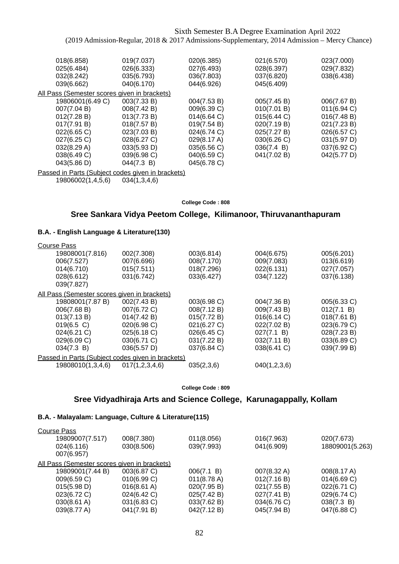| 018(6.858)                                   | 019(7.037)  | 020(6.385)  | 021(6.570)  | 023(7.000)  |
|----------------------------------------------|-------------|-------------|-------------|-------------|
| 025(6.484)                                   | 026(6.333)  | 027(6.493)  | 028(6.397)  | 029(7.832)  |
| 032(8.242)                                   | 035(6.793)  | 036(7.803)  | 037(6.820)  | 038(6.438)  |
| 039(6.662)                                   | 040(6.170)  | 044(6.926)  | 045(6.409)  |             |
| All Pass (Semester scores given in brackets) |             |             |             |             |
| 19806001(6.49 C)                             | 003(7.33 B) | 004(7.53 B) | 005(7.45 B) | 006(7.67 B) |
| 007(7.04 B)                                  | 008(7.42 B) | 009(6.39 C) | 010(7.01 B) | 011(6.94 C) |
| 012(7.28 B)                                  | 013(7.73 B) | 014(6.64 C) | 015(6.44 C) | 016(7.48 B) |
| 017(7.91 B)                                  | 018(7.57 B) | 019(7.54 B) | 020(7.19 B) | 021(7.23 B) |
| 022(6.65 C)                                  | 023(7.03 B) | 024(6.74 C) | 025(7.27 B) | 026(6.57 C) |
| 027(6.25 C)                                  | 028(6.27 C) | 029(8.17 A) | 030(6.26 C) | 031(5.97 D) |
| 032(8.29 A)                                  | 033(5.93 D) | 035(6.56 C) | 036(7.4 B)  | 037(6.92 C) |
| 038(6.49 C)                                  | 039(6.98 C) | 040(6.59 C) | 041(7.02 B) | 042(5.77 D) |
| 043(5.86 D)                                  | 044(7.3 B)  | 045(6.78 C) |             |             |
|                                              |             |             |             |             |

Passed in Parts (Subject codes given in brackets)

19806002(1,4,5,6) 034(1,3,4,6)

#### **College Code : 808**

## **Sree Sankara Vidya Peetom College, Kilimanoor, Thiruvananthapuram**

### **B.A. - English Language & Literature(130)**

| <b>Course Pass</b>                                  |                |             |              |             |
|-----------------------------------------------------|----------------|-------------|--------------|-------------|
| 19808001(7.816)                                     | 002(7.308)     | 003(6.814)  | 004(6.675)   | 005(6.201)  |
| 006(7.527)                                          | 007(6.696)     | 008(7.170)  | 009(7.083)   | 013(6.619)  |
| 014(6.710)                                          | 015(7.511)     | 018(7.296)  | 022(6.131)   | 027(7.057)  |
| 028(6.612)                                          | 031(6.742)     | 033(6.427)  | 034(7.122)   | 037(6.138)  |
| 039(7.827)                                          |                |             |              |             |
| <u>All Pass (Semester scores given in brackets)</u> |                |             |              |             |
| 19808001(7.87 B)                                    | 002(7.43 B)    | 003(6.98 C) | 004(7.36 B)  | 005(6.33 C) |
| 006(7.68 B)                                         | 007(6.72 C)    | 008(7.12 B) | 009(7.43 B)  | 012(7.1 B)  |
| 013(7.13 B)                                         | 014(7.42 B)    | 015(7.72 B) | 016(6.14 C)  | 018(7.61 B) |
| $019(6.5)$ C)                                       | 020(6.98 C)    | 021(6.27 C) | 022(7.02 B)  | 023(6.79 C) |
| 024(6.21 C)                                         | 025(6.18 C)    | 026(6.45 C) | 027(7.1 B)   | 028(7.23 B) |
| 029(6.09 C)                                         | 030(6.71 C)    | 031(7.22 B) | 032(7.11 B)  | 033(6.89 C) |
| 034(7.3 B)                                          | 036(5.57 D)    | 037(6.84 C) | 038(6.41 C)  | 039(7.99 B) |
| Passed in Parts (Subject codes given in brackets)   |                |             |              |             |
| 19808010(1,3,4,6)                                   | 017(1,2,3,4,6) | 035(2,3,6)  | 040(1,2,3,6) |             |
|                                                     |                |             |              |             |

**College Code : 809**

### **Sree Vidyadhiraja Arts and Science College, Karunagappally, Kollam**

### **B.A. - Malayalam: Language, Culture & Literature(115)**

| <b>Course Pass</b>                           |                       |                       |             |                 |
|----------------------------------------------|-----------------------|-----------------------|-------------|-----------------|
| 19809007(7.517)                              | 008(7.380)            | 011(8.056)            | 016(7.963)  | 020(7.673)      |
| 024(6.116)                                   | 030(8.506)            | 039(7.993)            | 041(6.909)  | 18809001(5.263) |
| 007(6.957)                                   |                       |                       |             |                 |
| All Pass (Semester scores given in brackets) |                       |                       |             |                 |
| 19809001(7.44 B)                             | 003(6.87 C)           | 006(7.1 B)            | 007(8.32 A) | 008(8.17 A)     |
| 009(6.59 C)                                  | 010(6.99 C)           | $011(8.78 \text{ A})$ | 012(7.16 B) | 014(6.69 C)     |
| 015(5.98 D)                                  | $016(8.61 \text{ A})$ | 020(7.95 B)           | 021(7.55 B) | 022(6.71 C)     |
| 023(6.72 C)                                  | 024(6.42 C)           | 025(7.42 B)           | 027(7.41 B) | 029(6.74 C)     |
| 030(8.61 A)                                  | 031(6.83 C)           | 033(7.62 B)           | 034(6.76 C) | 038(7.3 B)      |
| 039(8.77 A)                                  | 041(7.91 B)           | 042(7.12 B)           | 045(7.94 B) | 047(6.88 C)     |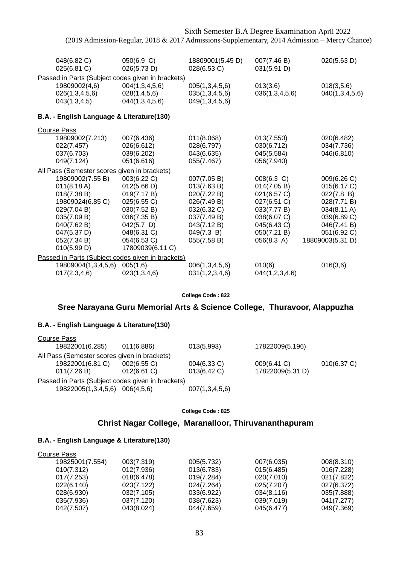| 048(6.82 C)<br>025(6.81 C)                                                                                                                                   | 050(6.9 C)<br>026(5.73 D)                                                                                                                                 | 18809001(5.45 D)<br>028(6.53 C)                                                                                                    | 007(7.46 B)<br>031(5.91 D)                                                                                                        | 020(5.63 D)                                                                                                                             |
|--------------------------------------------------------------------------------------------------------------------------------------------------------------|-----------------------------------------------------------------------------------------------------------------------------------------------------------|------------------------------------------------------------------------------------------------------------------------------------|-----------------------------------------------------------------------------------------------------------------------------------|-----------------------------------------------------------------------------------------------------------------------------------------|
| Passed in Parts (Subject codes given in brackets)                                                                                                            |                                                                                                                                                           |                                                                                                                                    |                                                                                                                                   |                                                                                                                                         |
| 19809002(4,6)<br>026(1,3,4,5,6)<br>043(1,3,4,5)                                                                                                              | 004(1,3,4,5,6)<br>028(1,4,5,6)<br>044(1,3,4,5,6)                                                                                                          | 005(1,3,4,5,6)<br>035(1,3,4,5,6)<br>049(1,3,4,5,6)                                                                                 | 013(3,6)<br>036(1,3,4,5,6)                                                                                                        | 018(3,5,6)<br>040(1,3,4,5,6)                                                                                                            |
| B.A. - English Language & Literature(130)                                                                                                                    |                                                                                                                                                           |                                                                                                                                    |                                                                                                                                   |                                                                                                                                         |
| <b>Course Pass</b>                                                                                                                                           |                                                                                                                                                           |                                                                                                                                    |                                                                                                                                   |                                                                                                                                         |
| 19809002(7.213)<br>022(7.457)<br>037(6.703)<br>049(7.124)                                                                                                    | 007(6.436)<br>026(6.612)<br>039(6.202)<br>051(6.616)                                                                                                      | 011(8.068)<br>028(6.797)<br>043(6.635)<br>055(7.467)                                                                               | 013(7.550)<br>030(6.712)<br>045(5.584)<br>056(7.940)                                                                              | 020(6.482)<br>034(7.736)<br>046(6.810)                                                                                                  |
| All Pass (Semester scores given in brackets)                                                                                                                 |                                                                                                                                                           |                                                                                                                                    |                                                                                                                                   |                                                                                                                                         |
| 19809002(7.55 B)<br>011(8.18 A)<br>018(7.38 B)<br>19809024(6.85 C)<br>029(7.04 B)<br>035(7.09 B)<br>040(7.62 B)<br>047(5.37 D)<br>052(7.34 B)<br>010(5.99 D) | 003(6.22 C)<br>012(5.66 D)<br>019(7.17 B)<br>025(6.55 C)<br>030(7.52 B)<br>036(7.35 B)<br>$042(5.7)$ D)<br>048(6.31 C)<br>054(6.53 C)<br>17809039(6.11 C) | 007(7.05 B)<br>013(7.63 B)<br>020(7.22 B)<br>026(7.49 B)<br>032(6.32 C)<br>037(7.49 B)<br>043(7.12 B)<br>049(7.3 B)<br>055(7.58 B) | 008(6.3 C)<br>014(7.05 B)<br>021(6.57 C)<br>027(6.51 C)<br>033(7.77 B)<br>038(6.07 C)<br>045(6.43 C)<br>050(7.21 B)<br>056(8.3 A) | 009(6.26 C)<br>015(6.17 C)<br>022(7.8 B)<br>028(7.71 B)<br>034(8.11 A)<br>039(6.89 C)<br>046(7.41 B)<br>051(6.92 C)<br>18809003(5.31 D) |
| Passed in Parts (Subject codes given in brackets)                                                                                                            |                                                                                                                                                           |                                                                                                                                    |                                                                                                                                   |                                                                                                                                         |
| 19809004(1,3,4,5,6)<br>017(2,3,4,6)                                                                                                                          | 005(1,6)<br>023(1,3,4,6)                                                                                                                                  | 006(1,3,4,5,6)<br>031(1,2,3,4,6)                                                                                                   | 010(6)<br>044(1,2,3,4,6)                                                                                                          | 016(3,6)                                                                                                                                |

**College Code : 822**

### **Sree Narayana Guru Memorial Arts & Science College, Thuravoor, Alappuzha**

### **B.A. - English Language & Literature(130)**

| Course Pass      |                     |                                                   |                |                  |             |
|------------------|---------------------|---------------------------------------------------|----------------|------------------|-------------|
| 19822001(6.285)  |                     | 011(6.886)                                        | 013(5.993)     | 17822009(5.196)  |             |
|                  |                     | All Pass (Semester scores given in brackets)      |                |                  |             |
| 19822001(6.81 C) |                     | 002(6.55 C)                                       | 004(6.33 C)    | 009(6.41 C)      | 010(6.37 C) |
| 011(7.26 B)      |                     | $012(6.61)$ C)                                    | 013(6.42 C)    | 17822009(5.31 D) |             |
|                  |                     | Passed in Parts (Subject codes given in brackets) |                |                  |             |
|                  | 19822005(1,3,4,5,6) | 006(4.5.6)                                        | 007(1,3,4,5,6) |                  |             |
|                  |                     |                                                   |                |                  |             |

**College Code : 825**

## **Christ Nagar College, Maranalloor, Thiruvananthapuram**

| Course Pass     |            |            |            |            |
|-----------------|------------|------------|------------|------------|
| 19825001(7.554) | 003(7.319) | 005(5.732) | 007(6.035) | 008(8.310) |
| 010(7.312)      | 012(7.936) | 013(6.783) | 015(6.485) | 016(7.228) |
| 017(7.253)      | 018(6.478) | 019(7.284) | 020(7.010) | 021(7.822) |
| 022(6.140)      | 023(7.122) | 024(7.264) | 025(7.207) | 027(6.372) |
| 028(6.930)      | 032(7.105) | 033(6.922) | 034(8.116) | 035(7.888) |
| 036(7.936)      | 037(7.120) | 038(7.623) | 039(7.019) | 041(7.277) |
| 042(7.507)      | 043(8.024) | 044(7.659) | 045(6.477) | 049(7.369) |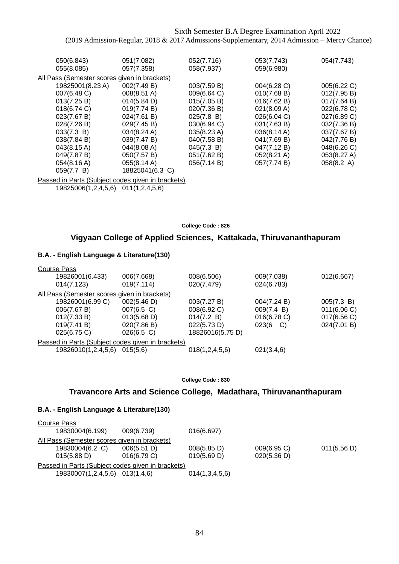| 050(6.843)                                   | 051(7.082)      | 052(7.716)  | 053(7.743)            | 054(7.743)           |
|----------------------------------------------|-----------------|-------------|-----------------------|----------------------|
| 055(8.085)                                   | 057(7.358)      | 058(7.937)  | 059(6.980)            |                      |
| All Pass (Semester scores given in brackets) |                 |             |                       |                      |
| 19825001(8.23 A)                             | 002(7.49 B)     | 003(7.59 B) | 004(6.28 C)           | 005(6.22 C)          |
| 007(6.48 C)                                  | 008(8.51 A)     | 009(6.64 C) | 010(7.68 B)           | 012(7.95 B)          |
| 013(7.25 B)                                  | 014(5.84 D)     | 015(7.05 B) | 016(7.62 B)           | 017(7.64 B)          |
| 018(6.74 C)                                  | 019(7.74 B)     | 020(7.36 B) | 021(8.09 A)           | 022(6.78 C)          |
| 023(7.67 B)                                  | 024(7.61 B)     | 025(7.8 B)  | 026(6.04 C)           | 027(6.89 C)          |
| 028(7.26 B)                                  | 029(7.45 B)     | 030(6.94 C) | 031(7.63 B)           | 032(7.36 B)          |
| 033(7.3 B)                                   | 034(8.24 A)     | 035(8.23 A) | $036(8.14 \text{ A})$ | 037(7.67 B)          |
| 038(7.84 B)                                  | 039(7.47 B)     | 040(7.58 B) | 041(7.69 B)           | 042(7.76 B)          |
| 043(8.15 A)                                  | 044(8.08 A)     | 045(7.3 B)  | 047(7.12 B)           | 048(6.26 C)          |
| 049(7.87 B)                                  | 050(7.57 B)     | 051(7.62 B) | 052(8.21 A)           | 053(8.27 A)          |
| 054(8.16 A)                                  | 055(8.14 A)     | 056(7.14 B) | 057(7.74 B)           | $058(8.2 \text{ A})$ |
| 059(7.7 B)                                   | 18825041(6.3 C) |             |                       |                      |

Passed in Parts (Subject codes given in brackets)

19825006(1,2,4,5,6) 011(1,2,4,5,6)

#### **College Code : 826**

### **Vigyaan College of Applied Sciences, Kattakada, Thiruvananthapuram**

### **B.A. - English Language & Literature(130)**

| <b>Course Pass</b>                                |               |                  |             |             |
|---------------------------------------------------|---------------|------------------|-------------|-------------|
| 19826001(6.433)                                   | 006(7.668)    | 008(6.506)       | 009(7.038)  | 012(6.667)  |
| 014(7.123)                                        | 019(7.114)    | 020(7.479)       | 024(6.783)  |             |
| All Pass (Semester scores given in brackets)      |               |                  |             |             |
| 19826001(6.99 C)                                  | 002(5.46 D)   | 003(7.27 B)      | 004(7.24 B) | 005(7.3 B)  |
| 006(7.67 B)                                       | 007(6.5 C)    | 008(6.92 C)      | 009(7.4 B)  | 011(6.06 C) |
| 012(7.33 B)                                       | 013(5.68 D)   | 014(7.2 B)       | 016(6.78 C) | 017(6.56 C) |
| 019(7.41 B)                                       | 020(7.86 B)   | 022(5.73 D)      | 023(6<br>C) | 024(7.01 B) |
| 025(6.75 C)                                       | $026(6.5)$ C) | 18826016(5.75 D) |             |             |
| Passed in Parts (Subject codes given in brackets) |               |                  |             |             |
| 19826010(1,2,4,5,6)                               | 015(5.6)      | 018(1,2,4,5,6)   | 021(3,4,6)  |             |

**College Code : 830**

## **Travancore Arts and Science College, Madathara, Thiruvananthapuram**

| Course Pass |                                              |                                                   |                |             |             |
|-------------|----------------------------------------------|---------------------------------------------------|----------------|-------------|-------------|
|             | 19830004(6.199)                              | 009(6.739)                                        | 016(6.697)     |             |             |
|             | All Pass (Semester scores given in brackets) |                                                   |                |             |             |
|             | 19830004(6.2 C)                              | 006(5.51 D)                                       | 008(5.85 D)    | 009(6.95 C) | 011(5.56 D) |
|             | 015(5.88 D)                                  | 016(6.79 C)                                       | 019(5.69 D)    | 020(5.36 D) |             |
|             |                                              |                                                   |                |             |             |
|             | 19830007(1,2,4,5,6) 013(1,4,6)               |                                                   | 014(1,3,4,5,6) |             |             |
|             |                                              | Passed in Parts (Subject codes given in brackets) |                |             |             |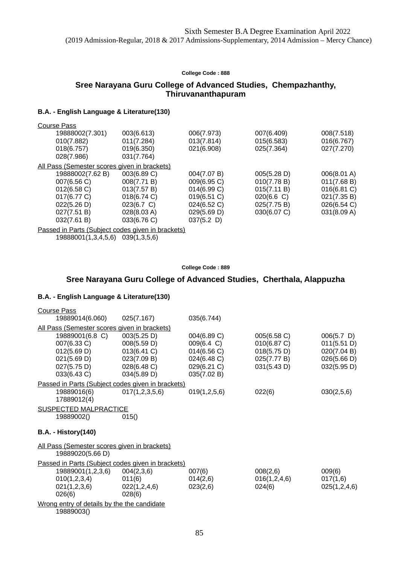## **Sree Narayana Guru College of Advanced Studies, Chempazhanthy, Thiruvananthapuram**

### **B.A. - English Language & Literature(130)**

| <b>Course Pass</b>                                |             |               |               |                |
|---------------------------------------------------|-------------|---------------|---------------|----------------|
| 19888002(7.301)                                   | 003(6.613)  | 006(7.973)    | 007(6.409)    | 008(7.518)     |
| 010(7.882)                                        | 011(7.284)  | 013(7.814)    | 015(6.583)    | 016(6.767)     |
| 018(6.757)                                        | 019(6.350)  | 021(6.908)    | 025(7.364)    | 027(7.270)     |
| 028(7.986)                                        | 031(7.764)  |               |               |                |
| All Pass (Semester scores given in brackets)      |             |               |               |                |
| 19888002(7.62 B)                                  | 003(6.89 C) | 004(7.07 B)   | 005(5.28 D)   | 006(8.01 A)    |
| 007(6.56 C)                                       | 008(7.71 B) | 009(6.95 C)   | 010(7.78 B)   | 011(7.68 B)    |
| 012(6.58)                                         | 013(7.57 B) | 014(6.99 C)   | 015(7.11 B)   | $016(6.81)$ C) |
| 017(6.77 C)                                       | 018(6.74 C) | 019(6.51 C)   | $020(6.6)$ C) | 021(7.35 B)    |
| 022(5.26 D)                                       | 023(6.7 C)  | 024(6.52 C)   | 025(7.75 B)   | 026(6.54 C)    |
| 027(7.51 B)                                       | 028(8.03 A) | 029(5.69 D)   | 030(6.07 C)   | 031(8.09 A)    |
| 032(7.61 B)                                       | 033(6.76 C) | $037(5.2)$ D) |               |                |
| Passed in Parts (Subject codes given in brackets) |             |               |               |                |

19888001(1,3,4,5,6) 039(1,3,5,6)

#### **College Code : 889**

## **Sree Narayana Guru College of Advanced Studies, Cherthala, Alappuzha**

| <b>Course Pass</b>                                                                         |                                                                                        |                                                                                       |                                                                         |                                                                           |
|--------------------------------------------------------------------------------------------|----------------------------------------------------------------------------------------|---------------------------------------------------------------------------------------|-------------------------------------------------------------------------|---------------------------------------------------------------------------|
| 19889014(6.060)                                                                            | 025(7.167)                                                                             | 035(6.744)                                                                            |                                                                         |                                                                           |
| All Pass (Semester scores given in brackets)                                               |                                                                                        |                                                                                       |                                                                         |                                                                           |
| 19889001(6.8 C)<br>007(6.33 C)<br>012(5.69 D)<br>021(5.69 D)<br>027(5.75 D)<br>033(6.43 C) | 003(5.25 D)<br>008(5.59 D)<br>013(6.41 C)<br>023(7.09 B)<br>028(6.48 C)<br>034(5.89 D) | 004(6.89 C)<br>009(6.4 C)<br>014(6.56 C)<br>024(6.48 C)<br>029(6.21 C)<br>035(7.02 B) | 005(6.58 C)<br>010(6.87 C)<br>018(5.75 D)<br>025(7.77 B)<br>031(5.43 D) | $006(5.7)$ D)<br>011(5.51 D)<br>020(7.04 B)<br>026(5.66 D)<br>032(5.95 D) |
| Passed in Parts (Subject codes given in brackets)                                          |                                                                                        |                                                                                       |                                                                         |                                                                           |
| 19889016(6)<br>17889012(4)                                                                 | 017(1,2,3,5,6)                                                                         | 019(1,2,5,6)                                                                          | 022(6)                                                                  | 030(2,5,6)                                                                |
| <b>SUSPECTED MALPRACTICE</b>                                                               |                                                                                        |                                                                                       |                                                                         |                                                                           |
| 19889002()                                                                                 | 015()                                                                                  |                                                                                       |                                                                         |                                                                           |
| <b>B.A. - History(140)</b>                                                                 |                                                                                        |                                                                                       |                                                                         |                                                                           |
| All Pass (Semester scores given in brackets)<br>19889020(5.66 D)                           |                                                                                        |                                                                                       |                                                                         |                                                                           |
| Passed in Parts (Subject codes given in brackets)                                          |                                                                                        |                                                                                       |                                                                         |                                                                           |
| 19889001(1,2,3,6)                                                                          | 004(2,3,6)                                                                             | 007(6)                                                                                | 008(2,6)                                                                | 009(6)                                                                    |
| 010(1,2,3,4)                                                                               | 011(6)                                                                                 | 014(2,6)                                                                              | 016(1,2,4,6)                                                            | 017(1,6)                                                                  |
| 021(1,2,3,6)<br>026(6)                                                                     | 022(1,2,4,6)<br>028(6)                                                                 | 023(2,6)                                                                              | 024(6)                                                                  | 025(1,2,4,6)                                                              |
| Wrong entry of details by the the candidate<br>19889003()                                  |                                                                                        |                                                                                       |                                                                         |                                                                           |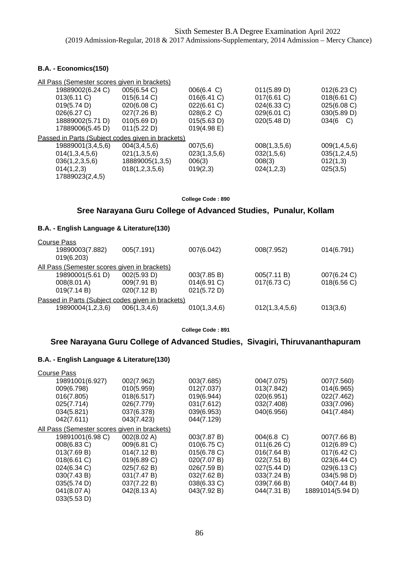### **B.A. - Economics(150)**

| All Pass (Semester scores given in brackets)      |                 |              |              |                  |
|---------------------------------------------------|-----------------|--------------|--------------|------------------|
| 19889002(6.24 C)                                  | 005(6.54 C)     | 006(6.4 C)   | 011(5.89 D)  | 012(6.23 C)      |
| 013(6.11 C)                                       | 015(6.14 C)     | 016(6.41 C)  | 017(6.61 C)  | 018(6.61 C)      |
| 019(5.74 D)                                       | 020(6.08 C)     | 022(6.61 C)  | 024(6.33 C)  | 025(6.08 C)      |
| 026(6.27 C)                                       | 027(7.26 B)     | 028(6.2 C)   | 029(6.01 C)  | 030(5.89 D)      |
| 18889002(5.71 D)                                  | 010(5.69 D)     | 015(5.63 D)  | 020(5.48 D)  | $034(6 \quad C)$ |
| 17889006(5.45 D)                                  | 011(5.22 D)     | 019(4.98 E)  |              |                  |
| Passed in Parts (Subject codes given in brackets) |                 |              |              |                  |
| 19889001(3,4,5,6)                                 | 004(3,4,5,6)    | 007(5,6)     | 008(1,3,5,6) | 009(1,4,5,6)     |
| 014(1,3,4,5,6)                                    | 021(1,3,5,6)    | 023(1,3,5,6) | 032(1,5,6)   | 035(1,2,4,5)     |
| 036(1,2,3,5,6)                                    | 18889005(1,3,5) | 006(3)       | 008(3)       | 012(1,3)         |
| 014(1,2,3)                                        | 018(1,2,3,5,6)  | 019(2,3)     | 024(1,2,3)   | 025(3,5)         |
| 17889023(2,4,5)                                   |                 |              |              |                  |
|                                                   |                 |              |              |                  |

#### **College Code : 890**

## **Sree Narayana Guru College of Advanced Studies, Punalur, Kollam**

### **B.A. - English Language & Literature(130)**

| Course Pass                                       |              |              |                |             |
|---------------------------------------------------|--------------|--------------|----------------|-------------|
| 19890003(7.882)                                   | 005(7.191)   | 007(6.042)   | 008(7.952)     | 014(6.791)  |
| 019(6.203)                                        |              |              |                |             |
| All Pass (Semester scores given in brackets)      |              |              |                |             |
| 19890001(5.61 D)                                  | 002(5.93 D)  | 003(7.85 B)  | 005(7.11 B)    | 007(6.24 C) |
| 008(8.01 A)                                       | 009(7.91 B)  | 014(6.91 C)  | 017(6.73 C)    | 018(6.56 C) |
| 019(7.14 B)                                       | 020(7.12 B)  | 021(5.72 D)  |                |             |
| Passed in Parts (Subject codes given in brackets) |              |              |                |             |
| 19890004(1,2,3,6)                                 | 006(1,3,4,6) | 010(1,3,4,6) | 012(1,3,4,5,6) | 013(3,6)    |
|                                                   |              |              |                |             |

**College Code : 891**

## **Sree Narayana Guru College of Advanced Studies, Sivagiri, Thiruvananthapuram**

| <b>Course Pass</b>                           |             |                |               |                  |
|----------------------------------------------|-------------|----------------|---------------|------------------|
| 19891001(6.927)                              | 002(7.962)  | 003(7.685)     | 004(7.075)    | 007(7.560)       |
| 009(6.798)                                   | 010(5.959)  | 012(7.037)     | 013(7.842)    | 014(6.965)       |
| 016(7.805)                                   | 018(6.517)  | 019(6.944)     | 020(6.951)    | 022(7.462)       |
| 025(7.714)                                   | 026(7.779)  | 031(7.612)     | 032(7.408)    | 033(7.096)       |
| 034(5.821)                                   | 037(6.378)  | 039(6.953)     | 040(6.956)    | 041(7.484)       |
| 042(7.611)                                   | 043(7.423)  | 044(7.129)     |               |                  |
| All Pass (Semester scores given in brackets) |             |                |               |                  |
| 19891001(6.98 C)                             | 002(8.02 A) | 003(7.87 B)    | $004(6.8)$ C) | 007(7.66 B)      |
| 008(6.83 C)                                  | 009(6.81 C) | $010(6.75)$ C) | 011(6.26)     | 012(6.89 C)      |
| 013(7.69 B)                                  | 014(7.12 B) | 015(6.78 C)    | 016(7.64 B)   | 017(6.42 C)      |
| 018(6.61 C)                                  | 019(6.89 C) | 020(7.07 B)    | 022(7.51 B)   | 023(6.44 C)      |
| 024(6.34 C)                                  | 025(7.62 B) | 026(7.59 B)    | 027(5.44 D)   | 029(6.13 C)      |
| 030(7.43 B)                                  | 031(7.47 B) | 032(7.62 B)    | 033(7.24 B)   | 034(5.98 D)      |
| 035(5.74 D)                                  | 037(7.22 B) | 038(6.33 C)    | 039(7.66 B)   | 040(7.44 B)      |
| 041(8.07 A)                                  | 042(8.13 A) | 043(7.92 B)    | 044(7.31 B)   | 18891014(5.94 D) |
| 033(5.53 D)                                  |             |                |               |                  |
|                                              |             |                |               |                  |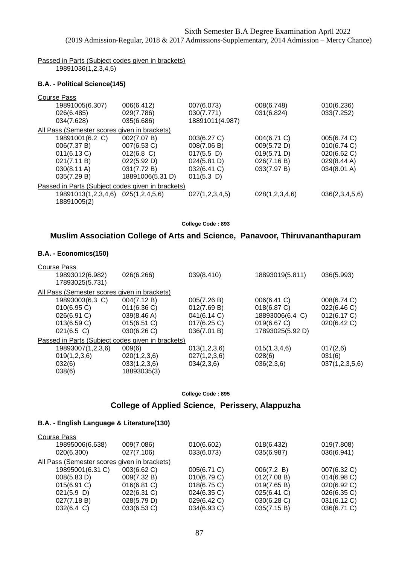Passed in Parts (Subject codes given in brackets) 19891036(1,2,3,4,5)

#### **B.A. - Political Science(145)**

#### Course Pass

| 19891005(6.307)                              | 006(6.412)                                        | 007(6.073)      | 008(6.748)     | 010(6.236)     |
|----------------------------------------------|---------------------------------------------------|-----------------|----------------|----------------|
| 026(6.485)                                   | 029(7.786)                                        | 030(7.771)      | 031(6.824)     | 033(7.252)     |
| 034(7.628)                                   | 035(6.686)                                        | 18891011(4.987) |                |                |
| All Pass (Semester scores given in brackets) |                                                   |                 |                |                |
| 19891001(6.2 C)                              | 002(7.07 B)                                       | 003(6.27 C)     | 004(6.71 C)    | 005(6.74 C)    |
| 006(7.37 B)                                  | 007(6.53 C)                                       | 008(7.06 B)     | 009(5.72 D)    | 010(6.74 C)    |
| 011(6.13 C)                                  | $012(6.8)$ C)                                     | $017(5.5)$ D)   | 019(5.71 D)    | 020(6.62 C)    |
| 021(7.11 B)                                  | 022(5.92 D)                                       | 024(5.81 D)     | 026(7.16 B)    | 029(8.44 A)    |
| 030(8.11 A)                                  | 031(7.72 B)                                       | 032(6.41 C)     | 033(7.97 B)    | 034(8.01 A)    |
| 035(7.29 B)                                  | 18891006(5.31 D)                                  | $011(5.3)$ D)   |                |                |
|                                              | Passed in Parts (Subject codes given in brackets) |                 |                |                |
| 19891013(1,2,3,4,6) 025(1,2,4,5,6)           |                                                   | 027(1,2,3,4,5)  | 028(1,2,3,4,6) | 036(2,3,4,5,6) |
| 18891005(2)                                  |                                                   |                 |                |                |

**College Code : 893**

## **Muslim Association College of Arts and Science, Panavoor, Thiruvananthapuram**

### **B.A. - Economics(150)**

| <b>Course Pass</b><br>19893012(6.982)             | 026(6.266)   | 039(8.410)   | 18893019(5.811)  | 036(5.993)     |
|---------------------------------------------------|--------------|--------------|------------------|----------------|
| 17893025(5.731)                                   |              |              |                  |                |
| All Pass (Semester scores given in brackets)      |              |              |                  |                |
| 19893003(6.3 C)                                   | 004(7.12 B)  | 005(7.26 B)  | 006(6.41 C)      | 008(6.74 C)    |
| $010(6.95)$ C)                                    | 011(6.36)    | 012(7.69 B)  | 018(6.87 C)      | 022(6.46 C)    |
| 026(6.91 C)                                       | 039(8.46 A)  | 041(6.14 C)  | 18893006(6.4 C)  | 012(6.17 C)    |
| 013(6.59 C)                                       | 015(6.51 C)  | 017(6.25 C)  | 019(6.67 C)      | 020(6.42 C)    |
| $021(6.5)$ C)                                     | 030(6.26 C)  | 036(7.01 B)  | 17893025(5.92 D) |                |
| Passed in Parts (Subject codes given in brackets) |              |              |                  |                |
| 19893007(1,2,3,6)                                 | 009(6)       | 013(1,2,3,6) | 015(1,3,4,6)     | 017(2,6)       |
| 019(1,2,3,6)                                      | 020(1,2,3,6) | 027(1,2,3,6) | 028(6)           | 031(6)         |
| 032(6)                                            | 033(1,2,3,6) | 034(2,3,6)   | 036(2,3,6)       | 037(1,2,3,5,6) |
| 038(6)                                            | 18893035(3)  |              |                  |                |

**College Code : 895**

### **College of Applied Science, Perissery, Alappuzha**

| 009(7.086)                                   | 010(6.602)  | 018(6.432)  | 019(7.808)     |
|----------------------------------------------|-------------|-------------|----------------|
| 027(7.106)                                   | 033(6.073)  | 035(6.987)  | 036(6.941)     |
| All Pass (Semester scores given in brackets) |             |             |                |
| 003(6.62 C)                                  | 005(6.71 C) | 006(7.2 B)  | 007(6.32 C)    |
| 009(7.32 B)                                  | 010(6.79 C) | 012(7.08 B) | $014(6.98)$ C) |
| 016(6.81 C)                                  | 018(6.75 C) | 019(7.65 B) | 020(6.92 C)    |
| 022(6.31 C)                                  | 024(6.35 C) | 025(6.41 C) | 026(6.35 C)    |
| 028(5.79 D)                                  | 029(6.42 C) | 030(6.28 C) | 031(6.12 C)    |
| 033(6.53 C)                                  | 034(6.93 C) | 035(7.15 B) | 036(6.71 C)    |
|                                              |             |             |                |